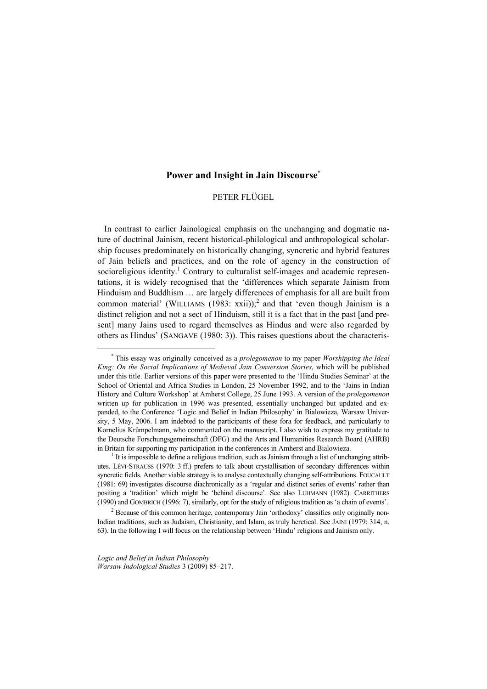## **Power and Insight in Jain Discourse**\*

## PETER FLÜGEL

In contrast to earlier Jainological emphasis on the unchanging and dogmatic nature of doctrinal Jainism, recent historical-philological and anthropological scholarship focuses predominately on historically changing, syncretic and hybrid features of Jain beliefs and practices, and on the role of agency in the construction of socioreligious identity.<sup>1</sup> Contrary to culturalist self-images and academic representations, it is widely recognised that the 'differences which separate Jainism from Hinduism and Buddhism … are largely differences of emphasis for all are built from common material' (WILLIAMS (1983: xxii));<sup>2</sup> and that 'even though Jainism is a distinct religion and not a sect of Hinduism, still it is a fact that in the past [and present] many Jains used to regard themselves as Hindus and were also regarded by others as Hindus' (SANGAVE (1980: 3)). This raises questions about the characteris-

<sup>2</sup> Because of this common heritage, contemporary Jain 'orthodoxy' classifies only originally non-Indian traditions, such as Judaism, Christianity, and Islam, as truly heretical. See JAINI (1979: 314, n. 63). In the following I will focus on the relationship between 'Hindu' religions and Jainism only.

*Logic and Belief in Indian Philosophy Warsaw Indological Studies* 3 (2009) 85–217.

 <sup>\*</sup> This essay was originally conceived as a *prolegomenon* to my paper *Worshipping the Ideal King: On the Social Implications of Medieval Jain Conversion Stories*, which will be published under this title. Earlier versions of this paper were presented to the 'Hindu Studies Seminar' at the School of Oriental and Africa Studies in London, 25 November 1992, and to the 'Jains in Indian History and Culture Workshop' at Amherst College, 25 June 1993. A version of the *prolegomenon* written up for publication in 1996 was presented, essentially unchanged but updated and expanded, to the Conference 'Logic and Belief in Indian Philosophy' in Bialowieza, Warsaw University, 5 May, 2006. I am indebted to the participants of these fora for feedback, and particularly to Kornelius Krümpelmann, who commented on the manuscript. I also wish to express my gratitude to the Deutsche Forschungsgemeinschaft (DFG) and the Arts and Humanities Research Board (AHRB) in Britain for supporting my participation in the conferences in Amherst and Bialowieza.

 $<sup>1</sup>$  It is impossible to define a religious tradition, such as Jainism through a list of unchanging attrib-</sup> utes. LÉVI-STRAUSS (1970: 3 ff.) prefers to talk about crystallisation of secondary differences within syncretic fields. Another viable strategy is to analyse contextually changing self-attributions. FOUCAULT (1981: 69) investigates discourse diachronically as a 'regular and distinct series of events' rather than positing a 'tradition' which might be 'behind discourse'. See also LUHMANN (1982). CARRITHERS (1990) and GOMBRICH (1996: 7), similarly, opt for the study of religious tradition as 'a chain of events'.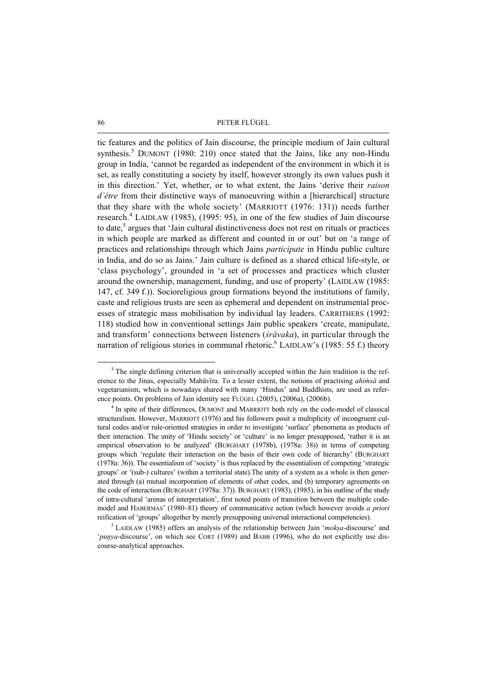tic features and the politics of Jain discourse, the principle medium of Jain cultural synthesis.<sup>3</sup> DUMONT (1980: 210) once stated that the Jains, like any non-Hindu group in India, 'cannot be regarded as independent of the environment in which it is set, as really constituting a society by itself, however strongly its own values push it in this direction.' Yet, whether, or to what extent, the Jains 'derive their *raison d'être* from their distinctive ways of manoeuvring within a [hierarchical] structure that they share with the whole society' (MARRIOTT (1976: 131)) needs further research.<sup>4</sup> LAIDLAW (1985), (1995: 95), in one of the few studies of Jain discourse to date,<sup>5</sup> argues that 'Jain cultural distinctiveness does not rest on rituals or practices in which people are marked as different and counted in or out' but on 'a range of practices and relationships through which Jains *participate* in Hindu public culture in India, and do so as Jains.' Jain culture is defined as a shared ethical life-style, or 'class psychology', grounded in 'a set of processes and practices which cluster around the ownership, management, funding, and use of property' (LAIDLAW (1985: 147, cf. 349 f.)). Socioreligious group formations beyond the institutions of family, caste and religious trusts are seen as ephemeral and dependent on instrumental processes of strategic mass mobilisation by individual lay leaders. CARRITHERS (1992: 118) studied how in conventional settings Jain public speakers 'create, manipulate, and transform' connections between listeners (*śrāvaka*), in particular through the narration of religious stories in communal rhetoric.<sup>6</sup> LAIDLAW's (1985: 55 f.) theory

 <sup>3</sup> <sup>3</sup> The single defining criterion that is universally accepted within the Jain tradition is the reference to the Jinas, especially Mahāvīra. To a lesser extent, the notions of practising *ahinosa* and vegetarianism, which is nowadays shared with many 'Hindus' and Buddhists, are used as reference points. On problems of Jain identity see FLÜGEL (2005), (2006a), (2006b).

<sup>&</sup>lt;sup>4</sup> In spite of their differences, DUMONT and MARRIOTT both rely on the code-model of classical structuralism. However, MARRIOTT (1976) and his followers posit a multiplicity of incongruent cultural codes and/or rule-oriented strategies in order to investigate 'surface' phenomena as products of their interaction. The unity of 'Hindu society' or 'culture' is no longer presupposed, 'rather it is an empirical observation to be analyzed' (BURGHART (1978b), (1978a: 38)) in terms of competing groups which 'regulate their interaction on the basis of their own code of hierarchy' (BURGHART (1978a: 36)). The essentialism of 'society' is thus replaced by the essentialism of competing 'strategic groups' or '(sub-) cultures' (within a territorial state).The unity of a system as a whole is then generated through (a) mutual incorporation of elements of other codes, and (b) temporary agreements on the code of interaction (BURGHART (1978a: 37)). BURGHART (1983), (1985), in his outline of the study of intra-cultural 'arenas of interpretation', first noted points of transition between the multiple codemodel and HABERMAS' (1980–81) theory of communicative action (which however avoids *a priori* reification of 'groups' altogether by merely presupposing universal interactional competencies).

<sup>5</sup> LAIDLAW (1985) offers an analysis of the relationship between Jain '*mokša-*discourse' and '*punya*-discourse', on which see CORT (1989) and BABB (1996), who do not explicitly use discourse-analytical approaches.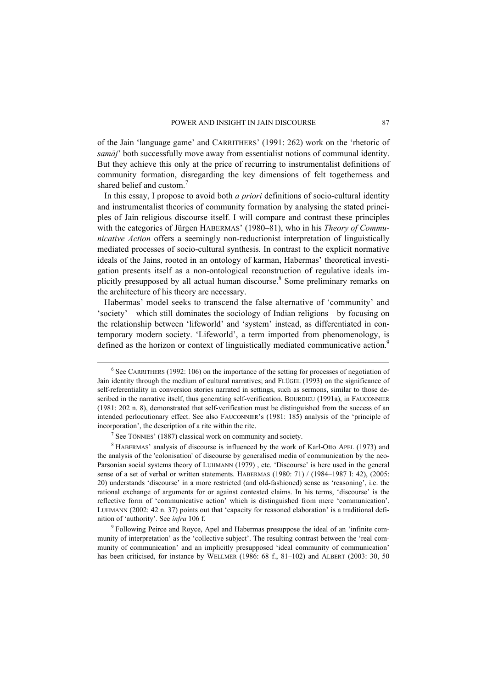of the Jain 'language game' and CARRITHERS' (1991: 262) work on the 'rhetoric of *samâj*' both successfully move away from essentialist notions of communal identity. But they achieve this only at the price of recurring to instrumentalist definitions of community formation, disregarding the key dimensions of felt togetherness and shared belief and custom.<sup>7</sup>

In this essay, I propose to avoid both *a priori* definitions of socio-cultural identity and instrumentalist theories of community formation by analysing the stated principles of Jain religious discourse itself. I will compare and contrast these principles with the categories of Jürgen HABERMAS' (1980–81), who in his *Theory of Communicative Action* offers a seemingly non-reductionist interpretation of linguistically mediated processes of socio-cultural synthesis. In contrast to the explicit normative ideals of the Jains, rooted in an ontology of karman, Habermas' theoretical investigation presents itself as a non-ontological reconstruction of regulative ideals implicitly presupposed by all actual human discourse.<sup>8</sup> Some preliminary remarks on the architecture of his theory are necessary.

Habermas' model seeks to transcend the false alternative of 'community' and 'society'—which still dominates the sociology of Indian religions—by focusing on the relationship between 'lifeworld' and 'system' instead, as differentiated in contemporary modern society. 'Lifeworld', a term imported from phenomenology, is defined as the horizon or context of linguistically mediated communicative action.<sup>9</sup>

 <sup>6</sup>  $6$  See CARRITHERS (1992: 106) on the importance of the setting for processes of negotiation of Jain identity through the medium of cultural narratives; and FLÜGEL (1993) on the significance of self-referentiality in conversion stories narrated in settings, such as sermons, similar to those described in the narrative itself, thus generating self-verification. BOURDIEU (1991a), in FAUCONNIER (1981: 202 n. 8), demonstrated that self-verification must be distinguished from the success of an intended perlocutionary effect. See also FAUCONNIER's (1981: 185) analysis of the 'principle of incorporation', the description of a rite within the rite.

<sup>&</sup>lt;sup>7</sup> See TÖNNIES' (1887) classical work on community and society.

<sup>&</sup>lt;sup>8</sup> HABERMAS' analysis of discourse is influenced by the work of Karl-Otto APEL (1973) and the analysis of the 'colonisation' of discourse by generalised media of communication by the neo-Parsonian social systems theory of LUHMANN (1979) , etc. 'Discourse' is here used in the general sense of a set of verbal or written statements. HABERMAS (1980: 71) / (1984–1987 I: 42), (2005: 20) understands 'discourse' in a more restricted (and old-fashioned) sense as 'reasoning', i.e. the rational exchange of arguments for or against contested claims. In his terms, 'discourse' is the reflective form of 'communicative action' which is distinguished from mere 'communication'. LUHMANN (2002: 42 n. 37) points out that 'capacity for reasoned elaboration' is a traditional definition of 'authority'. See *infra* 106 f.

<sup>&</sup>lt;sup>9</sup> Following Peirce and Royce, Apel and Habermas presuppose the ideal of an 'infinite community of interpretation' as the 'collective subject'. The resulting contrast between the 'real community of communication' and an implicitly presupposed 'ideal community of communication' has been criticised, for instance by WELLMER (1986: 68 f., 81–102) and ALBERT (2003: 30, 50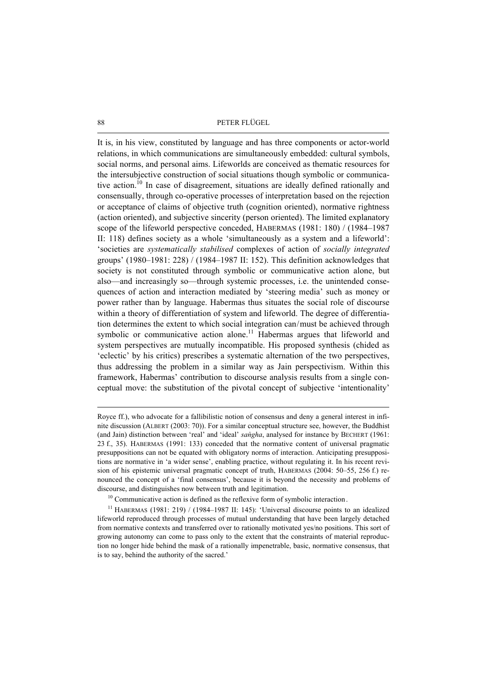It is, in his view, constituted by language and has three components or actor-world relations, in which communications are simultaneously embedded: cultural symbols, social norms, and personal aims. Lifeworlds are conceived as thematic resources for the intersubjective construction of social situations though symbolic or communicative action.<sup>10</sup> In case of disagreement, situations are ideally defined rationally and consensually, through co-operative processes of interpretation based on the rejection or acceptance of claims of objective truth (cognition oriented), normative rightness (action oriented), and subjective sincerity (person oriented). The limited explanatory scope of the lifeworld perspective conceded, HABERMAS (1981: 180) / (1984–1987 II: 118) defines society as a whole 'simultaneously as a system and a lifeworld': 'societies are *systematically stabilised* complexes of action of *socially integrated* groups' (1980–1981: 228) / (1984–1987 II: 152). This definition acknowledges that society is not constituted through symbolic or communicative action alone, but also—and increasingly so—through systemic processes, i.e. the unintended consequences of action and interaction mediated by 'steering media' such as money or power rather than by language. Habermas thus situates the social role of discourse within a theory of differentiation of system and lifeworld. The degree of differentiation determines the extent to which social integration can / must be achieved through symbolic or communicative action alone.<sup>11</sup> Habermas argues that lifeworld and system perspectives are mutually incompatible. His proposed synthesis (chided as 'eclectic' by his critics) prescribes a systematic alternation of the two perspectives, thus addressing the problem in a similar way as Jain perspectivism. Within this framework, Habermas' contribution to discourse analysis results from a single conceptual move: the substitution of the pivotal concept of subjective 'intentionality'

 $\overline{a}$ 

Royce ff.), who advocate for a fallibilistic notion of consensus and deny a general interest in infinite discussion (ALBERT (2003: 70)). For a similar conceptual structure see, however, the Buddhist (and Jain) distinction between 'real' and 'ideal' *saógha*, analysed for instance by BECHERT (1961: 23 f., 35). HABERMAS (1991: 133) conceded that the normative content of universal pragmatic presuppositions can not be equated with obligatory norms of interaction. Anticipating presuppositions are normative in 'a wider sense', enabling practice, without regulating it. In his recent revision of his epistemic universal pragmatic concept of truth, HABERMAS (2004: 50–55, 256 f.) renounced the concept of a 'final consensus', because it is beyond the necessity and problems of discourse, and distinguishes now between truth and legitimation.

<sup>&</sup>lt;sup>10</sup> Communicative action is defined as the reflexive form of symbolic interaction.

<sup>&</sup>lt;sup>11</sup> HABERMAS (1981: 219) / (1984–1987 II: 145): 'Universal discourse points to an idealized lifeworld reproduced through processes of mutual understanding that have been largely detached from normative contexts and transferred over to rationally motivated yes/no positions. This sort of growing autonomy can come to pass only to the extent that the constraints of material reproduction no longer hide behind the mask of a rationally impenetrable, basic, normative consensus, that is to say, behind the authority of the sacred.'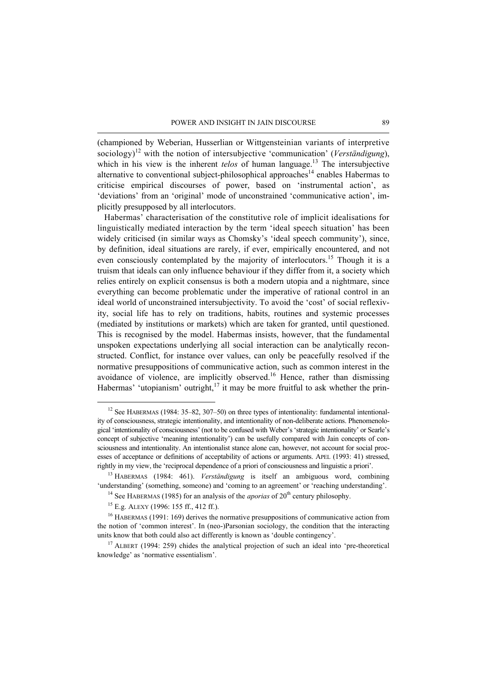(championed by Weberian, Husserlian or Wittgensteinian variants of interpretive sociology)<sup>12</sup> with the notion of intersubjective 'communication' (*Verständigung*), which in his view is the inherent *telos* of human language.<sup>13</sup> The intersubjective alternative to conventional subject-philosophical approaches<sup>14</sup> enables Habermas to criticise empirical discourses of power, based on 'instrumental action', as 'deviations' from an 'original' mode of unconstrained 'communicative action', implicitly presupposed by all interlocutors.

Habermas' characterisation of the constitutive role of implicit idealisations for linguistically mediated interaction by the term 'ideal speech situation' has been widely criticised (in similar ways as Chomsky's 'ideal speech community'), since, by definition, ideal situations are rarely, if ever, empirically encountered, and not even consciously contemplated by the majority of interlocutors.<sup>15</sup> Though it is a truism that ideals can only influence behaviour if they differ from it, a society which relies entirely on explicit consensus is both a modern utopia and a nightmare, since everything can become problematic under the imperative of rational control in an ideal world of unconstrained intersubjectivity. To avoid the 'cost' of social reflexivity, social life has to rely on traditions, habits, routines and systemic processes (mediated by institutions or markets) which are taken for granted, until questioned. This is recognised by the model. Habermas insists, however, that the fundamental unspoken expectations underlying all social interaction can be analytically reconstructed. Conflict, for instance over values, can only be peacefully resolved if the normative presuppositions of communicative action, such as common interest in the avoidance of violence, are implicitly observed.<sup>16</sup> Hence, rather than dismissing Habermas' 'utopianism' outright, $17$  it may be more fruitful to ask whether the prin-

 $\ddot{ }$ 

<sup>&</sup>lt;sup>12</sup> See HABERMAS (1984:  $35–82$ ,  $307–50$ ) on three types of intentionality: fundamental intentionality of consciousness, strategic intentionality, and intentionality of non-deliberate actions. Phenomenological 'intentionality of consciousness' (not to be confused with Weber's 'strategic intentionality' or Searle's concept of subjective 'meaning intentionality') can be usefully compared with Jain concepts of consciousness and intentionality. An intentionalist stance alone can, however, not account for social processes of acceptance or definitions of acceptability of actions or arguments. APEL (1993: 41) stressed, rightly in my view, the 'reciprocal dependence of a priori of consciousness and linguistic a priori'.

<sup>13</sup> HABERMAS (1984: 461). *Verständigung* is itself an ambiguous word, combining 'understanding' (something, someone) and 'coming to an agreement' or 'reaching understanding'.

<sup>&</sup>lt;sup>14</sup> See HABERMAS (1985) for an analysis of the *aporias* of  $20<sup>th</sup>$  century philosophy.

<sup>15</sup> E.g. ALEXY (1996: 155 ff., 412 ff.).

<sup>&</sup>lt;sup>16</sup> HABERMAS (1991: 169) derives the normative presuppositions of communicative action from the notion of 'common interest'. In (neo-)Parsonian sociology, the condition that the interacting units know that both could also act differently is known as 'double contingency'.

 $17$  ALBERT (1994: 259) chides the analytical projection of such an ideal into 'pre-theoretical knowledge' as 'normative essentialism'.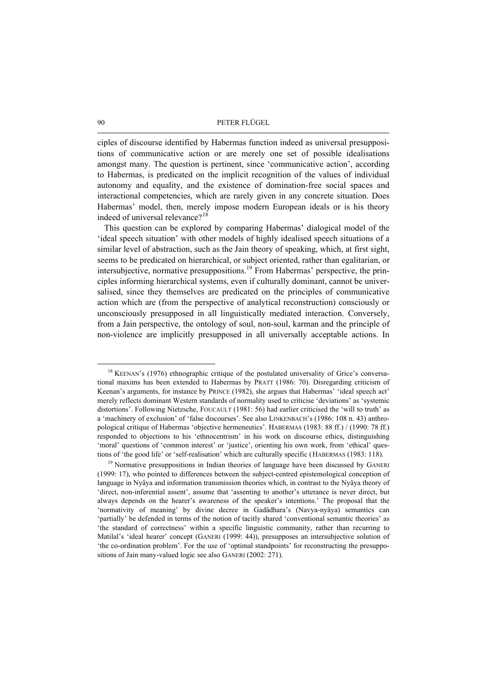ciples of discourse identified by Habermas function indeed as universal presuppositions of communicative action or are merely one set of possible idealisations amongst many. The question is pertinent, since 'communicative action', according to Habermas, is predicated on the implicit recognition of the values of individual autonomy and equality, and the existence of domination-free social spaces and interactional competencies, which are rarely given in any concrete situation. Does Habermas' model, then, merely impose modern European ideals or is his theory indeed of universal relevance?<sup>18</sup>

This question can be explored by comparing Habermas' dialogical model of the 'ideal speech situation' with other models of highly idealised speech situations of a similar level of abstraction, such as the Jain theory of speaking, which, at first sight, seems to be predicated on hierarchical, or subject oriented, rather than egalitarian, or intersubjective, normative presuppositions.<sup>19</sup> From Habermas' perspective, the principles informing hierarchical systems, even if culturally dominant, cannot be universalised, since they themselves are predicated on the principles of communicative action which are (from the perspective of analytical reconstruction) consciously or unconsciously presupposed in all linguistically mediated interaction. Conversely, from a Jain perspective, the ontology of soul, non-soul, karman and the principle of non-violence are implicitly presupposed in all universally acceptable actions. In

<sup>&</sup>lt;sup>18</sup> KEENAN's (1976) ethnographic critique of the postulated universality of Grice's conversational maxims has been extended to Habermas by PRATT (1986: 70). Disregarding criticism of Keenan's arguments, for instance by PRINCE (1982), she argues that Habermas' 'ideal speech act' merely reflects dominant Western standards of normality used to criticise 'deviations' as 'systemic distortions'. Following Nietzsche, FOUCAULT (1981: 56) had earlier criticised the 'will to truth' as a 'machinery of exclusion' of 'false discourses'. See also LINKENBACH's (1986: 108 n. 43) anthropological critique of Habermas 'objective hermeneutics'. HABERMAS (1983: 88 ff.) / (1990: 78 ff.) responded to objections to his 'ethnocentrism' in his work on discourse ethics, distinguishing 'moral' questions of 'common interest' or 'justice', orienting his own work, from 'ethical' questions of 'the good life' or 'self-realisation' which are culturally specific (HABERMAS (1983: 118).

<sup>&</sup>lt;sup>19</sup> Normative presuppositions in Indian theories of language have been discussed by GANERI (1999: 17), who pointed to differences between the subject-centred epistemological conception of language in Nyâya and information transmission theories which, in contrast to the Nyâya theory of 'direct, non-inferential assent', assume that 'assenting to another's utterance is never direct, but always depends on the hearer's awareness of the speaker's intentions.' The proposal that the 'normativity of meaning' by divine decree in Gadâdhara's (Navya-nyâya) semantics can 'partially' be defended in terms of the notion of tacitly shared 'conventional semantic theories' as 'the standard of correctness' within a specific linguistic community, rather than recurring to Matilal's 'ideal hearer' concept (GANERI (1999: 44)), presupposes an intersubjective solution of 'the co-ordination problem'. For the use of 'optimal standpoints' for reconstructing the presuppositions of Jain many-valued logic see also GANERI (2002: 271).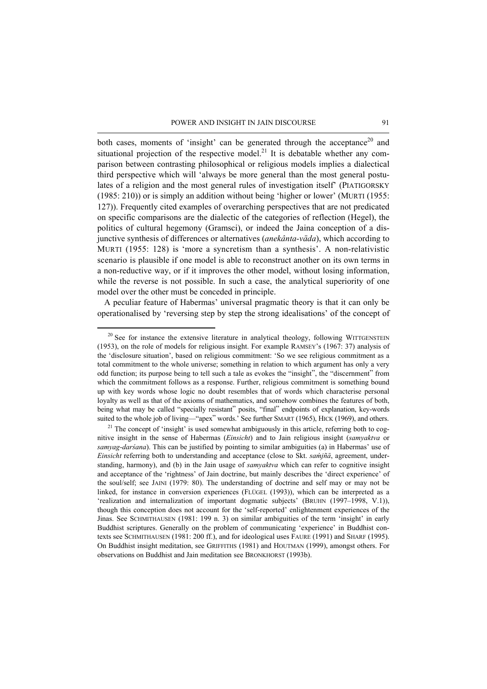both cases, moments of 'insight' can be generated through the acceptance<sup>20</sup> and situational projection of the respective model.<sup>21</sup> It is debatable whether any comparison between contrasting philosophical or religious models implies a dialectical third perspective which will 'always be more general than the most general postulates of a religion and the most general rules of investigation itself' (PIATIGORSKY (1985: 210)) or is simply an addition without being 'higher or lower' (MURTI (1955: 127)). Frequently cited examples of overarching perspectives that are not predicated on specific comparisons are the dialectic of the categories of reflection (Hegel), the politics of cultural hegemony (Gramsci), or indeed the Jaina conception of a disjunctive synthesis of differences or alternatives (*anekânta-vâda*), which according to MURTI (1955: 128) is 'more a syncretism than a synthesis'. A non-relativistic scenario is plausible if one model is able to reconstruct another on its own terms in a non-reductive way, or if it improves the other model, without losing information, while the reverse is not possible. In such a case, the analytical superiority of one model over the other must be conceded in principle.

A peculiar feature of Habermas' universal pragmatic theory is that it can only be operationalised by 'reversing step by step the strong idealisations' of the concept of

 $20$  See for instance the extensive literature in analytical theology, following WITTGENSTEIN (1953), on the role of models for religious insight. For example RAMSEY's (1967: 37) analysis of the 'disclosure situation', based on religious commitment: 'So we see religious commitment as a total commitment to the whole universe; something in relation to which argument has only a very odd function; its purpose being to tell such a tale as evokes the "insight", the "discernment" from which the commitment follows as a response. Further, religious commitment is something bound up with key words whose logic no doubt resembles that of words which characterise personal loyalty as well as that of the axioms of mathematics, and somehow combines the features of both, being what may be called "specially resistant" posits, "final" endpoints of explanation, key-words suited to the whole job of living—"apex" words.' See further SMART (1965), HICK (1969), and others.

<sup>&</sup>lt;sup>21</sup> The concept of 'insight' is used somewhat ambiguously in this article, referring both to cognitive insight in the sense of Habermas (*Einsicht*) and to Jain religious insight (*samyaktva* or *samyag-darśana*). This can be justified by pointing to similar ambiguities (a) in Habermas' use of *Einsicht* referring both to understanding and acceptance (close to Skt. *samjñā*, agreement, understanding, harmony), and (b) in the Jain usage of *samyaktva* which can refer to cognitive insight and acceptance of the 'rightness' of Jain doctrine, but mainly describes the 'direct experience' of the soul/self; see JAINI (1979: 80). The understanding of doctrine and self may or may not be linked, for instance in conversion experiences (FLÜGEL (1993)), which can be interpreted as a 'realization and internalization of important dogmatic subjects' (BRUHN (1997–1998, V.1)), though this conception does not account for the 'self-reported' enlightenment experiences of the Jinas. See SCHMITHAUSEN (1981: 199 n. 3) on similar ambiguities of the term 'insight' in early Buddhist scriptures. Generally on the problem of communicating 'experience' in Buddhist contexts see SCHMITHAUSEN (1981: 200 ff.), and for ideological uses FAURE (1991) and SHARF (1995). On Buddhist insight meditation, see GRIFFITHS (1981) and HOUTMAN (1999), amongst others. For observations on Buddhist and Jain meditation see BRONKHORST (1993b).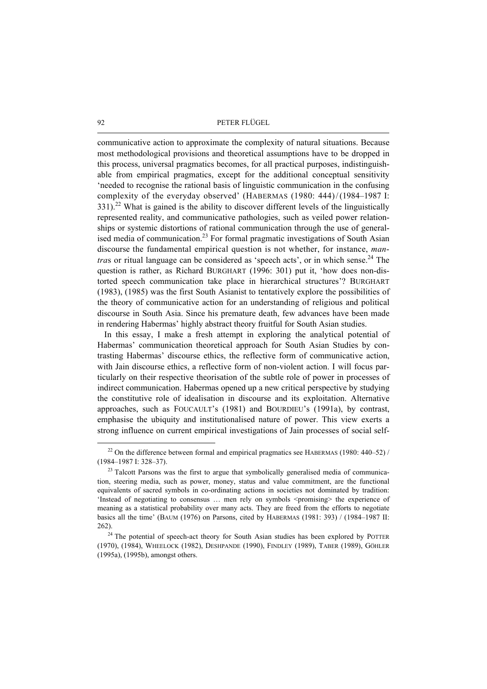communicative action to approximate the complexity of natural situations. Because most methodological provisions and theoretical assumptions have to be dropped in this process, universal pragmatics becomes, for all practical purposes, indistinguishable from empirical pragmatics, except for the additional conceptual sensitivity 'needed to recognise the rational basis of linguistic communication in the confusing complexity of the everyday observed' (HABERMAS (1980: 444) / (1984–1987 I:  $331$ <sup>22</sup> What is gained is the ability to discover different levels of the linguistically represented reality, and communicative pathologies, such as veiled power relationships or systemic distortions of rational communication through the use of generalised media of communication.<sup>23</sup> For formal pragmatic investigations of South Asian discourse the fundamental empirical question is not whether, for instance, *mantras* or ritual language can be considered as 'speech acts', or in which sense.<sup>24</sup> The question is rather, as Richard BURGHART (1996: 301) put it, 'how does non-distorted speech communication take place in hierarchical structures'? BURGHART (1983), (1985) was the first South Asianist to tentatively explore the possibilities of the theory of communicative action for an understanding of religious and political discourse in South Asia. Since his premature death, few advances have been made in rendering Habermas' highly abstract theory fruitful for South Asian studies.

In this essay, I make a fresh attempt in exploring the analytical potential of Habermas' communication theoretical approach for South Asian Studies by contrasting Habermas' discourse ethics, the reflective form of communicative action, with Jain discourse ethics, a reflective form of non-violent action. I will focus particularly on their respective theorisation of the subtle role of power in processes of indirect communication. Habermas opened up a new critical perspective by studying the constitutive role of idealisation in discourse and its exploitation. Alternative approaches, such as FOUCAULT's (1981) and BOURDIEU's (1991a), by contrast, emphasise the ubiquity and institutionalised nature of power. This view exerts a strong influence on current empirical investigations of Jain processes of social self-

<sup>&</sup>lt;sup>22</sup> On the difference between formal and empirical pragmatics see HABERMAS (1980:  $440-52$ ) / (1984–1987 I: 328–37).

<sup>&</sup>lt;sup>23</sup> Talcott Parsons was the first to argue that symbolically generalised media of communication, steering media, such as power, money, status and value commitment, are the functional equivalents of sacred symbols in co-ordinating actions in societies not dominated by tradition: 'Instead of negotiating to consensus … men rely on symbols <promising> the experience of meaning as a statistical probability over many acts. They are freed from the efforts to negotiate basics all the time' (BAUM (1976) on Parsons, cited by HABERMAS (1981: 393) / (1984–1987 II: 262).

<sup>&</sup>lt;sup>24</sup> The potential of speech-act theory for South Asian studies has been explored by POTTER (1970), (1984), WHEELOCK (1982), DESHPANDE (1990), FINDLEY (1989), TABER (1989), GÖHLER (1995a), (1995b), amongst others.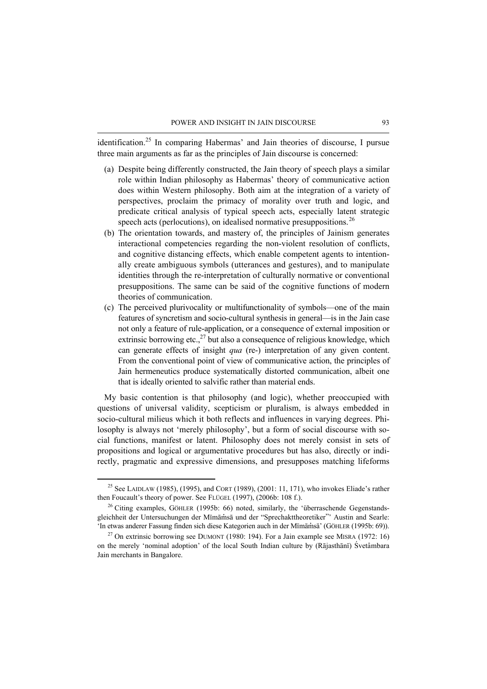identification.<sup>25</sup> In comparing Habermas' and Jain theories of discourse, I pursue three main arguments as far as the principles of Jain discourse is concerned:

- (a) Despite being differently constructed, the Jain theory of speech plays a similar role within Indian philosophy as Habermas' theory of communicative action does within Western philosophy. Both aim at the integration of a variety of perspectives, proclaim the primacy of morality over truth and logic, and predicate critical analysis of typical speech acts, especially latent strategic speech acts (perlocutions), on idealised normative presuppositions.<sup>26</sup>
- (b) The orientation towards, and mastery of, the principles of Jainism generates interactional competencies regarding the non-violent resolution of conflicts, and cognitive distancing effects, which enable competent agents to intentionally create ambiguous symbols (utterances and gestures), and to manipulate identities through the re-interpretation of culturally normative or conventional presuppositions. The same can be said of the cognitive functions of modern theories of communication.
- (c) The perceived plurivocality or multifunctionality of symbols—one of the main features of syncretism and socio-cultural synthesis in general—is in the Jain case not only a feature of rule-application, or a consequence of external imposition or extrinsic borrowing etc., $^{27}$  but also a consequence of religious knowledge, which can generate effects of insight *qua* (re-) interpretation of any given content. From the conventional point of view of communicative action, the principles of Jain hermeneutics produce systematically distorted communication, albeit one that is ideally oriented to salvific rather than material ends.

My basic contention is that philosophy (and logic), whether preoccupied with questions of universal validity, scepticism or pluralism, is always embedded in socio-cultural milieus which it both reflects and influences in varying degrees. Philosophy is always not 'merely philosophy', but a form of social discourse with social functions, manifest or latent. Philosophy does not merely consist in sets of propositions and logical or argumentative procedures but has also, directly or indirectly, pragmatic and expressive dimensions, and presupposes matching lifeforms

<sup>&</sup>lt;sup>25</sup> See LAIDLAW (1985), (1995), and CORT (1989), (2001: 11, 171), who invokes Eliade's rather then Foucault's theory of power. See FLÜGEL  $(1997)$ ,  $(2006b: 108 f)$ .

 $^{26}$  Citing examples, GÖHLER (1995b; 66) noted, similarly, the 'überraschende Gegenstandsgleichheit der Untersuchungen der Mīmāmsā und der "Sprechakttheoretiker"<sup>,</sup> Austin and Searle: 'In etwas anderer Fassung finden sich diese Kategorien auch in der Mīmāmsā' (GÖHLER (1995b: 69)).

<sup>&</sup>lt;sup>27</sup> On extrinsic borrowing see DUMONT (1980: 194). For a Jain example see MISRA (1972: 16) on the merely 'nominal adoption' of the local South Indian culture by (Rājasthānī) Śvetâmbara Jain merchants in Bangalore.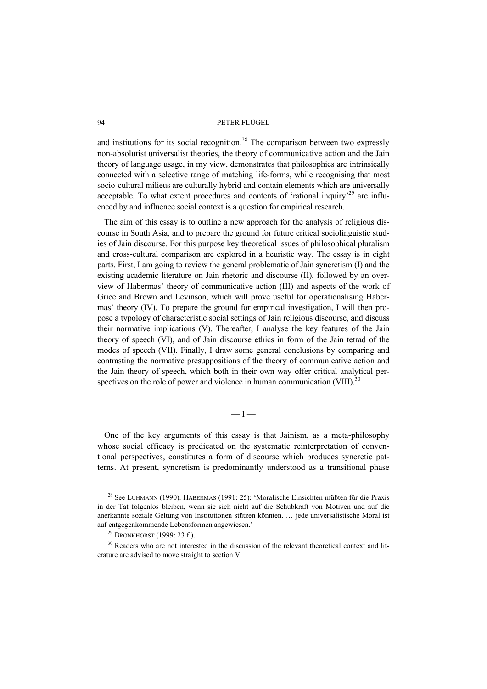and institutions for its social recognition.<sup>28</sup> The comparison between two expressly non-absolutist universalist theories, the theory of communicative action and the Jain theory of language usage, in my view, demonstrates that philosophies are intrinsically connected with a selective range of matching life-forms, while recognising that most socio-cultural milieus are culturally hybrid and contain elements which are universally acceptable. To what extent procedures and contents of 'rational inquiry'<sup>29</sup> are influenced by and influence social context is a question for empirical research.

The aim of this essay is to outline a new approach for the analysis of religious discourse in South Asia, and to prepare the ground for future critical sociolinguistic studies of Jain discourse. For this purpose key theoretical issues of philosophical pluralism and cross-cultural comparison are explored in a heuristic way. The essay is in eight parts. First, I am going to review the general problematic of Jain syncretism (I) and the existing academic literature on Jain rhetoric and discourse (II), followed by an overview of Habermas' theory of communicative action (III) and aspects of the work of Grice and Brown and Levinson, which will prove useful for operationalising Habermas' theory (IV). To prepare the ground for empirical investigation, I will then propose a typology of characteristic social settings of Jain religious discourse, and discuss their normative implications (V). Thereafter, I analyse the key features of the Jain theory of speech (VI), and of Jain discourse ethics in form of the Jain tetrad of the modes of speech (VII). Finally, I draw some general conclusions by comparing and contrasting the normative presuppositions of the theory of communicative action and the Jain theory of speech, which both in their own way offer critical analytical perspectives on the role of power and violence in human communication (VIII).<sup>30</sup>

 $-I -$ 

One of the key arguments of this essay is that Jainism, as a meta-philosophy whose social efficacy is predicated on the systematic reinterpretation of conventional perspectives, constitutes a form of discourse which produces syncretic patterns. At present, syncretism is predominantly understood as a transitional phase

 <sup>28</sup> See LUHMANN (1990). HABERMAS (1991: 25): 'Moralische Einsichten müßten für die Praxis in der Tat folgenlos bleiben, wenn sie sich nicht auf die Schubkraft von Motiven und auf die anerkannte soziale Geltung von Institutionen stützen könnten. … jede universalistische Moral ist auf entgegenkommende Lebensformen angewiesen.'

<sup>29</sup> BRONKHORST (1999: 23 f.).

<sup>&</sup>lt;sup>30</sup> Readers who are not interested in the discussion of the relevant theoretical context and literature are advised to move straight to section V.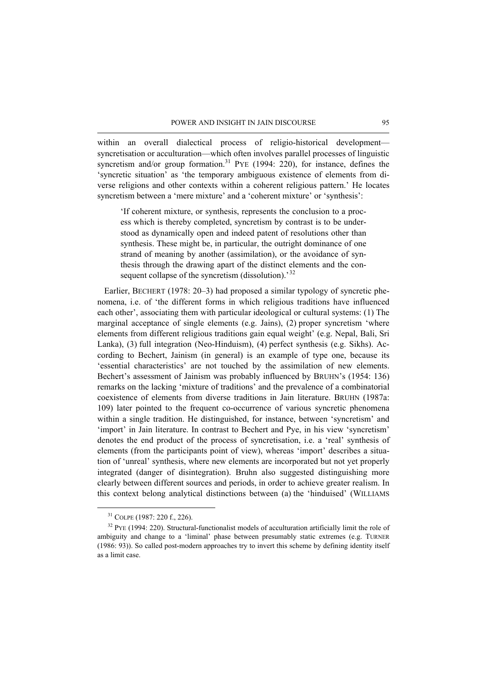within an overall dialectical process of religio-historical development syncretisation or acculturation—which often involves parallel processes of linguistic syncretism and/or group formation.<sup>31</sup> PYE (1994: 220), for instance, defines the 'syncretic situation' as 'the temporary ambiguous existence of elements from diverse religions and other contexts within a coherent religious pattern.' He locates syncretism between a 'mere mixture' and a 'coherent mixture' or 'synthesis':

'If coherent mixture, or synthesis, represents the conclusion to a process which is thereby completed, syncretism by contrast is to be understood as dynamically open and indeed patent of resolutions other than synthesis. These might be, in particular, the outright dominance of one strand of meaning by another (assimilation), or the avoidance of synthesis through the drawing apart of the distinct elements and the consequent collapse of the syncretism (dissolution).<sup>32</sup>

Earlier, BECHERT (1978: 20–3) had proposed a similar typology of syncretic phenomena, i.e. of 'the different forms in which religious traditions have influenced each other', associating them with particular ideological or cultural systems: (1) The marginal acceptance of single elements (e.g. Jains), (2) proper syncretism 'where elements from different religious traditions gain equal weight' (e.g. Nepal, Bali, Sri Lanka), (3) full integration (Neo-Hinduism), (4) perfect synthesis (e.g. Sikhs). According to Bechert, Jainism (in general) is an example of type one, because its 'essential characteristics' are not touched by the assimilation of new elements. Bechert's assessment of Jainism was probably influenced by BRUHN's (1954: 136) remarks on the lacking 'mixture of traditions' and the prevalence of a combinatorial coexistence of elements from diverse traditions in Jain literature. BRUHN (1987a: 109) later pointed to the frequent co-occurrence of various syncretic phenomena within a single tradition. He distinguished, for instance, between 'syncretism' and 'import' in Jain literature. In contrast to Bechert and Pye, in his view 'syncretism' denotes the end product of the process of syncretisation, i.e. a 'real' synthesis of elements (from the participants point of view), whereas 'import' describes a situation of 'unreal' synthesis, where new elements are incorporated but not yet properly integrated (danger of disintegration). Bruhn also suggested distinguishing more clearly between different sources and periods, in order to achieve greater realism. In this context belong analytical distinctions between (a) the 'hinduised' (WILLIAMS

 $\ddot{ }$ 

 <sup>31</sup> COLPE (1987: 220 f., 226).

 $32$  PYE (1994: 220). Structural-functionalist models of acculturation artificially limit the role of ambiguity and change to a 'liminal' phase between presumably static extremes (e.g. TURNER (1986: 93)). So called post-modern approaches try to invert this scheme by defining identity itself as a limit case.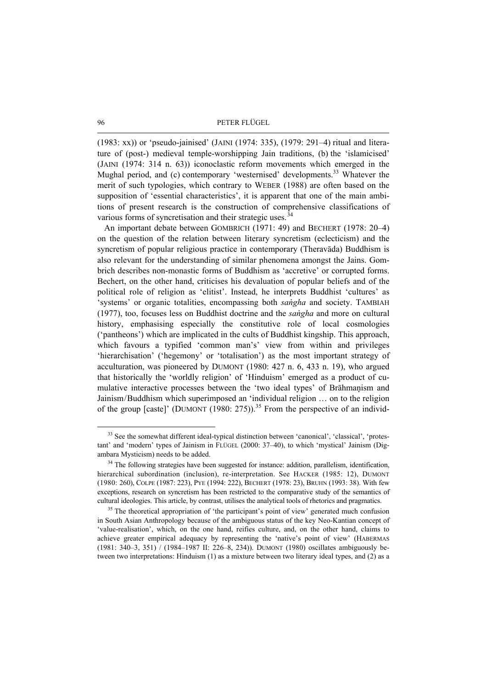(1983: xx)) or 'pseudo-jainised' (JAINI (1974: 335), (1979: 291–4) ritual and literature of (post-) medieval temple-worshipping Jain traditions, (b) the 'islamicised' (JAINI (1974: 314 n. 63)) iconoclastic reform movements which emerged in the Mughal period, and (c) contemporary 'westernised' developments.<sup>33</sup> Whatever the merit of such typologies, which contrary to WEBER (1988) are often based on the supposition of 'essential characteristics', it is apparent that one of the main ambitions of present research is the construction of comprehensive classifications of various forms of syncretisation and their strategic uses.<sup>34</sup>

An important debate between GOMBRICH (1971: 49) and BECHERT (1978: 20–4) on the question of the relation between literary syncretism (eclecticism) and the syncretism of popular religious practice in contemporary (Theravâda) Buddhism is also relevant for the understanding of similar phenomena amongst the Jains. Gombrich describes non-monastic forms of Buddhism as 'accretive' or corrupted forms. Bechert, on the other hand, criticises his devaluation of popular beliefs and of the political role of religion as 'elitist'. Instead, he interprets Buddhist 'cultures' as 'systems' or organic totalities, encompassing both *saógha* and society. TAMBIAH (1977), too, focuses less on Buddhist doctrine and the *saógha* and more on cultural history, emphasising especially the constitutive role of local cosmologies ('pantheons') which are implicated in the cults of Buddhist kingship. This approach, which favours a typified 'common man's' view from within and privileges 'hierarchisation' ('hegemony' or 'totalisation') as the most important strategy of acculturation, was pioneered by DUMONT (1980: 427 n. 6, 433 n. 19), who argued that historically the 'worldly religion' of 'Hinduism' emerged as a product of cumulative interactive processes between the 'two ideal types' of Brāhmanism and Jainism/Buddhism which superimposed an 'individual religion ... on to the religion of the group [caste]' (DUMONT (1980: 275)).<sup>35</sup> From the perspective of an individ-

<sup>&</sup>lt;sup>33</sup> See the somewhat different ideal-typical distinction between 'canonical', 'classical', 'protestant' and 'modern' types of Jainism in FLÜGEL (2000: 37–40), to which 'mystical' Jainism (Digambara Mysticism) needs to be added.

<sup>&</sup>lt;sup>34</sup> The following strategies have been suggested for instance: addition, parallelism, identification, hierarchical subordination (inclusion), re-interpretation. See HACKER (1985: 12), DUMONT (1980: 260), COLPE (1987: 223), PYE (1994: 222), BECHERT (1978: 23), BRUHN (1993: 38). With few exceptions, research on syncretism has been restricted to the comparative study of the semantics of cultural ideologies. This article, by contrast, utilises the analytical tools of rhetorics and pragmatics.

<sup>&</sup>lt;sup>35</sup> The theoretical appropriation of 'the participant's point of view' generated much confusion in South Asian Anthropology because of the ambiguous status of the key Neo-Kantian concept of 'value-realisation', which, on the one hand, reifies culture, and, on the other hand, claims to achieve greater empirical adequacy by representing the 'native's point of view' (HABERMAS (1981: 340–3, 351) / (1984–1987 II: 226–8, 234)). DUMONT (1980) oscillates ambiguously between two interpretations: Hinduism (1) as a mixture between two literary ideal types, and (2) as a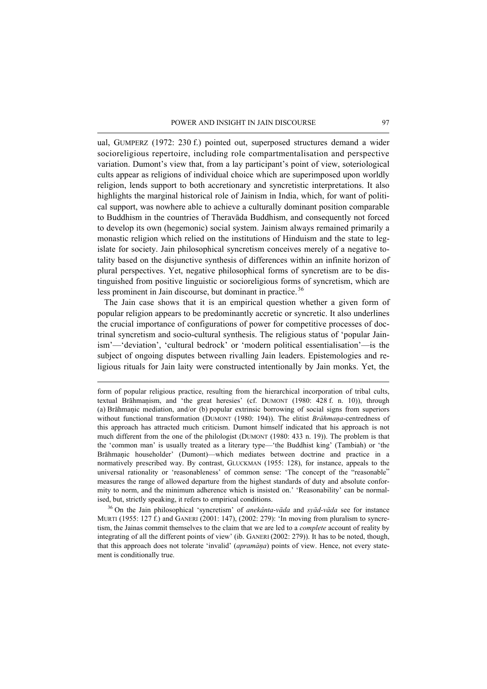$\overline{a}$ 

ual, GUMPERZ (1972: 230 f.) pointed out, superposed structures demand a wider socioreligious repertoire, including role compartmentalisation and perspective variation. Dumont's view that, from a lay participant's point of view, soteriological cults appear as religions of individual choice which are superimposed upon worldly religion, lends support to both accretionary and syncretistic interpretations. It also highlights the marginal historical role of Jainism in India, which, for want of political support, was nowhere able to achieve a culturally dominant position comparable to Buddhism in the countries of Theravâda Buddhism, and consequently not forced to develop its own (hegemonic) social system. Jainism always remained primarily a monastic religion which relied on the institutions of Hinduism and the state to legislate for society. Jain philosophical syncretism conceives merely of a negative totality based on the disjunctive synthesis of differences within an infinite horizon of plural perspectives. Yet, negative philosophical forms of syncretism are to be distinguished from positive linguistic or socioreligious forms of syncretism, which are less prominent in Jain discourse, but dominant in practice. <sup>36</sup>

The Jain case shows that it is an empirical question whether a given form of popular religion appears to be predominantly accretic or syncretic. It also underlines the crucial importance of configurations of power for competitive processes of doctrinal syncretism and socio-cultural synthesis. The religious status of 'popular Jainism'—'deviation', 'cultural bedrock' or 'modern political essentialisation'—is the subject of ongoing disputes between rivalling Jain leaders. Epistemologies and religious rituals for Jain laity were constructed intentionally by Jain monks. Yet, the

36 On the Jain philosophical 'syncretism' of *anekânta-vâda* and *syâd-vâda* see for instance MURTI (1955: 127 f.) and GANERI (2001: 147), (2002: 279): 'In moving from pluralism to syncretism, the Jainas commit themselves to the claim that we are led to a *complete* account of reality by integrating of all the different points of view' (ib. GANERI (2002: 279)). It has to be noted, though, that this approach does not tolerate 'invalid' (*apramana*) points of view. Hence, not every statement is conditionally true.

form of popular religious practice, resulting from the hierarchical incorporation of tribal cults, textual Brāhmaṇism, and 'the great heresies' (cf. DUMONT (1980: 428 f. n. 10)), through (a) Brāhmaṇic mediation, and/or (b) popular extrinsic borrowing of social signs from superiors without functional transformation (DUMONT (1980: 194)). The elitist *Brāhmana*-centredness of this approach has attracted much criticism. Dumont himself indicated that his approach is not much different from the one of the philologist (DUMONT (1980: 433 n. 19)). The problem is that the 'common man' is usually treated as a literary type—'the Buddhist king' (Tambiah) or 'the Brāhmanic householder' (Dumont)—which mediates between doctrine and practice in a normatively prescribed way. By contrast, GLUCKMAN (1955: 128), for instance, appeals to the universal rationality or 'reasonableness' of common sense: 'The concept of the "reasonable" measures the range of allowed departure from the highest standards of duty and absolute conformity to norm, and the minimum adherence which is insisted on.' 'Reasonability' can be normalised, but, strictly speaking, it refers to empirical conditions.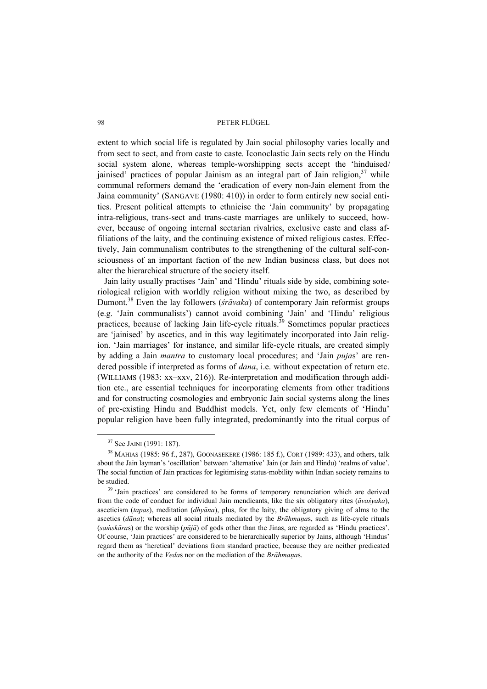extent to which social life is regulated by Jain social philosophy varies locally and from sect to sect, and from caste to caste. Iconoclastic Jain sects rely on the Hindu social system alone, whereas temple-worshipping sects accept the 'hinduised/ jainised' practices of popular Jainism as an integral part of Jain religion, $37$  while communal reformers demand the 'eradication of every non-Jain element from the Jaina community' (SANGAVE (1980: 410)) in order to form entirely new social entities. Present political attempts to ethnicise the 'Jain community' by propagating intra-religious, trans-sect and trans-caste marriages are unlikely to succeed, however, because of ongoing internal sectarian rivalries, exclusive caste and class affiliations of the laity, and the continuing existence of mixed religious castes. Effectively, Jain communalism contributes to the strengthening of the cultural self-consciousness of an important faction of the new Indian business class, but does not alter the hierarchical structure of the society itself.

Jain laity usually practises 'Jain' and 'Hindu' rituals side by side, combining soteriological religion with worldly religion without mixing the two, as described by Dumont.<sup>38</sup> Even the lay followers (*śrāvaka*) of contemporary Jain reformist groups (e.g. 'Jain communalists') cannot avoid combining 'Jain' and 'Hindu' religious practices, because of lacking Jain life-cycle rituals.<sup>39</sup> Sometimes popular practices are 'jainised' by ascetics, and in this way legitimately incorporated into Jain religion. 'Jain marriages' for instance, and similar life-cycle rituals, are created simply by adding a Jain *mantra* to customary local procedures; and 'Jain *pûjâ*s' are rendered possible if interpreted as forms of *dâna*, i.e. without expectation of return etc. (WILLIAMS (1983: xx–xxv, 216)). Re-interpretation and modification through addition etc., are essential techniques for incorporating elements from other traditions and for constructing cosmologies and embryonic Jain social systems along the lines of pre-existing Hindu and Buddhist models. Yet, only few elements of 'Hindu' popular religion have been fully integrated, predominantly into the ritual corpus of

<sup>&</sup>lt;sup>37</sup> See JAINI (1991: 187).

<sup>&</sup>lt;sup>38</sup> MAHIAS (1985: 96 f., 287), GOONASEKERE (1986: 185 f.), CORT (1989: 433), and others, talk about the Jain layman's 'oscillation' between 'alternative' Jain (or Jain and Hindu) 'realms of value'. The social function of Jain practices for legitimising status-mobility within Indian society remains to be studied.

<sup>&</sup>lt;sup>39</sup> 'Jain practices' are considered to be forms of temporary renunciation which are derived from the code of conduct for individual Jain mendicants, like the six obligatory rites ( $\overline{a}v\overline{a}y\overline{a}k\overline{a}$ ), asceticism (*tapas*), meditation (*dhyâna*), plus, for the laity, the obligatory giving of alms to the ascetics (*dana*); whereas all social rituals mediated by the *Brahmanas*, such as life-cycle rituals (*samskāras*) or the worship (*pūjā*) of gods other than the Jinas, are regarded as 'Hindu practices'. Of course, 'Jain practices' are considered to be hierarchically superior by Jains, although 'Hindus' regard them as 'heretical' deviations from standard practice, because they are neither predicated on the authority of the *Vedas* nor on the mediation of the *Brāhmanas*.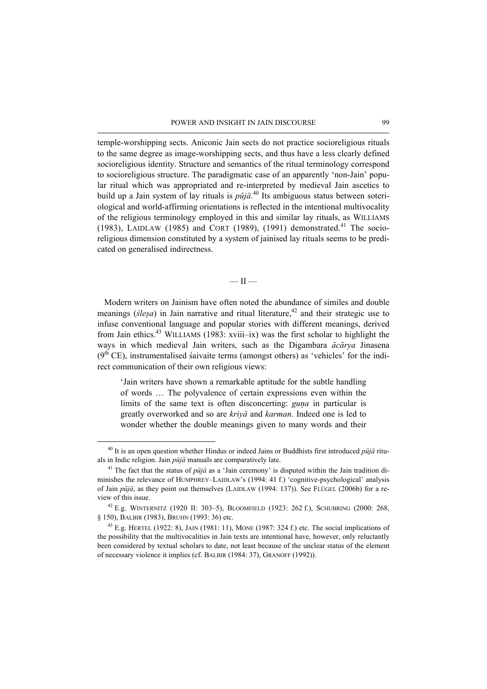temple-worshipping sects. Aniconic Jain sects do not practice socioreligious rituals to the same degree as image-worshipping sects, and thus have a less clearly defined socioreligious identity. Structure and semantics of the ritual terminology correspond to socioreligious structure. The paradigmatic case of an apparently 'non-Jain' popular ritual which was appropriated and re-interpreted by medieval Jain ascetics to build up a Jain system of lay rituals is *pûjâ*. 40 Its ambiguous status between soteriological and world-affirming orientations is reflected in the intentional multivocality of the religious terminology employed in this and similar lay rituals, as WILLIAMS (1983), LAIDLAW (1985) and CORT (1989), (1991) demonstrated.<sup>41</sup> The socioreligious dimension constituted by a system of jainised lay rituals seems to be predicated on generalised indirectness.

 $-$ II $-$ 

Modern writers on Jainism have often noted the abundance of similes and double meanings (*ślesa*) in Jain narrative and ritual literature,<sup>42</sup> and their strategic use to infuse conventional language and popular stories with different meanings, derived from Jain ethics.<sup>43</sup> WILLIAMS (1983: xviii–ix) was the first scholar to highlight the ways in which medieval Jain writers, such as the Digambara *âcârya* Jinasena  $(9<sup>th</sup> CE)$ , instrumentalised saivaite terms (amongst others) as 'vehicles' for the indirect communication of their own religious views:

'Jain writers have shown a remarkable aptitude for the subtle handling of words … The polyvalence of certain expressions even within the limits of the same text is often disconcerting: *guna* in particular is greatly overworked and so are *kriyâ* and *karman*. Indeed one is led to wonder whether the double meanings given to many words and their

 <sup>40</sup> It is an open question whether Hindus or indeed Jains or Buddhists first introduced *pûjâ* rituals in Indic religion. Jain *pûjâ* manuals are comparatively late.

<sup>&</sup>lt;sup>41</sup> The fact that the status of *pūjā* as a 'Jain ceremony' is disputed within the Jain tradition diminishes the relevance of HUMPHREY–LAIDLAW's (1994: 41 f.) 'cognitive-psychological' analysis of Jain *pûjâ*, as they point out themselves (LAIDLAW (1994: 137)). See FLÜGEL (2006b) for a review of this issue.

<sup>42</sup> E.g. WINTERNITZ (1920 II: 303–5), BLOOMFIELD (1923: 262 f.), SCHUBRING (2000: 268, § 150), BALBIR (1983), BRUHN (1993: 36) etc.

 $^{43}$  E.g. HERTEL (1922: 8), JAIN (1981: 11), MONE (1987: 324 f.) etc. The social implications of the possibility that the multivocalities in Jain texts are intentional have, however, only reluctantly been considered by textual scholars to date, not least because of the unclear status of the element of necessary violence it implies (cf. BALBIR (1984: 37), GRANOFF (1992)).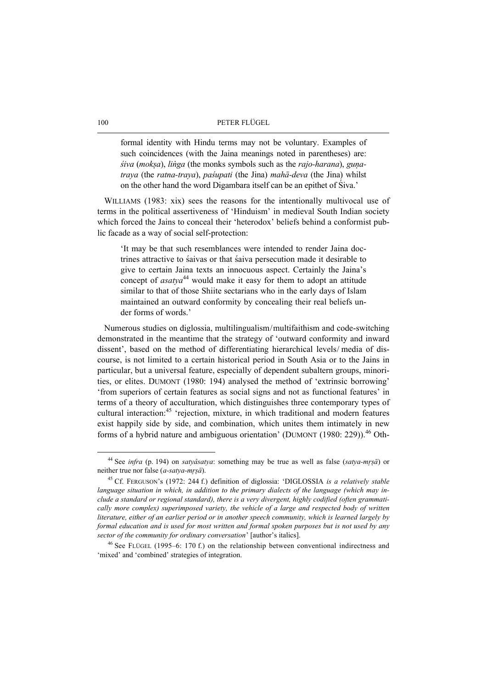formal identity with Hindu terms may not be voluntary. Examples of such coincidences (with the Jaina meanings noted in parentheses) are: *kiva* (*moksa*), *linga* (the monks symbols such as the *rajo-harana*), *gunatraya* (the *ratna-traya*), *pasupati* (the Jina) *mahā-deva* (the Jina) whilst on the other hand the word Digambara itself can be an epithet of Siva.'

WILLIAMS (1983: xix) sees the reasons for the intentionally multivocal use of terms in the political assertiveness of 'Hinduism' in medieval South Indian society which forced the Jains to conceal their 'heterodox' beliefs behind a conformist public facade as a way of social self-protection:

'It may be that such resemblances were intended to render Jaina doctrines attractive to saivas or that saiva persecution made it desirable to give to certain Jaina texts an innocuous aspect. Certainly the Jaina's concept of *asatya*<sup>44</sup> would make it easy for them to adopt an attitude similar to that of those Shiite sectarians who in the early days of Islam maintained an outward conformity by concealing their real beliefs under forms of words.'

Numerous studies on diglossia, multilingualism/multifaithism and code-switching demonstrated in the meantime that the strategy of 'outward conformity and inward dissent', based on the method of differentiating hierarchical levels/media of discourse, is not limited to a certain historical period in South Asia or to the Jains in particular, but a universal feature, especially of dependent subaltern groups, minorities, or elites. DUMONT (1980: 194) analysed the method of 'extrinsic borrowing' 'from superiors of certain features as social signs and not as functional features' in terms of a theory of acculturation, which distinguishes three contemporary types of cultural interaction:<sup>45</sup> 'rejection, mixture, in which traditional and modern features exist happily side by side, and combination, which unites them intimately in new forms of a hybrid nature and ambiguous orientation' (DUMONT  $(1980: 229)$ ).<sup>46</sup> Oth-

<sup>&</sup>lt;sup>44</sup> See *infra* (p. 194) on *satyâsatya*: something may be true as well as false (*satya-mrsa*) or neither true nor false (*a-satya-mysā*).

<sup>45</sup> Cf. FERGUSON's (1972: 244 f.) definition of diglossia: 'DIGLOSSIA *is a relatively stable language situation in which, in addition to the primary dialects of the language (which may include a standard or regional standard), there is a very divergent, highly codified (often grammatically more complex) superimposed variety, the vehicle of a large and respected body of written literature, either of an earlier period or in another speech community, which is learned largely by formal education and is used for most written and formal spoken purposes but is not used by any sector of the community for ordinary conversation*' [author's italics].

<sup>&</sup>lt;sup>46</sup> See FLÜGEL (1995–6: 170 f.) on the relationship between conventional indirectness and 'mixed' and 'combined' strategies of integration.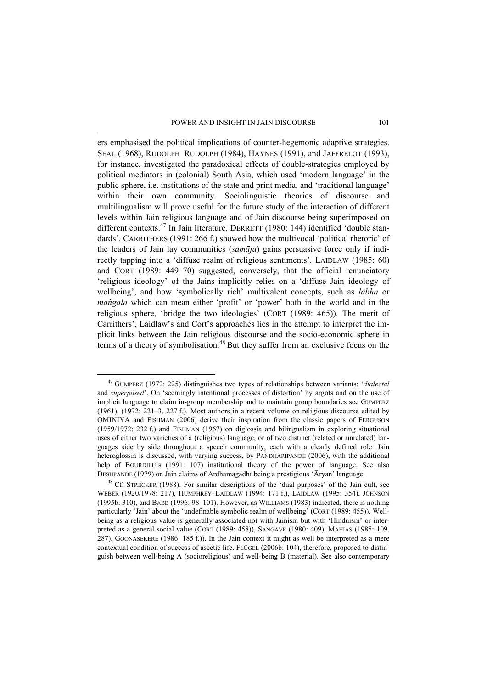ers emphasised the political implications of counter-hegemonic adaptive strategies. SEAL (1968), RUDOLPH–RUDOLPH (1984), HAYNES (1991), and JAFFRELOT (1993), for instance, investigated the paradoxical effects of double-strategies employed by political mediators in (colonial) South Asia, which used 'modern language' in the public sphere, i.e. institutions of the state and print media, and 'traditional language' within their own community. Sociolinguistic theories of discourse and multilingualism will prove useful for the future study of the interaction of different levels within Jain religious language and of Jain discourse being superimposed on different contexts.<sup>47</sup> In Jain literature, DERRETT (1980: 144) identified 'double standards'. CARRITHERS (1991: 266 f.) showed how the multivocal 'political rhetoric' of the leaders of Jain lay communities (*samâja*) gains persuasive force only if indirectly tapping into a 'diffuse realm of religious sentiments'. LAIDLAW (1985: 60) and CORT (1989: 449–70) suggested, conversely, that the official renunciatory 'religious ideology' of the Jains implicitly relies on a 'diffuse Jain ideology of wellbeing', and how 'symbolically rich' multivalent concepts, such as *lâbha* or mangala which can mean either 'profit' or 'power' both in the world and in the religious sphere, 'bridge the two ideologies' (CORT (1989: 465)). The merit of Carrithers', Laidlaw's and Cort's approaches lies in the attempt to interpret the implicit links between the Jain religious discourse and the socio-economic sphere in terms of a theory of symbolisation.<sup>48</sup> But they suffer from an exclusive focus on the

 <sup>47</sup> GUMPERZ (1972: 225) distinguishes two types of relationships between variants: '*dialectal* and *superposed*'. On 'seemingly intentional processes of distortion' by argots and on the use of implicit language to claim in-group membership and to maintain group boundaries see GUMPERZ (1961), (1972: 221–3, 227 f.). Most authors in a recent volume on religious discourse edited by OMINIYA and FISHMAN (2006) derive their inspiration from the classic papers of FERGUSON (1959/1972: 232 f.) and FISHMAN (1967) on diglossia and bilingualism in exploring situational uses of either two varieties of a (religious) language, or of two distinct (related or unrelated) languages side by side throughout a speech community, each with a clearly defined role. Jain heteroglossia is discussed, with varying success, by PANDHARIPANDE (2006), with the additional help of BOURDIEU's (1991: 107) institutional theory of the power of language. See also DESHPANDE (1979) on Jain claims of Ardhamâgadhî being a prestigious 'Âryan' language.

<sup>48</sup> Cf. STRECKER (1988). For similar descriptions of the 'dual purposes' of the Jain cult, see WEBER (1920/1978: 217), HUMPHREY–LAIDLAW (1994: 171 f.), LAIDLAW (1995: 354), JOHNSON (1995b: 310), and BABB (1996: 98–101). However, as WILLIAMS (1983) indicated, there is nothing particularly 'Jain' about the 'undefinable symbolic realm of wellbeing' (CORT (1989: 455)). Wellbeing as a religious value is generally associated not with Jainism but with 'Hinduism' or interpreted as a general social value (CORT (1989: 458)), SANGAVE (1980: 409), MAHIAS (1985: 109, 287), GOONASEKERE (1986: 185 f.)). In the Jain context it might as well be interpreted as a mere contextual condition of success of ascetic life. FLÜGEL (2006b: 104), therefore, proposed to distinguish between well-being A (socioreligious) and well-being B (material). See also contemporary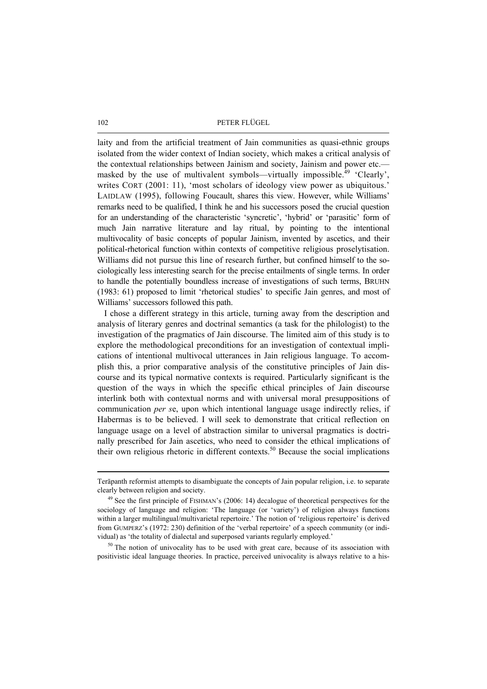laity and from the artificial treatment of Jain communities as quasi-ethnic groups isolated from the wider context of Indian society, which makes a critical analysis of the contextual relationships between Jainism and society, Jainism and power etc. masked by the use of multivalent symbols—virtually impossible.<sup>49</sup> 'Clearly', writes CORT (2001: 11), 'most scholars of ideology view power as ubiquitous.' LAIDLAW (1995), following Foucault, shares this view. However, while Williams' remarks need to be qualified, I think he and his successors posed the crucial question for an understanding of the characteristic 'syncretic', 'hybrid' or 'parasitic' form of much Jain narrative literature and lay ritual, by pointing to the intentional multivocality of basic concepts of popular Jainism, invented by ascetics, and their political-rhetorical function within contexts of competitive religious proselytisation. Williams did not pursue this line of research further, but confined himself to the sociologically less interesting search for the precise entailments of single terms. In order to handle the potentially boundless increase of investigations of such terms, BRUHN (1983: 61) proposed to limit 'rhetorical studies' to specific Jain genres, and most of Williams' successors followed this path.

I chose a different strategy in this article, turning away from the description and analysis of literary genres and doctrinal semantics (a task for the philologist) to the investigation of the pragmatics of Jain discourse. The limited aim of this study is to explore the methodological preconditions for an investigation of contextual implications of intentional multivocal utterances in Jain religious language. To accomplish this, a prior comparative analysis of the constitutive principles of Jain discourse and its typical normative contexts is required. Particularly significant is the question of the ways in which the specific ethical principles of Jain discourse interlink both with contextual norms and with universal moral presuppositions of communication *per s*e, upon which intentional language usage indirectly relies, if Habermas is to be believed. I will seek to demonstrate that critical reflection on language usage on a level of abstraction similar to universal pragmatics is doctrinally prescribed for Jain ascetics, who need to consider the ethical implications of their own religious rhetoric in different contexts.<sup>50</sup> Because the social implications

 $50$  The notion of univocality has to be used with great care, because of its association with positivistic ideal language theories. In practice, perceived univocality is always relative to a his-

 $\overline{a}$ 

Terâpanth reformist attempts to disambiguate the concepts of Jain popular religion, i.e. to separate clearly between religion and society.

 $49$  See the first principle of FISHMAN's (2006: 14) decalogue of theoretical perspectives for the sociology of language and religion: 'The language (or 'variety') of religion always functions within a larger multilingual/multivarietal repertoire.' The notion of 'religious repertoire' is derived from GUMPERZ's (1972: 230) definition of the 'verbal repertoire' of a speech community (or individual) as 'the totality of dialectal and superposed variants regularly employed.'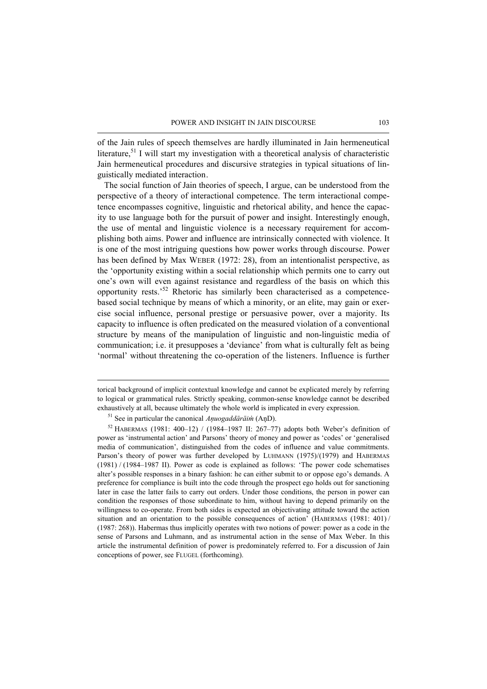$\overline{a}$ 

of the Jain rules of speech themselves are hardly illuminated in Jain hermeneutical literature, $51$  I will start my investigation with a theoretical analysis of characteristic Jain hermeneutical procedures and discursive strategies in typical situations of linguistically mediated interaction.

The social function of Jain theories of speech, I argue, can be understood from the perspective of a theory of interactional competence. The term interactional competence encompasses cognitive, linguistic and rhetorical ability, and hence the capacity to use language both for the pursuit of power and insight. Interestingly enough, the use of mental and linguistic violence is a necessary requirement for accomplishing both aims. Power and influence are intrinsically connected with violence. It is one of the most intriguing questions how power works through discourse. Power has been defined by Max WEBER (1972: 28), from an intentionalist perspective, as the 'opportunity existing within a social relationship which permits one to carry out one's own will even against resistance and regardless of the basis on which this opportunity rests.'52 Rhetoric has similarly been characterised as a competencebased social technique by means of which a minority, or an elite, may gain or exercise social influence, personal prestige or persuasive power, over a majority. Its capacity to influence is often predicated on the measured violation of a conventional structure by means of the manipulation of linguistic and non-linguistic media of communication; i.e. it presupposes a 'deviance' from what is culturally felt as being 'normal' without threatening the co-operation of the listeners. Influence is further

torical background of implicit contextual knowledge and cannot be explicated merely by referring to logical or grammatical rules. Strictly speaking, common-sense knowledge cannot be described exhaustively at all, because ultimately the whole world is implicated in every expression.

<sup>&</sup>lt;sup>51</sup> See in particular the canonical *Anuogaddārāim* (AnD).

<sup>&</sup>lt;sup>52</sup> HABERMAS (1981: 400–12) / (1984–1987 II: 267–77) adopts both Weber's definition of power as 'instrumental action' and Parsons' theory of money and power as 'codes' or 'generalised media of communication', distinguished from the codes of influence and value commitments. Parson's theory of power was further developed by LUHMANN (1975)/(1979) and HABERMAS (1981) / (1984–1987 II). Power as code is explained as follows: 'The power code schematises alter's possible responses in a binary fashion: he can either submit to or oppose ego's demands. A preference for compliance is built into the code through the prospect ego holds out for sanctioning later in case the latter fails to carry out orders. Under those conditions, the person in power can condition the responses of those subordinate to him, without having to depend primarily on the willingness to co-operate. From both sides is expected an objectivating attitude toward the action situation and an orientation to the possible consequences of action' (HABERMAS (1981: 401) / (1987: 268)). Habermas thus implicitly operates with two notions of power: power as a code in the sense of Parsons and Luhmann, and as instrumental action in the sense of Max Weber. In this article the instrumental definition of power is predominately referred to. For a discussion of Jain conceptions of power, see FLUGEL (forthcoming).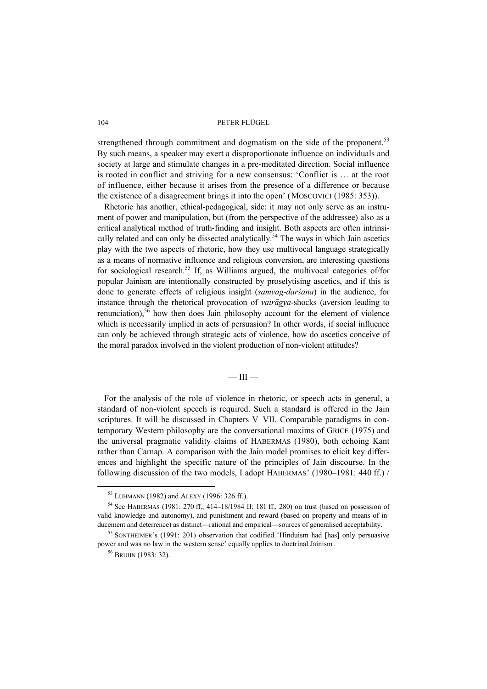strengthened through commitment and dogmatism on the side of the proponent.<sup>53</sup> By such means, a speaker may exert a disproportionate influence on individuals and society at large and stimulate changes in a pre-meditated direction. Social influence is rooted in conflict and striving for a new consensus: 'Conflict is … at the root of influence, either because it arises from the presence of a difference or because the existence of a disagreement brings it into the open' (MOSCOVICI (1985: 353)).

Rhetoric has another, ethical-pedagogical, side: it may not only serve as an instrument of power and manipulation, but (from the perspective of the addressee) also as a critical analytical method of truth-finding and insight. Both aspects are often intrinsically related and can only be dissected analytically.<sup>54</sup> The ways in which Jain ascetics play with the two aspects of rhetoric, how they use multivocal language strategically as a means of normative influence and religious conversion, are interesting questions for sociological research.<sup>55</sup> If, as Williams argued, the multivocal categories of/for popular Jainism are intentionally constructed by proselytising ascetics, and if this is done to generate effects of religious insight *(samyag-darsana)* in the audience, for instance through the rhetorical provocation of *vairâgya*-shocks (aversion leading to renunciation), $56$  how then does Jain philosophy account for the element of violence which is necessarily implied in acts of persuasion? In other words, if social influence can only be achieved through strategic acts of violence, how do ascetics conceive of the moral paradox involved in the violent production of non-violent attitudes?

 $-III$ 

For the analysis of the role of violence in rhetoric, or speech acts in general, a standard of non-violent speech is required. Such a standard is offered in the Jain scriptures. It will be discussed in Chapters V–VII. Comparable paradigms in contemporary Western philosophy are the conversational maxims of GRICE (1975) and the universal pragmatic validity claims of HABERMAS (1980), both echoing Kant rather than Carnap. A comparison with the Jain model promises to elicit key differences and highlight the specific nature of the principles of Jain discourse. In the following discussion of the two models, I adopt HABERMAS' (1980–1981: 440 ff.) /

 <sup>53</sup> LUHMANN (1982) and ALEXY (1996: 326 ff.).

<sup>54</sup> See HABERMAS (1981: 270 ff., 414–18/1984 II: 181 ff., 280) on trust (based on possession of valid knowledge and autonomy), and punishment and reward (based on property and means of inducement and deterrence) as distinct—rational and empirical—sources of generalised acceptability.

<sup>&</sup>lt;sup>55</sup> SONTHEIMER's (1991: 201) observation that codified 'Hinduism had [has] only persuasive power and was no law in the western sense' equally applies to doctrinal Jainism.

<sup>56</sup> BRUHN (1983: 32).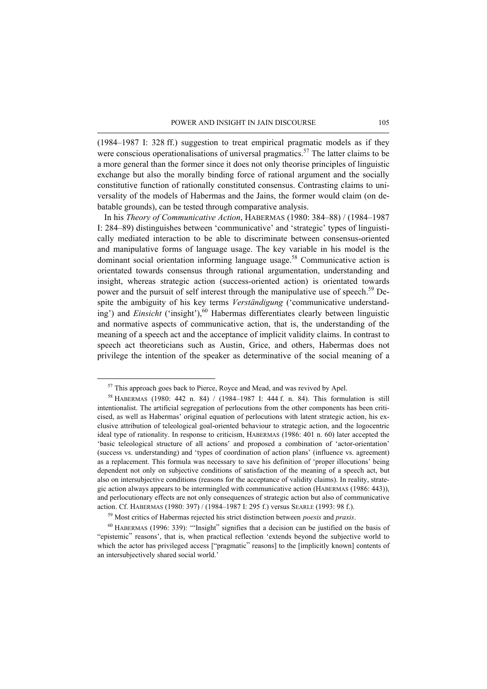(1984–1987 I: 328 ff.) suggestion to treat empirical pragmatic models as if they were conscious operationalisations of universal pragmatics.<sup>57</sup> The latter claims to be a more general than the former since it does not only theorise principles of linguistic exchange but also the morally binding force of rational argument and the socially constitutive function of rationally constituted consensus. Contrasting claims to universality of the models of Habermas and the Jains, the former would claim (on debatable grounds), can be tested through comparative analysis.

In his *Theory of Communicative Action*, HABERMAS (1980: 384–88) / (1984–1987 I: 284–89) distinguishes between 'communicative' and 'strategic' types of linguistically mediated interaction to be able to discriminate between consensus-oriented and manipulative forms of language usage. The key variable in his model is the dominant social orientation informing language usage.<sup>58</sup> Communicative action is orientated towards consensus through rational argumentation, understanding and insight, whereas strategic action (success-oriented action) is orientated towards power and the pursuit of self interest through the manipulative use of speech.<sup>59</sup> Despite the ambiguity of his key terms *Verständigung* ('communicative understanding') and *Einsicht* ('insight'),<sup>60</sup> Habermas differentiates clearly between linguistic and normative aspects of communicative action, that is, the understanding of the meaning of a speech act and the acceptance of implicit validity claims. In contrast to speech act theoreticians such as Austin, Grice, and others, Habermas does not privilege the intention of the speaker as determinative of the social meaning of a

<sup>&</sup>lt;sup>57</sup> This approach goes back to Pierce, Royce and Mead, and was revived by Apel.

<sup>58</sup> HABERMAS (1980: 442 n. 84) / (1984–1987 I: 444 f. n. 84). This formulation is still intentionalist. The artificial segregation of perlocutions from the other components has been criticised, as well as Habermas' original equation of perlocutions with latent strategic action, his exclusive attribution of teleological goal-oriented behaviour to strategic action, and the logocentric ideal type of rationality. In response to criticism, HABERMAS (1986: 401 n. 60) later accepted the 'basic teleological structure of all actions' and proposed a combination of 'actor-orientation' (success vs. understanding) and 'types of coordination of action plans' (influence vs. agreement) as a replacement. This formula was necessary to save his definition of 'proper illocutions' being dependent not only on subjective conditions of satisfaction of the meaning of a speech act, but also on intersubjective conditions (reasons for the acceptance of validity claims). In reality, strategic action always appears to be intermingled with communicative action (HABERMAS (1986: 443)), and perlocutionary effects are not only consequences of strategic action but also of communicative action. Cf. HABERMAS (1980: 397) / (1984–1987 I: 295 f.) versus SEARLE (1993: 98 f.).

<sup>59</sup> Most critics of Habermas rejected his strict distinction between *poesis* and *praxis*.

 $60$  HABERMAS (1996: 339): "Insight" signifies that a decision can be justified on the basis of "epistemic" reasons', that is, when practical reflection 'extends beyond the subjective world to which the actor has privileged access ["pragmatic" reasons] to the [implicitly known] contents of an intersubjectively shared social world.'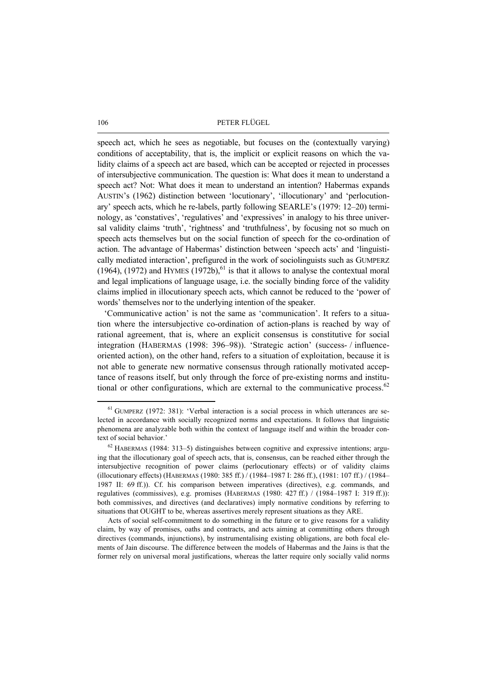speech act, which he sees as negotiable, but focuses on the (contextually varying) conditions of acceptability, that is, the implicit or explicit reasons on which the validity claims of a speech act are based, which can be accepted or rejected in processes of intersubjective communication. The question is: What does it mean to understand a speech act? Not: What does it mean to understand an intention? Habermas expands AUSTIN's (1962) distinction between 'locutionary', 'illocutionary' and 'perlocutionary' speech acts, which he re-labels, partly following SEARLE's (1979: 12–20) terminology, as 'constatives', 'regulatives' and 'expressives' in analogy to his three universal validity claims 'truth', 'rightness' and 'truthfulness', by focusing not so much on speech acts themselves but on the social function of speech for the co-ordination of action. The advantage of Habermas' distinction between 'speech acts' and 'linguistically mediated interaction', prefigured in the work of sociolinguists such as GUMPERZ (1964), (1972) and HYMES (1972b), $^{61}$  is that it allows to analyse the contextual moral and legal implications of language usage, i.e. the socially binding force of the validity claims implied in illocutionary speech acts, which cannot be reduced to the 'power of words' themselves nor to the underlying intention of the speaker.

'Communicative action' is not the same as 'communication'. It refers to a situation where the intersubjective co-ordination of action-plans is reached by way of rational agreement, that is, where an explicit consensus is constitutive for social integration (HABERMAS (1998: 396–98)). 'Strategic action' (success− / influenceoriented action), on the other hand, refers to a situation of exploitation, because it is not able to generate new normative consensus through rationally motivated acceptance of reasons itself, but only through the force of pre-existing norms and institutional or other configurations, which are external to the communicative process.<sup>62</sup>

 $<sup>61</sup>$  GUMPERZ (1972: 381): 'Verbal interaction is a social process in which utterances are se-</sup> lected in accordance with socially recognized norms and expectations. It follows that linguistic phenomena are analyzable both within the context of language itself and within the broader context of social behavior.'

 $62$  HABERMAS (1984: 313-5) distinguishes between cognitive and expressive intentions; arguing that the illocutionary goal of speech acts, that is, consensus, can be reached either through the intersubjective recognition of power claims (perlocutionary effects) or of validity claims (illocutionary effects) (HABERMAS (1980: 385 ff.) / (1984–1987 I: 286 ff.), (1981: 107 ff.) / (1984– 1987 II: 69 ff.)). Cf. his comparison between imperatives (directives), e.g. commands, and regulatives (commissives), e.g. promises (HABERMAS (1980: 427 ff.) / (1984–1987 I: 319 ff.)): both commissives, and directives (and declaratives) imply normative conditions by referring to situations that OUGHT to be, whereas assertives merely represent situations as they ARE.

Acts of social self-commitment to do something in the future or to give reasons for a validity claim, by way of promises, oaths and contracts, and acts aiming at committing others through directives (commands, injunctions), by instrumentalising existing obligations, are both focal elements of Jain discourse. The difference between the models of Habermas and the Jains is that the former rely on universal moral justifications, whereas the latter require only socially valid norms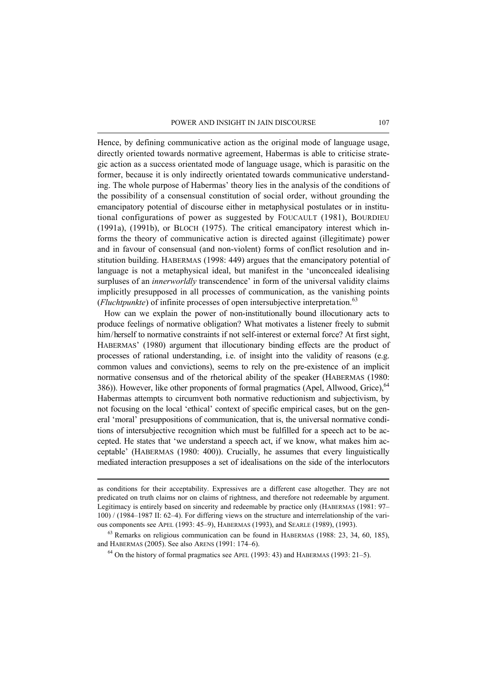$\overline{a}$ 

Hence, by defining communicative action as the original mode of language usage, directly oriented towards normative agreement, Habermas is able to criticise strategic action as a success orientated mode of language usage, which is parasitic on the former, because it is only indirectly orientated towards communicative understanding. The whole purpose of Habermas' theory lies in the analysis of the conditions of the possibility of a consensual constitution of social order, without grounding the emancipatory potential of discourse either in metaphysical postulates or in institutional configurations of power as suggested by FOUCAULT (1981), BOURDIEU (1991a), (1991b), or BLOCH (1975). The critical emancipatory interest which informs the theory of communicative action is directed against (illegitimate) power and in favour of consensual (and non-violent) forms of conflict resolution and institution building. HABERMAS (1998: 449) argues that the emancipatory potential of language is not a metaphysical ideal, but manifest in the 'unconcealed idealising surpluses of an *innerworldly* transcendence' in form of the universal validity claims implicitly presupposed in all processes of communication, as the vanishing points (*Fluchtpunkte*) of infinite processes of open intersubjective interpretation.<sup>63</sup>

How can we explain the power of non-institutionally bound illocutionary acts to produce feelings of normative obligation? What motivates a listener freely to submit him/herself to normative constraints if not self-interest or external force? At first sight, HABERMAS' (1980) argument that illocutionary binding effects are the product of processes of rational understanding, i.e. of insight into the validity of reasons (e.g. common values and convictions), seems to rely on the pre-existence of an implicit normative consensus and of the rhetorical ability of the speaker (HABERMAS (1980: 386)). However, like other proponents of formal pragmatics (Apel, Allwood, Grice),<sup>64</sup> Habermas attempts to circumvent both normative reductionism and subjectivism, by not focusing on the local 'ethical' context of specific empirical cases, but on the general 'moral' presuppositions of communication, that is, the universal normative conditions of intersubjective recognition which must be fulfilled for a speech act to be accepted. He states that 'we understand a speech act, if we know, what makes him acceptable' (HABERMAS (1980: 400)). Crucially, he assumes that every linguistically mediated interaction presupposes a set of idealisations on the side of the interlocutors

as conditions for their acceptability. Expressives are a different case altogether. They are not predicated on truth claims nor on claims of rightness, and therefore not redeemable by argument. Legitimacy is entirely based on sincerity and redeemable by practice only (HABERMAS (1981: 97– 100) / (1984–1987 II: 62–4). For differing views on the structure and interrelationship of the various components see APEL (1993: 45–9), HABERMAS (1993), and SEARLE (1989), (1993).

 $63$  Remarks on religious communication can be found in HABERMAS (1988: 23, 34, 60, 185). and HABERMAS (2005). See also ARENS (1991: 174–6).

<sup>64</sup> On the history of formal pragmatics see APEL (1993: 43) and HABERMAS (1993: 21–5).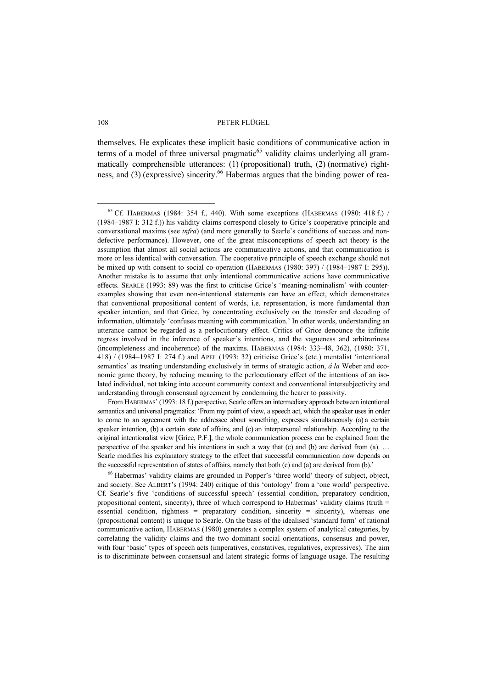themselves. He explicates these implicit basic conditions of communicative action in terms of a model of three universal pragmatic $65$  validity claims underlying all grammatically comprehensible utterances: (1) (propositional) truth, (2) (normative) rightness, and  $(3)$  (expressive) sincerity.<sup>66</sup> Habermas argues that the binding power of rea-

From HABERMAS' (1993: 18 f.) perspective, Searle offers an intermediary approach between intentional semantics and universal pragmatics: 'From my point of view, a speech act, which the speaker uses in order to come to an agreement with the addressee about something, expresses simultaneously (a) a certain speaker intention, (b) a certain state of affairs, and (c) an interpersonal relationship. According to the original intentionalist view [Grice, P.F.], the whole communication process can be explained from the perspective of the speaker and his intentions in such a way that (c) and (b) are derived from (a). … Searle modifies his explanatory strategy to the effect that successful communication now depends on the successful representation of states of affairs, namely that both (c) and (a) are derived from (b).'

66 Habermas' validity claims are grounded in Popper's 'three world' theory of subject, object, and society. See ALBERT's (1994: 240) critique of this 'ontology' from a 'one world' perspective. Cf. Searle's five 'conditions of successful speech' (essential condition, preparatory condition, propositional content, sincerity), three of which correspond to Habermas' validity claims (truth = essential condition, rightness = preparatory condition, sincerity = sincerity), whereas one (propositional content) is unique to Searle. On the basis of the idealised 'standard form' of rational communicative action, HABERMAS (1980) generates a complex system of analytical categories, by correlating the validity claims and the two dominant social orientations, consensus and power, with four 'basic' types of speech acts (imperatives, constatives, regulatives, expressives). The aim is to discriminate between consensual and latent strategic forms of language usage. The resulting

 $65$  Cf. HABERMAS (1984: 354 f., 440). With some exceptions (HABERMAS (1980: 418 f.) / (1984–1987 I: 312 f.)) his validity claims correspond closely to Grice's cooperative principle and conversational maxims (see *infra*) (and more generally to Searle's conditions of success and nondefective performance). However, one of the great misconceptions of speech act theory is the assumption that almost all social actions are communicative actions, and that communication is more or less identical with conversation. The cooperative principle of speech exchange should not be mixed up with consent to social co-operation (HABERMAS (1980: 397) / (1984–1987 I: 295)). Another mistake is to assume that only intentional communicative actions have communicative effects. SEARLE (1993: 89) was the first to criticise Grice's 'meaning-nominalism' with counterexamples showing that even non-intentional statements can have an effect, which demonstrates that conventional propositional content of words, i.e. representation, is more fundamental than speaker intention, and that Grice, by concentrating exclusively on the transfer and decoding of information, ultimately 'confuses meaning with communication.' In other words, understanding an utterance cannot be regarded as a perlocutionary effect. Critics of Grice denounce the infinite regress involved in the inference of speaker's intentions, and the vagueness and arbitrariness (incompleteness and incoherence) of the maxims. HABERMAS (1984: 333–48, 362), (1980: 371, 418) / (1984–1987 I: 274 f.) and APEL (1993: 32) criticise Grice's (etc.) mentalist 'intentional semantics' as treating understanding exclusively in terms of strategic action, *á la* Weber and economic game theory, by reducing meaning to the perlocutionary effect of the intentions of an isolated individual, not taking into account community context and conventional intersubjectivity and understanding through consensual agreement by condemning the hearer to passivity.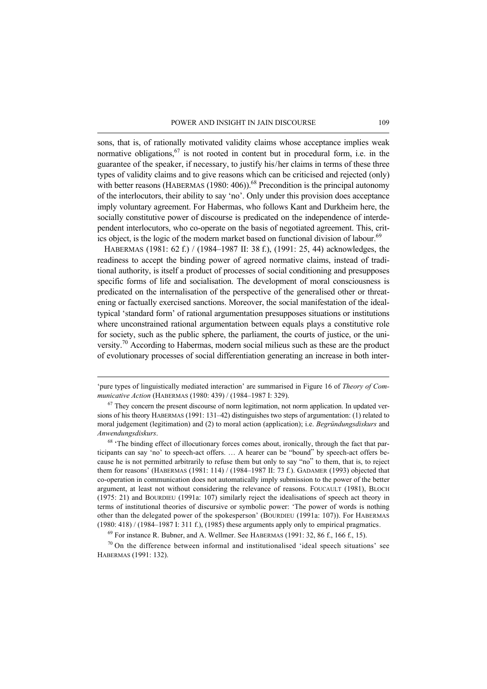$\overline{a}$ 

sons, that is, of rationally motivated validity claims whose acceptance implies weak normative obligations,  $67$  is not rooted in content but in procedural form, i.e. in the guarantee of the speaker, if necessary, to justify his / her claims in terms of these three types of validity claims and to give reasons which can be criticised and rejected (only) with better reasons (HABERMAS  $(1980: 406)$ ).<sup>68</sup> Precondition is the principal autonomy of the interlocutors, their ability to say 'no'. Only under this provision does acceptance imply voluntary agreement. For Habermas, who follows Kant and Durkheim here, the socially constitutive power of discourse is predicated on the independence of interdependent interlocutors, who co-operate on the basis of negotiated agreement. This, critics object, is the logic of the modern market based on functional division of labour.<sup>69</sup>

HABERMAS (1981: 62 f.) / (1984–1987 II: 38 f.), (1991: 25, 44) acknowledges, the readiness to accept the binding power of agreed normative claims, instead of traditional authority, is itself a product of processes of social conditioning and presupposes specific forms of life and socialisation. The development of moral consciousness is predicated on the internalisation of the perspective of the generalised other or threatening or factually exercised sanctions. Moreover, the social manifestation of the idealtypical 'standard form' of rational argumentation presupposes situations or institutions where unconstrained rational argumentation between equals plays a constitutive role for society, such as the public sphere, the parliament, the courts of justice, or the university.<sup>70</sup> According to Habermas, modern social milieus such as these are the product of evolutionary processes of social differentiation generating an increase in both inter-

<sup>&#</sup>x27;pure types of linguistically mediated interaction' are summarised in Figure 16 of *Theory of Communicative Action* (HABERMAS (1980: 439) / (1984–1987 I: 329).

 $67$  They concern the present discourse of norm legitimation, not norm application. In updated versions of his theory HABERMAS (1991: 131–42) distinguishes two steps of argumentation: (1) related to moral judgement (legitimation) and (2) to moral action (application); i.e. *Begründungsdiskurs* and *Anwendungsdiskurs*.

<sup>&</sup>lt;sup>68</sup> 'The binding effect of illocutionary forces comes about, ironically, through the fact that participants can say 'no' to speech-act offers. … A hearer can be "bound" by speech-act offers because he is not permitted arbitrarily to refuse them but only to say "no" to them, that is, to reject them for reasons' (HABERMAS (1981: 114) / (1984–1987 II: 73 f.). GADAMER (1993) objected that co-operation in communication does not automatically imply submission to the power of the better argument, at least not without considering the relevance of reasons. FOUCAULT (1981), BLOCH (1975: 21) and BOURDIEU (1991a: 107) similarly reject the idealisations of speech act theory in terms of institutional theories of discursive or symbolic power: 'The power of words is nothing other than the delegated power of the spokesperson' (BOURDIEU (1991a: 107)). For HABERMAS (1980: 418) / (1984–1987 I: 311 f.), (1985) these arguments apply only to empirical pragmatics.

 $^{69}$  For instance R. Bubner, and A. Wellmer. See HABERMAS (1991: 32, 86 f., 166 f., 15).

 $70$  On the difference between informal and institutionalised 'ideal speech situations' see HABERMAS (1991: 132).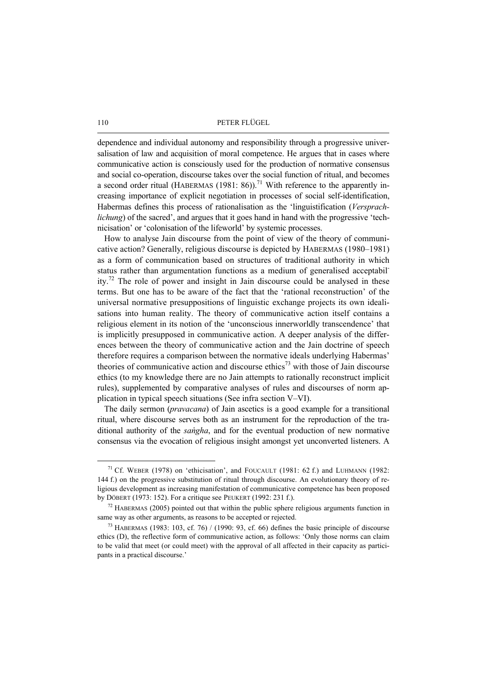dependence and individual autonomy and responsibility through a progressive universalisation of law and acquisition of moral competence. He argues that in cases where communicative action is consciously used for the production of normative consensus and social co-operation, discourse takes over the social function of ritual, and becomes a second order ritual (HABERMAS (1981: 86)).<sup>71</sup> With reference to the apparently increasing importance of explicit negotiation in processes of social self-identification, Habermas defines this process of rationalisation as the 'linguistification (*Versprachlichung*) of the sacred', and argues that it goes hand in hand with the progressive 'technicisation' or 'colonisation of the lifeworld' by systemic processes.

How to analyse Jain discourse from the point of view of the theory of communicative action? Generally, religious discourse is depicted by HABERMAS (1980–1981) as a form of communication based on structures of traditional authority in which status rather than argumentation functions as a medium of generalised acceptability.<sup>72</sup> The role of power and insight in Jain discourse could be analysed in these terms. But one has to be aware of the fact that the 'rational reconstruction' of the universal normative presuppositions of linguistic exchange projects its own idealisations into human reality. The theory of communicative action itself contains a religious element in its notion of the 'unconscious innerworldly transcendence' that is implicitly presupposed in communicative action. A deeper analysis of the differences between the theory of communicative action and the Jain doctrine of speech therefore requires a comparison between the normative ideals underlying Habermas' theories of communicative action and discourse ethics<sup>73</sup> with those of Jain discourse ethics (to my knowledge there are no Jain attempts to rationally reconstruct implicit rules), supplemented by comparative analyses of rules and discourses of norm application in typical speech situations (See infra section V–VI).

The daily sermon (*pravacana*) of Jain ascetics is a good example for a transitional ritual, where discourse serves both as an instrument for the reproduction of the traditional authority of the *saógha*, and for the eventual production of new normative consensus via the evocation of religious insight amongst yet unconverted listeners. A

<sup>&</sup>lt;sup>71</sup> Cf. WEBER (1978) on 'ethicisation', and FOUCAULT (1981: 62 f.) and LUHMANN (1982: 144 f.) on the progressive substitution of ritual through discourse. An evolutionary theory of religious development as increasing manifestation of communicative competence has been proposed by DÖBERT (1973: 152). For a critique see PEUKERT (1992: 231 f.).

 $^{72}$  HABERMAS (2005) pointed out that within the public sphere religious arguments function in same way as other arguments, as reasons to be accepted or rejected.

 $^{73}$  HABERMAS (1983: 103, cf. 76) / (1990: 93, cf. 66) defines the basic principle of discourse ethics (D), the reflective form of communicative action, as follows: 'Only those norms can claim to be valid that meet (or could meet) with the approval of all affected in their capacity as participants in a practical discourse.'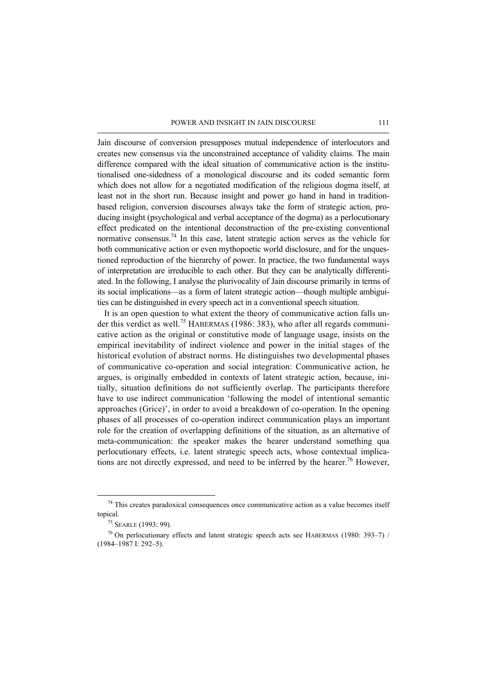Jain discourse of conversion presupposes mutual independence of interlocutors and creates new consensus via the unconstrained acceptance of validity claims. The main difference compared with the ideal situation of communicative action is the institutionalised one-sidedness of a monological discourse and its coded semantic form which does not allow for a negotiated modification of the religious dogma itself, at least not in the short run. Because insight and power go hand in hand in traditionbased religion, conversion discourses always take the form of strategic action, producing insight (psychological and verbal acceptance of the dogma) as a perlocutionary effect predicated on the intentional deconstruction of the pre-existing conventional normative consensus.<sup>74</sup> In this case, latent strategic action serves as the vehicle for both communicative action or even mythopoetic world disclosure, and for the unquestioned reproduction of the hierarchy of power. In practice, the two fundamental ways of interpretation are irreducible to each other. But they can be analytically differentiated. In the following, I analyse the plurivocality of Jain discourse primarily in terms of its social implications—as a form of latent strategic action—though multiple ambiguities can be distinguished in every speech act in a conventional speech situation.

It is an open question to what extent the theory of communicative action falls under this verdict as well.<sup>75</sup> HABERMAS (1986: 383), who after all regards communicative action as the original or constitutive mode of language usage, insists on the empirical inevitability of indirect violence and power in the initial stages of the historical evolution of abstract norms. He distinguishes two developmental phases of communicative co-operation and social integration: Communicative action, he argues, is originally embedded in contexts of latent strategic action, because, initially, situation definitions do not sufficiently overlap. The participants therefore have to use indirect communication 'following the model of intentional semantic approaches (Grice)', in order to avoid a breakdown of co-operation. In the opening phases of all processes of co-operation indirect communication plays an important role for the creation of overlapping definitions of the situation, as an alternative of meta-communication: the speaker makes the hearer understand something qua perlocutionary effects, i.e. latent strategic speech acts, whose contextual implications are not directly expressed, and need to be inferred by the hearer.<sup>76</sup> However,

 $\ddot{ }$ 

<sup>&</sup>lt;sup>74</sup> This creates paradoxical consequences once communicative action as a value becomes itself topical.

<sup>75</sup> SEARLE (1993: 99).

 $76$  On perlocutionary effects and latent strategic speech acts see HABERMAS (1980: 393–7) / (1984–1987 I: 292–5).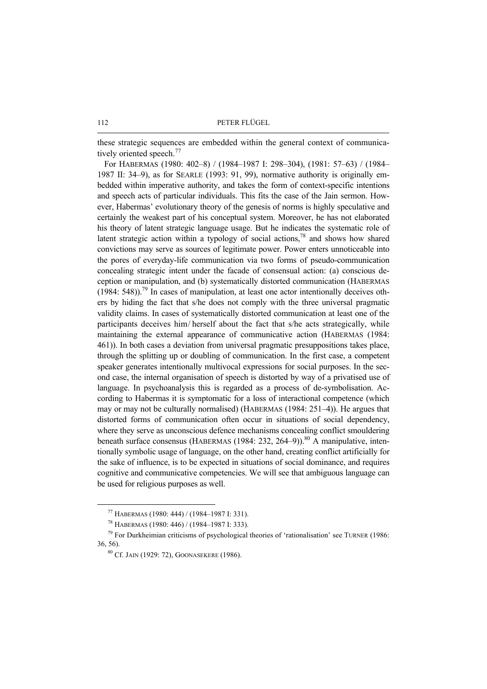these strategic sequences are embedded within the general context of communicatively oriented speech.<sup>77</sup>

For HABERMAS (1980: 402–8) / (1984–1987 I: 298–304), (1981: 57–63) / (1984– 1987 II: 34–9), as for SEARLE (1993: 91, 99), normative authority is originally embedded within imperative authority, and takes the form of context-specific intentions and speech acts of particular individuals. This fits the case of the Jain sermon. However, Habermas' evolutionary theory of the genesis of norms is highly speculative and certainly the weakest part of his conceptual system. Moreover, he has not elaborated his theory of latent strategic language usage. But he indicates the systematic role of latent strategic action within a typology of social actions,78 and shows how shared convictions may serve as sources of legitimate power. Power enters unnoticeable into the pores of everyday-life communication via two forms of pseudo-communication concealing strategic intent under the facade of consensual action: (a) conscious deception or manipulation, and (b) systematically distorted communication (HABERMAS  $(1984: 548)$ ).<sup>79</sup> In cases of manipulation, at least one actor intentionally deceives others by hiding the fact that s/he does not comply with the three universal pragmatic validity claims. In cases of systematically distorted communication at least one of the participants deceives him/herself about the fact that s/he acts strategically, while maintaining the external appearance of communicative action (HABERMAS (1984: 461)). In both cases a deviation from universal pragmatic presuppositions takes place, through the splitting up or doubling of communication. In the first case, a competent speaker generates intentionally multivocal expressions for social purposes. In the second case, the internal organisation of speech is distorted by way of a privatised use of language. In psychoanalysis this is regarded as a process of de-symbolisation. According to Habermas it is symptomatic for a loss of interactional competence (which may or may not be culturally normalised) (HABERMAS (1984: 251–4)). He argues that distorted forms of communication often occur in situations of social dependency, where they serve as unconscious defence mechanisms concealing conflict smouldering beneath surface consensus (HABERMAS  $(1984: 232, 264-9)$ ).<sup>80</sup> A manipulative, intentionally symbolic usage of language, on the other hand, creating conflict artificially for the sake of influence, is to be expected in situations of social dominance, and requires cognitive and communicative competencies. We will see that ambiguous language can be used for religious purposes as well.

 <sup>77</sup> HABERMAS (1980: 444) / (1984–1987 I: 331).

<sup>78</sup> HABERMAS (1980: 446) / (1984–1987 I: 333).

 $79$  For Durkheimian criticisms of psychological theories of 'rationalisation' see TURNER (1986: 36, 56).

<sup>80</sup> Cf. JAIN (1929: 72), GOONASEKERE (1986).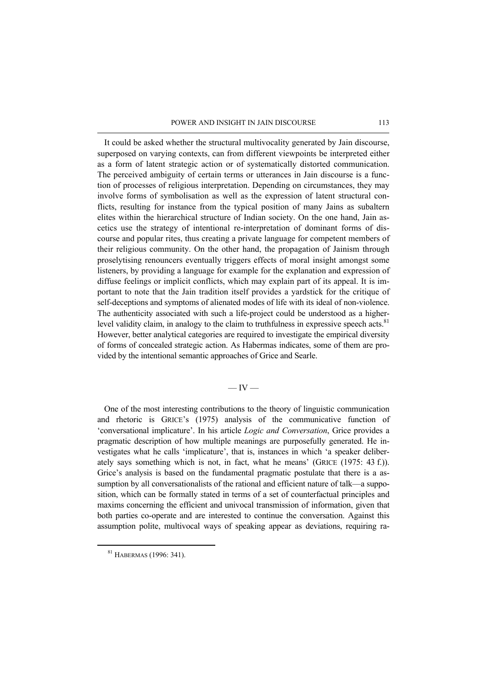It could be asked whether the structural multivocality generated by Jain discourse, superposed on varying contexts, can from different viewpoints be interpreted either as a form of latent strategic action or of systematically distorted communication. The perceived ambiguity of certain terms or utterances in Jain discourse is a function of processes of religious interpretation. Depending on circumstances, they may involve forms of symbolisation as well as the expression of latent structural conflicts, resulting for instance from the typical position of many Jains as subaltern elites within the hierarchical structure of Indian society. On the one hand, Jain ascetics use the strategy of intentional re-interpretation of dominant forms of discourse and popular rites, thus creating a private language for competent members of their religious community. On the other hand, the propagation of Jainism through proselytising renouncers eventually triggers effects of moral insight amongst some listeners, by providing a language for example for the explanation and expression of diffuse feelings or implicit conflicts, which may explain part of its appeal. It is important to note that the Jain tradition itself provides a yardstick for the critique of self-deceptions and symptoms of alienated modes of life with its ideal of non-violence. The authenticity associated with such a life-project could be understood as a higherlevel validity claim, in analogy to the claim to truthfulness in expressive speech acts. $81$ However, better analytical categories are required to investigate the empirical diversity of forms of concealed strategic action. As Habermas indicates, some of them are provided by the intentional semantic approaches of Grice and Searle.

## $-$  IV  $-$

One of the most interesting contributions to the theory of linguistic communication and rhetoric is GRICE's (1975) analysis of the communicative function of 'conversational implicature'. In his article *Logic and Conversation*, Grice provides a pragmatic description of how multiple meanings are purposefully generated. He investigates what he calls 'implicature', that is, instances in which 'a speaker deliberately says something which is not, in fact, what he means' (GRICE (1975: 43 f.)). Grice's analysis is based on the fundamental pragmatic postulate that there is a assumption by all conversationalists of the rational and efficient nature of talk—a supposition, which can be formally stated in terms of a set of counterfactual principles and maxims concerning the efficient and univocal transmission of information, given that both parties co-operate and are interested to continue the conversation. Against this assumption polite, multivocal ways of speaking appear as deviations, requiring ra-

 $\ddot{ }$ 

 <sup>81</sup> HABERMAS (1996: 341).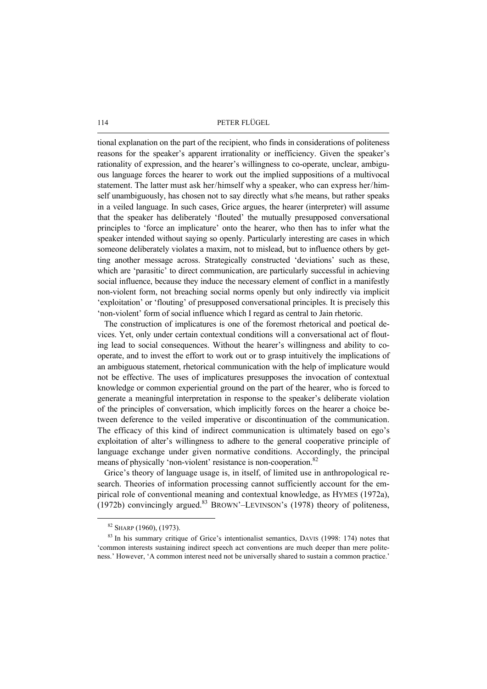tional explanation on the part of the recipient, who finds in considerations of politeness reasons for the speaker's apparent irrationality or inefficiency. Given the speaker's rationality of expression, and the hearer's willingness to co-operate, unclear, ambiguous language forces the hearer to work out the implied suppositions of a multivocal statement. The latter must ask her/himself why a speaker, who can express her/himself unambiguously, has chosen not to say directly what s/he means, but rather speaks in a veiled language. In such cases, Grice argues, the hearer (interpreter) will assume that the speaker has deliberately 'flouted' the mutually presupposed conversational principles to 'force an implicature' onto the hearer, who then has to infer what the speaker intended without saying so openly. Particularly interesting are cases in which someone deliberately violates a maxim, not to mislead, but to influence others by getting another message across. Strategically constructed 'deviations' such as these, which are 'parasitic' to direct communication, are particularly successful in achieving social influence, because they induce the necessary element of conflict in a manifestly non-violent form, not breaching social norms openly but only indirectly via implicit 'exploitation' or 'flouting' of presupposed conversational principles. It is precisely this 'non-violent' form of social influence which I regard as central to Jain rhetoric.

The construction of implicatures is one of the foremost rhetorical and poetical devices. Yet, only under certain contextual conditions will a conversational act of flouting lead to social consequences. Without the hearer's willingness and ability to cooperate, and to invest the effort to work out or to grasp intuitively the implications of an ambiguous statement, rhetorical communication with the help of implicature would not be effective. The uses of implicatures presupposes the invocation of contextual knowledge or common experiential ground on the part of the hearer, who is forced to generate a meaningful interpretation in response to the speaker's deliberate violation of the principles of conversation, which implicitly forces on the hearer a choice between deference to the veiled imperative or discontinuation of the communication. The efficacy of this kind of indirect communication is ultimately based on ego's exploitation of alter's willingness to adhere to the general cooperative principle of language exchange under given normative conditions. Accordingly, the principal means of physically 'non-violent' resistance is non-cooperation.<sup>82</sup>

Grice's theory of language usage is, in itself, of limited use in anthropological research. Theories of information processing cannot sufficiently account for the empirical role of conventional meaning and contextual knowledge, as HYMES (1972a), (1972b) convincingly argued.<sup>83</sup> BROWN'-LEVINSON's (1978) theory of politeness,

 <sup>82</sup> SHARP (1960), (1973).

<sup>&</sup>lt;sup>83</sup> In his summary critique of Grice's intentionalist semantics, DAVIS (1998: 174) notes that 'common interests sustaining indirect speech act conventions are much deeper than mere politeness.' However, 'A common interest need not be universally shared to sustain a common practice.'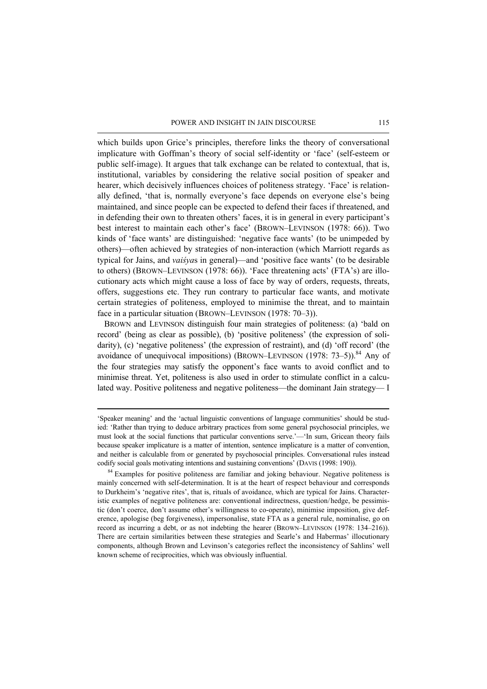$\overline{a}$ 

which builds upon Grice's principles, therefore links the theory of conversational implicature with Goffman's theory of social self-identity or 'face' (self-esteem or public self-image). It argues that talk exchange can be related to contextual, that is, institutional, variables by considering the relative social position of speaker and hearer, which decisively influences choices of politeness strategy. 'Face' is relationally defined, 'that is, normally everyone's face depends on everyone else's being maintained, and since people can be expected to defend their faces if threatened, and in defending their own to threaten others' faces, it is in general in every participant's best interest to maintain each other's face' (BROWN–LEVINSON (1978: 66)). Two kinds of 'face wants' are distinguished: 'negative face wants' (to be unimpeded by others)—often achieved by strategies of non-interaction (which Marriott regards as typical for Jains, and *vais vas* in general)—and 'positive face wants' (to be desirable to others) (BROWN–LEVINSON (1978: 66)). 'Face threatening acts' (FTA's) are illocutionary acts which might cause a loss of face by way of orders, requests, threats, offers, suggestions etc. They run contrary to particular face wants, and motivate certain strategies of politeness, employed to minimise the threat, and to maintain face in a particular situation (BROWN–LEVINSON (1978: 70–3)).

BROWN and LEVINSON distinguish four main strategies of politeness: (a) 'bald on record' (being as clear as possible), (b) 'positive politeness' (the expression of solidarity), (c) 'negative politeness' (the expression of restraint), and (d) 'off record' (the avoidance of unequivocal impositions) (BROWN–LEVINSON  $(1978: 73-5)$ ).<sup>84</sup> Any of the four strategies may satisfy the opponent's face wants to avoid conflict and to minimise threat. Yet, politeness is also used in order to stimulate conflict in a calculated way. Positive politeness and negative politeness—the dominant Jain strategy— I

<sup>&#</sup>x27;Speaker meaning' and the 'actual linguistic conventions of language communities' should be studied: 'Rather than trying to deduce arbitrary practices from some general psychosocial principles, we must look at the social functions that particular conventions serve.'—'In sum, Gricean theory fails because speaker implicature is a matter of intention, sentence implicature is a matter of convention, and neither is calculable from or generated by psychosocial principles. Conversational rules instead codify social goals motivating intentions and sustaining conventions' (DAVIS (1998: 190)).

<sup>&</sup>lt;sup>84</sup> Examples for positive politeness are familiar and joking behaviour. Negative politeness is mainly concerned with self-determination. It is at the heart of respect behaviour and corresponds to Durkheim's 'negative rites', that is, rituals of avoidance, which are typical for Jains. Characteristic examples of negative politeness are: conventional indirectness, question/hedge, be pessimistic (don't coerce, don't assume other's willingness to co-operate), minimise imposition, give deference, apologise (beg forgiveness), impersonalise, state FTA as a general rule, nominalise, go on record as incurring a debt, or as not indebting the hearer (BROWN–LEVINSON (1978: 134–216)). There are certain similarities between these strategies and Searle's and Habermas' illocutionary components, although Brown and Levinson's categories reflect the inconsistency of Sahlins' well known scheme of reciprocities, which was obviously influential.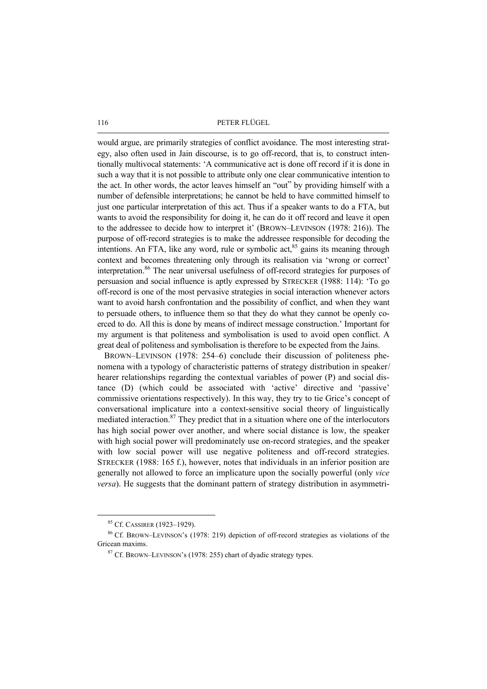would argue, are primarily strategies of conflict avoidance. The most interesting strategy, also often used in Jain discourse, is to go off-record, that is, to construct intentionally multivocal statements: 'A communicative act is done off record if it is done in such a way that it is not possible to attribute only one clear communicative intention to the act. In other words, the actor leaves himself an "out" by providing himself with a number of defensible interpretations; he cannot be held to have committed himself to just one particular interpretation of this act. Thus if a speaker wants to do a FTA, but wants to avoid the responsibility for doing it, he can do it off record and leave it open to the addressee to decide how to interpret it' (BROWN–LEVINSON (1978: 216)). The purpose of off-record strategies is to make the addressee responsible for decoding the intentions. An FTA, like any word, rule or symbolic act, $85$  gains its meaning through context and becomes threatening only through its realisation via 'wrong or correct' interpretation.<sup>86</sup> The near universal usefulness of off-record strategies for purposes of persuasion and social influence is aptly expressed by STRECKER (1988: 114): 'To go off-record is one of the most pervasive strategies in social interaction whenever actors want to avoid harsh confrontation and the possibility of conflict, and when they want to persuade others, to influence them so that they do what they cannot be openly coerced to do. All this is done by means of indirect message construction.' Important for my argument is that politeness and symbolisation is used to avoid open conflict. A great deal of politeness and symbolisation is therefore to be expected from the Jains.

BROWN–LEVINSON (1978: 254–6) conclude their discussion of politeness phenomena with a typology of characteristic patterns of strategy distribution in speaker/ hearer relationships regarding the contextual variables of power (P) and social distance (D) (which could be associated with 'active' directive and 'passive' commissive orientations respectively). In this way, they try to tie Grice's concept of conversational implicature into a context-sensitive social theory of linguistically mediated interaction.<sup>87</sup> They predict that in a situation where one of the interlocutors has high social power over another, and where social distance is low, the speaker with high social power will predominately use on-record strategies, and the speaker with low social power will use negative politeness and off-record strategies. STRECKER (1988: 165 f.), however, notes that individuals in an inferior position are generally not allowed to force an implicature upon the socially powerful (only *vice versa*). He suggests that the dominant pattern of strategy distribution in asymmetri-

 <sup>85</sup> Cf. CASSIRER (1923–1929).

<sup>86</sup> Cf. BROWN–LEVINSON's (1978: 219) depiction of off-record strategies as violations of the Gricean maxims.

<sup>87</sup> Cf. BROWN–LEVINSON's (1978: 255) chart of dyadic strategy types.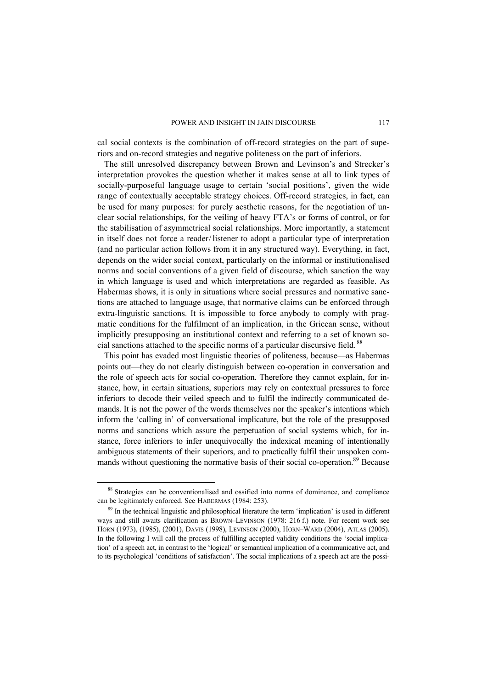cal social contexts is the combination of off-record strategies on the part of superiors and on-record strategies and negative politeness on the part of inferiors.

The still unresolved discrepancy between Brown and Levinson's and Strecker's interpretation provokes the question whether it makes sense at all to link types of socially-purposeful language usage to certain 'social positions', given the wide range of contextually acceptable strategy choices. Off-record strategies, in fact, can be used for many purposes: for purely aesthetic reasons, for the negotiation of unclear social relationships, for the veiling of heavy FTA's or forms of control, or for the stabilisation of asymmetrical social relationships. More importantly, a statement in itself does not force a reader / listener to adopt a particular type of interpretation (and no particular action follows from it in any structured way). Everything, in fact, depends on the wider social context, particularly on the informal or institutionalised norms and social conventions of a given field of discourse, which sanction the way in which language is used and which interpretations are regarded as feasible. As Habermas shows, it is only in situations where social pressures and normative sanctions are attached to language usage, that normative claims can be enforced through extra-linguistic sanctions. It is impossible to force anybody to comply with pragmatic conditions for the fulfilment of an implication, in the Gricean sense, without implicitly presupposing an institutional context and referring to a set of known social sanctions attached to the specific norms of a particular discursive field. <sup>88</sup>

This point has evaded most linguistic theories of politeness, because—as Habermas points out—they do not clearly distinguish between co-operation in conversation and the role of speech acts for social co-operation. Therefore they cannot explain, for instance, how, in certain situations, superiors may rely on contextual pressures to force inferiors to decode their veiled speech and to fulfil the indirectly communicated demands. It is not the power of the words themselves nor the speaker's intentions which inform the 'calling in' of conversational implicature, but the role of the presupposed norms and sanctions which assure the perpetuation of social systems which, for instance, force inferiors to infer unequivocally the indexical meaning of intentionally ambiguous statements of their superiors, and to practically fulfil their unspoken commands without questioning the normative basis of their social co-operation.<sup>89</sup> Because

 <sup>88</sup> Strategies can be conventionalised and ossified into norms of dominance, and compliance can be legitimately enforced. See HABERMAS (1984: 253).

<sup>&</sup>lt;sup>89</sup> In the technical linguistic and philosophical literature the term 'implication' is used in different ways and still awaits clarification as BROWN–LEVINSON (1978: 216 f.) note. For recent work see HORN (1973), (1985), (2001), DAVIS (1998), LEVINSON (2000), HORN–WARD (2004), ATLAS (2005). In the following I will call the process of fulfilling accepted validity conditions the 'social implication' of a speech act, in contrast to the 'logical' or semantical implication of a communicative act, and to its psychological 'conditions of satisfaction'. The social implications of a speech act are the possi-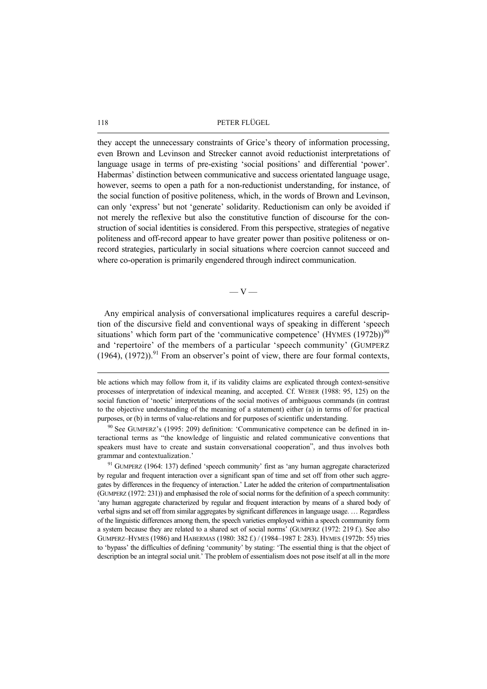they accept the unnecessary constraints of Grice's theory of information processing, even Brown and Levinson and Strecker cannot avoid reductionist interpretations of language usage in terms of pre-existing 'social positions' and differential 'power'. Habermas' distinction between communicative and success orientated language usage, however, seems to open a path for a non-reductionist understanding, for instance, of the social function of positive politeness, which, in the words of Brown and Levinson, can only 'express' but not 'generate' solidarity. Reductionism can only be avoided if not merely the reflexive but also the constitutive function of discourse for the construction of social identities is considered. From this perspective, strategies of negative politeness and off-record appear to have greater power than positive politeness or onrecord strategies, particularly in social situations where coercion cannot succeed and where co-operation is primarily engendered through indirect communication.

 $-V -$ 

Any empirical analysis of conversational implicatures requires a careful description of the discursive field and conventional ways of speaking in different 'speech situations' which form part of the 'communicative competence' (HYMES  $(1972b)$ )<sup>90</sup> and 'repertoire' of the members of a particular 'speech community' (GUMPERZ  $(1964)$ ,  $(1972)$ ).<sup>91</sup> From an observer's point of view, there are four formal contexts,

 $\overline{a}$ 

ble actions which may follow from it, if its validity claims are explicated through context-sensitive processes of interpretation of indexical meaning, and accepted. Cf. WEBER (1988: 95, 125) on the social function of 'noetic' interpretations of the social motives of ambiguous commands (in contrast to the objective understanding of the meaning of a statement) either (a) in terms of / for practical purposes, or (b) in terms of value-relations and for purposes of scientific understanding.

<sup>90</sup> See GUMPERZ's (1995: 209) definition: 'Communicative competence can be defined in interactional terms as "the knowledge of linguistic and related communicative conventions that speakers must have to create and sustain conversational cooperation", and thus involves both grammar and contextualization.'

 $91$  GUMPERZ (1964: 137) defined 'speech community' first as 'any human aggregate characterized by regular and frequent interaction over a significant span of time and set off from other such aggregates by differences in the frequency of interaction.' Later he added the criterion of compartmentalisation (GUMPERZ (1972: 231)) and emphasised the role of social norms for the definition of a speech community: 'any human aggregate characterized by regular and frequent interaction by means of a shared body of verbal signs and set off from similar aggregates by significant differences in language usage. … Regardless of the linguistic differences among them, the speech varieties employed within a speech community form a system because they are related to a shared set of social norms' (GUMPERZ (1972: 219 f.). See also GUMPERZ–HYMES (1986) and HABERMAS (1980: 382 f.) / (1984–1987 I: 283). HYMES (1972b: 55) tries to 'bypass' the difficulties of defining 'community' by stating: 'The essential thing is that the object of description be an integral social unit.' The problem of essentialism does not pose itself at all in the more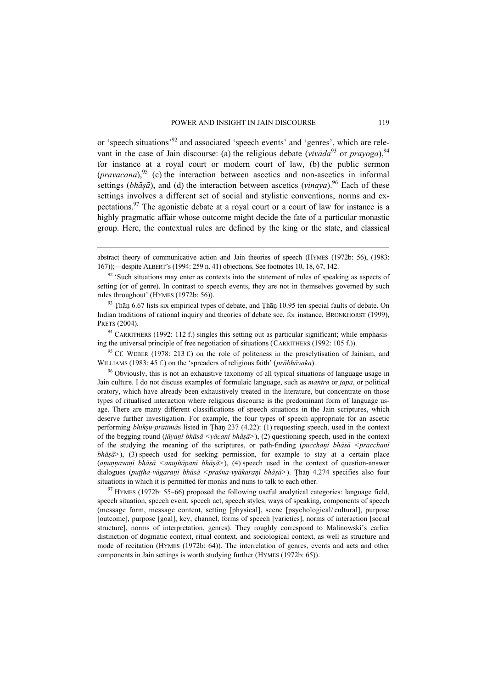$\overline{a}$ 

or 'speech situations'<sup>92</sup> and associated 'speech events' and 'genres', which are relevant in the case of Jain discourse: (a) the religious debate (*vivada*<sup>93</sup> or *prayoga*),<sup>94</sup> for instance at a royal court or modern court of law, (b) the public sermon  $(pravacana)$ ,  $(95)$  (c) the interaction between ascetics and non-ascetics in informal settings ( $bh\bar{a}s\bar{a}$ ), and (d) the interaction between ascetics ( $vinaya$ ).<sup>96</sup> Each of these settings involves a different set of social and stylistic conventions, norms and expectations.<sup>97</sup> The agonistic debate at a royal court or a court of law for instance is a highly pragmatic affair whose outcome might decide the fate of a particular monastic group. Here, the contextual rules are defined by the king or the state, and classical

 $95$  Cf. WEBER (1978: 213 f.) on the role of politeness in the proselytisation of Jainism, and WILLIAMS (1983: 45 f.) on the 'spreaders of religious faith' (*prâbhâvaka*).

<sup>96</sup> Obviously, this is not an exhaustive taxonomy of all typical situations of language usage in Jain culture. I do not discuss examples of formulaic language, such as *mantra* or *japa*, or political oratory, which have already been exhaustively treated in the literature, but concentrate on those types of ritualised interaction where religious discourse is the predominant form of language usage. There are many different classifications of speech situations in the Jain scriptures, which deserve further investigation. For example, the four types of speech appropriate for an ascetic performing *bhiksu-pratimās* listed in Thān 237 (4.22): (1) requesting speech, used in the context of the begging round (*jâyaòî bhâsâ <yâcanî bhâšâ>*), (2) questioning speech, used in the context of the studying the meaning of the scriptures, or path-finding (*pucchanī bhāsā <pracchanī*) *bhâšâ>*), (3) speech used for seeking permission, for example to stay at a certain place (*aòuòòavaòî bhâsâ <anujñâpanî bhâšâ>*), (4) speech used in the context of question-answer dialogues (*puttha-vāgaranī bhāsā <praśna-vyākaranī bhāsā*>). Thān 4.274 specifies also four situations in which it is permitted for monks and nuns to talk to each other.

 $97$  HYMES (1972b: 55–66) proposed the following useful analytical categories: language field, speech situation, speech event, speech act, speech styles, ways of speaking, components of speech (message form, message content, setting [physical], scene [psychological/cultural], purpose [outcome], purpose [goal], key, channel, forms of speech [varieties], norms of interaction [social structure], norms of interpretation, genres). They roughly correspond to Malinowski's earlier distinction of dogmatic context, ritual context, and sociological context, as well as structure and mode of recitation (HYMES (1972b: 64)). The interrelation of genres, events and acts and other components in Jain settings is worth studying further (HYMES (1972b: 65)).

abstract theory of communicative action and Jain theories of speech (HYMES (1972b: 56), (1983: 167));—despite ALBERT's (1994: 259 n. 41) objections. See footnotes 10, 18, 67, 142.

 $92$  'Such situations may enter as contexts into the statement of rules of speaking as aspects of setting (or of genre). In contrast to speech events, they are not in themselves governed by such rules throughout' (HYMES (1972b: 56)).

<sup>&</sup>lt;sup>93</sup> Thān 6.67 lists six empirical types of debate, and Thān 10.95 ten special faults of debate. On Indian traditions of rational inquiry and theories of debate see, for instance, BRONKHORST (1999), PRETS (2004).

 $94$  CARRITHERS (1992: 112 f.) singles this setting out as particular significant; while emphasising the universal principle of free negotiation of situations (CARRITHERS (1992: 105 f.)).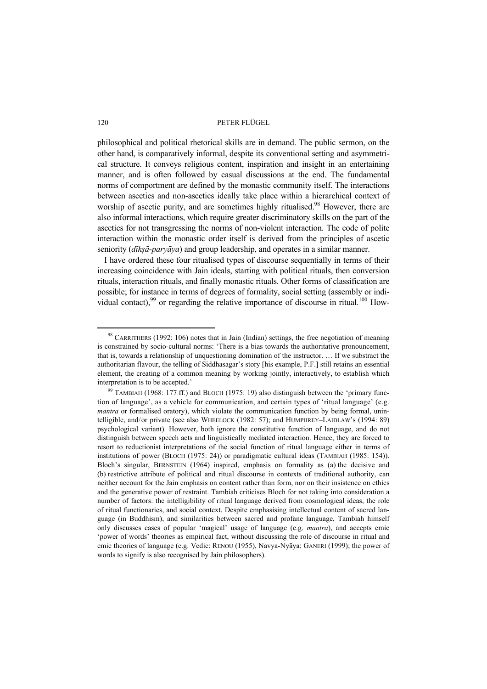philosophical and political rhetorical skills are in demand. The public sermon, on the other hand, is comparatively informal, despite its conventional setting and asymmetrical structure. It conveys religious content, inspiration and insight in an entertaining manner, and is often followed by casual discussions at the end. The fundamental norms of comportment are defined by the monastic community itself. The interactions between ascetics and non-ascetics ideally take place within a hierarchical context of worship of ascetic purity, and are sometimes highly ritualised.<sup>98</sup> However, there are also informal interactions, which require greater discriminatory skills on the part of the ascetics for not transgressing the norms of non-violent interaction. The code of polite interaction within the monastic order itself is derived from the principles of ascetic seniority (*dîkšâ-paryâya*) and group leadership, and operates in a similar manner.

I have ordered these four ritualised types of discourse sequentially in terms of their increasing coincidence with Jain ideals, starting with political rituals, then conversion rituals, interaction rituals, and finally monastic rituals. Other forms of classification are possible; for instance in terms of degrees of formality, social setting (assembly or individual contact),<sup>99</sup> or regarding the relative importance of discourse in ritual.<sup>100</sup> How-

<sup>&</sup>lt;sup>98</sup> CARRITHERS (1992: 106) notes that in Jain (Indian) settings, the free negotiation of meaning is constrained by socio-cultural norms: 'There is a bias towards the authoritative pronouncement, that is, towards a relationship of unquestioning domination of the instructor. … If we substract the authoritarian flavour, the telling of Siddhasagar's story [his example, P.F.] still retains an essential element, the creating of a common meaning by working jointly, interactively, to establish which interpretation is to be accepted.'

<sup>&</sup>lt;sup>99</sup> TAMBIAH (1968: 177 ff.) and BLOCH (1975: 19) also distinguish between the 'primary function of language', as a vehicle for communication, and certain types of 'ritual language' (e.g. *mantra* or formalised oratory), which violate the communication function by being formal, unintelligible, and/or private (see also WHEELOCK (1982: 57); and HUMPHREY–LAIDLAW's (1994: 89) psychological variant). However, both ignore the constitutive function of language, and do not distinguish between speech acts and linguistically mediated interaction. Hence, they are forced to resort to reductionist interpretations of the social function of ritual language either in terms of institutions of power (BLOCH (1975: 24)) or paradigmatic cultural ideas (TAMBIAH (1985: 154)). Bloch's singular, BERNSTEIN (1964) inspired, emphasis on formality as (a) the decisive and (b) restrictive attribute of political and ritual discourse in contexts of traditional authority, can neither account for the Jain emphasis on content rather than form, nor on their insistence on ethics and the generative power of restraint. Tambiah criticises Bloch for not taking into consideration a number of factors: the intelligibility of ritual language derived from cosmological ideas, the role of ritual functionaries, and social context. Despite emphasising intellectual content of sacred language (in Buddhism), and similarities between sacred and profane language, Tambiah himself only discusses cases of popular 'magical' usage of language (e.g. *mantra*), and accepts emic 'power of words' theories as empirical fact, without discussing the role of discourse in ritual and emic theories of language (e.g. Vedic: RENOU (1955), Navya-Nyâya: GANERI (1999); the power of words to signify is also recognised by Jain philosophers).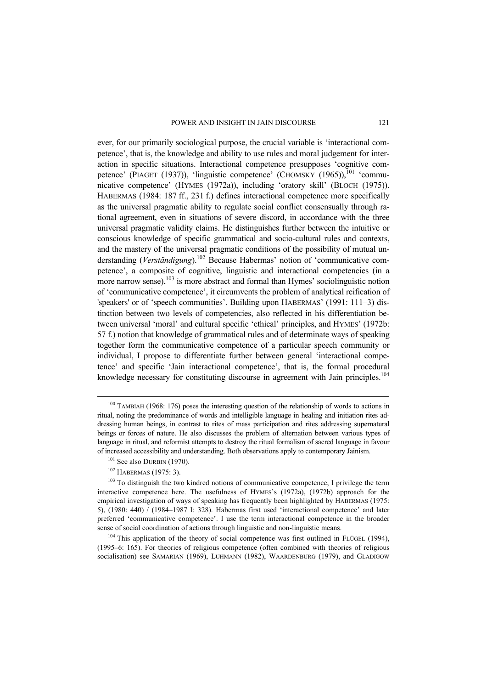ever, for our primarily sociological purpose, the crucial variable is 'interactional competence', that is, the knowledge and ability to use rules and moral judgement for interaction in specific situations. Interactional competence presupposes 'cognitive competence' (PIAGET (1937)), 'linguistic competence' (CHOMSKY (1965)), $^{101}$  'communicative competence' (HYMES (1972a)), including 'oratory skill' (BLOCH (1975)). HABERMAS (1984: 187 ff., 231 f.) defines interactional competence more specifically as the universal pragmatic ability to regulate social conflict consensually through rational agreement, even in situations of severe discord, in accordance with the three universal pragmatic validity claims. He distinguishes further between the intuitive or conscious knowledge of specific grammatical and socio-cultural rules and contexts, and the mastery of the universal pragmatic conditions of the possibility of mutual understanding (*Verständigung*).102 Because Habermas' notion of 'communicative competence', a composite of cognitive, linguistic and interactional competencies (in a more narrow sense), $103$  is more abstract and formal than Hymes' sociolinguistic notion of 'communicative competence', it circumvents the problem of analytical reification of 'speakers' or of 'speech communities'. Building upon HABERMAS' (1991: 111–3) distinction between two levels of competencies, also reflected in his differentiation between universal 'moral' and cultural specific 'ethical' principles, and HYMES' (1972b: 57 f.) notion that knowledge of grammatical rules and of determinate ways of speaking together form the communicative competence of a particular speech community or individual, I propose to differentiate further between general 'interactional competence' and specific 'Jain interactional competence', that is, the formal procedural knowledge necessary for constituting discourse in agreement with Jain principles.<sup>104</sup>

 $100$  TAMBIAH (1968: 176) poses the interesting question of the relationship of words to actions in ritual, noting the predominance of words and intelligible language in healing and initiation rites addressing human beings, in contrast to rites of mass participation and rites addressing supernatural beings or forces of nature. He also discusses the problem of alternation between various types of language in ritual, and reformist attempts to destroy the ritual formalism of sacred language in favour of increased accessibility and understanding. Both observations apply to contemporary Jainism.

 $101$  See also DURBIN (1970).

<sup>102</sup> HABERMAS (1975: 3).

<sup>&</sup>lt;sup>103</sup> To distinguish the two kindred notions of communicative competence, I privilege the term interactive competence here. The usefulness of HYMES's (1972a), (1972b) approach for the empirical investigation of ways of speaking has frequently been highlighted by HABERMAS (1975: 5), (1980: 440) / (1984–1987 I: 328). Habermas first used 'interactional competence' and later preferred 'communicative competence'. I use the term interactional competence in the broader sense of social coordination of actions through linguistic and non-linguistic means.

<sup>&</sup>lt;sup>104</sup> This application of the theory of social competence was first outlined in FLÜGEL (1994), (1995–6: 165). For theories of religious competence (often combined with theories of religious socialisation) see SAMARIAN (1969), LUHMANN (1982), WAARDENBURG (1979), and GLADIGOW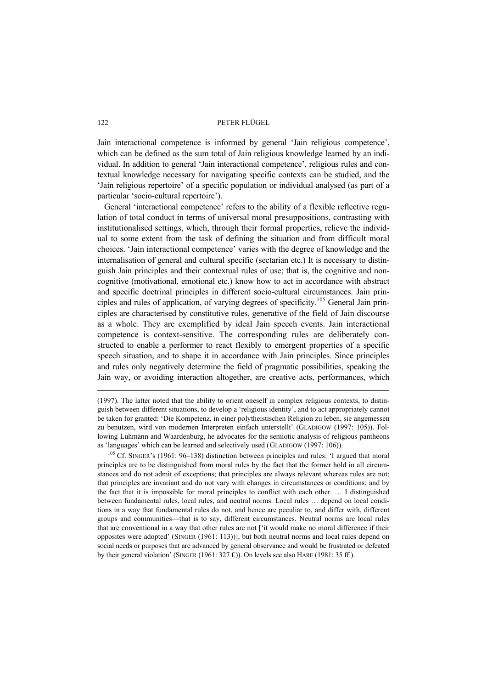Jain interactional competence is informed by general 'Jain religious competence', which can be defined as the sum total of Jain religious knowledge learned by an individual. In addition to general 'Jain interactional competence', religious rules and contextual knowledge necessary for navigating specific contexts can be studied, and the 'Jain religious repertoire' of a specific population or individual analysed (as part of a particular 'socio-cultural repertoire').

General 'interactional competence' refers to the ability of a flexible reflective regulation of total conduct in terms of universal moral presuppositions, contrasting with institutionalised settings, which, through their formal properties, relieve the individual to some extent from the task of defining the situation and from difficult moral choices. 'Jain interactional competence' varies with the degree of knowledge and the internalisation of general and cultural specific (sectarian etc.) It is necessary to distinguish Jain principles and their contextual rules of use; that is, the cognitive and noncognitive (motivational, emotional etc.) know how to act in accordance with abstract and specific doctrinal principles in different socio-cultural circumstances. Jain principles and rules of application, of varying degrees of specificity.<sup>105</sup> General Jain principles are characterised by constitutive rules, generative of the field of Jain discourse as a whole. They are exemplified by ideal Jain speech events. Jain interactional competence is context-sensitive. The corresponding rules are deliberately constructed to enable a performer to react flexibly to emergent properties of a specific speech situation, and to shape it in accordance with Jain principles. Since principles and rules only negatively determine the field of pragmatic possibilities, speaking the Jain way, or avoiding interaction altogether, are creative acts, performances, which

 $\overline{a}$ 

<sup>(1997).</sup> The latter noted that the ability to orient oneself in complex religious contexts, to distinguish between different situations, to develop a 'religious identity', and to act appropriately cannot be taken for granted: 'Die Kompetenz, in einer polytheistischen Religion zu leben, sie angemessen zu benutzen, wird von modernen Interpreten einfach unterstellt' (GLADIGOW (1997: 105)). Following Luhmann and Waardenburg, he advocates for the semiotic analysis of religious pantheons as 'languages' which can be learned and selectively used (GLADIGOW (1997: 106)).

<sup>&</sup>lt;sup>105</sup> Cf. SINGER's (1961: 96–138) distinction between principles and rules: 'I argued that moral principles are to be distinguished from moral rules by the fact that the former hold in all circumstances and do not admit of exceptions; that principles are always relevant whereas rules are not; that principles are invariant and do not vary with changes in circumstances or conditions; and by the fact that it is impossible for moral principles to conflict with each other. … I distinguished between fundamental rules, local rules, and neutral norms. Local rules … depend on local conditions in a way that fundamental rules do not, and hence are peculiar to, and differ with, different groups and communities—that is to say, different circumstances. Neutral norms are local rules that are conventional in a way that other rules are not ['it would make no moral difference if their opposites were adopted' (SINGER (1961: 113))], but both neutral norms and local rules depend on social needs or purposes that are advanced by general observance and would be frustrated or defeated by their general violation' (SINGER (1961: 327 f.)). On levels see also HARE (1981: 35 ff.).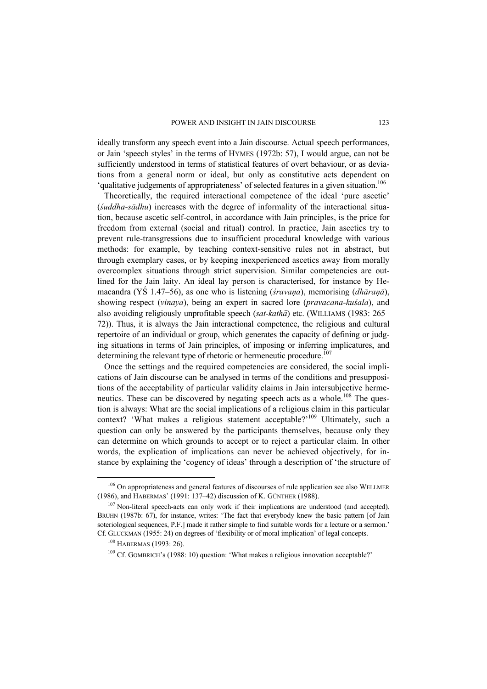ideally transform any speech event into a Jain discourse. Actual speech performances, or Jain 'speech styles' in the terms of HYMES (1972b: 57), I would argue, can not be sufficiently understood in terms of statistical features of overt behaviour, or as deviations from a general norm or ideal, but only as constitutive acts dependent on 'qualitative judgements of appropriateness' of selected features in a given situation.<sup>106</sup>

Theoretically, the required interactional competence of the ideal 'pure ascetic' (*suddha-sādhu*) increases with the degree of informality of the interactional situation, because ascetic self-control, in accordance with Jain principles, is the price for freedom from external (social and ritual) control. In practice, Jain ascetics try to prevent rule-transgressions due to insufficient procedural knowledge with various methods: for example, by teaching context-sensitive rules not in abstract, but through exemplary cases, or by keeping inexperienced ascetics away from morally overcomplex situations through strict supervision. Similar competencies are outlined for the Jain laity. An ideal lay person is characterised, for instance by Hemacandra (YŚ 1.47–56), as one who is listening (*śravana*), memorising (*dhāraṇā*), showing respect (*vinaya*), being an expert in sacred lore (*pravacana-kusala*), and also avoiding religiously unprofitable speech (*sat-kathâ*) etc. (WILLIAMS (1983: 265– 72)). Thus, it is always the Jain interactional competence, the religious and cultural repertoire of an individual or group, which generates the capacity of defining or judging situations in terms of Jain principles, of imposing or inferring implicatures, and determining the relevant type of rhetoric or hermeneutic procedure.<sup>107</sup>

Once the settings and the required competencies are considered, the social implications of Jain discourse can be analysed in terms of the conditions and presuppositions of the acceptability of particular validity claims in Jain intersubjective hermeneutics. These can be discovered by negating speech acts as a whole.<sup>108</sup> The question is always: What are the social implications of a religious claim in this particular context? 'What makes a religious statement acceptable?'<sup>109</sup> Ultimately, such a question can only be answered by the participants themselves, because only they can determine on which grounds to accept or to reject a particular claim. In other words, the explication of implications can never be achieved objectively, for instance by explaining the 'cogency of ideas' through a description of 'the structure of

<sup>&</sup>lt;sup>106</sup> On appropriateness and general features of discourses of rule application see also WELLMER (1986), and HABERMAS' (1991: 137–42) discussion of K. GÜNTHER (1988).

 $107$  Non-literal speech-acts can only work if their implications are understood (and accepted). BRUHN (1987b: 67), for instance, writes: 'The fact that everybody knew the basic pattern [of Jain soteriological sequences, P.F.] made it rather simple to find suitable words for a lecture or a sermon.' Cf. GLUCKMAN (1955: 24) on degrees of 'flexibility or of moral implication' of legal concepts.

 $108$  HABERMAS (1993: 26).

<sup>&</sup>lt;sup>109</sup> Cf. GOMBRICH's (1988: 10) question: 'What makes a religious innovation acceptable?'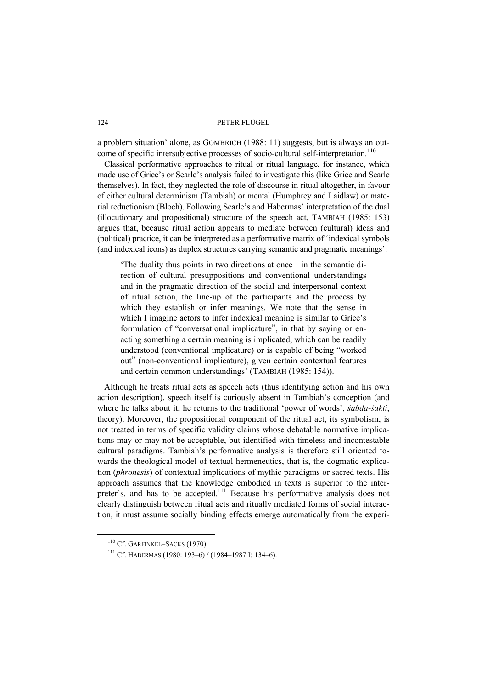a problem situation' alone, as GOMBRICH (1988: 11) suggests, but is always an outcome of specific intersubjective processes of socio-cultural self-interpretation.<sup>110</sup>

Classical performative approaches to ritual or ritual language, for instance, which made use of Grice's or Searle's analysis failed to investigate this (like Grice and Searle themselves). In fact, they neglected the role of discourse in ritual altogether, in favour of either cultural determinism (Tambiah) or mental (Humphrey and Laidlaw) or material reductionism (Bloch). Following Searle's and Habermas' interpretation of the dual (illocutionary and propositional) structure of the speech act, TAMBIAH (1985: 153) argues that, because ritual action appears to mediate between (cultural) ideas and (political) practice, it can be interpreted as a performative matrix of 'indexical symbols (and indexical icons) as duplex structures carrying semantic and pragmatic meanings':

'The duality thus points in two directions at once—in the semantic direction of cultural presuppositions and conventional understandings and in the pragmatic direction of the social and interpersonal context of ritual action, the line-up of the participants and the process by which they establish or infer meanings. We note that the sense in which I imagine actors to infer indexical meaning is similar to Grice's formulation of "conversational implicature", in that by saying or enacting something a certain meaning is implicated, which can be readily understood (conventional implicature) or is capable of being "worked out" (non-conventional implicature), given certain contextual features and certain common understandings' (TAMBIAH (1985: 154)).

Although he treats ritual acts as speech acts (thus identifying action and his own action description), speech itself is curiously absent in Tambiah's conception (and where he talks about it, he returns to the traditional 'power of words', *sabda-sakti*, theory). Moreover, the propositional component of the ritual act, its symbolism, is not treated in terms of specific validity claims whose debatable normative implications may or may not be acceptable, but identified with timeless and incontestable cultural paradigms. Tambiah's performative analysis is therefore still oriented towards the theological model of textual hermeneutics, that is, the dogmatic explication (*phronesis*) of contextual implications of mythic paradigms or sacred texts. His approach assumes that the knowledge embodied in texts is superior to the interpreter's, and has to be accepted.<sup>111</sup> Because his performative analysis does not clearly distinguish between ritual acts and ritually mediated forms of social interaction, it must assume socially binding effects emerge automatically from the experi-

<sup>&</sup>lt;sup>110</sup> Cf. GARFINKEL–SACKS (1970).

<sup>111</sup> Cf. HABERMAS (1980: 193–6) / (1984–1987 I: 134–6).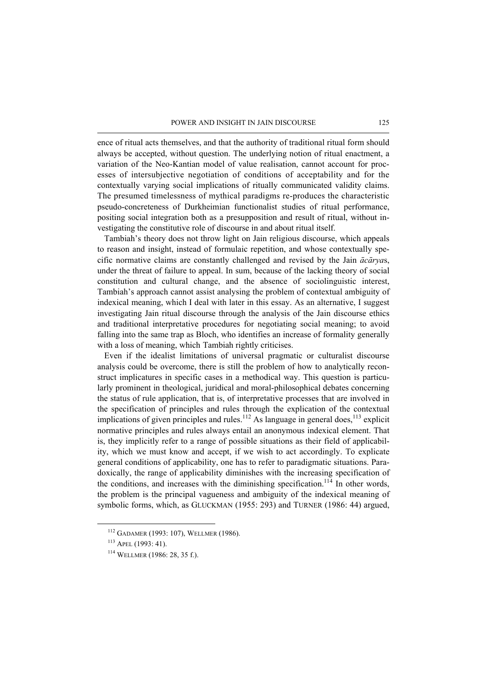ence of ritual acts themselves, and that the authority of traditional ritual form should always be accepted, without question. The underlying notion of ritual enactment, a variation of the Neo-Kantian model of value realisation, cannot account for processes of intersubjective negotiation of conditions of acceptability and for the contextually varying social implications of ritually communicated validity claims. The presumed timelessness of mythical paradigms re-produces the characteristic pseudo-concreteness of Durkheimian functionalist studies of ritual performance, positing social integration both as a presupposition and result of ritual, without investigating the constitutive role of discourse in and about ritual itself.

Tambiah's theory does not throw light on Jain religious discourse, which appeals to reason and insight, instead of formulaic repetition, and whose contextually specific normative claims are constantly challenged and revised by the Jain *âcârya*s, under the threat of failure to appeal. In sum, because of the lacking theory of social constitution and cultural change, and the absence of sociolinguistic interest, Tambiah's approach cannot assist analysing the problem of contextual ambiguity of indexical meaning, which I deal with later in this essay. As an alternative, I suggest investigating Jain ritual discourse through the analysis of the Jain discourse ethics and traditional interpretative procedures for negotiating social meaning; to avoid falling into the same trap as Bloch, who identifies an increase of formality generally with a loss of meaning, which Tambiah rightly criticises.

Even if the idealist limitations of universal pragmatic or culturalist discourse analysis could be overcome, there is still the problem of how to analytically reconstruct implicatures in specific cases in a methodical way. This question is particularly prominent in theological, juridical and moral-philosophical debates concerning the status of rule application, that is, of interpretative processes that are involved in the specification of principles and rules through the explication of the contextual implications of given principles and rules.<sup>112</sup> As language in general does,  $113$  explicit normative principles and rules always entail an anonymous indexical element. That is, they implicitly refer to a range of possible situations as their field of applicability, which we must know and accept, if we wish to act accordingly. To explicate general conditions of applicability, one has to refer to paradigmatic situations. Paradoxically, the range of applicability diminishes with the increasing specification of the conditions, and increases with the diminishing specification.<sup>114</sup> In other words, the problem is the principal vagueness and ambiguity of the indexical meaning of symbolic forms, which, as GLUCKMAN (1955: 293) and TURNER (1986: 44) argued,

 <sup>112</sup> GADAMER (1993: 107), WELLMER (1986).

<sup>113</sup> APEL (1993: 41).

<sup>114</sup> WELLMER (1986: 28, 35 f.).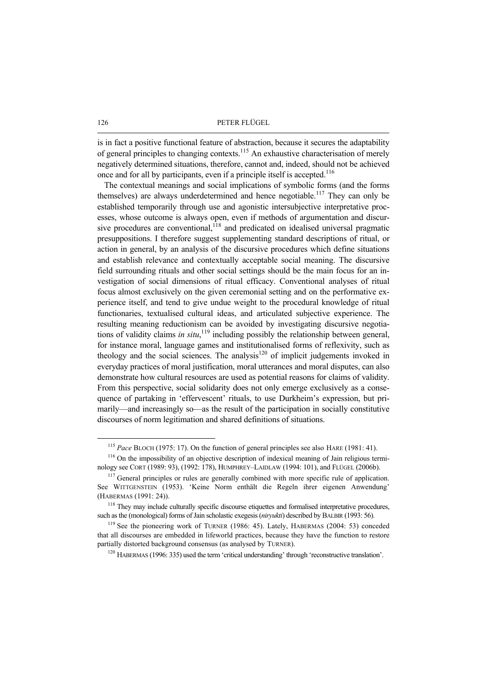is in fact a positive functional feature of abstraction, because it secures the adaptability of general principles to changing contexts.<sup>115</sup> An exhaustive characterisation of merely negatively determined situations, therefore, cannot and, indeed, should not be achieved once and for all by participants, even if a principle itself is accepted.<sup>116</sup>

The contextual meanings and social implications of symbolic forms (and the forms themselves) are always underdetermined and hence negotiable.<sup>117</sup> They can only be established temporarily through use and agonistic intersubjective interpretative processes, whose outcome is always open, even if methods of argumentation and discursive procedures are conventional, $^{118}$  and predicated on idealised universal pragmatic presuppositions. I therefore suggest supplementing standard descriptions of ritual, or action in general, by an analysis of the discursive procedures which define situations and establish relevance and contextually acceptable social meaning. The discursive field surrounding rituals and other social settings should be the main focus for an investigation of social dimensions of ritual efficacy. Conventional analyses of ritual focus almost exclusively on the given ceremonial setting and on the performative experience itself, and tend to give undue weight to the procedural knowledge of ritual functionaries, textualised cultural ideas, and articulated subjective experience. The resulting meaning reductionism can be avoided by investigating discursive negotiations of validity claims *in situ*, 119 including possibly the relationship between general, for instance moral, language games and institutionalised forms of reflexivity, such as theology and the social sciences. The analysis<sup>120</sup> of implicit judgements invoked in everyday practices of moral justification, moral utterances and moral disputes, can also demonstrate how cultural resources are used as potential reasons for claims of validity. From this perspective, social solidarity does not only emerge exclusively as a consequence of partaking in 'effervescent' rituals, to use Durkheim's expression, but primarily—and increasingly so—as the result of the participation in socially constitutive discourses of norm legitimation and shared definitions of situations.

 <sup>115</sup> *Pace* BLOCH (1975: 17). On the function of general principles see also HARE (1981: 41).

<sup>116</sup> On the impossibility of an objective description of indexical meaning of Jain religious terminology see CORT (1989: 93), (1992: 178), HUMPHREY–LAIDLAW (1994: 101), and FLÜGEL (2006b).

<sup>&</sup>lt;sup>117</sup> General principles or rules are generally combined with more specific rule of application. See WITTGENSTEIN (1953). 'Keine Norm enthält die Regeln ihrer eigenen Anwendung' (HABERMAS (1991: 24)).

<sup>&</sup>lt;sup>118</sup> They may include culturally specific discourse etiquettes and formalised interpretative procedures, such as the (monological) forms of Jain scholastic exegesis (*niryukti*) described by BALBIR (1993: 56).

<sup>&</sup>lt;sup>119</sup> See the pioneering work of TURNER (1986: 45). Lately, HABERMAS (2004: 53) conceded that all discourses are embedded in lifeworld practices, because they have the function to restore partially distorted background consensus (as analysed by TURNER).

<sup>120</sup> HABERMAS (1996: 335) used the term 'critical understanding' through 'reconstructive translation'.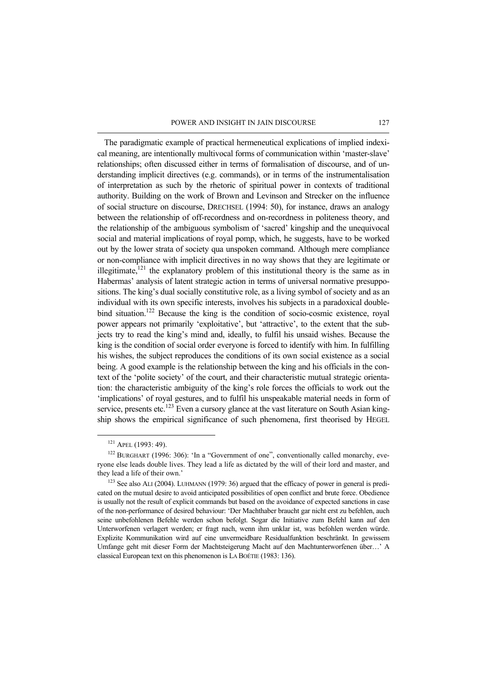### POWER AND INSIGHT IN JAIN DISCOURSE 127

The paradigmatic example of practical hermeneutical explications of implied indexical meaning, are intentionally multivocal forms of communication within 'master-slave' relationships; often discussed either in terms of formalisation of discourse, and of understanding implicit directives (e.g. commands), or in terms of the instrumentalisation of interpretation as such by the rhetoric of spiritual power in contexts of traditional authority. Building on the work of Brown and Levinson and Strecker on the influence of social structure on discourse, DRECHSEL (1994: 50), for instance, draws an analogy between the relationship of off-recordness and on-recordness in politeness theory, and the relationship of the ambiguous symbolism of 'sacred' kingship and the unequivocal social and material implications of royal pomp, which, he suggests, have to be worked out by the lower strata of society qua unspoken command. Although mere compliance or non-compliance with implicit directives in no way shows that they are legitimate or illegitimate, $121$  the explanatory problem of this institutional theory is the same as in Habermas' analysis of latent strategic action in terms of universal normative presuppositions. The king's dual socially constitutive role, as a living symbol of society and as an individual with its own specific interests, involves his subjects in a paradoxical doublebind situation.<sup>122</sup> Because the king is the condition of socio-cosmic existence, royal power appears not primarily 'exploitative', but 'attractive', to the extent that the subjects try to read the king's mind and, ideally, to fulfil his unsaid wishes. Because the king is the condition of social order everyone is forced to identify with him. In fulfilling his wishes, the subject reproduces the conditions of its own social existence as a social being. A good example is the relationship between the king and his officials in the context of the 'polite society' of the court, and their characteristic mutual strategic orientation: the characteristic ambiguity of the king's role forces the officials to work out the 'implications' of royal gestures, and to fulfil his unspeakable material needs in form of service, presents etc.<sup>123</sup> Even a cursory glance at the vast literature on South Asian kingship shows the empirical significance of such phenomena, first theorised by HEGEL

 <sup>121</sup> APEL (1993: 49).

<sup>&</sup>lt;sup>122</sup> BURGHART (1996: 306): 'In a "Government of one", conventionally called monarchy, everyone else leads double lives. They lead a life as dictated by the will of their lord and master, and they lead a life of their own.'

 $123$  See also ALI (2004). LUHMANN (1979: 36) argued that the efficacy of power in general is predicated on the mutual desire to avoid anticipated possibilities of open conflict and brute force. Obedience is usually not the result of explicit commands but based on the avoidance of expected sanctions in case of the non-performance of desired behaviour: 'Der Machthaber braucht gar nicht erst zu befehlen, auch seine unbefohlenen Befehle werden schon befolgt. Sogar die Initiative zum Befehl kann auf den Unterworfenen verlagert werden; er fragt nach, wenn ihm unklar ist, was befohlen werden würde. Explizite Kommunikation wird auf eine unvermeidbare Residualfunktion beschränkt. In gewissem Umfange geht mit dieser Form der Machtsteigerung Macht auf den Machtunterworfenen über…' A classical European text on this phenomenon is LA BOÉTIE (1983: 136).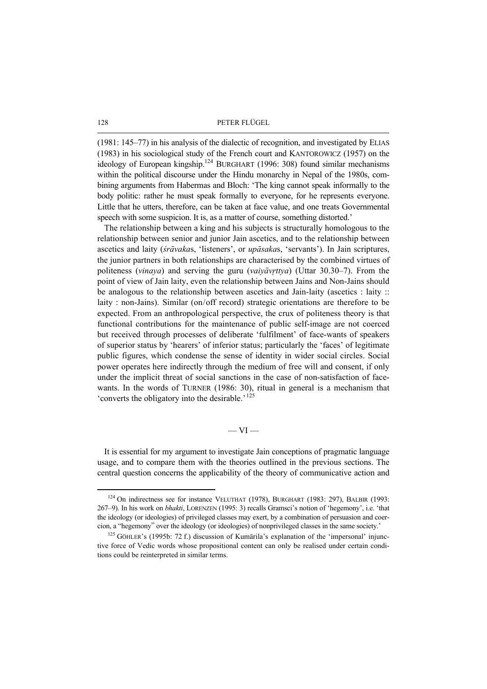128 PETER FLÜGEL

(1981: 145–77) in his analysis of the dialectic of recognition, and investigated by ELIAS (1983) in his sociological study of the French court and KANTOROWICZ (1957) on the ideology of European kingship.<sup>124</sup> BURGHART (1996: 308) found similar mechanisms within the political discourse under the Hindu monarchy in Nepal of the 1980s, combining arguments from Habermas and Bloch: 'The king cannot speak informally to the body politic: rather he must speak formally to everyone, for he represents everyone. Little that he utters, therefore, can be taken at face value, and one treats Governmental speech with some suspicion. It is, as a matter of course, something distorted.'

The relationship between a king and his subjects is structurally homologous to the relationship between senior and junior Jain ascetics, and to the relationship between ascetics and laity (*œrâvaka*s, 'listeners', or *upâsaka*s, 'servants'). In Jain scriptures, the junior partners in both relationships are characterised by the combined virtues of politeness (*vinaya*) and serving the guru (*vaiyâvåttya*) (Uttar 30.30–7). From the point of view of Jain laity, even the relationship between Jains and Non-Jains should be analogous to the relationship between ascetics and Jain-laity (ascetics : laity :: laity : non-Jains). Similar (on/off record) strategic orientations are therefore to be expected. From an anthropological perspective, the crux of politeness theory is that functional contributions for the maintenance of public self-image are not coerced but received through processes of deliberate 'fulfilment' of face-wants of speakers of superior status by 'hearers' of inferior status; particularly the 'faces' of legitimate public figures, which condense the sense of identity in wider social circles. Social power operates here indirectly through the medium of free will and consent, if only under the implicit threat of social sanctions in the case of non-satisfaction of facewants. In the words of TURNER (1986: 30), ritual in general is a mechanism that 'converts the obligatory into the desirable.'<sup>125</sup>

 $-<sup>VI</sup>$ 

It is essential for my argument to investigate Jain conceptions of pragmatic language usage, and to compare them with the theories outlined in the previous sections. The central question concerns the applicability of the theory of communicative action and

<sup>&</sup>lt;sup>124</sup> On indirectness see for instance VELUTHAT (1978), BURGHART (1983: 297), BALBIR (1993: 267–9). In his work on *bhakti*, LORENZEN (1995: 3) recalls Gramsci's notion of 'hegemony', i.e. 'that the ideology (or ideologies) of privileged classes may exert, by a combination of persuasion and coercion, a "hegemony" over the ideology (or ideologies) of nonprivileged classes in the same society.'

<sup>125</sup> GÖHLER's (1995b: 72 f.) discussion of Kumârila's explanation of the 'impersonal' injunctive force of Vedic words whose propositional content can only be realised under certain conditions could be reinterpreted in similar terms.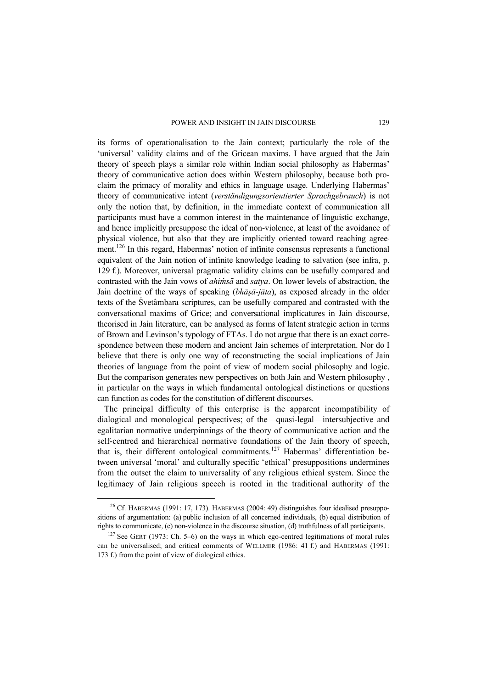$\ddot{ }$ 

its forms of operationalisation to the Jain context; particularly the role of the 'universal' validity claims and of the Gricean maxims. I have argued that the Jain theory of speech plays a similar role within Indian social philosophy as Habermas' theory of communicative action does within Western philosophy, because both proclaim the primacy of morality and ethics in language usage. Underlying Habermas' theory of communicative intent (*verständigungsorientierter Sprachgebrauch*) is not only the notion that, by definition, in the immediate context of communication all participants must have a common interest in the maintenance of linguistic exchange, and hence implicitly presuppose the ideal of non-violence, at least of the avoidance of physical violence, but also that they are implicitly oriented toward reaching agreement.<sup>126</sup> In this regard, Habermas' notion of infinite consensus represents a functional equivalent of the Jain notion of infinite knowledge leading to salvation (see infra, p. 129 f.). Moreover, universal pragmatic validity claims can be usefully compared and contrasted with the Jain vows of *ahimsa* and *satya*. On lower levels of abstraction, the Jain doctrine of the ways of speaking (*bhâšâ-jâta*), as exposed already in the older texts of the Œvetâmbara scriptures, can be usefully compared and contrasted with the conversational maxims of Grice; and conversational implicatures in Jain discourse, theorised in Jain literature, can be analysed as forms of latent strategic action in terms of Brown and Levinson's typology of FTAs. I do not argue that there is an exact correspondence between these modern and ancient Jain schemes of interpretation. Nor do I believe that there is only one way of reconstructing the social implications of Jain theories of language from the point of view of modern social philosophy and logic. But the comparison generates new perspectives on both Jain and Western philosophy , in particular on the ways in which fundamental ontological distinctions or questions can function as codes for the constitution of different discourses.

The principal difficulty of this enterprise is the apparent incompatibility of dialogical and monological perspectives; of the—quasi-legal—intersubjective and egalitarian normative underpinnings of the theory of communicative action and the self-centred and hierarchical normative foundations of the Jain theory of speech, that is, their different ontological commitments.<sup>127</sup> Habermas' differentiation between universal 'moral' and culturally specific 'ethical' presuppositions undermines from the outset the claim to universality of any religious ethical system. Since the legitimacy of Jain religious speech is rooted in the traditional authority of the

 $126$  Cf. HABERMAS (1991: 17, 173). HABERMAS (2004: 49) distinguishes four idealised presuppositions of argumentation: (a) public inclusion of all concerned individuals, (b) equal distribution of rights to communicate, (c) non-violence in the discourse situation, (d) truthfulness of all participants.

 $127$  See GERT (1973: Ch. 5–6) on the ways in which ego-centred legitimations of moral rules can be universalised; and critical comments of WELLMER (1986: 41 f.) and HABERMAS (1991: 173 f.) from the point of view of dialogical ethics.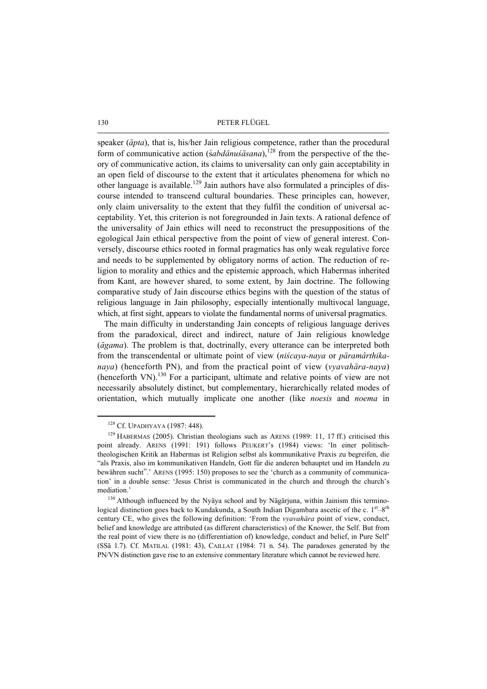130 PETER FLÜGEL

speaker (*âpta*), that is, his/her Jain religious competence, rather than the procedural form of communicative action (sabdanusasana),<sup>128</sup> from the perspective of the theory of communicative action, its claims to universality can only gain acceptability in an open field of discourse to the extent that it articulates phenomena for which no other language is available.<sup>129</sup> Jain authors have also formulated a principles of discourse intended to transcend cultural boundaries. These principles can, however, only claim universality to the extent that they fulfil the condition of universal acceptability. Yet, this criterion is not foregrounded in Jain texts. A rational defence of the universality of Jain ethics will need to reconstruct the presuppositions of the egological Jain ethical perspective from the point of view of general interest. Conversely, discourse ethics rooted in formal pragmatics has only weak regulative force and needs to be supplemented by obligatory norms of action. The reduction of religion to morality and ethics and the epistemic approach, which Habermas inherited from Kant, are however shared, to some extent, by Jain doctrine. The following comparative study of Jain discourse ethics begins with the question of the status of religious language in Jain philosophy, especially intentionally multivocal language, which, at first sight, appears to violate the fundamental norms of universal pragmatics.

The main difficulty in understanding Jain concepts of religious language derives from the paradoxical, direct and indirect, nature of Jain religious knowledge (*âgama*). The problem is that, doctrinally, every utterance can be interpreted both from the transcendental or ultimate point of view (*niœcaya-naya* or *pâramârthikanaya*) (henceforth PN), and from the practical point of view (*vyavahâra-naya*) (henceforth VN).130 For a participant, ultimate and relative points of view are not necessarily absolutely distinct, but complementary, hierarchically related modes of orientation, which mutually implicate one another (like *noesis* and *noema* in

 <sup>128</sup> Cf. UPADHYAYA (1987: 448).

<sup>129</sup> HABERMAS (2005). Christian theologians such as ARENS (1989: 11, 17 ff.) criticised this point already. ARENS (1991: 191) follows PEUKERT's (1984) views: 'In einer politischtheologischen Kritik an Habermas ist Religion selbst als kommunikative Praxis zu begreifen, die "als Praxis, also im kommunikativen Handeln, Gott für die anderen behauptet und im Handeln zu bewähren sucht".' ARENS (1995: 150) proposes to see the 'church as a community of communication' in a double sense: 'Jesus Christ is communicated in the church and through the church's mediation.'

<sup>&</sup>lt;sup>130</sup> Although influenced by the Nyāya school and by Nāgārjuna, within Jainism this terminological distinction goes back to Kundakunda, a South Indian Digambara ascetic of the c.  $1^{st} - 8^{th}$ century CE, who gives the following definition: 'From the *vyavahâra* point of view, conduct, belief and knowledge are attributed (as different characteristics) of the Knower, the Self. But from the real point of view there is no (differentiation of) knowledge, conduct and belief, in Pure Self' (SSâ 1.7). Cf. MATILAL (1981: 43), CAILLAT (1984: 71 n. 54). The paradoxes generated by the PN/VN distinction gave rise to an extensive commentary literature which cannot be reviewed here.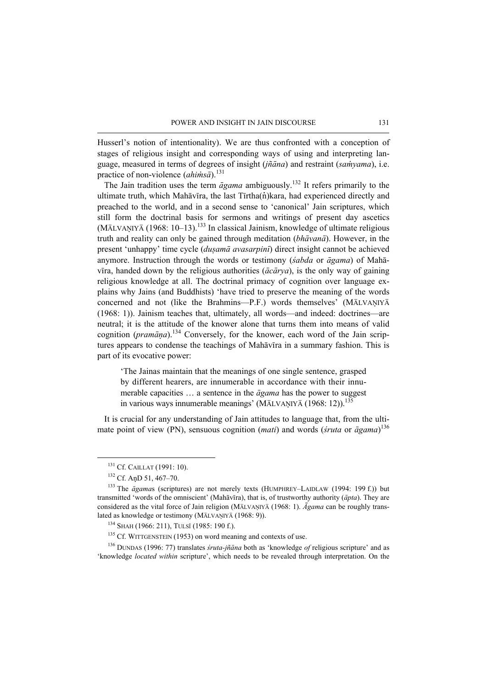Husserl's notion of intentionality). We are thus confronted with a conception of stages of religious insight and corresponding ways of using and interpreting language, measured in terms of degrees of insight (*jñāna*) and restraint (*samyama*), i.e. practice of non-violence  $(ahims\bar{a})$ <sup>131</sup>

The Jain tradition uses the term  $\bar{a}gama$  ambiguously.<sup>132</sup> It refers primarily to the ultimate truth, which Mahāvīra, the last Tīrtha(n)kara, had experienced directly and preached to the world, and in a second sense to 'canonical' Jain scriptures, which still form the doctrinal basis for sermons and writings of present day ascetics  $(MALVANIY\bar{A}$  (1968: 10–13).<sup>133</sup> In classical Jainism, knowledge of ultimate religious truth and reality can only be gained through meditation (*bhâvanâ*). However, in the present 'unhappy' time cycle (*dušamâ avasarpinî*) direct insight cannot be achieved anymore. Instruction through the words or testimony *(sabda* or  $\bar{a}gama$ ) of Mahavîra, handed down by the religious authorities (*âcârya*), is the only way of gaining religious knowledge at all. The doctrinal primacy of cognition over language explains why Jains (and Buddhists) 'have tried to preserve the meaning of the words concerned and not (like the Brahmins—P.F.) words themselves' ( $M\overline{A}LVANIY\overline{A}$ (1968: 1)). Jainism teaches that, ultimately, all words—and indeed: doctrines—are neutral; it is the attitude of the knower alone that turns them into means of valid cognition (*pramāna*).<sup>134</sup> Conversely, for the knower, each word of the Jain scriptures appears to condense the teachings of Mahâvîra in a summary fashion. This is part of its evocative power:

'The Jainas maintain that the meanings of one single sentence, grasped by different hearers, are innumerable in accordance with their innumerable capacities … a sentence in the *âgama* has the power to suggest in various ways innumerable meanings' (M $\overline{A}$ LVANIY $\overline{A}$  (1968: 12)).<sup>135</sup>

It is crucial for any understanding of Jain attitudes to language that, from the ultimate point of view (PN), sensuous cognition (*mati*) and words (*śruta* or  $\bar{a}gama$ )<sup>136</sup>

<sup>&</sup>lt;sup>131</sup> Cf. CAILLAT (1991: 10).

<sup>&</sup>lt;sup>132</sup> Cf. AnD 51, 467-70.

<sup>133</sup> The *âgama*s (scriptures) are not merely texts (HUMPHREY–LAIDLAW (1994: 199 f.)) but transmitted 'words of the omniscient' (Mahâvîra), that is, of trustworthy authority (*âpta*). They are considered as the vital force of Jain religion (M $\overline{A}$ LVANIY $\overline{A}$  (1968: 1).  $\overline{A}$ *gama* can be roughly translated as knowledge or testimony (M $\overline{A}$ LVANIY $\overline{A}$  (1968: 9)).

<sup>&</sup>lt;sup>134</sup> SHAH (1966: 211), TULSĪ (1985: 190 f.).

<sup>&</sup>lt;sup>135</sup> Cf. WITTGENSTEIN (1953) on word meaning and contexts of use.

<sup>&</sup>lt;sup>136</sup> DUNDAS (1996: 77) translates *śruta-jñāna* both as 'knowledge *of* religious scripture' and as 'knowledge *located within* scripture', which needs to be revealed through interpretation. On the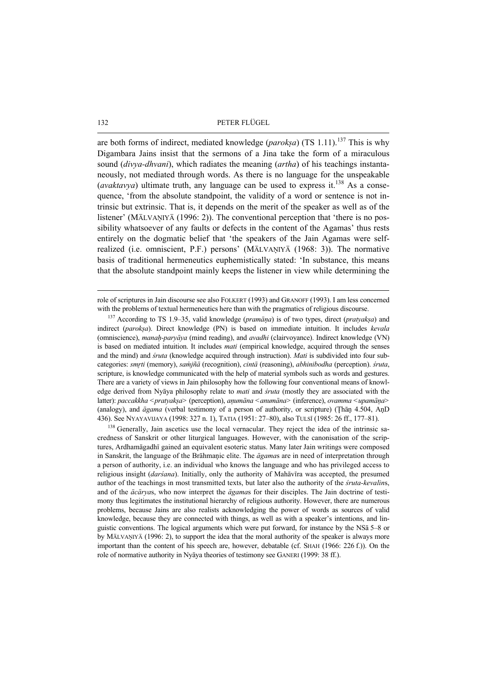are both forms of indirect, mediated knowledge *(paroksa)* (TS 1.11).<sup>137</sup> This is why Digambara Jains insist that the sermons of a Jina take the form of a miraculous sound (*divya-dhvani*), which radiates the meaning (*artha*) of his teachings instantaneously, not mediated through words. As there is no language for the unspeakable  $(avaktavya)$  ultimate truth, any language can be used to express it.<sup>138</sup> As a consequence, 'from the absolute standpoint, the validity of a word or sentence is not intrinsic but extrinsic. That is, it depends on the merit of the speaker as well as of the listener' (M $\overline{A}$ LVANIY $\overline{A}$  (1996: 2)). The conventional perception that 'there is no possibility whatsoever of any faults or defects in the content of the Agamas' thus rests entirely on the dogmatic belief that 'the speakers of the Jain Agamas were selfrealized (i.e. omniscient, P.F.) persons' (MALVANIYA  $(1968: 3)$ ). The normative basis of traditional hermeneutics euphemistically stated: 'In substance, this means that the absolute standpoint mainly keeps the listener in view while determining the

role of scriptures in Jain discourse see also FOLKERT (1993) and GRANOFF (1993). I am less concerned with the problems of textual hermeneutics here than with the pragmatics of religious discourse.

<sup>138</sup> Generally, Jain ascetics use the local vernacular. They reject the idea of the intrinsic sacredness of Sanskrit or other liturgical languages. However, with the canonisation of the scriptures, Ardhamâgadhî gained an equivalent esoteric status. Many later Jain writings were composed in Sanskrit, the language of the Brāhmanic elite. The *āgamas* are in need of interpretation through a person of authority, i.e. an individual who knows the language and who has privileged access to religious insight (*darsana*). Initially, only the authority of Mahavira was accepted, the presumed author of the teachings in most transmitted texts, but later also the authority of the *śruta-kevalins*, and of the *âcârya*s, who now interpret the *âgama*s for their disciples. The Jain doctrine of testimony thus legitimates the institutional hierarchy of religious authority. However, there are numerous problems, because Jains are also realists acknowledging the power of words as sources of valid knowledge, because they are connected with things, as well as with a speaker's intentions, and linguistic conventions. The logical arguments which were put forward, for instance by the NSâ 5–8 or by M $\overline{A}$ LVANIY $\overline{A}$  (1996: 2), to support the idea that the moral authority of the speaker is always more important than the content of his speech are, however, debatable (cf. SHAH (1966: 226 f.)). On the role of normative authority in Nyâya theories of testimony see GANERI (1999: 38 ff.).

 $\overline{a}$ 

<sup>&</sup>lt;sup>137</sup> According to TS 1.9–35, valid knowledge *(pramāna)* is of two types, direct *(pratyaksa)* and indirect (*parokša*). Direct knowledge (PN) is based on immediate intuition. It includes *kevala* (omniscience), *manah-paryāya* (mind reading), and *avadhi* (clairvoyance). Indirect knowledge (VN) is based on mediated intuition. It includes *mati* (empirical knowledge, acquired through the senses and the mind) and *śruta* (knowledge acquired through instruction). *Mati* is subdivided into four subcategories: *smrti* (memory), *samjñā* (recognition), *cintā* (reasoning), *abhinibodha* (perception). *śruta*, scripture, is knowledge communicated with the help of material symbols such as words and gestures. There are a variety of views in Jain philosophy how the following four conventional means of knowledge derived from Nyâya philosophy relate to *mati* and *œruta* (mostly they are associated with the latter): *paccakkha <pratyakṣa>* (perception), *anumāna <anumāna>* (inference), *ovamma <upamāna*> (analogy), and *āgama* (verbal testimony of a person of authority, or scripture) (Thān 4.504, AnD 436). See NYAYAVIJAYA (1998: 327 n. 1), TATIA (1951: 27–80), also TULSÎ (1985: 26 ff., 177–81).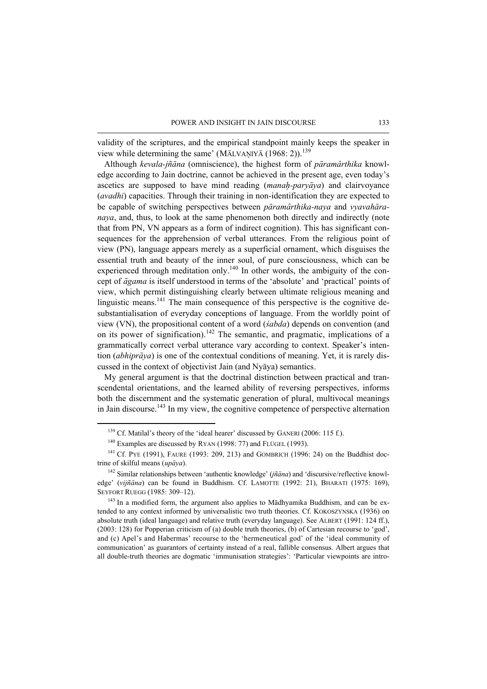$\ddot{ }$ 

validity of the scriptures, and the empirical standpoint mainly keeps the speaker in view while determining the same' (M $\overline{A}$ LVANIY $\overline{A}$  (1968: 2)).<sup>139</sup>

Although *kevala-jñâna* (omniscience), the highest form of *pâramârthika* knowledge according to Jain doctrine, cannot be achieved in the present age, even today's ascetics are supposed to have mind reading *(manah-paryāya)* and clairvoyance (*avadhi*) capacities. Through their training in non-identification they are expected to be capable of switching perspectives between *pâramârthika-naya* and *vyavahâranaya*, and, thus, to look at the same phenomenon both directly and indirectly (note that from PN, VN appears as a form of indirect cognition). This has significant consequences for the apprehension of verbal utterances. From the religious point of view (PN), language appears merely as a superficial ornament, which disguises the essential truth and beauty of the inner soul, of pure consciousness, which can be experienced through meditation only.<sup>140</sup> In other words, the ambiguity of the concept of *âgama* is itself understood in terms of the 'absolute' and 'practical' points of view, which permit distinguishing clearly between ultimate religious meaning and linguistic means.<sup>141</sup> The main consequence of this perspective is the cognitive desubstantialisation of everyday conceptions of language. From the worldly point of view (VN), the propositional content of a word (*œabda*) depends on convention (and on its power of signification).<sup>142</sup> The semantic, and pragmatic, implications of a grammatically correct verbal utterance vary according to context. Speaker's intention (*abhiprâya*) is one of the contextual conditions of meaning. Yet, it is rarely discussed in the context of objectivist Jain (and Nyâya) semantics.

My general argument is that the doctrinal distinction between practical and transcendental orientations, and the learned ability of reversing perspectives, informs both the discernment and the systematic generation of plural, multivocal meanings in Jain discourse.<sup>143</sup> In my view, the cognitive competence of perspective alternation

 $139$  Cf. Matilal's theory of the 'ideal hearer' discussed by GANERI (2006: 115 f.).

 $140$  Examples are discussed by RYAN (1998: 77) and FLÜGEL (1993).

<sup>&</sup>lt;sup>141</sup> Cf. PYE (1991), FAURE (1993: 209, 213) and GOMBRICH (1996: 24) on the Buddhist doctrine of skilful means (*upâya*).

<sup>&</sup>lt;sup>142</sup> Similar relationships between 'authentic knowledge' *(iñāna)* and 'discursive/reflective knowledge' (*vijñâna*) can be found in Buddhism. Cf. LAMOTTE (1992: 21), BHARATI (1975: 169), SEYFORT RUEGG (1985: 309–12).

<sup>&</sup>lt;sup>143</sup> In a modified form, the argument also applies to Mādhyamika Buddhism, and can be extended to any context informed by universalistic two truth theories. Cf. KOKOSZYNSKA (1936) on absolute truth (ideal language) and relative truth (everyday language). See ALBERT (1991: 124 ff.), (2003: 128) for Popperian criticism of (a) double truth theories, (b) of Cartesian recourse to 'god', and (c) Apel's and Habermas' recourse to the 'hermeneutical god' of the 'ideal community of communication' as guarantors of certainty instead of a real, fallible consensus. Albert argues that all double-truth theories are dogmatic 'immunisation strategies': 'Particular viewpoints are intro-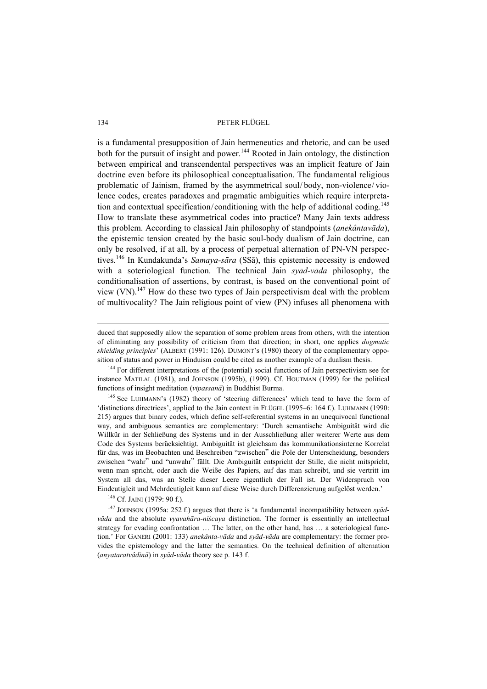is a fundamental presupposition of Jain hermeneutics and rhetoric, and can be used both for the pursuit of insight and power.<sup>144</sup> Rooted in Jain ontology, the distinction between empirical and transcendental perspectives was an implicit feature of Jain doctrine even before its philosophical conceptualisation. The fundamental religious problematic of Jainism, framed by the asymmetrical soul / body, non-violence / violence codes, creates paradoxes and pragmatic ambiguities which require interpretation and contextual specification/conditioning with the help of additional coding.<sup>145</sup> How to translate these asymmetrical codes into practice? Many Jain texts address this problem. According to classical Jain philosophy of standpoints (*anekântavâda*), the epistemic tension created by the basic soul-body dualism of Jain doctrine, can only be resolved, if at all, by a process of perpetual alternation of PN-VN perspectives.146 In Kundakunda's *Samaya-sâra* (SSâ), this epistemic necessity is endowed with a soteriological function. The technical Jain *syâd-vâda* philosophy, the conditionalisation of assertions, by contrast, is based on the conventional point of view (VN).<sup>147</sup> How do these two types of Jain perspectivism deal with the problem of multivocality? The Jain religious point of view (PN) infuses all phenomena with

146 Cf. JAINI (1979: 90 f.).

147 JOHNSON (1995a: 252 f.) argues that there is 'a fundamental incompatibility between *syâdvãda* and the absolute *vyavahāra-niścaya* distinction. The former is essentially an intellectual strategy for evading confrontation … The latter, on the other hand, has … a soteriological function.' For GANERI (2001: 133) *anekânta-vâda* and *syâd-vâda* are complementary: the former provides the epistemology and the latter the semantics. On the technical definition of alternation (*anyataratvâdinâ*) in *syâd-vâda* theory see p. 143 f.

 $\overline{a}$ 

duced that supposedly allow the separation of some problem areas from others, with the intention of eliminating any possibility of criticism from that direction; in short, one applies *dogmatic shielding principles*' (ALBERT (1991: 126). DUMONT's (1980) theory of the complementary opposition of status and power in Hinduism could be cited as another example of a dualism thesis.

<sup>&</sup>lt;sup>144</sup> For different interpretations of the (potential) social functions of Jain perspectivism see for instance MATILAL (1981), and JOHNSON (1995b), (1999). Cf. HOUTMAN (1999) for the political functions of insight meditation (*vipassanâ*) in Buddhist Burma.

<sup>&</sup>lt;sup>145</sup> See LUHMANN's (1982) theory of 'steering differences' which tend to have the form of 'distinctions directrices', applied to the Jain context in FLÜGEL (1995–6: 164 f.). LUHMANN (1990: 215) argues that binary codes, which define self-referential systems in an unequivocal functional way, and ambiguous semantics are complementary: 'Durch semantische Ambiguität wird die Willkür in der Schließung des Systems und in der Ausschließung aller weiterer Werte aus dem Code des Systems berücksichtigt. Ambiguität ist gleichsam das kommunikationsinterne Korrelat für das, was im Beobachten und Beschreiben "zwischen" die Pole der Unterscheidung, besonders zwischen "wahr" und "unwahr" fällt. Die Ambiguität entspricht der Stille, die nicht mitspricht, wenn man spricht, oder auch die Weiße des Papiers, auf das man schreibt, und sie vertritt im System all das, was an Stelle dieser Leere eigentlich der Fall ist. Der Widerspruch von Eindeutigleit und Mehrdeutigleit kann auf diese Weise durch Differenzierung aufgelöst werden.'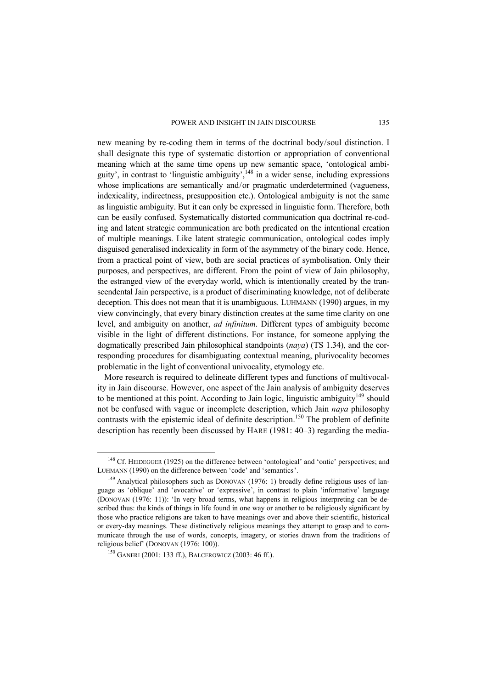$\ddot{ }$ 

new meaning by re-coding them in terms of the doctrinal body / soul distinction. I shall designate this type of systematic distortion or appropriation of conventional meaning which at the same time opens up new semantic space, 'ontological ambiguity', in contrast to 'linguistic ambiguity', $148$  in a wider sense, including expressions whose implications are semantically and/or pragmatic underdetermined (vagueness, indexicality, indirectness, presupposition etc.). Ontological ambiguity is not the same as linguistic ambiguity. But it can only be expressed in linguistic form. Therefore, both can be easily confused. Systematically distorted communication qua doctrinal re-coding and latent strategic communication are both predicated on the intentional creation of multiple meanings. Like latent strategic communication, ontological codes imply disguised generalised indexicality in form of the asymmetry of the binary code. Hence, from a practical point of view, both are social practices of symbolisation. Only their purposes, and perspectives, are different. From the point of view of Jain philosophy, the estranged view of the everyday world, which is intentionally created by the transcendental Jain perspective, is a product of discriminating knowledge, not of deliberate deception. This does not mean that it is unambiguous. LUHMANN (1990) argues, in my view convincingly, that every binary distinction creates at the same time clarity on one level, and ambiguity on another, *ad infinitum*. Different types of ambiguity become visible in the light of different distinctions. For instance, for someone applying the dogmatically prescribed Jain philosophical standpoints (*naya*) (TS 1.34), and the corresponding procedures for disambiguating contextual meaning, plurivocality becomes problematic in the light of conventional univocality, etymology etc.

More research is required to delineate different types and functions of multivocality in Jain discourse. However, one aspect of the Jain analysis of ambiguity deserves to be mentioned at this point. According to Jain logic, linguistic ambiguity<sup>149</sup> should not be confused with vague or incomplete description, which Jain *naya* philosophy contrasts with the epistemic ideal of definite description.<sup>150</sup> The problem of definite description has recently been discussed by HARE (1981: 40–3) regarding the media-

 <sup>148</sup> Cf. HEIDEGGER (1925) on the difference between 'ontological' and 'ontic' perspectives; and LUHMANN (1990) on the difference between 'code' and 'semantics'.

 $149$  Analytical philosophers such as DONOVAN (1976: 1) broadly define religious uses of language as 'oblique' and 'evocative' or 'expressive', in contrast to plain 'informative' language (DONOVAN (1976: 11)): 'In very broad terms, what happens in religious interpreting can be described thus: the kinds of things in life found in one way or another to be religiously significant by those who practice religions are taken to have meanings over and above their scientific, historical or every-day meanings. These distinctively religious meanings they attempt to grasp and to communicate through the use of words, concepts, imagery, or stories drawn from the traditions of religious belief' (DONOVAN (1976: 100)).

<sup>150</sup> GANERI (2001: 133 ff.), BALCEROWICZ (2003: 46 ff.).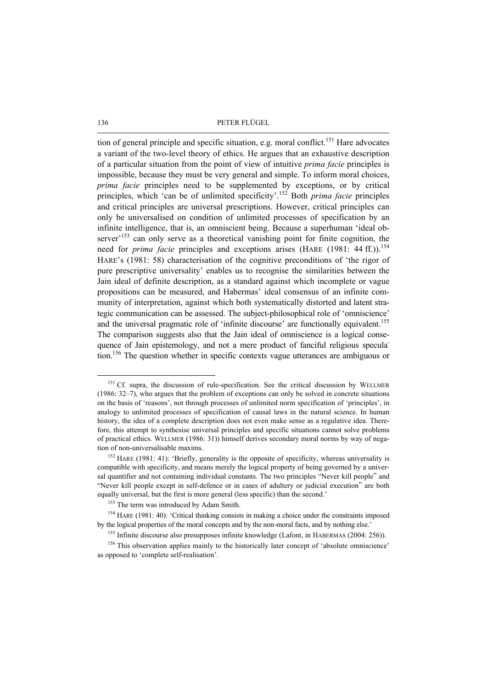136 PETER FLÜGEL

tion of general principle and specific situation, e.g. moral conflict.<sup>151</sup> Hare advocates a variant of the two-level theory of ethics. He argues that an exhaustive description of a particular situation from the point of view of intuitive *prima facie* principles is impossible, because they must be very general and simple. To inform moral choices, *prima facie* principles need to be supplemented by exceptions, or by critical principles, which 'can be of unlimited specificity'.152 Both *prima facie* principles and critical principles are universal prescriptions. However, critical principles can only be universalised on condition of unlimited processes of specification by an infinite intelligence, that is, an omniscient being. Because a superhuman 'ideal observer $153$  can only serve as a theoretical vanishing point for finite cognition, the need for *prima facie* principles and exceptions arises (HARE (1981: 44 ff.)).<sup>154</sup> HARE's (1981: 58) characterisation of the cognitive preconditions of 'the rigor of pure prescriptive universality' enables us to recognise the similarities between the Jain ideal of definite description, as a standard against which incomplete or vague propositions can be measured, and Habermas' ideal consensus of an infinite community of interpretation, against which both systematically distorted and latent strategic communication can be assessed. The subject-philosophical role of 'omniscience' and the universal pragmatic role of 'infinite discourse' are functionally equivalent.<sup>155</sup> The comparison suggests also that the Jain ideal of omniscience is a logical consequence of Jain epistemology, and not a mere product of fanciful religious speculation.<sup>156</sup> The question whether in specific contexts vague utterances are ambiguous or

<sup>&</sup>lt;sup>151</sup> Cf. supra, the discussion of rule-specification. See the critical discussion by WELLMER (1986: 32–7), who argues that the problem of exceptions can only be solved in concrete situations on the basis of 'reasons', not through processes of unlimited norm specification of 'principles', in analogy to unlimited processes of specification of causal laws in the natural science. In human history, the idea of a complete description does not even make sense as a regulative idea. Therefore, this attempt to synthesise universal principles and specific situations cannot solve problems of practical ethics. WELLMER (1986: 31)) himself derives secondary moral norms by way of negation of non-universalisable maxims.

 $152$  HARE (1981: 41): 'Briefly, generality is the opposite of specificity, whereas universality is compatible with specificity, and means merely the logical property of being governed by a universal quantifier and not containing individual constants. The two principles "Never kill people" and "Never kill people except in self-defence or in cases of adultery or judicial execution" are both equally universal, but the first is more general (less specific) than the second.'

<sup>&</sup>lt;sup>153</sup> The term was introduced by Adam Smith.

<sup>&</sup>lt;sup>154</sup> HARE (1981: 40): 'Critical thinking consists in making a choice under the constraints imposed by the logical properties of the moral concepts and by the non-moral facts, and by nothing else.'

<sup>&</sup>lt;sup>155</sup> Infinite discourse also presupposes infinite knowledge (Lafont, in HABERMAS (2004: 256)).

<sup>&</sup>lt;sup>156</sup> This observation applies mainly to the historically later concept of 'absolute omniscience' as opposed to 'complete self-realisation'.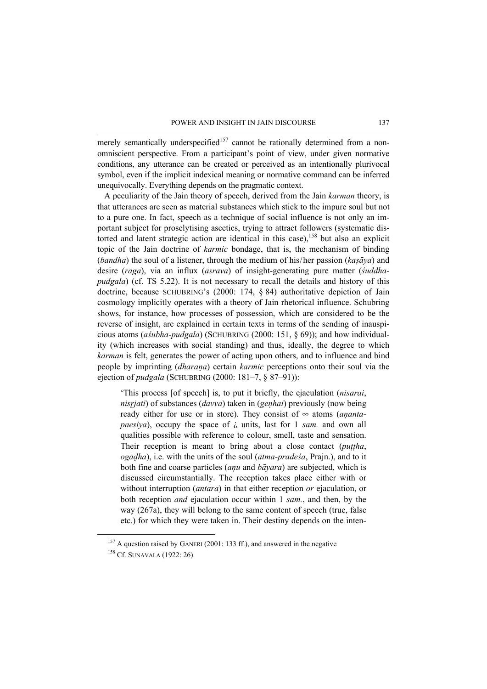$\ddot{ }$ 

merely semantically underspecified<sup>157</sup> cannot be rationally determined from a nonomniscient perspective. From a participant's point of view, under given normative conditions, any utterance can be created or perceived as an intentionally plurivocal symbol, even if the implicit indexical meaning or normative command can be inferred unequivocally. Everything depends on the pragmatic context.

A peculiarity of the Jain theory of speech, derived from the Jain *karman* theory, is that utterances are seen as material substances which stick to the impure soul but not to a pure one. In fact, speech as a technique of social influence is not only an important subject for proselytising ascetics, trying to attract followers (systematic distorted and latent strategic action are identical in this case),<sup>158</sup> but also an explicit topic of the Jain doctrine of *karmic* bondage, that is, the mechanism of binding (*bandha*) the soul of a listener, through the medium of his/her passion (*kasāya*) and desire (*rāga*), via an influx (*āsrava*) of insight-generating pure matter (*śuddhapudgala*) (cf. TS 5.22). It is not necessary to recall the details and history of this doctrine, because SCHUBRING's (2000: 174, § 84) authoritative depiction of Jain cosmology implicitly operates with a theory of Jain rhetorical influence. Schubring shows, for instance, how processes of possession, which are considered to be the reverse of insight, are explained in certain texts in terms of the sending of inauspicious atoms (*aœubha-pudgala*) (SCHUBRING (2000: 151, § 69)); and how individuality (which increases with social standing) and thus, ideally, the degree to which *karman* is felt, generates the power of acting upon others, and to influence and bind people by imprinting (*dhâraòâ*) certain *karmic* perceptions onto their soul via the ejection of *pudgala* (SCHUBRING (2000: 181–7, § 87–91)):

'This process [of speech] is, to put it briefly, the ejaculation (*nisarai*, *nisriati*) of substances (*davva*) taken in (*genhai*) previously (now being ready either for use or in store). They consist of  $\infty$  atoms (*anantapaesiya*), occupy the space of  $\zeta$  units, last for 1 *sam.* and own all qualities possible with reference to colour, smell, taste and sensation. Their reception is meant to bring about a close contact (*puttha*, *ogādha*), i.e. with the units of the soul (*ātma-pradesa*, Prajn.), and to it both fine and coarse particles (*anu* and *bāyara*) are subjected, which is discussed circumstantially. The reception takes place either with or without interruption (*antara*) in that either reception *or* ejaculation, or both reception *and* ejaculation occur within 1 *sam.*, and then, by the way (267a), they will belong to the same content of speech (true, false etc.) for which they were taken in. Their destiny depends on the inten-

 $157$  A question raised by GANERI (2001: 133 ff.), and answered in the negative 158 Cf. SUNAVALA (1922: 26).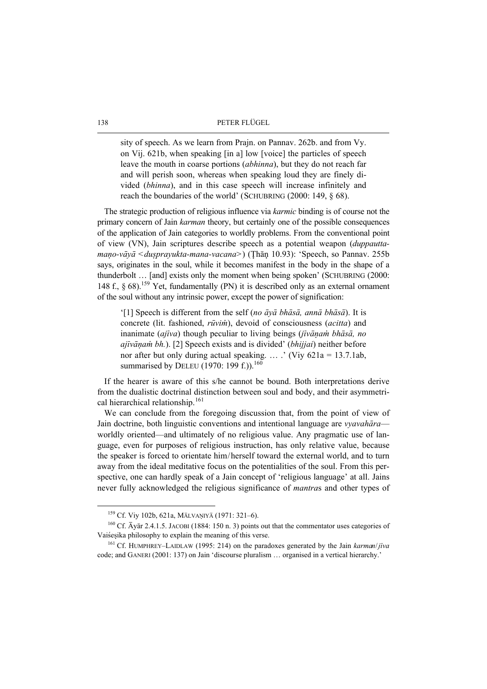sity of speech. As we learn from Prajn. on Pannav. 262b. and from Vy. on Vij. 621b, when speaking [in a] low [voice] the particles of speech leave the mouth in coarse portions (*abhinna*), but they do not reach far and will perish soon, whereas when speaking loud they are finely divided (*bhinna*), and in this case speech will increase infinitely and reach the boundaries of the world' (SCHUBRING (2000: 149, § 68).

The strategic production of religious influence via *karmic* binding is of course not the primary concern of Jain *karman* theory, but certainly one of the possible consequences of the application of Jain categories to worldly problems. From the conventional point of view (VN), Jain scriptures describe speech as a potential weapon (*duppauttamano-vāyā <dusprayukta-mana-vacana>*) (Thāṇ 10.93): 'Speech, so Pannav. 255b says, originates in the soul, while it becomes manifest in the body in the shape of a thunderbolt … [and] exists only the moment when being spoken' (SCHUBRING (2000: 148 f.,  $\S 68$ ).<sup>159</sup> Yet, fundamentally (PN) it is described only as an external ornament of the soul without any intrinsic power, except the power of signification:

'[1] Speech is different from the self (*no âyâ bhâsâ, annâ bhâsâ*). It is concrete (lit. fashioned, *rūvim*), devoid of consciousness (*acitta*) and inanimate (*ajīva*) though peculiar to living beings (*jīvāṇam bhāsā, no ajîvâòaô bh.*). [2] Speech exists and is divided' (*bhijjai*) neither before nor after but only during actual speaking. … .' (Viy 621a = 13.7.1ab, summarised by DELEU (1970: 199 f.)).<sup>160</sup>

If the hearer is aware of this s/he cannot be bound. Both interpretations derive from the dualistic doctrinal distinction between soul and body, and their asymmetrical hierarchical relationship.<sup>161</sup>

We can conclude from the foregoing discussion that, from the point of view of Jain doctrine, both linguistic conventions and intentional language are *vyavahâra* worldly oriented—and ultimately of no religious value. Any pragmatic use of language, even for purposes of religious instruction, has only relative value, because the speaker is forced to orientate him / herself toward the external world, and to turn away from the ideal meditative focus on the potentialities of the soul. From this perspective, one can hardly speak of a Jain concept of 'religious language' at all. Jains never fully acknowledged the religious significance of *mantra*s and other types of

<sup>&</sup>lt;sup>159</sup> Cf. Viy 102b, 621a, MALVAŅIYĀ (1971: 321–6).

<sup>&</sup>lt;sup>160</sup> Cf. Āyār 2.4.1.5. JACOBI (1884: 150 n. 3) points out that the commentator uses categories of Vaiśesika philosophy to explain the meaning of this verse.

<sup>&</sup>lt;sup>161</sup> Cf. HUMPHREY–LAIDLAW (1995: 214) on the paradoxes generated by the Jain *karman/jīva* code; and GANERI (2001: 137) on Jain 'discourse pluralism … organised in a vertical hierarchy.'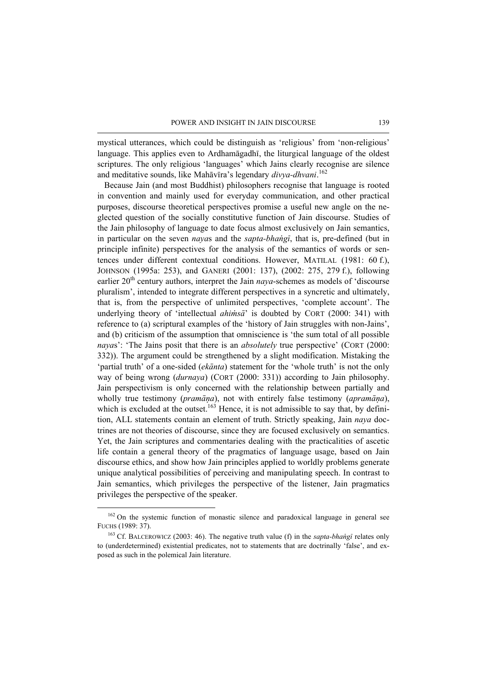$\ddot{ }$ 

mystical utterances, which could be distinguish as 'religious' from 'non-religious' language. This applies even to Ardhamâgadhî, the liturgical language of the oldest scriptures. The only religious 'languages' which Jains clearly recognise are silence and meditative sounds, like Mahâvîra's legendary *divya-dhvani*. 162

Because Jain (and most Buddhist) philosophers recognise that language is rooted in convention and mainly used for everyday communication, and other practical purposes, discourse theoretical perspectives promise a useful new angle on the neglected question of the socially constitutive function of Jain discourse. Studies of the Jain philosophy of language to date focus almost exclusively on Jain semantics, in particular on the seven *naya*s and the *sapta-bhaógî*, that is, pre-defined (but in principle infinite) perspectives for the analysis of the semantics of words or sentences under different contextual conditions. However, MATILAL (1981: 60 f.), JOHNSON (1995a: 253), and GANERI (2001: 137), (2002: 275, 279 f.), following earlier 20<sup>th</sup> century authors, interpret the Jain *naya*-schemes as models of 'discourse pluralism', intended to integrate different perspectives in a syncretic and ultimately, that is, from the perspective of unlimited perspectives, 'complete account'. The underlying theory of 'intellectual *ahimsa*' is doubted by CORT (2000: 341) with reference to (a) scriptural examples of the 'history of Jain struggles with non-Jains', and (b) criticism of the assumption that omniscience is 'the sum total of all possible *naya*s': 'The Jains posit that there is an *absolutely* true perspective' (CORT (2000: 332)). The argument could be strengthened by a slight modification. Mistaking the 'partial truth' of a one-sided (*ekânta*) statement for the 'whole truth' is not the only way of being wrong (*durnaya*) (CORT (2000: 331)) according to Jain philosophy. Jain perspectivism is only concerned with the relationship between partially and wholly true testimony (*pramāna*), not with entirely false testimony (*apramāna*), which is excluded at the outset.<sup>163</sup> Hence, it is not admissible to say that, by definition, ALL statements contain an element of truth. Strictly speaking, Jain *naya* doctrines are not theories of discourse, since they are focused exclusively on semantics. Yet, the Jain scriptures and commentaries dealing with the practicalities of ascetic life contain a general theory of the pragmatics of language usage, based on Jain discourse ethics, and show how Jain principles applied to worldly problems generate unique analytical possibilities of perceiving and manipulating speech. In contrast to Jain semantics, which privileges the perspective of the listener, Jain pragmatics privileges the perspective of the speaker.

 $162$  On the systemic function of monastic silence and paradoxical language in general see FUCHS (1989: 37).

<sup>&</sup>lt;sup>163</sup> Cf. BALCEROWICZ (2003: 46). The negative truth value (f) in the *sapta-bhangī* relates only to (underdetermined) existential predicates, not to statements that are doctrinally 'false', and exposed as such in the polemical Jain literature.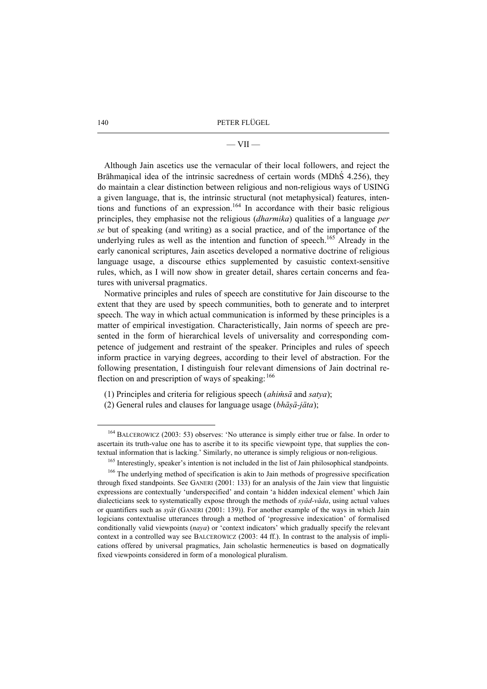## $-$  VII $-$

Although Jain ascetics use the vernacular of their local followers, and reject the Brāhmanical idea of the intrinsic sacredness of certain words (MDhS 4.256), they do maintain a clear distinction between religious and non-religious ways of USING a given language, that is, the intrinsic structural (not metaphysical) features, intentions and functions of an expression.<sup>164</sup> In accordance with their basic religious principles, they emphasise not the religious (*dharmika*) qualities of a language *per se* but of speaking (and writing) as a social practice, and of the importance of the underlying rules as well as the intention and function of speech.<sup>165</sup> Already in the early canonical scriptures, Jain ascetics developed a normative doctrine of religious language usage, a discourse ethics supplemented by casuistic context-sensitive rules, which, as I will now show in greater detail, shares certain concerns and features with universal pragmatics.

Normative principles and rules of speech are constitutive for Jain discourse to the extent that they are used by speech communities, both to generate and to interpret speech. The way in which actual communication is informed by these principles is a matter of empirical investigation. Characteristically, Jain norms of speech are presented in the form of hierarchical levels of universality and corresponding competence of judgement and restraint of the speaker. Principles and rules of speech inform practice in varying degrees, according to their level of abstraction. For the following presentation, I distinguish four relevant dimensions of Jain doctrinal reflection on and prescription of ways of speaking: 166

(1) Principles and criteria for religious speech ( $\alpha$ *himsa* and  $\alpha$ *satya*);

<sup>(2)</sup> General rules and clauses for language usage (*bhâšâ-jâta*);

<sup>&</sup>lt;sup>164</sup> BALCEROWICZ (2003: 53) observes: 'No utterance is simply either true or false. In order to ascertain its truth-value one has to ascribe it to its specific viewpoint type, that supplies the contextual information that is lacking.' Similarly, no utterance is simply religious or non-religious.

<sup>&</sup>lt;sup>165</sup> Interestingly, speaker's intention is not included in the list of Jain philosophical standpoints.

 $166$  The underlying method of specification is akin to Jain methods of progressive specification through fixed standpoints. See GANERI (2001: 133) for an analysis of the Jain view that linguistic expressions are contextually 'underspecified' and contain 'a hidden indexical element' which Jain dialecticians seek to systematically expose through the methods of *syâd-vâda*, using actual values or quantifiers such as *syât* (GANERI (2001: 139)). For another example of the ways in which Jain logicians contextualise utterances through a method of 'progressive indexication' of formalised conditionally valid viewpoints (*naya*) or 'context indicators' which gradually specify the relevant context in a controlled way see BALCEROWICZ (2003: 44 ff.). In contrast to the analysis of implications offered by universal pragmatics, Jain scholastic hermeneutics is based on dogmatically fixed viewpoints considered in form of a monological pluralism.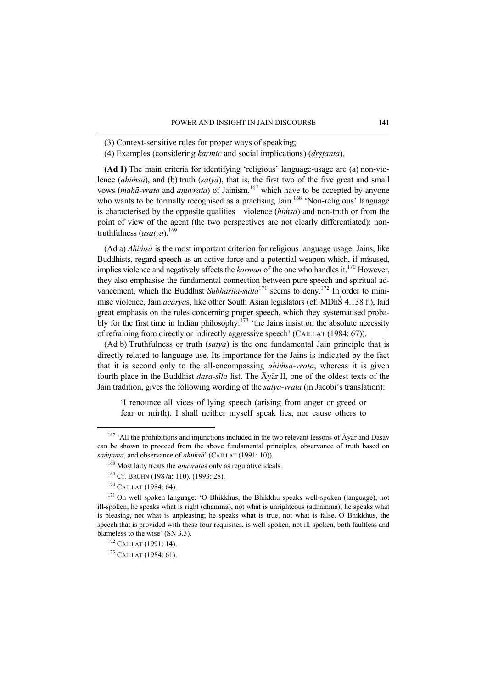(3) Context-sensitive rules for proper ways of speaking;

 $\ddot{ }$ 

(4) Examples (considering *karmic* and social implications) (*dåšþânta*).

**(Ad 1)** The main criteria for identifying 'religious' language-usage are (a) non-violence *(ahimsa*), and (b) truth *(satya)*, that is, the first two of the five great and small vows (*mahā-vrata* and *anuvrata*) of Jainism,<sup>167</sup> which have to be accepted by anyone who wants to be formally recognised as a practising Jain.<sup>168</sup> 'Non-religious' language is characterised by the opposite qualities—violence  $(h\dot{m}s\ddot{a})$  and non-truth or from the point of view of the agent (the two perspectives are not clearly differentiated): nontruthfulness (*asatya*).169

(Ad a) *Ahimsa* is the most important criterion for religious language usage. Jains, like Buddhists, regard speech as an active force and a potential weapon which, if misused, implies violence and negatively affects the *karman* of the one who handles it.<sup>170</sup> However, they also emphasise the fundamental connection between pure speech and spiritual advancement, which the Buddhist *Subhāsita-sutta*<sup>171</sup> seems to deny.<sup>172</sup> In order to minimise violence, Jain  $\bar{a}c\bar{a}rvas$ , like other South Asian legislators (cf. MDhŚ 4.138 f.), laid great emphasis on the rules concerning proper speech, which they systematised probably for the first time in Indian philosophy: $1^{73}$  'the Jains insist on the absolute necessity of refraining from directly or indirectly aggressive speech' (CAILLAT (1984: 67)).

(Ad b) Truthfulness or truth (*satya*) is the one fundamental Jain principle that is directly related to language use. Its importance for the Jains is indicated by the fact that it is second only to the all-encompassing *ahimsa-vrata*, whereas it is given fourth place in the Buddhist *dasa-sîla* list. The Âyâr II, one of the oldest texts of the Jain tradition, gives the following wording of the *satya-vrata* (in Jacobi's translation):

'I renounce all vices of lying speech (arising from anger or greed or fear or mirth). I shall neither myself speak lies, nor cause others to

<sup>&</sup>lt;sup>167</sup> 'All the prohibitions and injunctions included in the two relevant lessons of  $\bar{A}$ yar and Dasav can be shown to proceed from the above fundamental principles, observance of truth based on *samjama*, and observance of *ahimsa*' (CAILLAT (1991: 10)).

<sup>&</sup>lt;sup>168</sup> Most laity treats the *anuvratas* only as regulative ideals.

<sup>&</sup>lt;sup>169</sup> Cf. BRUHN (1987a: 110), (1993: 28).

<sup>&</sup>lt;sup>170</sup> CAILLAT (1984: 64).

<sup>&</sup>lt;sup>171</sup> On well spoken language: 'O Bhikkhus, the Bhikkhu speaks well-spoken (language), not ill-spoken; he speaks what is right (dhamma), not what is unrighteous (adhamma); he speaks what is pleasing, not what is unpleasing; he speaks what is true, not what is false. O Bhikkhus, the speech that is provided with these four requisites, is well-spoken, not ill-spoken, both faultless and blameless to the wise' (SN 3.3).

<sup>172</sup> CAILLAT (1991: 14).

<sup>173</sup> CAILLAT (1984: 61).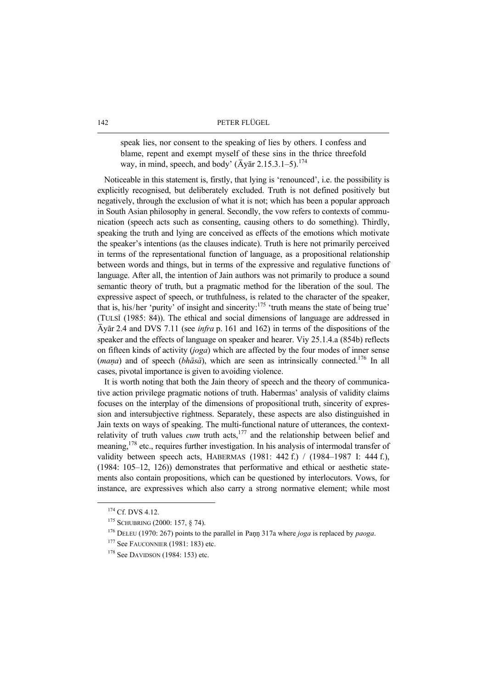speak lies, nor consent to the speaking of lies by others. I confess and blame, repent and exempt myself of these sins in the thrice threefold way, in mind, speech, and body' ( $\bar{A}$ yār 2.15.3.1–5).<sup>174</sup>

Noticeable in this statement is, firstly, that lying is 'renounced', i.e. the possibility is explicitly recognised, but deliberately excluded. Truth is not defined positively but negatively, through the exclusion of what it is not; which has been a popular approach in South Asian philosophy in general. Secondly, the vow refers to contexts of communication (speech acts such as consenting, causing others to do something). Thirdly, speaking the truth and lying are conceived as effects of the emotions which motivate the speaker's intentions (as the clauses indicate). Truth is here not primarily perceived in terms of the representational function of language, as a propositional relationship between words and things, but in terms of the expressive and regulative functions of language. After all, the intention of Jain authors was not primarily to produce a sound semantic theory of truth, but a pragmatic method for the liberation of the soul. The expressive aspect of speech, or truthfulness, is related to the character of the speaker, that is, his/her 'purity' of insight and sincerity: $175$  'truth means the state of being true' (TULSÎ (1985: 84)). The ethical and social dimensions of language are addressed in Âyâr 2.4 and DVS 7.11 (see *infra* p. 161 and 162) in terms of the dispositions of the speaker and the effects of language on speaker and hearer. Viy 25.1.4.a (854b) reflects on fifteen kinds of activity (*joga*) which are affected by the four modes of inner sense  $(mana)$  and of speech  $(bh\bar{a}s\bar{a})$ , which are seen as intrinsically connected.<sup>176</sup> In all cases, pivotal importance is given to avoiding violence.

It is worth noting that both the Jain theory of speech and the theory of communicative action privilege pragmatic notions of truth. Habermas' analysis of validity claims focuses on the interplay of the dimensions of propositional truth, sincerity of expression and intersubjective rightness. Separately, these aspects are also distinguished in Jain texts on ways of speaking. The multi-functional nature of utterances, the contextrelativity of truth values *cum* truth acts,  $177$  and the relationship between belief and meaning,<sup>178</sup> etc., requires further investigation. In his analysis of intermodal transfer of validity between speech acts, HABERMAS (1981: 442 f.) / (1984–1987 I: 444 f.), (1984: 105–12, 126)) demonstrates that performative and ethical or aesthetic statements also contain propositions, which can be questioned by interlocutors. Vows, for instance, are expressives which also carry a strong normative element; while most

<sup>&</sup>lt;sup>174</sup> Cf. DVS 4.12.

<sup>175</sup> SCHUBRING (2000: 157, § 74).

<sup>&</sup>lt;sup>176</sup> DELEU (1970: 267) points to the parallel in Pann 317a where *joga* is replaced by *paoga*.

 $177$  See FAUCONNIER (1981: 183) etc.

<sup>&</sup>lt;sup>178</sup> See DAVIDSON (1984: 153) etc.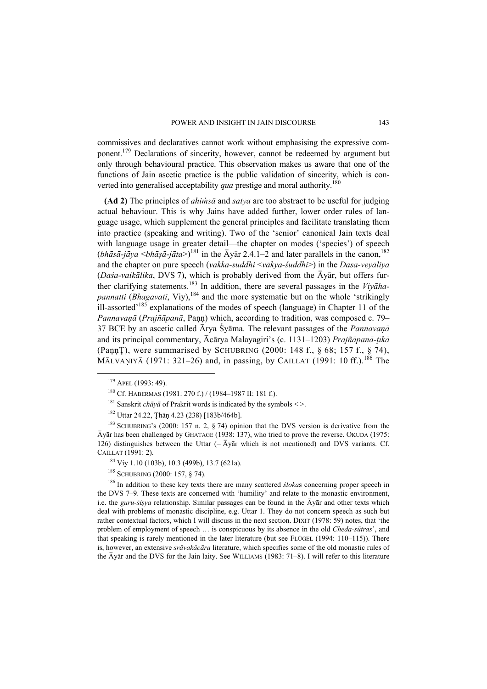commissives and declaratives cannot work without emphasising the expressive component.<sup>179</sup> Declarations of sincerity, however, cannot be redeemed by argument but only through behavioural practice. This observation makes us aware that one of the functions of Jain ascetic practice is the public validation of sincerity, which is converted into generalised acceptability *qua* prestige and moral authority.<sup>180</sup>

**(Ad 2)** The principles of *ahimsa* and *satya* are too abstract to be useful for judging actual behaviour. This is why Jains have added further, lower order rules of language usage, which supplement the general principles and facilitate translating them into practice (speaking and writing). Two of the 'senior' canonical Jain texts deal with language usage in greater detail—the chapter on modes ('species') of speech (*bhāsā-jāya*  $\langle$ *bhāsā-jāta* $>$ )<sup>181</sup> in the Āyār 2.4.1–2 and later parallels in the canon,<sup>182</sup> and the chapter on pure speech (*vakka-suddhi* <*vākva-śuddhi* > in the *Dasa-vevāliva* (*Daśa-vaikālika*, DVS 7), which is probably derived from the Āyār, but offers further clarifying statements.183 In addition, there are several passages in the *Viyâhapannatti* (*Bhagavatī*, Viy),<sup>184</sup> and the more systematic but on the whole 'strikingly ill-assorted<sup> $185$ </sup> explanations of the modes of speech (language) in Chapter 11 of the *Pannavanā (Prajñāpanā*, Paṇṇ) which, according to tradition, was composed c. 79– 37 BCE by an ascetic called Ârya Œyâma. The relevant passages of the *Pannavaòâ* and its principal commentary, Âcârya Malayagiri's (c. 1131–1203) *Prajñâpanâ-þîkâ* (PannT), were summarised by SCHUBRING (2000: 148 f.,  $\S$  68; 157 f.,  $\S$  74),  $M\bar{A}LVANIY\bar{A}$  (1971: 321–26) and, in passing, by CAILLAT (1991: 10 ff.).<sup>186</sup> The

 <sup>179</sup> APEL (1993: 49).

<sup>180</sup> Cf. HABERMAS (1981: 270 f.) / (1984–1987 II: 181 f.).

<sup>&</sup>lt;sup>181</sup> Sanskrit *chāvā* of Prakrit words is indicated by the symbols  $\leq$ .

<sup>&</sup>lt;sup>182</sup> Uttar 24.22, Thāṇ 4.23 (238) [183b/464b].

<sup>&</sup>lt;sup>183</sup> SCHUBRING's (2000: 157 n. 2,  $\S$  74) opinion that the DVS version is derivative from the Âyâr has been challenged by GHATAGE (1938: 137), who tried to prove the reverse. OKUDA (1975: 126) distinguishes between the Uttar  $(=\bar{A}y\bar{a}r)$  which is not mentioned) and DVS variants. Cf. CAILLAT (1991: 2).

 $184$  Viy 1.10 (103b), 10.3 (499b), 13.7 (621a).

<sup>185</sup> SCHUBRING (2000: 157, § 74).

<sup>&</sup>lt;sup>186</sup> In addition to these key texts there are many scattered *ślokas* concerning proper speech in the DVS 7–9. These texts are concerned with 'humility' and relate to the monastic environment, i.e. the *guru-sisya* relationship. Similar passages can be found in the Âyār and other texts which deal with problems of monastic discipline, e.g. Uttar 1. They do not concern speech as such but rather contextual factors, which I will discuss in the next section. DIXIT (1978: 59) notes, that 'the problem of employment of speech … is conspicuous by its absence in the old *Cheda-sûtras*', and that speaking is rarely mentioned in the later literature (but see FLÜGEL (1994: 110–115)). There is, however, an extensive *œrâvakâcâra* literature, which specifies some of the old monastic rules of the Âyâr and the DVS for the Jain laity. See WILLIAMS (1983: 71–8). I will refer to this literature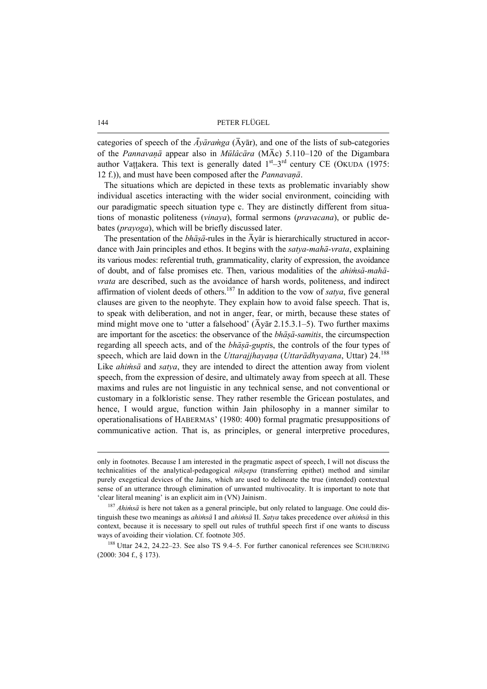144 PETER FLÜGEL

categories of speech of the  $\overline{Avara$ *nga* ( $\overline{A}v\overline{a}r$ ), and one of the lists of sub-categories of the *Pannavaòâ* appear also in *Mûlâcâra* (MÂc) 5.110–120 of the Digambara author Vațțakera. This text is generally dated  $1<sup>st</sup>-3<sup>rd</sup>$  century CE (OKUDA (1975: 12 f.)), and must have been composed after the *Pannavana*.

The situations which are depicted in these texts as problematic invariably show individual ascetics interacting with the wider social environment, coinciding with our paradigmatic speech situation type c. They are distinctly different from situations of monastic politeness (*vinaya*), formal sermons (*pravacana*), or public debates (*prayoga*), which will be briefly discussed later.

The presentation of the *bhâšâ*-rules in the Âyâr is hierarchically structured in accordance with Jain principles and ethos. It begins with the *satya-mahâ-vrata*, explaining its various modes: referential truth, grammaticality, clarity of expression, the avoidance of doubt, and of false promises etc. Then, various modalities of the *ahimsa-mahavrata* are described, such as the avoidance of harsh words, politeness, and indirect affirmation of violent deeds of others.187 In addition to the vow of *satya*, five general clauses are given to the neophyte. They explain how to avoid false speech. That is, to speak with deliberation, and not in anger, fear, or mirth, because these states of mind might move one to 'utter a falsehood' ( $\bar{A}$ yār 2.15.3.1–5). Two further maxims are important for the ascetics: the observance of the *bhâšâ-samitis*, the circumspection regarding all speech acts, and of the *bhâšâ-gupti*s, the controls of the four types of speech, which are laid down in the *Uttarajjhayaṇa* (*Uttarādhyayana*, Uttar) 24.<sup>188</sup> Like *ahinosa* and *satya*, they are intended to direct the attention away from violent speech, from the expression of desire, and ultimately away from speech at all. These maxims and rules are not linguistic in any technical sense, and not conventional or customary in a folkloristic sense. They rather resemble the Gricean postulates, and hence, I would argue, function within Jain philosophy in a manner similar to operationalisations of HABERMAS' (1980: 400) formal pragmatic presuppositions of communicative action. That is, as principles, or general interpretive procedures,

 $\overline{a}$ 

only in footnotes. Because I am interested in the pragmatic aspect of speech, I will not discuss the technicalities of the analytical-pedagogical *nikšepa* (transferring epithet) method and similar purely exegetical devices of the Jains, which are used to delineate the true (intended) contextual sense of an utterance through elimination of unwanted multivocality. It is important to note that 'clear literal meaning' is an explicit aim in (VN) Jainism.

 $187$  *Ahimsā* is here not taken as a general principle, but only related to language. One could distinguish these two meanings as *ahimsā* I and *ahimsā* II. *Satya* takes precedence over *ahimsā* in this context, because it is necessary to spell out rules of truthful speech first if one wants to discuss ways of avoiding their violation. Cf. footnote 305.

<sup>&</sup>lt;sup>188</sup> Uttar 24.2, 24.22-23. See also TS 9.4-5. For further canonical references see SCHUBRING (2000: 304 f., § 173).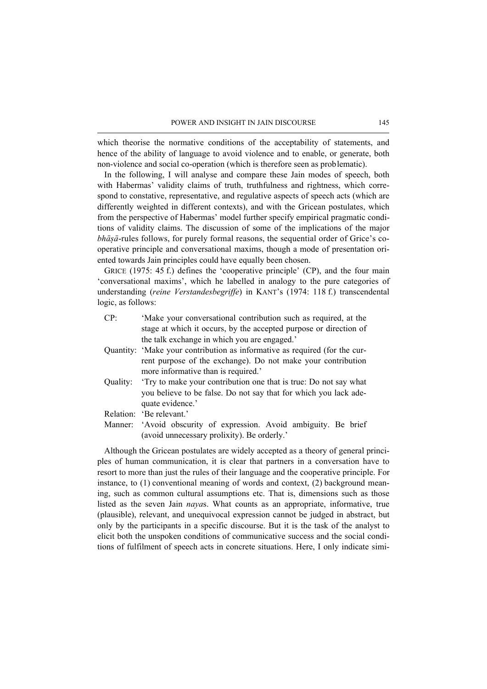$\ddot{ }$ 

which theorise the normative conditions of the acceptability of statements, and hence of the ability of language to avoid violence and to enable, or generate, both non-violence and social co-operation (which is therefore seen as problematic).

In the following, I will analyse and compare these Jain modes of speech, both with Habermas' validity claims of truth, truthfulness and rightness, which correspond to constative, representative, and regulative aspects of speech acts (which are differently weighted in different contexts), and with the Gricean postulates, which from the perspective of Habermas' model further specify empirical pragmatic conditions of validity claims. The discussion of some of the implications of the major *bhâšâ*-rules follows, for purely formal reasons, the sequential order of Grice's cooperative principle and conversational maxims, though a mode of presentation oriented towards Jain principles could have equally been chosen.

GRICE (1975: 45 f.) defines the 'cooperative principle' (CP), and the four main 'conversational maxims', which he labelled in analogy to the pure categories of understanding (*reine Verstandesbegriffe*) in KANT's (1974: 118 f.) transcendental logic, as follows:

| CP:      | 'Make your conversational contribution such as required, at the<br>stage at which it occurs, by the accepted purpose or direction of |  |
|----------|--------------------------------------------------------------------------------------------------------------------------------------|--|
|          |                                                                                                                                      |  |
|          | the talk exchange in which you are engaged.'                                                                                         |  |
|          | Quantity: 'Make your contribution as informative as required (for the cur-                                                           |  |
|          | rent purpose of the exchange). Do not make your contribution                                                                         |  |
|          | more informative than is required.                                                                                                   |  |
| Quality: | Try to make your contribution one that is true: Do not say what                                                                      |  |
|          | you believe to be false. Do not say that for which you lack ade-                                                                     |  |
|          | quate evidence.'                                                                                                                     |  |
|          | Relation: 'Be relevant.'                                                                                                             |  |
|          | Manner: 'Avoid obscurity of expression. Avoid ambiguity. Be brief                                                                    |  |
|          | (avoid unnecessary prolixity). Be orderly.'                                                                                          |  |

Although the Gricean postulates are widely accepted as a theory of general principles of human communication, it is clear that partners in a conversation have to resort to more than just the rules of their language and the cooperative principle. For instance, to (1) conventional meaning of words and context, (2) background meaning, such as common cultural assumptions etc. That is, dimensions such as those listed as the seven Jain *naya*s. What counts as an appropriate, informative, true (plausible), relevant, and unequivocal expression cannot be judged in abstract, but only by the participants in a specific discourse. But it is the task of the analyst to elicit both the unspoken conditions of communicative success and the social conditions of fulfilment of speech acts in concrete situations. Here, I only indicate simi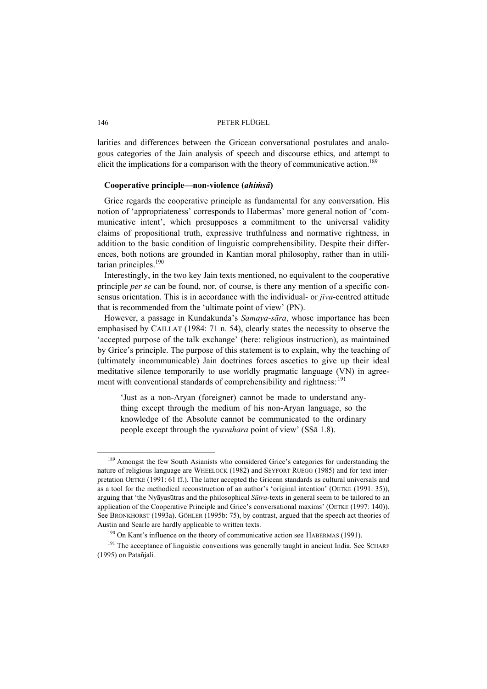larities and differences between the Gricean conversational postulates and analogous categories of the Jain analysis of speech and discourse ethics, and attempt to elicit the implications for a comparison with the theory of communicative action.<sup>189</sup>

#### **Cooperative principle—non-violence (***ahimsa***)**

Grice regards the cooperative principle as fundamental for any conversation. His notion of 'appropriateness' corresponds to Habermas' more general notion of 'communicative intent', which presupposes a commitment to the universal validity claims of propositional truth, expressive truthfulness and normative rightness, in addition to the basic condition of linguistic comprehensibility. Despite their differences, both notions are grounded in Kantian moral philosophy, rather than in utilitarian principles. $190$ 

Interestingly, in the two key Jain texts mentioned, no equivalent to the cooperative principle *per se* can be found, nor, of course, is there any mention of a specific consensus orientation. This is in accordance with the individual− or *jîva*-centred attitude that is recommended from the 'ultimate point of view' (PN).

However, a passage in Kundakunda's *Samaya-sâra*, whose importance has been emphasised by CAILLAT (1984: 71 n. 54), clearly states the necessity to observe the 'accepted purpose of the talk exchange' (here: religious instruction), as maintained by Grice's principle. The purpose of this statement is to explain, why the teaching of (ultimately incommunicable) Jain doctrines forces ascetics to give up their ideal meditative silence temporarily to use worldly pragmatic language (VN) in agreement with conventional standards of comprehensibility and rightness: <sup>191</sup>

'Just as a non-Aryan (foreigner) cannot be made to understand anything except through the medium of his non-Aryan language, so the knowledge of the Absolute cannot be communicated to the ordinary people except through the *vyavahâra* point of view' (SSâ 1.8).

<sup>&</sup>lt;sup>189</sup> Amongst the few South Asianists who considered Grice's categories for understanding the nature of religious language are WHEELOCK (1982) and SEYFORT RUEGG (1985) and for text interpretation OETKE (1991: 61 ff.). The latter accepted the Gricean standards as cultural universals and as a tool for the methodical reconstruction of an author's 'original intention' (OETKE (1991: 35)), arguing that 'the Nyâyasûtras and the philosophical *Sûtra*-texts in general seem to be tailored to an application of the Cooperative Principle and Grice's conversational maxims' (OETKE (1997: 140)). See BRONKHORST (1993a). GÖHLER (1995b: 75), by contrast, argued that the speech act theories of Austin and Searle are hardly applicable to written texts.

<sup>&</sup>lt;sup>190</sup> On Kant's influence on the theory of communicative action see HABERMAS (1991).

<sup>&</sup>lt;sup>191</sup> The acceptance of linguistic conventions was generally taught in ancient India. See SCHARF (1995) on Patañjali.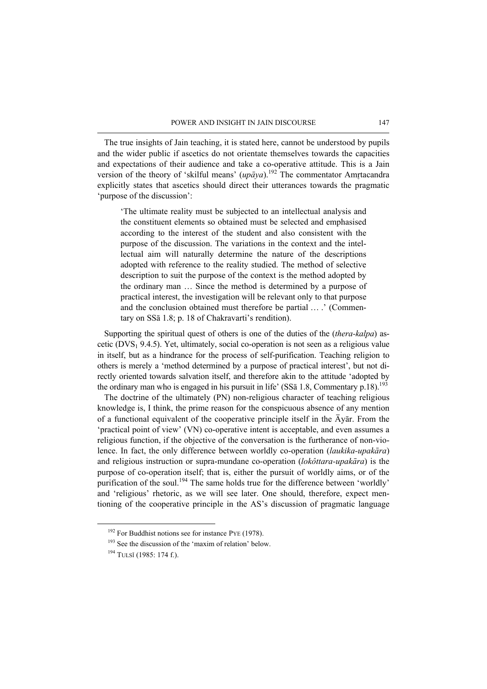The true insights of Jain teaching, it is stated here, cannot be understood by pupils and the wider public if ascetics do not orientate themselves towards the capacities and expectations of their audience and take a co-operative attitude. This is a Jain version of the theory of 'skilful means'  $(u p \bar{a} v a)$ <sup>192</sup> The commentator Amrtacandra explicitly states that ascetics should direct their utterances towards the pragmatic 'purpose of the discussion':

'The ultimate reality must be subjected to an intellectual analysis and the constituent elements so obtained must be selected and emphasised according to the interest of the student and also consistent with the purpose of the discussion. The variations in the context and the intellectual aim will naturally determine the nature of the descriptions adopted with reference to the reality studied. The method of selective description to suit the purpose of the context is the method adopted by the ordinary man … Since the method is determined by a purpose of practical interest, the investigation will be relevant only to that purpose and the conclusion obtained must therefore be partial … .' (Commentary on SSâ 1.8; p. 18 of Chakravarti's rendition).

Supporting the spiritual quest of others is one of the duties of the (*thera-kalpa*) ascetic ( $DVS<sub>1</sub>$  9.4.5). Yet, ultimately, social co-operation is not seen as a religious value in itself, but as a hindrance for the process of self-purification. Teaching religion to others is merely a 'method determined by a purpose of practical interest', but not directly oriented towards salvation itself, and therefore akin to the attitude 'adopted by the ordinary man who is engaged in his pursuit in life' (SS $\bar{a}$  1.8, Commentary p.18).<sup>193</sup>

The doctrine of the ultimately (PN) non-religious character of teaching religious knowledge is, I think, the prime reason for the conspicuous absence of any mention of a functional equivalent of the cooperative principle itself in the Âyâr. From the 'practical point of view' (VN) co-operative intent is acceptable, and even assumes a religious function, if the objective of the conversation is the furtherance of non-violence. In fact, the only difference between worldly co-operation (*laukika-upakâra*) and religious instruction or supra-mundane co-operation (*lokôttara-upakâra*) is the purpose of co-operation itself; that is, either the pursuit of worldly aims, or of the purification of the soul.<sup>194</sup> The same holds true for the difference between 'worldly' and 'religious' rhetoric, as we will see later. One should, therefore, expect mentioning of the cooperative principle in the AS's discussion of pragmatic language

<sup>&</sup>lt;sup>192</sup> For Buddhist notions see for instance PYE (1978).

<sup>&</sup>lt;sup>193</sup> See the discussion of the 'maxim of relation' below.

 $194$  TULSI (1985: 174 f.).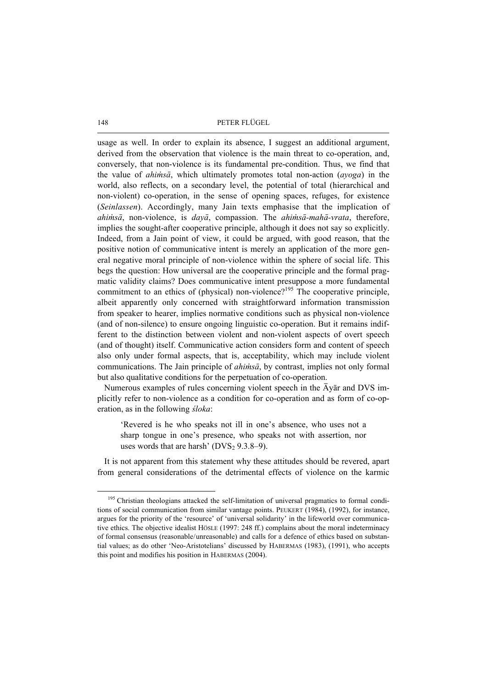148 PETER FLÜGEL

usage as well. In order to explain its absence, I suggest an additional argument, derived from the observation that violence is the main threat to co-operation, and, conversely, that non-violence is its fundamental pre-condition. Thus, we find that the value of *ahiôsâ*, which ultimately promotes total non-action (*ayoga*) in the world, also reflects, on a secondary level, the potential of total (hierarchical and non-violent) co-operation, in the sense of opening spaces, refuges, for existence (*Seinlassen*). Accordingly, many Jain texts emphasise that the implication of *ahimsā*, non-violence, is *dayā*, compassion. The *ahimsā-mahā-vrata*, therefore, implies the sought-after cooperative principle, although it does not say so explicitly. Indeed, from a Jain point of view, it could be argued, with good reason, that the positive notion of communicative intent is merely an application of the more general negative moral principle of non-violence within the sphere of social life. This begs the question: How universal are the cooperative principle and the formal pragmatic validity claims? Does communicative intent presuppose a more fundamental commitment to an ethics of (physical) non-violence?<sup>195</sup> The cooperative principle, albeit apparently only concerned with straightforward information transmission from speaker to hearer, implies normative conditions such as physical non-violence (and of non-silence) to ensure ongoing linguistic co-operation. But it remains indifferent to the distinction between violent and non-violent aspects of overt speech (and of thought) itself. Communicative action considers form and content of speech also only under formal aspects, that is, acceptability, which may include violent communications. The Jain principle of *ahimsa*, by contrast, implies not only formal but also qualitative conditions for the perpetuation of co-operation.

Numerous examples of rules concerning violent speech in the Âyâr and DVS implicitly refer to non-violence as a condition for co-operation and as form of co-operation, as in the following *śloka*:

'Revered is he who speaks not ill in one's absence, who uses not a sharp tongue in one's presence, who speaks not with assertion, nor uses words that are harsh'  $(DVS<sub>2</sub>, 9.3.8-9)$ .

It is not apparent from this statement why these attitudes should be revered, apart from general considerations of the detrimental effects of violence on the karmic

<sup>&</sup>lt;sup>195</sup> Christian theologians attacked the self-limitation of universal pragmatics to formal conditions of social communication from similar vantage points. PEUKERT (1984), (1992), for instance, argues for the priority of the 'resource' of 'universal solidarity' in the lifeworld over communicative ethics. The objective idealist HÖSLE (1997: 248 ff.) complains about the moral indeterminacy of formal consensus (reasonable/unreasonable) and calls for a defence of ethics based on substantial values; as do other 'Neo-Aristotelians' discussed by HABERMAS (1983), (1991), who accepts this point and modifies his position in HABERMAS (2004).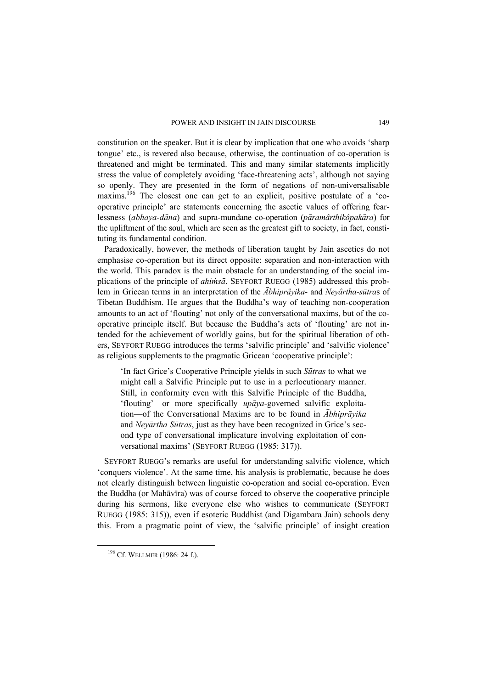constitution on the speaker. But it is clear by implication that one who avoids 'sharp tongue' etc., is revered also because, otherwise, the continuation of co-operation is threatened and might be terminated. This and many similar statements implicitly stress the value of completely avoiding 'face-threatening acts', although not saying so openly. They are presented in the form of negations of non-universalisable maxims.<sup>196</sup> The closest one can get to an explicit, positive postulate of a 'cooperative principle' are statements concerning the ascetic values of offering fearlessness (*abhaya-dâna*) and supra-mundane co-operation (*pâramârthikôpakâra*) for the upliftment of the soul, which are seen as the greatest gift to society, in fact, constituting its fundamental condition.

Paradoxically, however, the methods of liberation taught by Jain ascetics do not emphasise co-operation but its direct opposite: separation and non-interaction with the world. This paradox is the main obstacle for an understanding of the social implications of the principle of *ahimsā*. SEYFORT RUEGG (1985) addressed this problem in Gricean terms in an interpretation of the *Âbhiprâyika*− and *Neyârtha-sûtra*s of Tibetan Buddhism. He argues that the Buddha's way of teaching non-cooperation amounts to an act of 'flouting' not only of the conversational maxims, but of the cooperative principle itself. But because the Buddha's acts of 'flouting' are not intended for the achievement of worldly gains, but for the spiritual liberation of others, SEYFORT RUEGG introduces the terms 'salvific principle' and 'salvific violence' as religious supplements to the pragmatic Gricean 'cooperative principle':

'In fact Grice's Cooperative Principle yields in such *Sûtras* to what we might call a Salvific Principle put to use in a perlocutionary manner. Still, in conformity even with this Salvific Principle of the Buddha, 'flouting'—or more specifically *upâya*-governed salvific exploitation—of the Conversational Maxims are to be found in *Âbhiprâyika* and *Neyârtha Sûtras*, just as they have been recognized in Grice's second type of conversational implicature involving exploitation of conversational maxims' (SEYFORT RUEGG (1985: 317)).

SEYFORT RUEGG's remarks are useful for understanding salvific violence, which 'conquers violence'. At the same time, his analysis is problematic, because he does not clearly distinguish between linguistic co-operation and social co-operation. Even the Buddha (or Mahâvîra) was of course forced to observe the cooperative principle during his sermons, like everyone else who wishes to communicate (SEYFORT RUEGG (1985: 315)), even if esoteric Buddhist (and Digambara Jain) schools deny this. From a pragmatic point of view, the 'salvific principle' of insight creation

 <sup>196</sup> Cf. WELLMER (1986: 24 f.).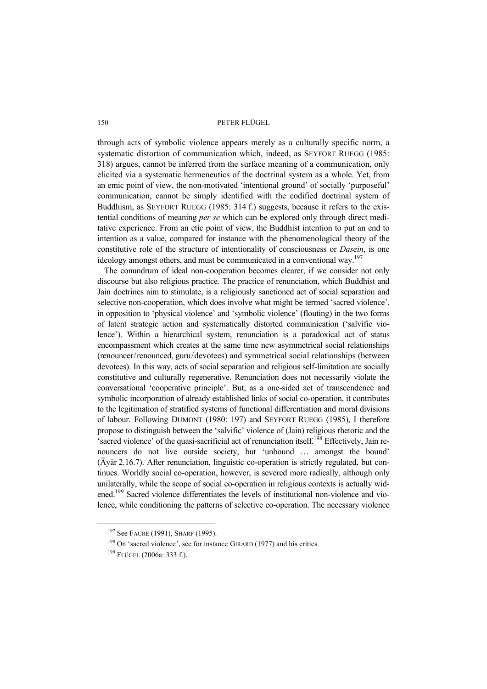through acts of symbolic violence appears merely as a culturally specific norm, a systematic distortion of communication which, indeed, as SEYFORT RUEGG (1985: 318) argues, cannot be inferred from the surface meaning of a communication, only elicited via a systematic hermeneutics of the doctrinal system as a whole. Yet, from an emic point of view, the non-motivated 'intentional ground' of socially 'purposeful' communication, cannot be simply identified with the codified doctrinal system of Buddhism, as SEYFORT RUEGG (1985: 314 f.) suggests, because it refers to the existential conditions of meaning *per se* which can be explored only through direct meditative experience. From an etic point of view, the Buddhist intention to put an end to intention as a value, compared for instance with the phenomenological theory of the constitutive role of the structure of intentionality of consciousness or *Dasein*, is one ideology amongst others, and must be communicated in a conventional way.<sup>197</sup>

The conundrum of ideal non-cooperation becomes clearer, if we consider not only discourse but also religious practice. The practice of renunciation, which Buddhist and Jain doctrines aim to stimulate, is a religiously sanctioned act of social separation and selective non-cooperation, which does involve what might be termed 'sacred violence', in opposition to 'physical violence' and 'symbolic violence' (flouting) in the two forms of latent strategic action and systematically distorted communication ('salvific violence'). Within a hierarchical system, renunciation is a paradoxical act of status encompassment which creates at the same time new asymmetrical social relationships (renouncer / renounced, guru / devotees) and symmetrical social relationships (between devotees). In this way, acts of social separation and religious self-limitation are socially constitutive and culturally regenerative. Renunciation does not necessarily violate the conversational 'cooperative principle'. But, as a one-sided act of transcendence and symbolic incorporation of already established links of social co-operation, it contributes to the legitimation of stratified systems of functional differentiation and moral divisions of labour. Following DUMONT (1980: 197) and SEYFORT RUEGG (1985), I therefore propose to distinguish between the 'salvific' violence of (Jain) religious rhetoric and the 'sacred violence' of the quasi-sacrificial act of renunciation itself.<sup>198</sup> Effectively, Jain renouncers do not live outside society, but 'unbound … amongst the bound' (Âyâr 2.16.7). After renunciation, linguistic co-operation is strictly regulated, but continues. Worldly social co-operation, however, is severed more radically, although only unilaterally, while the scope of social co-operation in religious contexts is actually widened.<sup>199</sup> Sacred violence differentiates the levels of institutional non-violence and violence, while conditioning the patterns of selective co-operation. The necessary violence

<sup>&</sup>lt;sup>197</sup> See FAURE (1991), SHARF (1995).

<sup>&</sup>lt;sup>198</sup> On 'sacred violence', see for instance GIRARD (1977) and his critics.

<sup>199</sup> FLÜGEL (2006a: 333 f.).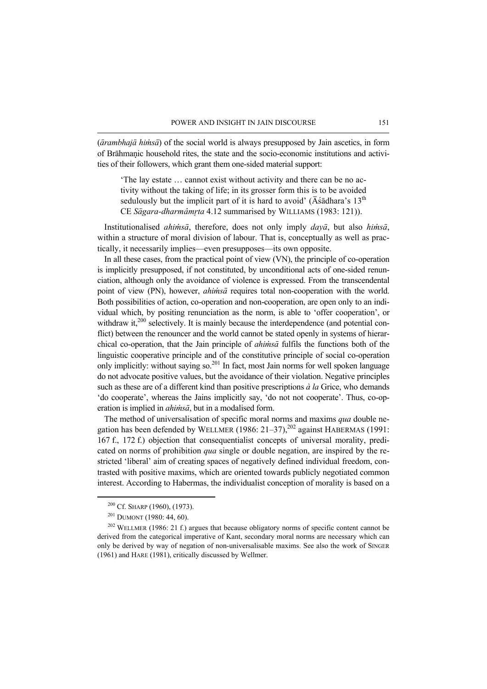(*arambhajā himsā*) of the social world is always presupposed by Jain ascetics, in form of Brāhmanic household rites, the state and the socio-economic institutions and activities of their followers, which grant them one-sided material support:

'The lay estate … cannot exist without activity and there can be no activity without the taking of life; in its grosser form this is to be avoided sedulously but the implicit part of it is hard to avoid' ( $\bar{A} \dot{\tilde{\delta}}$  adhara's 13<sup>th</sup> CE *Sâgara-dharmâmåta* 4.12 summarised by WILLIAMS (1983: 121)).

Institutionalised *ahimsa*, therefore, does not only imply *daya*, but also *himsa*, within a structure of moral division of labour. That is, conceptually as well as practically, it necessarily implies—even presupposes—its own opposite.

In all these cases, from the practical point of view (VN), the principle of co-operation is implicitly presupposed, if not constituted, by unconditional acts of one-sided renunciation, although only the avoidance of violence is expressed. From the transcendental point of view (PN), however, *ahimsa* requires total non-cooperation with the world. Both possibilities of action, co-operation and non-cooperation, are open only to an individual which, by positing renunciation as the norm, is able to 'offer cooperation', or withdraw it, $200$  selectively. It is mainly because the interdependence (and potential conflict) between the renouncer and the world cannot be stated openly in systems of hierarchical co-operation, that the Jain principle of *ahimsa* fulfils the functions both of the linguistic cooperative principle and of the constitutive principle of social co-operation only implicitly: without saying so.<sup>201</sup> In fact, most Jain norms for well spoken language do not advocate positive values, but the avoidance of their violation. Negative principles such as these are of a different kind than positive prescriptions *à la* Grice, who demands 'do cooperate', whereas the Jains implicitly say, 'do not not cooperate'. Thus, co-operation is implied in *ahimsa*, but in a modalised form.

The method of universalisation of specific moral norms and maxims *qua* double negation has been defended by WELLMER (1986: 21–37),<sup>202</sup> against HABERMAS (1991: 167 f., 172 f.) objection that consequentialist concepts of universal morality, predicated on norms of prohibition *qua* single or double negation, are inspired by the restricted 'liberal' aim of creating spaces of negatively defined individual freedom, contrasted with positive maxims, which are oriented towards publicly negotiated common interest. According to Habermas, the individualist conception of morality is based on a

 <sup>200</sup> Cf. SHARP (1960), (1973).

 $201$  DUMONT (1980: 44, 60).

 $202$  WELLMER (1986: 21 f.) argues that because obligatory norms of specific content cannot be derived from the categorical imperative of Kant, secondary moral norms are necessary which can only be derived by way of negation of non-universalisable maxims. See also the work of SINGER (1961) and HARE (1981), critically discussed by Wellmer.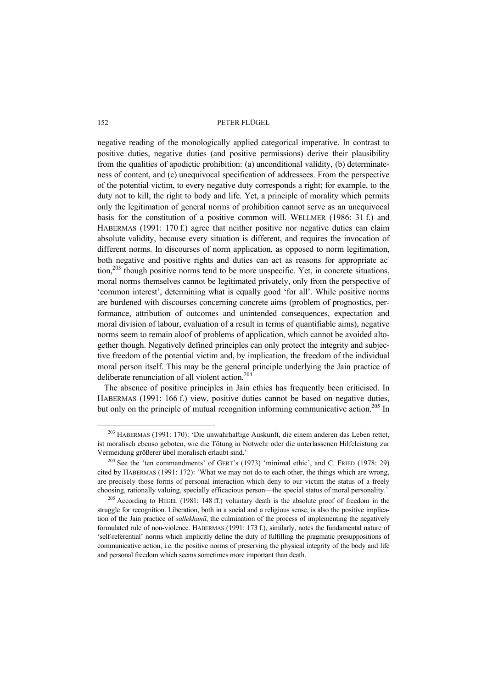negative reading of the monologically applied categorical imperative. In contrast to positive duties, negative duties (and positive permissions) derive their plausibility from the qualities of apodictic prohibition: (a) unconditional validity, (b) determinateness of content, and (c) unequivocal specification of addressees. From the perspective of the potential victim, to every negative duty corresponds a right; for example, to the duty not to kill, the right to body and life. Yet, a principle of morality which permits only the legitimation of general norms of prohibition cannot serve as an unequivocal basis for the constitution of a positive common will. WELLMER (1986: 31 f.) and HABERMAS (1991: 170 f.) agree that neither positive nor negative duties can claim absolute validity, because every situation is different, and requires the invocation of different norms. In discourses of norm application, as opposed to norm legitimation, both negative and positive rights and duties can act as reasons for appropriate action,<sup>203</sup> though positive norms tend to be more unspecific. Yet, in concrete situations, moral norms themselves cannot be legitimated privately, only from the perspective of 'common interest', determining what is equally good 'for all'. While positive norms are burdened with discourses concerning concrete aims (problem of prognostics, performance, attribution of outcomes and unintended consequences, expectation and moral division of labour, evaluation of a result in terms of quantifiable aims), negative norms seem to remain aloof of problems of application, which cannot be avoided altogether though. Negatively defined principles can only protect the integrity and subjective freedom of the potential victim and, by implication, the freedom of the individual moral person itself. This may be the general principle underlying the Jain practice of deliberate renunciation of all violent action.<sup>204</sup>

The absence of positive principles in Jain ethics has frequently been criticised. In HABERMAS (1991: 166 f.) view, positive duties cannot be based on negative duties, but only on the principle of mutual recognition informing communicative action.<sup>205</sup> In

 <sup>203</sup> HABERMAS (1991: 170): 'Die unwahrhaftige Auskunft, die einem anderen das Leben rettet, ist moralisch ebenso geboten, wie die Tötung in Notwehr oder die unterlassenen Hilfeleistung zur Vermeidung größerer übel moralisch erlaubt sind.'

<sup>&</sup>lt;sup>204</sup> See the 'ten commandments' of GERT's (1973) 'minimal ethic', and C. FRIED (1978: 29) cited by HABERMAS (1991: 172): 'What we may not do to each other, the things which are wrong, are precisely those forms of personal interaction which deny to our victim the status of a freely choosing, rationally valuing, specially efficacious person—the special status of moral personality.'

 $205$  According to HEGEL (1981: 148 ff.) voluntary death is the absolute proof of freedom in the struggle for recognition. Liberation, both in a social and a religious sense, is also the positive implication of the Jain practice of *sallekhanâ*, the culmination of the process of implementing the negatively formulated rule of non-violence. HABERMAS (1991: 173 f.), similarly, notes the fundamental nature of 'self-referential' norms which implicitly define the duty of fulfilling the pragmatic presuppositions of communicative action, i.e. the positive norms of preserving the physical integrity of the body and life and personal freedom which seems sometimes more important than death.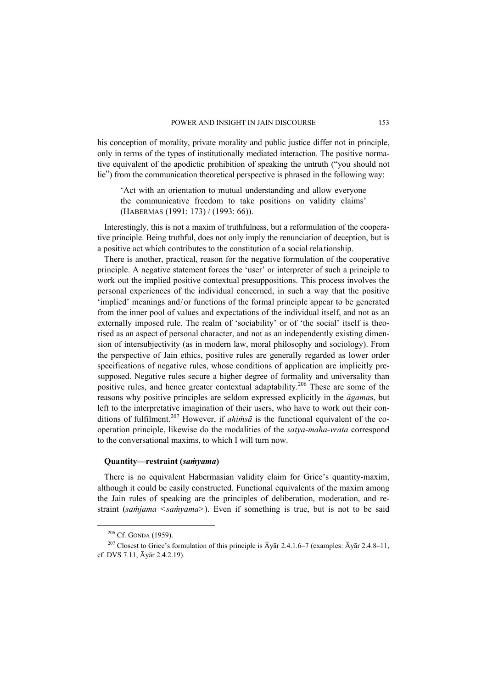his conception of morality, private morality and public justice differ not in principle. only in terms of the types of institutionally mediated interaction. The positive normative equivalent of the apodictic prohibition of speaking the untruth ("you should not lie") from the communication theoretical perspective is phrased in the following way:

'Act with an orientation to mutual understanding and allow everyone the communicative freedom to take positions on validity claims' (HABERMAS (1991: 173) / (1993: 66)).

Interestingly, this is not a maxim of truthfulness, but a reformulation of the cooperative principle. Being truthful, does not only imply the renunciation of deception, but is a positive act which contributes to the constitution of a social relationship.

There is another, practical, reason for the negative formulation of the cooperative principle. A negative statement forces the 'user' or interpreter of such a principle to work out the implied positive contextual presuppositions. This process involves the personal experiences of the individual concerned, in such a way that the positive 'implied' meanings and / or functions of the formal principle appear to be generated from the inner pool of values and expectations of the individual itself, and not as an externally imposed rule. The realm of 'sociability' or of 'the social' itself is theorised as an aspect of personal character, and not as an independently existing dimension of intersubjectivity (as in modern law, moral philosophy and sociology). From the perspective of Jain ethics, positive rules are generally regarded as lower order specifications of negative rules, whose conditions of application are implicitly presupposed. Negative rules secure a higher degree of formality and universality than positive rules, and hence greater contextual adaptability.<sup>206</sup> These are some of the reasons why positive principles are seldom expressed explicitly in the *âgama*s, but left to the interpretative imagination of their users, who have to work out their conditions of fulfilment.<sup>207</sup> However, if *ahimsa* is the functional equivalent of the cooperation principle, likewise do the modalities of the *satya-mahâ-vrata* correspond to the conversational maxims, to which I will turn now.

### **Quantity—restraint (***samvama*)

There is no equivalent Habermasian validity claim for Grice's quantity-maxim, although it could be easily constructed. Functional equivalents of the maxim among the Jain rules of speaking are the principles of deliberation, moderation, and restraint *(samiama <samyama>*). Even if something is true, but is not to be said

 $206$  Cf. GONDA (1959).

<sup>&</sup>lt;sup>207</sup> Closest to Grice's formulation of this principle is  $\bar{A}$ yar 2.4.1.6–7 (examples:  $\bar{A}$ yar 2.4.8–11, cf. DVS 7.11, Âyâr 2.4.2.19).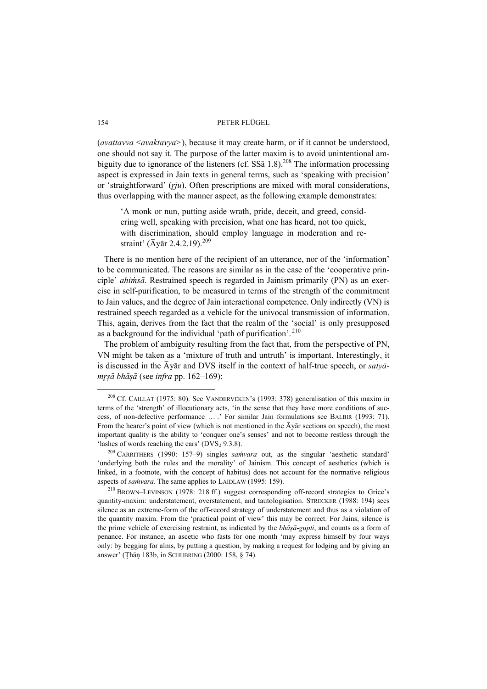(*avattavva* <*avaktavya>*), because it may create harm, or if it cannot be understood, one should not say it. The purpose of the latter maxim is to avoid unintentional ambiguity due to ignorance of the listeners (cf.  $SS\bar{a}$  1.8).<sup>208</sup> The information processing aspect is expressed in Jain texts in general terms, such as 'speaking with precision' or 'straightforward' (*åju*). Often prescriptions are mixed with moral considerations, thus overlapping with the manner aspect, as the following example demonstrates:

'A monk or nun, putting aside wrath, pride, deceit, and greed, considering well, speaking with precision, what one has heard, not too quick, with discrimination, should employ language in moderation and restraint' ( $\bar{A}$ yār 2.4.2.19).<sup>209</sup>

There is no mention here of the recipient of an utterance, nor of the 'information' to be communicated. The reasons are similar as in the case of the 'cooperative principle' *ahimsā*. Restrained speech is regarded in Jainism primarily (PN) as an exercise in self-purification, to be measured in terms of the strength of the commitment to Jain values, and the degree of Jain interactional competence. Only indirectly (VN) is restrained speech regarded as a vehicle for the univocal transmission of information. This, again, derives from the fact that the realm of the 'social' is only presupposed as a background for the individual 'path of purification'.<sup>210</sup>

The problem of ambiguity resulting from the fact that, from the perspective of PN, VN might be taken as a 'mixture of truth and untruth' is important. Interestingly, it is discussed in the Âyâr and DVS itself in the context of half-true speech, or *satyâmrsā bhāsā* (see *infra* pp. 162–169):

<sup>&</sup>lt;sup>208</sup> Cf. CAILLAT (1975: 80). See VANDERVEKEN's (1993: 378) generalisation of this maxim in terms of the 'strength' of illocutionary acts, 'in the sense that they have more conditions of success, of non-defective performance … .' For similar Jain formulations see BALBIR (1993: 71). From the hearer's point of view (which is not mentioned in the  $\bar{A}$ yar sections on speech), the most important quality is the ability to 'conquer one's senses' and not to become restless through the 'lashes of words reaching the ears' ( $DVS<sub>2</sub>$  9.3.8).

<sup>&</sup>lt;sup>209</sup> CARRITHERS (1990: 157-9) singles *samvara* out, as the singular 'aesthetic standard' 'underlying both the rules and the morality' of Jainism. This concept of aesthetics (which is linked, in a footnote, with the concept of habitus) does not account for the normative religious aspects of *samvara*. The same applies to LAIDLAW (1995: 159).

<sup>210</sup> BROWN–LEVINSON (1978: 218 ff.) suggest corresponding off-record strategies to Grice's quantity-maxim: understatement, overstatement, and tautologisation. STRECKER (1988: 194) sees silence as an extreme-form of the off-record strategy of understatement and thus as a violation of the quantity maxim. From the 'practical point of view' this may be correct. For Jains, silence is the prime vehicle of exercising restraint, as indicated by the *bhâšâ-gupti*, and counts as a form of penance. For instance, an ascetic who fasts for one month 'may express himself by four ways only: by begging for alms, by putting a question, by making a request for lodging and by giving an answer' (Thāṇ 183b, in SCHUBRING (2000: 158, § 74).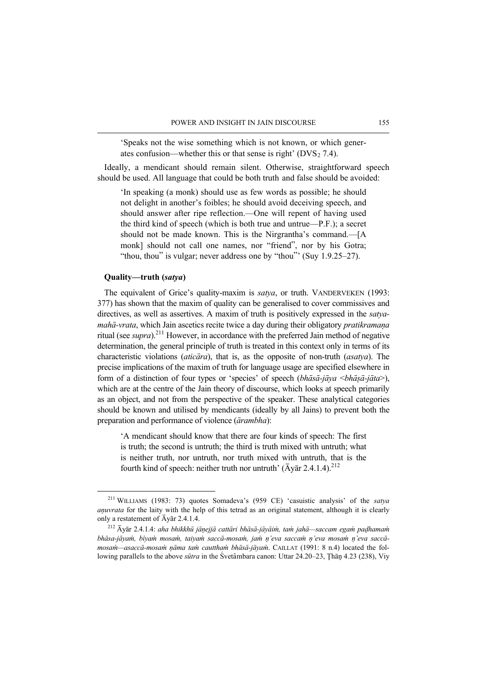'Speaks not the wise something which is not known, or which generates confusion—whether this or that sense is right'  $(DVS<sub>2</sub> 7.4)$ .

Ideally, a mendicant should remain silent. Otherwise, straightforward speech should be used. All language that could be both truth and false should be avoided:

'In speaking (a monk) should use as few words as possible; he should not delight in another's foibles; he should avoid deceiving speech, and should answer after ripe reflection.—One will repent of having used the third kind of speech (which is both true and untrue—P.F.); a secret should not be made known. This is the Nirgrantha's command.—[A monk] should not call one names, nor "friend", nor by his Gotra; "thou, thou" is vulgar; never address one by "thou"' (Suy 1.9.25–27).

#### **Quality—truth (***satya***)**

 $\ddot{ }$ 

The equivalent of Grice's quality-maxim is *satya*, or truth. VANDERVEKEN (1993: 377) has shown that the maxim of quality can be generalised to cover commissives and directives, as well as assertives. A maxim of truth is positively expressed in the *satyamahā-vrata*, which Jain ascetics recite twice a day during their obligatory *pratikramana* ritual (see *supra*).211 However, in accordance with the preferred Jain method of negative determination, the general principle of truth is treated in this context only in terms of its characteristic violations (*aticâra*), that is, as the opposite of non-truth (*asatya*). The precise implications of the maxim of truth for language usage are specified elsewhere in form of a distinction of four types or 'species' of speech (*bhâsâ-jâya* <*bhâšâ-jâta*>), which are at the centre of the Jain theory of discourse, which looks at speech primarily as an object, and not from the perspective of the speaker. These analytical categories should be known and utilised by mendicants (ideally by all Jains) to prevent both the preparation and performance of violence (*ârambha*):

'A mendicant should know that there are four kinds of speech: The first is truth; the second is untruth; the third is truth mixed with untruth; what is neither truth, nor untruth, nor truth mixed with untruth, that is the fourth kind of speech: neither truth nor untruth' ( $\bar{A}$ yār 2.4.1.4).<sup>212</sup>

 <sup>211</sup> WILLIAMS (1983: 73) quotes Somadeva's (959 CE) 'casuistic analysis' of the *satya anuvrata* for the laity with the help of this tetrad as an original statement, although it is clearly only a restatement of Âyâr 2.4.1.4.

<sup>&</sup>lt;sup>212</sup> Āvār 2.4.1.4: aha bhikkhū jāņejjā cattāri bhāsā-jāyāim, tam jahā—saccam egam paḍhamam bhāsa-jāyam, bīyam mosam, taiyam saccā-mosam, jam n'eva saccam n'eva mosam n'eva saccā*mosam—asaccā-mosam nāma tam cauttham bhāsā-jāyam*. CAILLAT (1991: 8 n.4) located the following parallels to the above *sūtra* in the Svetâmbara canon: Uttar 24.20–23, Thān 4.23 (238), Viy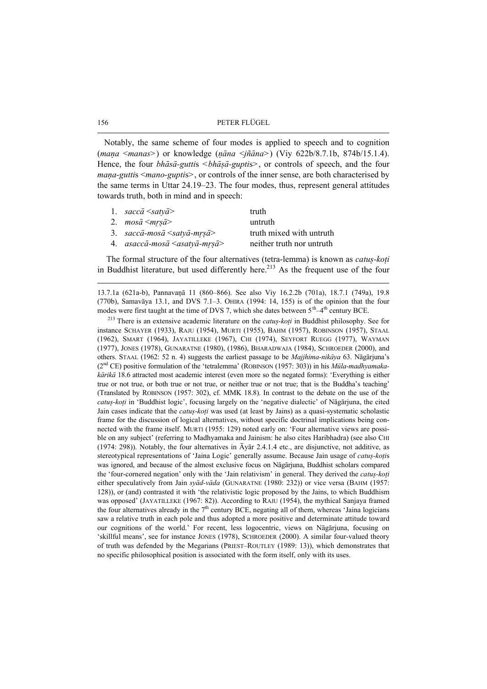Notably, the same scheme of four modes is applied to speech and to cognition (*mana* <*manas*>) or knowledge (*nāna* <*jñāna*>) (Viy 622b/8.7.1b, 874b/15.1.4). Hence, the four *bhâsâ-gutti*s *<bhâšâ-gupti*s*>*, or controls of speech, and the four *mana-guttis* <*mano-guptis*>, or controls of the inner sense, are both characterised by the same terms in Uttar 24.19–23. The four modes, thus, represent general attitudes towards truth, both in mind and in speech:

| 1. sacc $\bar{a} \leq$ satv $\bar{a}$ >                                                     | truth                     |
|---------------------------------------------------------------------------------------------|---------------------------|
| 2. $m \circ \overline{a} \leq m r \circ \overline{a}$                                       | untruth                   |
| 3. sacc $\bar{a}$ -mos $\bar{a}$ <saty<math>\bar{a}-mrs<math>\bar{a}</math>&gt;</saty<math> | truth mixed with untruth  |
| 4. asaccā-mosā <asatyā-mrsā></asatyā-mrsā>                                                  | neither truth nor untruth |

The formal structure of the four alternatives (tetra-lemma) is known as *catus-koti* in Buddhist literature, but used differently here.<sup>213</sup> As the frequent use of the four

<sup>213</sup> There is an extensive academic literature on the *catus-koți* in Buddhist philosophy. See for instance SCHAYER (1933), RAJU (1954), MURTI (1955), BAHM (1957), ROBINSON (1957), STAAL (1962), SMART (1964), JAYATILLEKE (1967), CHI (1974), SEYFORT RUEGG (1977), WAYMAN (1977), JONES (1978), GUNARATNE (1980), (1986), BHARADWAJA (1984), SCHROEDER (2000), and others. STAAL (1962: 52 n. 4) suggests the earliest passage to be *Majjhima-nikâya* 63. Nâgârjuna's (2nd CE) positive formulation of the 'tetralemma' (ROBINSON (1957: 303)) in his *Mûla-madhyamakakârikâ* 18.6 attracted most academic interest (even more so the negated forms): 'Everything is either true or not true, or both true or not true, or neither true or not true; that is the Buddha's teaching' (Translated by ROBINSON (1957: 302), cf. MMK 18.8). In contrast to the debate on the use of the *catus-koti* in 'Buddhist logic', focusing largely on the 'negative dialectic' of Nāgārjuna, the cited Jain cases indicate that the *catus-koti* was used (at least by Jains) as a quasi-systematic scholastic frame for the discussion of logical alternatives, without specific doctrinal implications being connected with the frame itself. MURTI (1955: 129) noted early on: 'Four alternative views are possible on any subject' (referring to Madhyamaka and Jainism: he also cites Haribhadra) (see also CHI (1974: 298)). Notably, the four alternatives in Âyâr 2.4.1.4 etc., are disjunctive, not additive, as stereotypical representations of 'Jaina Logic' generally assume. Because Jain usage of *catus-kotis* was ignored, and because of the almost exclusive focus on Nâgârjuna, Buddhist scholars compared the 'four-cornered negation' only with the 'Jain relativism' in general. They derived the *catus-koti* either speculatively from Jain *syâd-vâda* (GUNARATNE (1980: 232)) or vice versa (BAHM (1957: 128)), or (and) contrasted it with 'the relativistic logic proposed by the Jains, to which Buddhism was opposed' (JAYATILLEKE (1967: 82)). According to RAJU (1954), the mythical Sanjaya framed the four alternatives already in the  $7<sup>th</sup>$  century BCE, negating all of them, whereas 'Jaina logicians' saw a relative truth in each pole and thus adopted a more positive and determinate attitude toward our cognitions of the world.' For recent, less logocentric, views on Nâgârjuna, focusing on 'skillful means', see for instance JONES (1978), SCHROEDER (2000). A similar four-valued theory of truth was defended by the Megarians (PRIEST–ROUTLEY (1989: 13)), which demonstrates that no specific philosophical position is associated with the form itself, only with its uses.

# $\ddot{ }$

 $\overline{a}$ 

<sup>13.7.1</sup>a (621a-b), Pannavaòâ 11 (860–866). See also Viy 16.2.2b (701a), 18.7.1 (749a), 19.8 (770b), Samavâya 13.1, and DVS 7.1–3. OHIRA (1994: 14, 155) is of the opinion that the four modes were first taught at the time of DVS 7, which she dates between  $5<sup>th</sup>-4<sup>th</sup>$  century BCE.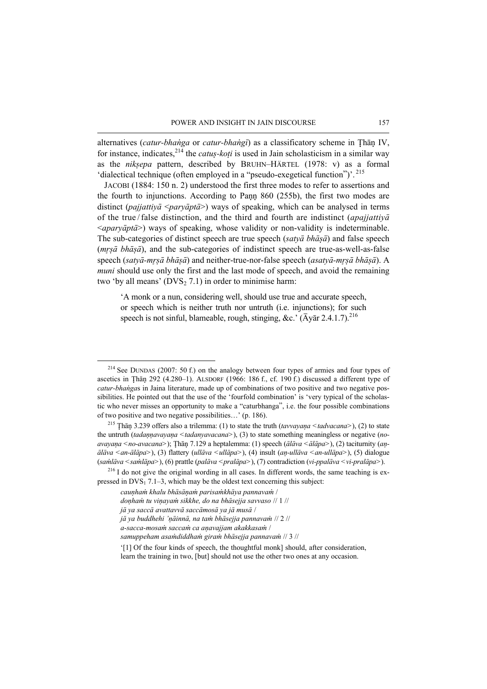alternatives (*catur-bhanga* or *catur-bhangī*) as a classificatory scheme in Thān IV, for instance, indicates,<sup>214</sup> the *catus-koti* is used in Jain scholasticism in a similar way as the *nikšepa* pattern, described by BRUHN–HÄRTEL (1978: v) as a formal 'dialectical technique (often employed in a "pseudo-exegetical function")'. <sup>215</sup>

JACOBI (1884: 150 n. 2) understood the first three modes to refer to assertions and the fourth to injunctions. According to Pann  $860$  (255b), the first two modes are distinct (*pajjattiyâ* <*paryâptâ*>) ways of speaking, which can be analysed in terms of the true / false distinction, and the third and fourth are indistinct (*apajjattiyâ* <*aparyâptâ*>) ways of speaking, whose validity or non-validity is indeterminable. The sub-categories of distinct speech are true speech (*satyâ bhâšâ*) and false speech (*mrsā bhāsā*), and the sub-categories of indistinct speech are true-as-well-as-false speech (*satyā-mrsā bhāsā*) and neither-true-nor-false speech (*asatyā-mrsā bhāsā*). A *muni* should use only the first and the last mode of speech, and avoid the remaining two 'by all means'  $(DVS<sub>2</sub> 7.1)$  in order to minimise harm:

'A monk or a nun, considering well, should use true and accurate speech, or speech which is neither truth nor untruth (i.e. injunctions); for such speech is not sinful, blameable, rough, stinging, &c.' ( $\bar{A}$ yār 2.4.1.7).<sup>216</sup>

*doòhaô tu viòayaô sikkhe, do na bhâsejja savvaso* // 1 //

*jâ ya buddhehi 'òâinnâ, na taô bhâsejja pannavaô* // 2 //

<sup>&</sup>lt;sup>214</sup> See DUNDAS (2007: 50 f.) on the analogy between four types of armies and four types of ascetics in Than 292 (4.280–1). ALSDORF (1966: 186 f., cf. 190 f.) discussed a different type of *catur-bhaóga*s in Jaina literature, made up of combinations of two positive and two negative possibilities. He pointed out that the use of the 'fourfold combination' is 'very typical of the scholastic who never misses an opportunity to make a "caturbhanga", i.e. the four possible combinations of two positive and two negative possibilities…' (p. 186).

<sup>&</sup>lt;sup>215</sup> Thāṇ 3.239 offers also a trilemma: (1) to state the truth (*tavvayaṇa* <tadvacana>), (2) to state the untruth (*tadannavayana* <tadanyavacana>), (3) to state something meaningless or negative (*noavayana* <*no-avacana*>); Thāṇ 7.129 a heptalemma: (1) speech ( $\bar{a}\bar{a}\bar{a}v\bar{a}$  < $\bar{a}\bar{a}\bar{p}a$ >), (2) taciturnity (*anâlâva <an-âlâpa>*), (3) flattery (*ullâva <ullâpa>*), (4) insult (*aò-ullâva <an-ullâpa>*), (5) dialogue (*saôlâva <saôlâpa>*), (6) prattle (*palâva <pralâpa>*), (7) contradiction (*vi-ppalâva <vi-pralâpa>*).

<sup>&</sup>lt;sup>216</sup> I do not give the original wording in all cases. In different words, the same teaching is expressed in  $DVS_1$  7.1–3, which may be the oldest text concerning this subject:

*caunham khalu bhāsānam parisamkhāya pannavam* /

*jâ ya saccâ avattavvâ saccâmosâ ya jâ musâ* /

*a-sacca-mosam saccam ca anavajjam akakkasam /* 

*samuppeham asaôdiddhaô giraô bhâsejja pannavaô* // 3 //

<sup>&#</sup>x27;[1] Of the four kinds of speech, the thoughtful monk] should, after consideration, learn the training in two, [but] should not use the other two ones at any occasion.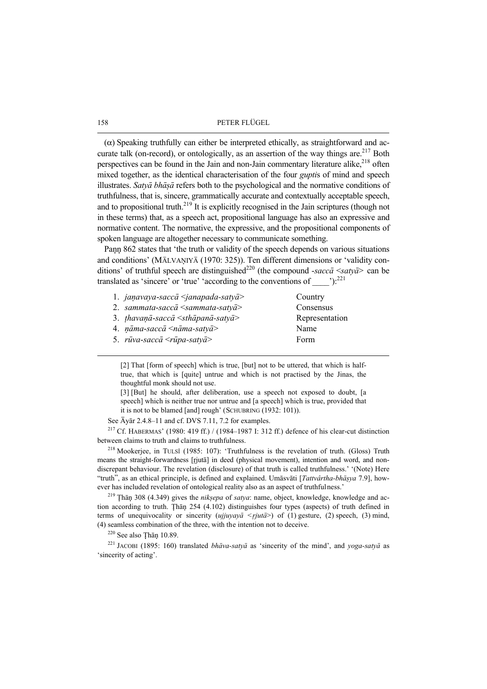| 158 | PETER FLÜGEL |
|-----|--------------|
|     |              |

 $(\alpha)$  Speaking truthfully can either be interpreted ethically, as straightforward and accurate talk (on-record), or ontologically, as an assertion of the way things are.<sup>217</sup> Both perspectives can be found in the Jain and non-Jain commentary literature alike, $2^{18}$  often mixed together, as the identical characterisation of the four *gupti*s of mind and speech illustrates. *Satyâ bhâšâ* refers both to the psychological and the normative conditions of truthfulness, that is, sincere, grammatically accurate and contextually acceptable speech, and to propositional truth.<sup>219</sup> It is explicitly recognised in the Jain scriptures (though not in these terms) that, as a speech act, propositional language has also an expressive and normative content. The normative, the expressive, and the propositional components of spoken language are altogether necessary to communicate something.

Pann 862 states that 'the truth or validity of the speech depends on various situations and conditions' (MALVANIYA (1970: 325)). Ten different dimensions or 'validity conditions' of truthful speech are distinguished220 (the compound −*saccâ* <*satyâ>* can be translated as 'sincere' or 'true' 'according to the conventions of  $\qquad$ "):<sup>221</sup>

| 1. janavaya-saccā < janapada-satyā>                                          | Country        |
|------------------------------------------------------------------------------|----------------|
| 2. sammata-saccā <sammata-satyā></sammata-satyā>                             | Consensus      |
| 3. thavanā-saccā <sthāpanā-satyā></sthāpanā-satyā>                           | Representation |
| 4. nāma-saccā <nāma-satyā></nāma-satyā>                                      | Name           |
| 5. $r\bar{u}v\bar{a}$ -sacc $\bar{a}$ < $r\bar{u}p\bar{a}$ -saty $\bar{a}$ > | Form           |

[2] That [form of speech] which is true, [but] not to be uttered, that which is halftrue, that which is [quite] untrue and which is not practised by the Jinas, the thoughtful monk should not use.

[3] [But] he should, after deliberation, use a speech not exposed to doubt, [a speech] which is neither true nor untrue and [a speech] which is true, provided that it is not to be blamed [and] rough' (SCHUBRING (1932: 101)).

See Âyâr 2.4.8–11 and cf. DVS 7.11, 7.2 for examples.

217 Cf. HABERMAS' (1980: 419 ff.) / (1984–1987 I: 312 ff.) defence of his clear-cut distinction between claims to truth and claims to truthfulness.

<sup>218</sup> Mookerjee, in TULSI (1985: 107): 'Truthfulness is the revelation of truth. (Gloss) Truth means the straight-forwardness [rjutā] in deed (physical movement), intention and word, and nondiscrepant behaviour. The revelation (disclosure) of that truth is called truthfulness.' '(Note) Here "truth", as an ethical principle, is defined and explained. Umâsvâti [*Tattvârtha-bhâšya* 7.9], however has included revelation of ontological reality also as an aspect of truthfulness.'

<sup>219</sup> Thān 308 (4.349) gives the *niksepa* of *satya*: name, object, knowledge, knowledge and action according to truth. Than  $254$  (4.102) distinguishes four types (aspects) of truth defined in terms of unequivocality or sincerity (*ujjuyayā <fjutā*>) of (1) gesture, (2) speech, (3) mind, (4) seamless combination of the three, with the intention not to deceive.

 $220$  See also Than 10.89.

221 JACOBI (1895: 160) translated *bhâva-satyâ* as 'sincerity of the mind', and *yoga-satyâ* as 'sincerity of acting'.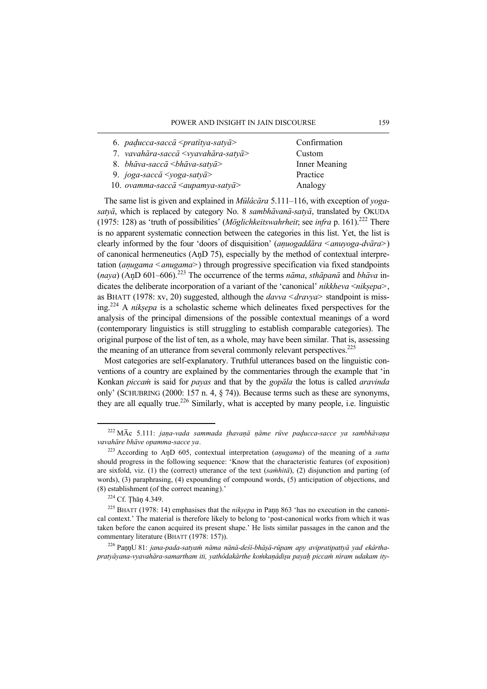| 6. paducca-sacc $\bar{a}$ <pratitya-saty<math>\bar{a}&gt;</pratitya-saty<math> | Confirmation  |
|--------------------------------------------------------------------------------|---------------|
| 7. vavahāra-saccā $\langle \nabla y \rangle$ vavahāra-satyā>                   | Custom        |
| 8. bhāva-saccā <bhāva-satyā></bhāva-satyā>                                     | Inner Meaning |
| 9. joga-saccā $\leq$ yoga-satyā>                                               | Practice      |
| 10. ovamma-saccā <aupamya-satyā></aupamya-satyā>                               | Analogy       |

The same list is given and explained in *Mûlâcâra* 5.111–116, with exception of *yogasatyâ*, which is replaced by category No. 8 *sambhâvanâ-satyâ*, translated by OKUDA (1975: 128) as 'truth of possibilities' (*Möglichkeitswahrheit*; see *infra* p. 161).<sup>222</sup> There is no apparent systematic connection between the categories in this list. Yet, the list is clearly informed by the four 'doors of disquisition' (*anuogaddara <anuyoga-dvara*>) of canonical hermeneutics (AnD 75), especially by the method of contextual interpretation (*anugama* < *anugama* > ) through progressive specification via fixed standpoints (*naya*) (AòD 601–606).223 The occurrence of the terms *nâma*, *sthâpanâ* and *bhâva* indicates the deliberate incorporation of a variant of the 'canonical' *nikkheva* <*nikšepa>*, as BHATT (1978: xv, 20) suggested, although the *davva <dravya>* standpoint is missing.224 A *nikšepa* is a scholastic scheme which delineates fixed perspectives for the analysis of the principal dimensions of the possible contextual meanings of a word (contemporary linguistics is still struggling to establish comparable categories). The original purpose of the list of ten, as a whole, may have been similar. That is, assessing the meaning of an utterance from several commonly relevant perspectives.<sup>225</sup>

Most categories are self-explanatory. Truthful utterances based on the linguistic conventions of a country are explained by the commentaries through the example that 'in Konkan *piccam* is said for *payas* and that by the *gopala* the lotus is called *aravinda* only' (SCHUBRING (2000: 157 n. 4, § 74)). Because terms such as these are synonyms, they are all equally true.<sup>226</sup> Similarly, what is accepted by many people, i.e. linguistic

<sup>224</sup> Cf. Than 4.349.

<sup>&</sup>lt;sup>222</sup> MĀc 5.111: *jana-vada sammada thavanā nāme rūve paducca-sacce ya sambhāvana vavahâre bhâve opamma-sacce ya*.

<sup>&</sup>lt;sup>223</sup> According to AnD 605, contextual interpretation (*anugama*) of the meaning of a *sutta* should progress in the following sequence: 'Know that the characteristic features (of exposition) are sixfold, viz. (1) the (correct) utterance of the text (*samhitā*), (2) disjunction and parting (of words), (3) paraphrasing, (4) expounding of compound words, (5) anticipation of objections, and (8) establishment (of the correct meaning).'

<sup>&</sup>lt;sup>225</sup> BHATT (1978: 14) emphasises that the *niksepa* in Pann 863 'has no execution in the canonical context.' The material is therefore likely to belong to 'post-canonical works from which it was taken before the canon acquired its present shape.' He lists similar passages in the canon and the commentary literature (BHATT (1978: 157)).

<sup>&</sup>lt;sup>226</sup> PannU 81: *jana-pada-satyam nāma nānā-deśī-bhāṣā-rūpam apy avipratipattyā yad ekârthapratyâyana-vyavahâra-samartham iti, yathôdakârthe koôkaòâdišu payaÿ piccaô nîram udakam ity-*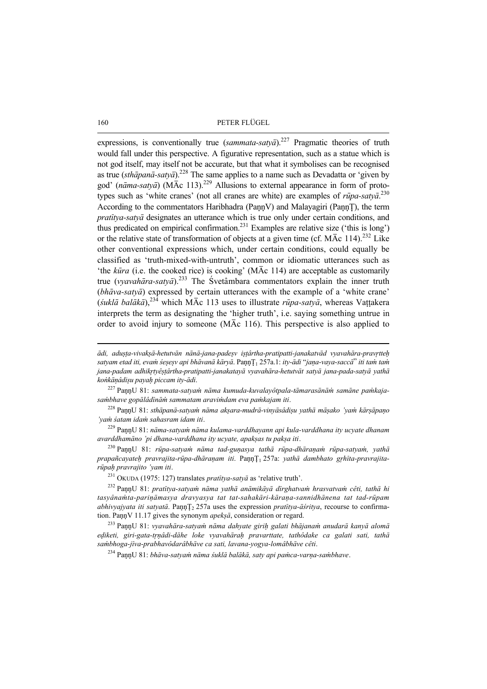160 PETER FLÜGEL

expressions, is conventionally true (*sammata-satya*).<sup>227</sup> Pragmatic theories of truth would fall under this perspective. A figurative representation, such as a statue which is not god itself, may itself not be accurate, but that what it symbolises can be recognised as true (*sthâpanâ-satyâ*).228 The same applies to a name such as Devadatta or 'given by god'  $(n\bar{a}ma-sat\bar{a})$  ( $M\bar{A}c$  113).<sup>229</sup> Allusions to external appearance in form of prototypes such as 'white cranes' (not all cranes are white) are examples of *rûpa-satyâ*. 230 According to the commentators Haribhadra (PannV) and Malayagiri (PannT), the term *pratîtya-satyâ* designates an utterance which is true only under certain conditions, and thus predicated on empirical confirmation.<sup>231</sup> Examples are relative size ('this is long') or the relative state of transformation of objects at a given time (cf. M $\bar{A}c$  114).<sup>232</sup> Like other conventional expressions which, under certain conditions, could equally be classified as 'truth-mixed-with-untruth', common or idiomatic utterances such as 'the *kûra* (i.e. the cooked rice) is cooking' (MÂc 114) are acceptable as customarily true (*vyavahāra-satyā*).<sup>233</sup> The Śvetâmbara commentators explain the inner truth (*bhâva-satyâ*) expressed by certain utterances with the example of a 'white crane'  $(\dot{\delta}$ *uklā balākā*),<sup>234</sup> which MĀc 113 uses to illustrate *rūpa-satyā*, whereas Vattakera interprets the term as designating the 'higher truth', i.e. saying something untrue in order to avoid injury to someone ( $M\bar{A}c$  116). This perspective is also applied to

<sup>227</sup> PannU 81: *sammata-satyam nāma kumuda-kuvalayôtpala-tāmarasānām samāne pamkajasaôbhave gopâlâdînâô sammatam araviôdam eva paôkajam iti*.

<sup>228</sup> PannU 81: *sthāpanā-satyam nāma akṣara-mudrā-vinyāsâdiṣu yathā māṣako 'yam kārṣāpaṇo* 'yam śatam idam sahasram idam iti.

<sup>229</sup> PannU 81: *nāma-satyam nāma kulama-varddhayann api kula-varddhana ity ucyate dhanam avarddhamâno 'pi dhana-varddhana ity ucyate, apakšas tu pakša iti*.

<sup>230</sup> PannU 81: *rūpa-satyam nāma tad-guṇasya tathā rūpa-dhāraṇam rūpa-satyam, yathā* prapañcayateh pravrajita-rūpa-dhāraṇam iti. PaṇṇŢ<sub>1</sub> 257a: yathā dambhato grhīta-pravrajita*rûpaÿ pravrajito 'yam iti*.

231 OKUDA (1975: 127) translates *pratîtya-satyâ* as 'relative truth'.

<sup>232</sup> PannU 81: *pratītya-satyam nāma yathā anāmikāyā dīrghatvam hrasvatvam cêti, tathā hi tasyânaôta-pariòâmasya dravyasya tat tat-sahakâri-kâraòa-sannidhânena tat tad-rûpam abhivyajyata iti satyatā*. PannT<sub>2</sub> 257a uses the expression *pratītya-āśritya*, recourse to confirmation. PannV 11.17 gives the synonym *apeksa*, consideration or regard.

<sup>233</sup> PannU 81: *vyavahāra-satyam nāma dahyate girih galati bhājanam anudarā kanyā alomā eðiketi, giri-gata-tåòâdi-dâhe loke vyavahâraÿ pravarttate, tathôdake ca galati sati, tathâ saôbhoga-jîva-prabhavôdarâbhâve ca sati, lavana-yogya-lomâbhâve cêti*.

<sup>234</sup> PannU 81: *bhāva-satyam nāma śuklā balākā, saty api pamca-varna-sambhave.* 

 $\overline{a}$ 

*âdi, adušþa-vivakšâ-hetutvân nânâ-jana-padešv išþârtha-pratipatti-janakatvâd vyavahâra-pravåtteÿ*  $s$ atyam etad iti, evam śesesy api bhāvanā kāryā. PaṇṇŢ<sub>1</sub> 257a.1: *ity-ādi "jana-vaya-saccā*" iti tam tam *jana-padam adhikåtyêšþârtha-pratipatti-janakatayâ vyavahâra-hetutvât satyâ jana-pada-satyâ yathâ koókâòâdišu payaÿ piccam ity-âdi*.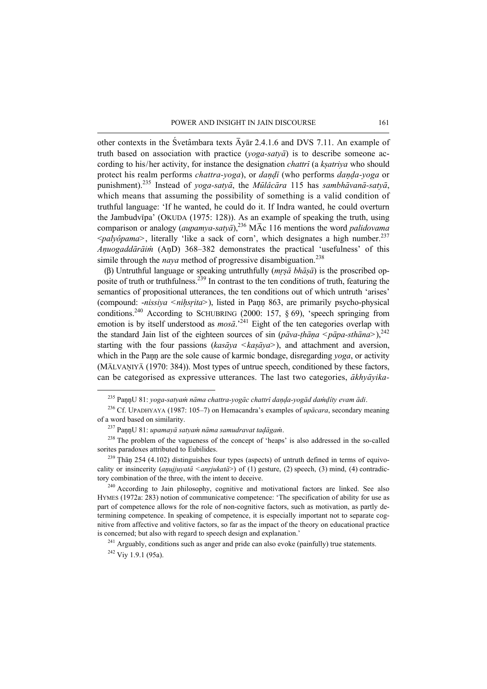other contexts in the Svetâmbara texts  $\bar{A}$ vār 2.4.1.6 and DVS 7.11. An example of truth based on association with practice (*yoga-satyâ*) is to describe someone according to his / her activity, for instance the designation *chattrî* (a *kšatriya* who should protect his realm performs *chattra-yoga*), or *dandi* (who performs *danda-yoga* or punishment).235 Instead of *yoga-satyâ*, the *Mûlâcâra* 115 has *sambhâvanâ-satyâ*, which means that assuming the possibility of something is a valid condition of truthful language: 'If he wanted, he could do it. If Indra wanted, he could overturn the Jambudvîpa' (OKUDA (1975: 128)). As an example of speaking the truth, using comparison or analogy (*aupamya-satyā*),<sup>236</sup> M $\overline{A}c$  116 mentions the word *palidovama* <*palyôpama>*, literally 'like a sack of corn', which designates a high number.237 Anuogaddārāim (AnD) 368–382 demonstrates the practical 'usefulness' of this simile through the *naya* method of progressive disambiguation.<sup>238</sup>

( $\beta$ ) Untruthful language or speaking untruthfully (*mrsā bhāsā*) is the proscribed opposite of truth or truthfulness.<sup>239</sup> In contrast to the ten conditions of truth, featuring the semantics of propositional utterances, the ten conditions out of which untruth 'arises' (compound: *-nissiya <nihsrita>*), listed in Pann 863, are primarily psycho-physical conditions.<sup>240</sup> According to SCHUBRING (2000: 157,  $\S$  69), 'speech springing from emotion is by itself understood as  $m \circ a^{24}$ . Eight of the ten categories overlap with the standard Jain list of the eighteen sources of sin ( $p\bar{a}va$ -thana <papa-sthana>),  $242$ starting with the four passions (*kasāya <kasāya*>), and attachment and aversion, which in the Pann are the sole cause of karmic bondage, disregarding *yoga*, or activity  $(M\bar{A}LVANIY\bar{A}$  (1970: 384)). Most types of untrue speech, conditioned by these factors, can be categorised as expressive utterances. The last two categories, *âkhyâyika-*

<sup>&</sup>lt;sup>235</sup> PannU 81: *yoga-satyam nāma chattra-yogāc chattrī daṇḍa-yogād damdîty evam ādi*.

<sup>236</sup> Cf. UPADHYAYA (1987: 105–7) on Hemacandra's examples of *upâcara*, secondary meaning of a word based on similarity.

<sup>&</sup>lt;sup>237</sup> PannU 81: *upamayā satyam nāma samudravat tadāgam*.

<sup>&</sup>lt;sup>238</sup> The problem of the vagueness of the concept of 'heaps' is also addressed in the so-called sorites paradoxes attributed to Eubilides.

 $239$  Than 254 (4.102) distinguishes four types (aspects) of untruth defined in terms of equivocality or insincerity (*anujjuyatā* <*anrjukatā*>) of (1) gesture, (2) speech, (3) mind, (4) contradictory combination of the three, with the intent to deceive.

<sup>&</sup>lt;sup>240</sup> According to Jain philosophy, cognitive and motivational factors are linked. See also HYMES (1972a: 283) notion of communicative competence: 'The specification of ability for use as part of competence allows for the role of non-cognitive factors, such as motivation, as partly determining competence. In speaking of competence, it is especially important not to separate cognitive from affective and volitive factors, so far as the impact of the theory on educational practice is concerned; but also with regard to speech design and explanation.'

 $241$  Arguably, conditions such as anger and pride can also evoke (painfully) true statements.  $242$  Viv 1.9.1 (95a).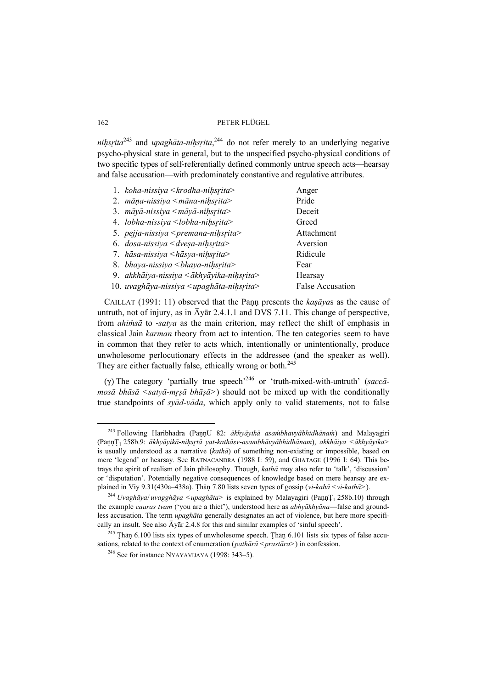*nihsrita*<sup>243</sup> and *upaghāta-niḥsrita*,<sup>244</sup> do not refer merely to an underlying negative psycho-physical state in general, but to the unspecified psycho-physical conditions of two specific types of self-referentially defined commonly untrue speech acts—hearsay and false accusation—with predominately constantive and regulative attributes.

| 1. koha-nissiya $\langle$ krodha-nihsrita>                                 | Anger                   |
|----------------------------------------------------------------------------|-------------------------|
| 2. māņa-nissiya < māņa-nihsrita>                                           | Pride                   |
| 3. māyā-nissiya < māyā-nihsrita>                                           | Deceit                  |
| 4. lobha-nissiya < lobha-nihsrita>                                         | Greed                   |
| 5. pejja-nissiya < premana-nihsrita>                                       | Attachment              |
| 6. dosa-nissiya $< dvesa-nihsrita>$                                        | Aversion                |
| 7. hāsa-nissiya < hāsya-nihsrita>                                          | Ridicule                |
| 8. bhaya-nissiya<br>bhaya-nihsrita>                                        | Fear                    |
| 9. akkhāiya-nissiya $\langle \bar{a}k h y \bar{a}y i k \rangle$ a-nihsrita | Hearsay                 |
| 10. uvaghāya-nissiya <upaghāta-nihsrita></upaghāta-nihsrita>               | <b>False Accusation</b> |

CAILLAT  $(1991: 11)$  observed that the Pann presents the *kasayas* as the cause of untruth, not of injury, as in  $\bar{A}$ yār 2.4.1.1 and DVS 7.11. This change of perspective, from *ahiôsâ* to −*satya* as the main criterion, may reflect the shift of emphasis in classical Jain *karman* theory from act to intention. The ten categories seem to have in common that they refer to acts which, intentionally or unintentionally, produce unwholesome perlocutionary effects in the addressee (and the speaker as well). They are either factually false, ethically wrong or both.<sup>245</sup>

(g) The category 'partially true speech'246 or 'truth-mixed-with-untruth' (*saccâmosā bhāsā* <*satyā-mṛsā bhāsā>*) should not be mixed up with the conditionally true standpoints of *syâd-vâda*, which apply only to valid statements, not to false

<sup>&</sup>lt;sup>243</sup> Following Haribhadra (PaṇṇU 82: ākhyāyikā asambhavyâbhidhānam) and Malayagiri (PaòòÞ1 258b.9: *âkhyâyikâ-niÿsåtâ yat-kathâsv-asambhâvyâbhidhânam*), *akkhâiya <âkhyâyika>* is usually understood as a narrative (*kathâ*) of something non-existing or impossible, based on mere 'legend' or hearsay. See RATNACANDRA (1988 I: 59), and GHATAGE (1996 I: 64). This betrays the spirit of realism of Jain philosophy. Though, *kathâ* may also refer to 'talk', 'discussion' or 'disputation'. Potentially negative consequences of knowledge based on mere hearsay are explained in Viy 9.31(430a–438a). Þhâò 7.80 lists seven types of gossip (*vi-kahâ <vi-kathâ>*).

<sup>&</sup>lt;sup>244</sup> *Uvaghāya*/ *uvagghāya*  $\langle$ *upaghāta* $>$  is explained by Malayagiri (PannT<sub>1</sub> 258b.10) through the example *cauras tvam* ('you are a thief'), understood here as *abhyâkhyâna*—false and groundless accusation. The term *upaghâta* generally designates an act of violence, but here more specifically an insult. See also Âyâr 2.4.8 for this and similar examples of 'sinful speech'.

 $^{245}$  Thān 6.100 lists six types of unwholesome speech. Thān 6.101 lists six types of false accusations, related to the context of enumeration (*pathārā* <*prastāra*>) in confession.

<sup>246</sup> See for instance NYAYAVIJAYA (1998: 343–5).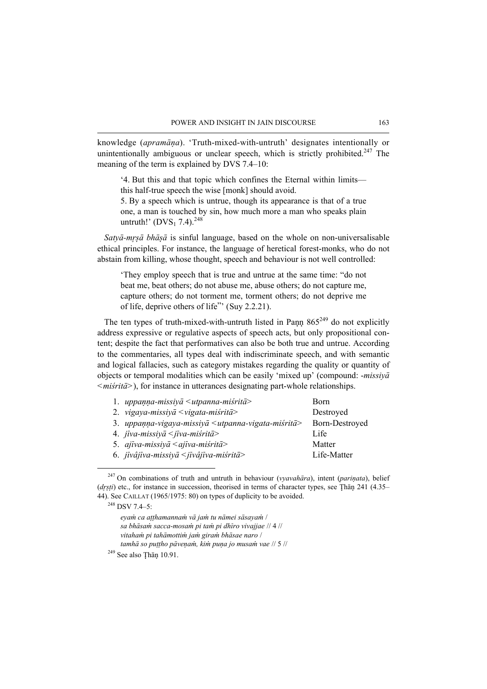knowledge (*apramâòa*). 'Truth-mixed-with-untruth' designates intentionally or unintentionally ambiguous or unclear speech, which is strictly prohibited.<sup>247</sup> The meaning of the term is explained by DVS 7.4–10:

'4. But this and that topic which confines the Eternal within limits this half-true speech the wise [monk] should avoid.

5. By a speech which is untrue, though its appearance is that of a true one, a man is touched by sin, how much more a man who speaks plain untruth!'  $(DVS_1 7.4)$ .<sup>248</sup>

Satyā-mrșā bhāșā is sinful language, based on the whole on non-universalisable ethical principles. For instance, the language of heretical forest-monks, who do not abstain from killing, whose thought, speech and behaviour is not well controlled:

'They employ speech that is true and untrue at the same time: "do not beat me, beat others; do not abuse me, abuse others; do not capture me, capture others; do not torment me, torment others; do not deprive me of life, deprive others of life"' (Suy 2.2.21).

The ten types of truth-mixed-with-untruth listed in Pann  $865^{249}$  do not explicitly address expressive or regulative aspects of speech acts, but only propositional content; despite the fact that performatives can also be both true and untrue. According to the commentaries, all types deal with indiscriminate speech, and with semantic and logical fallacies, such as category mistakes regarding the quality or quantity of objects or temporal modalities which can be easily 'mixed up' (compound: −*missiyâ*  $\leq$ *miśritā*>), for instance in utterances designating part-whole relationships.

| 1. uppaņņa-missiyā $\leq$ utpanna-misritā>                                                              | Born           |
|---------------------------------------------------------------------------------------------------------|----------------|
| 2. vigaya-missiya $\langle \text{vigata-mis} \rangle$                                                   | Destroyed      |
| 3. uppanna-vigaya-missiy $\bar{a}$ <utpanna-vigata-misrit<math>\bar{a}&gt;</utpanna-vigata-misrit<math> | Born-Destroyed |
| 4. $j\bar{\iota}\nu a$ -missiv $\bar{a}$ < $j\bar{\iota}\nu a$ -misrit $\bar{a}$ >                      | Life           |
| 5. ajīva-missiyā $\langle$ ajīva-miśritā>                                                               | Matter         |
| 6. jīvâjīva-missiyā $\leq$ jīvâjīva-miśritā>                                                            | Life-Matter    |

<sup>&</sup>lt;sup>247</sup> On combinations of truth and untruth in behaviour (*vyavahāra*), intent (*parinata*), belief (*drsti*) etc., for instance in succession, theorised in terms of character types, see Than 241 (4.35– 44). See CAILLAT (1965/1975: 80) on types of duplicity to be avoided.

 $\ddot{ }$ 

 $249$  See also Than 10.91.

<sup>248</sup> DSV 7.4–5:

*eyam ca atthamannam vā jam tu nāmei sāsayam /* sa bhāsam sacca-mosam pi tam pi dhīro vivajjae // 4 // vitaham pi tahāmottim jam giram bhāsae naro / *tamhā so puttho pāvenam, kim puna jo musam vae // 5 //*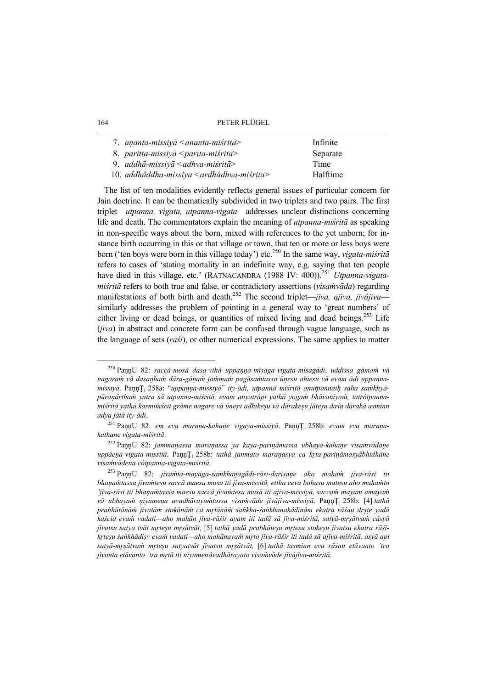| 7. ananta-missiy $\bar{a}$ < ananta-misrit $\bar{a}$ >                              | Infinite |
|-------------------------------------------------------------------------------------|----------|
| 8. paritta-missiy $\bar{a}$ < parita-misrit $\bar{a}$ >                             | Separate |
| 9. addhā-missiyā $\leq$ adhva-miśritā>                                              | Time     |
| 10. addhâddhā-missiyā $\langle \langle \rangle$ ardhâdhva-miśritā $\langle \rangle$ | Halftime |

The list of ten modalities evidently reflects general issues of particular concern for Jain doctrine. It can be thematically subdivided in two triplets and two pairs. The first triplet—*utpanna, vigata, utpanna-vigata*—addresses unclear distinctions concerning life and death. The commentators explain the meaning of *utpanna-misrita* as speaking in non-specific ways about the born, mixed with references to the yet unborn; for instance birth occurring in this or that village or town, that ten or more or less boys were born ('ten boys were born in this village today') etc.<sup>250</sup> In the same way, *vigata-miśritā* refers to cases of 'stating mortality in an indefinite way, e.g. saying that ten people have died in this village, etc.' (RATNACANDRA (1988 IV: 400)).<sup>251</sup> *Utpanna-vigatamiśritā* refers to both true and false, or contradictory assertions (*visañvāda*) regarding manifestations of both birth and death.252 The second triplet—*jîva, ajîva, jîvâjîva* similarly addresses the problem of pointing in a general way to 'great numbers' of either living or dead beings, or quantities of mixed living and dead beings.<sup>253</sup> Life (*jîva*) in abstract and concrete form can be confused through vague language, such as the language of sets (*râœi*), or other numerical expressions. The same applies to matter

<sup>&</sup>lt;sup>250</sup> PannU 82: *saccā-mosā dasa-vihā uppanna-mīsaga-vigata-mīsagâdi*, uddissa gāmam vā nagaram vā dasanham dāra-gānam jammam pagāsamtassa ūnesu ahiesu vā evam ādi uppanna*missiyā*. PannT<sub>1</sub> 258a: "uppanna-missiyā" ity-ādi, utpannā miśritā anutpannaih saha samkhyā*pûraòârthaô yatra sâ utpanna-miœritâ, evam anyatrâpi yathâ yogaô bhâvanîyaô, tatrôtpanna*miśritā yathā kasmi*niścit grāme nagare vā ūne*șv adhikeșu vā dārakeșu jāteșu daśa dārakā asminn *adya jâtâ ity-âdi*.

<sup>&</sup>lt;sup>251</sup> PannU 82: em eva maraṇa-kahaṇe vigaya-missiyā. PaṇṇȚ<sub>1</sub> 258b: evam eva maraṇa*kathane vigata-miœritâ*.

<sup>&</sup>lt;sup>252</sup> PannU 82: *jammanassa maraṇassa ya kaya-pariṇāmassa ubhaya-kahaṇe visamvādaṇe uppâeòa-vigata-missitâ*. PaòòÞ1 258b: *tathâ janmato maraòasya ca kåta-pariòâmasyâbhidhâne*  $visa<sub>m</sub>va<sub>d</sub>ena cótpanna-vigata-misritā.$ 

<sup>&</sup>lt;sup>253</sup> PannU 82: *jīvamta-mayaga-samkhanagâdi-rāsi-darisane aho maham jīva-rāsi tti* bhanamtassa jīvamtesu saccā maesu mosa tti jīva-missitā, ettha ceva bahusu matesu aho mahamto 'jīva-rāsi tti bhanamtassa maesu saccā jīvamtesu musā iti ajīva-missiyā, saccam mayam amayam *vâ ubhayaô òiyameòa avadhârayaôtassa visaôvâde jîvâjîva-missiyâ*. PaòòÞ1 258b: [4] *tathâ prabhûtânâô jîvatâô stokânâô ca måtânâô œaókha-œaókhanakâdînâm ekatra râœau dåšþe yadâ* kaścid evam vadati—aho mahān jīva-rāśir ayam iti tadā sā jīva-miśritā, satyā-mŗṣātvam câsyā jīvatsu satya tvāt mrtesu mrsātvāt, [5] tathā yadā prabhūtesu mrtesu stokesu jīvatsu ekatra rāśīkrteşu śankhādişv evam vadati—aho mahānayam mrto jīva-rāśir iti tadā sā ajīva-miśritā, asyā api *satyâ-måšâtvaô måtešu satyatvât jîvatsu måšâtvât,* [6] *tathâ tasminn eva râœau etâvanto 'tra jīvanta etāvanto 'tra mṛtā iti niyamenâvadhārayato visamvāde jīvâjīva-miśritā*.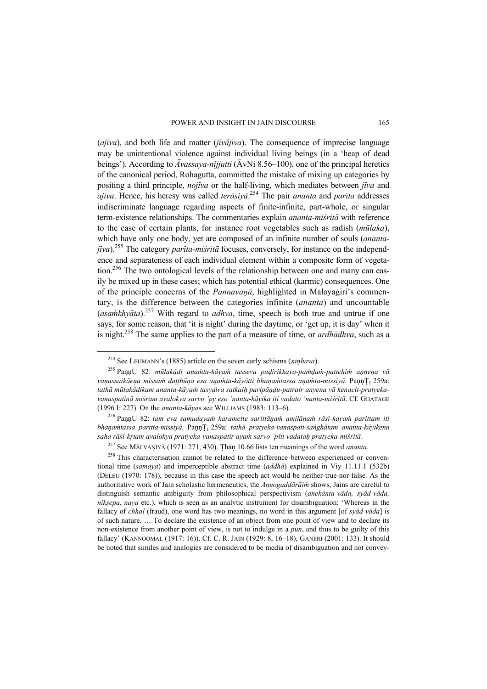(*ajîva*), and both life and matter (*jîvâjîva*). The consequence of imprecise language may be unintentional violence against individual living beings (in a 'heap of dead beings'). According to *Âvassaya-nijjutti* (ÂvNi 8.56–100), one of the principal heretics of the canonical period, Rohagutta, committed the mistake of mixing up categories by positing a third principle, *nojîva* or the half-living, which mediates between *jîva* and *ajîva*. Hence, his heresy was called *terâsiyâ*. 254 The pair *ananta* and *parîta* addresses indiscriminate language regarding aspects of finite-infinite, part-whole, or singular term-existence relationships. The commentaries explain *ananta-miśritā* with reference to the case of certain plants, for instance root vegetables such as radish (*mûlaka*), which have only one body, yet are composed of an infinite number of souls (*anantajīva*).<sup>255</sup> The category *parīta-miśritā* focuses, conversely, for instance on the independence and separateness of each individual element within a composite form of vegetation.<sup>256</sup> The two ontological levels of the relationship between one and many can easily be mixed up in these cases; which has potential ethical (karmic) consequences. One of the principle concerns of the *Pannavana*, highlighted in Malayagiri's commentary, is the difference between the categories infinite (*ananta*) and uncountable  $(a\sin k h\nu \bar{a}ta)$ <sup>257</sup> With regard to *adhva*, time, speech is both true and untrue if one says, for some reason, that 'it is night' during the daytime, or 'get up, it is day' when it is night.258 The same applies to the part of a measure of time, or *ardhâdhva*, such as a

<sup>&</sup>lt;sup>254</sup> See LEUMANN's (1885) article on the seven early schisms (*ninhava*).

<sup>&</sup>lt;sup>255</sup> PannU 82: *mūlakâdi anamta-kāyam tasseva padirikkaya-pamdum-pattehim annena vā* vaṇassaikāeṇa missam daṭṭhūṇa esa aṇamta-kāyôtti bhaṇamtassa aṇamta-missiyā. PaṇṇT<sub>1</sub> 259a: tathā mūlakâdikam ananta-kāyam tasyâva satkaih paripāndu-patrair anyena vā kenacit-pratyekavanaspatinā miśram avalokya sarvo 'py eso 'nanta-kāyika iti vadato 'nanta-miśritā. Cf. GHATAGE (1996 I: 227). On the *ananta-kâya*s see WILLIAMS (1983: 113–6).

<sup>&</sup>lt;sup>256</sup> PannU 82: *tam eva samudayam karamette sarittānam amilānam rāsī-kayam parittam iti bhanamtassa paritta-missiyā*. PannT<sub>1</sub> 259a: *tathā pratyeka-vanaspati-sanghātam ananta-kāyikena saha râœî-kåtam avalokya pratyeka-vanaspatir ayaô sarvo 'pîti vadataÿ pratyeka-miœritâ*.

<sup>&</sup>lt;sup>257</sup> See MĀLVANIYĀ (1971: 271, 430). Thān 10.66 lists ten meanings of the word *ananta*.

<sup>&</sup>lt;sup>258</sup> This characterisation cannot be related to the difference between experienced or conventional time (*samaya*) and imperceptible abstract time (*addhâ*) explained in Viy 11.11.1 (532b) (DELEU (1970: 178)), because in this case the speech act would be neither-true-nor-false. As the authoritative work of Jain scholastic hermeneutics, the *Anuogaddarain* shows, Jains are careful to distinguish semantic ambiguity from philosophical perspectivism (*anekânta-vâda, syâd-vâda, nikšepa*, *naya* etc.), which is seen as an analytic instrument for disambiguation: 'Whereas in the fallacy of *chhal* (fraud), one word has two meanings, no word in this argument [of *syâd-vâda*] is of such nature. … To declare the existence of an object from one point of view and to declare its non-existence from another point of view, is not to indulge in a *pun*, and thus to be guilty of this fallacy' (KANNOOMAL (1917: 16)). Cf. C. R. JAIN (1929: 8, 16–18), GANERI (2001: 133). It should be noted that similes and analogies are considered to be media of disambiguation and not convey-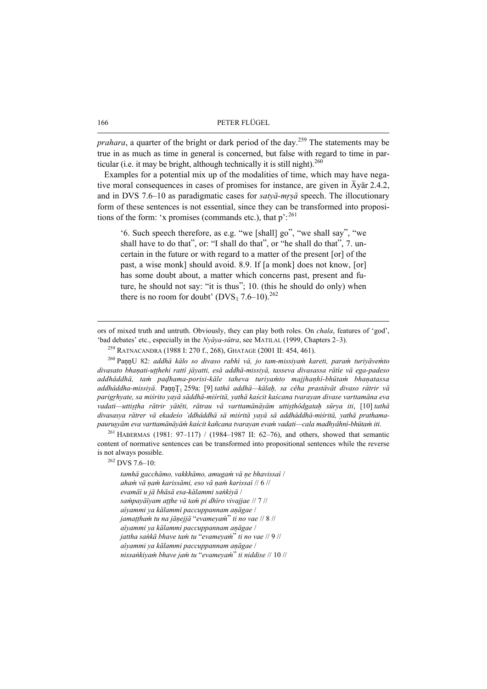*prahara*, a quarter of the bright or dark period of the day.<sup>259</sup> The statements may be true in as much as time in general is concerned, but false with regard to time in particular (i.e. it may be bright, although technically it is still night).<sup>260</sup>

Examples for a potential mix up of the modalities of time, which may have negative moral consequences in cases of promises for instance, are given in  $\bar{A}$ yar 2.4.2, and in DVS 7.6–10 as paradigmatic cases for *satya-mrsa* speech. The illocutionary form of these sentences is not essential, since they can be transformed into propositions of the form: 'x promises (commands etc.), that  $p'^{261}$ 

'6. Such speech therefore, as e.g. "we [shall] go", "we shall say", "we shall have to do that", or: "I shall do that", or "he shall do that", 7. uncertain in the future or with regard to a matter of the present [or] of the past, a wise monk] should avoid. 8.9. If [a monk] does not know, [or] has some doubt about, a matter which concerns past, present and future, he should not say: "it is thus"; 10. (this he should do only) when there is no room for doubt'  $(DVS_1 7.6-10)^{262}$ 

<sup>260</sup> PannU 82: *addhā kālo so divaso rabhī vā, jo tam-missiyam kareti, param turiyāvemto divasato bhaòati-uþþhehi rattî jâyatti, esâ addhâ-missiyâ, tasseva divasassa râtîe vâ ega-padeso* addhâddhā, tam paḍhama-porisi-kāle taheva turiyamto majjhaṇhī-bhūtam bhaṇatassa *addhâddha-missiyâ*. PaòòÞ1 259a: [9] *tathâ addhâ—kâlaÿ, sa cêha prastâvât divaso râtrir vâ* parigrhyate, sa miśrito yayā sāddhā-miśritā, yathā kaścit kaścana tvarayan divase varttamāna eva *vadati—uttišþha râtrir yâtêti, râtrau vâ varttamânâyâm uttišþhôdgataÿ sûrya iti*, [10] *tathâ divasasya râtrer vâ ekadeœo 'ddhâddhâ sâ miœritâ yayâ sâ addhâddhâ-miœritâ, yathâ prathamapaurušyâm eva varttamânâyâô kaœcit kañcana tvarayan evaô vadati—cala madhyâhnî-bhûtaô iti*.

<sup>261</sup> HABERMAS (1981: 97-117) / (1984-1987 II: 62-76), and others, showed that semantic content of normative sentences can be transformed into propositional sentences while the reverse is not always possible.

 $262$  DVS 7.6-10:

tamhā gacchāmo, vakkhāmo, amugam vā ne bhavissaī / *ahaô vâ òaô karissâmi, eso vâ òaô karissaî* // 6 // *evamâî u jâ bhâsâ esa-kâlammi saókiyâ* / *sampayāīyam atthe vā tam pi dhīro vivajjae // 7 // aîyammi ya kâlammî paccuppannam aòâgae* / *jamaþþhaô tu na jâòejjâ* "*evameyaô*" *ti no vae* // 8 // *aîyammi ya kâlammi paccuppannam aòâgae* / *jattha sankā bhave tam tu "evameyam" ti no vae* // 9 // *aîyammi ya kâlammi paccuppannam aòâgae* / *nissaókiyaô bhave jaô tu* "*evameyaô*" *ti niddise* // 10 //

 $\overline{a}$ 

ors of mixed truth and untruth. Obviously, they can play both roles. On *chala*, features of 'god', 'bad debates' etc., especially in the *Nyâya-sûtra*, see MATILAL (1999, Chapters 2–3).

<sup>259</sup> RATNACANDRA (1988 I: 270 f., 268), GHATAGE (2001 II: 454, 461).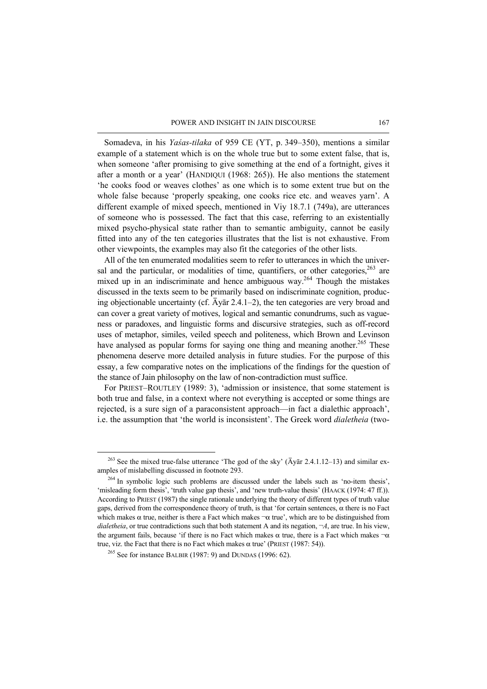Somadeva, in his *Yasas-tilaka* of 959 CE (YT, p. 349–350), mentions a similar example of a statement which is on the whole true but to some extent false, that is, when someone 'after promising to give something at the end of a fortnight, gives it after a month or a year' (HANDIQUI (1968: 265)). He also mentions the statement 'he cooks food or weaves clothes' as one which is to some extent true but on the whole false because 'properly speaking, one cooks rice etc. and weaves yarn'. A different example of mixed speech, mentioned in Viy 18.7.1 (749a), are utterances of someone who is possessed. The fact that this case, referring to an existentially mixed psycho-physical state rather than to semantic ambiguity, cannot be easily fitted into any of the ten categories illustrates that the list is not exhaustive. From other viewpoints, the examples may also fit the categories of the other lists.

All of the ten enumerated modalities seem to refer to utterances in which the universal and the particular, or modalities of time, quantifiers, or other categories,  $263$  are mixed up in an indiscriminate and hence ambiguous way.<sup>264</sup> Though the mistakes discussed in the texts seem to be primarily based on indiscriminate cognition, producing objectionable uncertainty (cf.  $\overline{A}$ yār 2.4.1–2), the ten categories are very broad and can cover a great variety of motives, logical and semantic conundrums, such as vagueness or paradoxes, and linguistic forms and discursive strategies, such as off-record uses of metaphor, similes, veiled speech and politeness, which Brown and Levinson have analysed as popular forms for saying one thing and meaning another.<sup>265</sup> These phenomena deserve more detailed analysis in future studies. For the purpose of this essay, a few comparative notes on the implications of the findings for the question of the stance of Jain philosophy on the law of non-contradiction must suffice.

For PRIEST–ROUTLEY (1989: 3), 'admission or insistence, that some statement is both true and false, in a context where not everything is accepted or some things are rejected, is a sure sign of a paraconsistent approach—in fact a dialethic approach', i.e. the assumption that 'the world is inconsistent'. The Greek word *dialetheia* (two-

<sup>&</sup>lt;sup>263</sup> See the mixed true-false utterance 'The god of the sky' ( $\bar{A}$ y $\bar{a}$ r 2.4.1.12–13) and similar examples of mislabelling discussed in footnote 293.

<sup>264</sup> In symbolic logic such problems are discussed under the labels such as 'no-item thesis', 'misleading form thesis', 'truth value gap thesis', and 'new truth-value thesis' (HAACK (1974: 47 ff.)). According to PRIEST (1987) the single rationale underlying the theory of different types of truth value gaps, derived from the correspondence theory of truth, is that 'for certain sentences,  $\alpha$  there is no Fact which makes  $\alpha$  true, neither is there a Fact which makes  $\neg \alpha$  true', which are to be distinguished from *dialetheia*, or true contradictions such that both statement A and its negation, ¬*A*, are true. In his view, the argument fails, because 'if there is no Fact which makes  $\alpha$  true, there is a Fact which makes  $\neg \alpha$ true, viz. the Fact that there is no Fact which makes  $\alpha$  true' (PRIEST (1987: 54)).

<sup>&</sup>lt;sup>265</sup> See for instance BALBIR (1987: 9) and DUNDAS (1996: 62).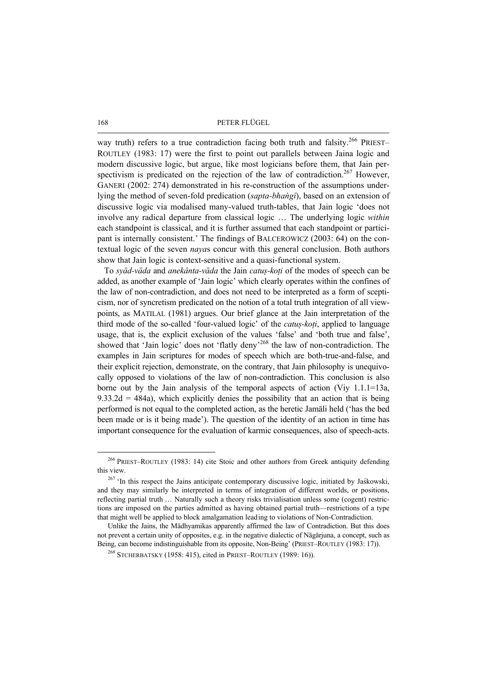way truth) refers to a true contradiction facing both truth and falsity.<sup>266</sup> PRIEST– ROUTLEY (1983: 17) were the first to point out parallels between Jaina logic and modern discussive logic, but argue, like most logicians before them, that Jain perspectivism is predicated on the rejection of the law of contradiction.<sup>267</sup> However, GANERI (2002: 274) demonstrated in his re-construction of the assumptions underlying the method of seven-fold predication (*sapta-bhangī*), based on an extension of discussive logic via modalised many-valued truth-tables, that Jain logic 'does not involve any radical departure from classical logic … The underlying logic *within* each standpoint is classical, and it is further assumed that each standpoint or participant is internally consistent.' The findings of BALCEROWICZ (2003: 64) on the contextual logic of the seven *naya*s concur with this general conclusion. Both authors show that Jain logic is context-sensitive and a quasi-functional system.

To *syâd-vâda* and *anekânta-vâda* the Jain *catuš-koþi* of the modes of speech can be added, as another example of 'Jain logic' which clearly operates within the confines of the law of non-contradiction, and does not need to be interpreted as a form of scepticism, nor of syncretism predicated on the notion of a total truth integration of all viewpoints, as MATILAL (1981) argues. Our brief glance at the Jain interpretation of the third mode of the so-called 'four-valued logic' of the *catus-koti*, applied to language usage, that is, the explicit exclusion of the values 'false' and 'both true and false', showed that 'Jain logic' does not 'flatly deny'<sup>268</sup> the law of non-contradiction. The examples in Jain scriptures for modes of speech which are both-true-and-false, and their explicit rejection, demonstrate, on the contrary, that Jain philosophy is unequivocally opposed to violations of the law of non-contradiction. This conclusion is also borne out by the Jain analysis of the temporal aspects of action (Viy 1.1.1=13a,  $9.33.2d = 484a$ , which explicitly denies the possibility that an action that is being performed is not equal to the completed action, as the heretic Jamâli held ('has the bed been made or is it being made'). The question of the identity of an action in time has important consequence for the evaluation of karmic consequences, also of speech-acts.

 <sup>266</sup> PRIEST–ROUTLEY (1983: 14) cite Stoic and other authors from Greek antiquity defending this view.

 $267$  'In this respect the Jains anticipate contemporary discussive logic, initiated by Jaskowski, and they may similarly be interpreted in terms of integration of different worlds, or positions, reflecting partial truth … Naturally such a theory risks trivialisation unless some (cogent) restrictions are imposed on the parties admitted as having obtained partial truth—restrictions of a type that might well be applied to block amalgamation leading to violations of Non-Contradiction.

Unlike the Jains, the Mâdhyamikas apparently affirmed the law of Contradiction. But this does not prevent a certain unity of opposites, e.g. in the negative dialectic of Nâgârjuna, a concept, such as Being, can become indistinguishable from its opposite, Non-Being' (PRIEST–ROUTLEY (1983: 17)).

<sup>268</sup> STCHERBATSKY (1958: 415), cited in PRIEST–ROUTLEY (1989: 16)).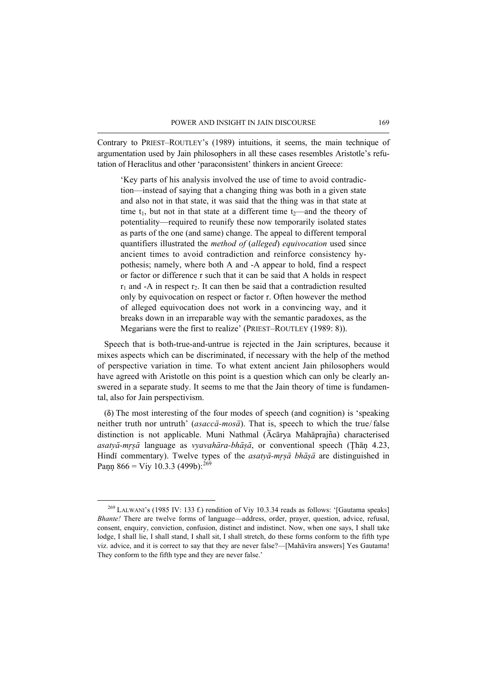Contrary to PRIEST–ROUTLEY's (1989) intuitions, it seems, the main technique of argumentation used by Jain philosophers in all these cases resembles Aristotle's refutation of Heraclitus and other 'paraconsistent' thinkers in ancient Greece:

'Key parts of his analysis involved the use of time to avoid contradiction—instead of saying that a changing thing was both in a given state and also not in that state, it was said that the thing was in that state at time  $t_1$ , but not in that state at a different time  $t_2$ —and the theory of potentiality—required to reunify these now temporarily isolated states as parts of the one (and same) change. The appeal to different temporal quantifiers illustrated the *method of* (*alleged*) *equivocation* used since ancient times to avoid contradiction and reinforce consistency hypothesis; namely, where both A and −A appear to hold, find a respect or factor or difference r such that it can be said that A holds in respect  $r_1$  and −A in respect  $r_2$ . It can then be said that a contradiction resulted only by equivocation on respect or factor r. Often however the method of alleged equivocation does not work in a convincing way, and it breaks down in an irreparable way with the semantic paradoxes, as the Megarians were the first to realize' (PRIEST–ROUTLEY (1989: 8)).

Speech that is both-true-and-untrue is rejected in the Jain scriptures, because it mixes aspects which can be discriminated, if necessary with the help of the method of perspective variation in time. To what extent ancient Jain philosophers would have agreed with Aristotle on this point is a question which can only be clearly answered in a separate study. It seems to me that the Jain theory of time is fundamental, also for Jain perspectivism.

 $(\delta)$  The most interesting of the four modes of speech (and cognition) is 'speaking neither truth nor untruth' *(asacca-mosa*). That is, speech to which the true/false distinction is not applicable. Muni Nathmal (Âcârya Mahâprajña) characterised *asatyâ-måšâ* language as *vyavahâra-bhâšâ*, or conventional speech (Þhâò 4.23, Hindī commentary). Twelve types of the *asatyā-mrṣā bhāṣā* are distinguished in Pann 866 = Viy 10.3.3 (499b):<sup>269</sup>

 $^{269}$  LALWANI's (1985 IV: 133 f.) rendition of Viy 10.3.34 reads as follows: '[Gautama speaks] *Bhante!* There are twelve forms of language—address, order, prayer, question, advice, refusal, consent, enquiry, conviction, confusion, distinct and indistinct. Now, when one says, I shall take lodge, I shall lie, I shall stand, I shall sit, I shall stretch, do these forms conform to the fifth type viz. advice, and it is correct to say that they are never false?—[Mahâvîra answers] Yes Gautama! They conform to the fifth type and they are never false.'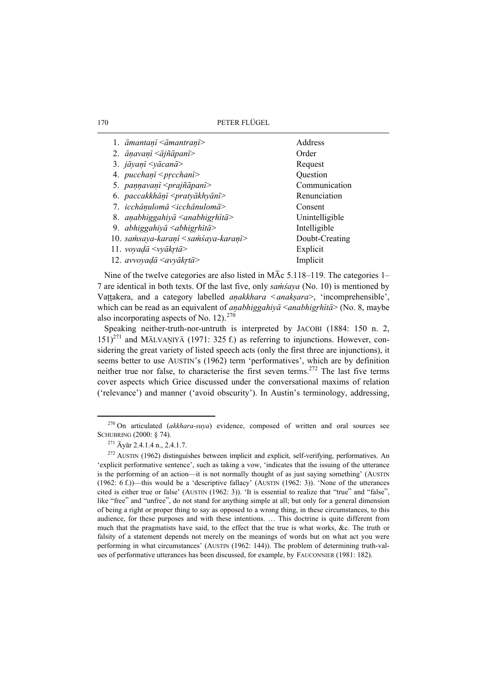| 1. $\bar{a}$ mantanī $\leq \bar{a}$ mantranī>        | Address        |
|------------------------------------------------------|----------------|
| 2. āņavaņī <ājñāpanī>                                | Order          |
| 3. jāyaņī < yācanā>                                  | Request        |
| 4. pucchani $\leq p$ rcchani>                        | Question       |
| 5. pannavanī <prajnāpanī></prajnāpanī>               | Communication  |
| 6. paccakkhāņī <pratyākhyānī></pratyākhyānī>         | Renunciation   |
| 7. icchânulomā <icchânulomā></icchânulomā>           | Consent        |
| 8. anabhiggahiyā <anabhigrhītā></anabhigrhītā>       | Unintelligible |
| 9. abhiggahiyā $\langle$ abhigrhītā>                 | Intelligible   |
| 10. samsaya-karanī <samsaya-karanī></samsaya-karanī> | Doubt-Creating |
| 11. voyadā $\langle \nu \rangle$ akrtā>              | Explicit       |
| 12. avvoyadā < avyākrtā>                             | Implicit       |

Nine of the twelve categories are also listed in MÂc 5.118–119. The categories 1– 7 are identical in both texts. Of the last five, only *samsaya* (No. 10) is mentioned by Vattakera, and a category labelled *anakkhara <anaksara*>, 'incomprehensible', which can be read as an equivalent of *anabhiggahiya* <*anabhigghita* > (No. 8, maybe also incorporating aspects of No. 12). $270$ 

Speaking neither-truth-nor-untruth is interpreted by JACOBI (1884: 150 n. 2,  $151$ <sup>271</sup> and M $\overline{A}$ LVANIY $\overline{A}$  (1971: 325 f.) as referring to injunctions. However, considering the great variety of listed speech acts (only the first three are injunctions), it seems better to use AUSTIN's (1962) term 'performatives', which are by definition neither true nor false, to characterise the first seven terms.<sup>272</sup> The last five terms cover aspects which Grice discussed under the conversational maxims of relation ('relevance') and manner ('avoid obscurity'). In Austin's terminology, addressing,

 <sup>270</sup> On articulated (*akkhara-suya*) evidence, composed of written and oral sources see SCHUBRING (2000: § 74).

<sup>271</sup> Âyâr 2.4.1.4 n., 2.4.1.7.

<sup>&</sup>lt;sup>272</sup> AUSTIN (1962) distinguishes between implicit and explicit, self-verifying, performatives. An 'explicit performative sentence', such as taking a vow, 'indicates that the issuing of the utterance is the performing of an action—it is not normally thought of as just saying something' (AUSTIN (1962: 6 f.))—this would be a 'descriptive fallacy' (AUSTIN (1962: 3)). 'None of the utterances cited is either true or false' (AUSTIN (1962: 3)). 'It is essential to realize that "true" and "false", like "free" and "unfree", do not stand for anything simple at all; but only for a general dimension of being a right or proper thing to say as opposed to a wrong thing, in these circumstances, to this audience, for these purposes and with these intentions. … This doctrine is quite different from much that the pragmatists have said, to the effect that the true is what works, &c. The truth or falsity of a statement depends not merely on the meanings of words but on what act you were performing in what circumstances' (AUSTIN (1962: 144)). The problem of determining truth-values of performative utterances has been discussed, for example, by FAUCONNIER (1981: 182).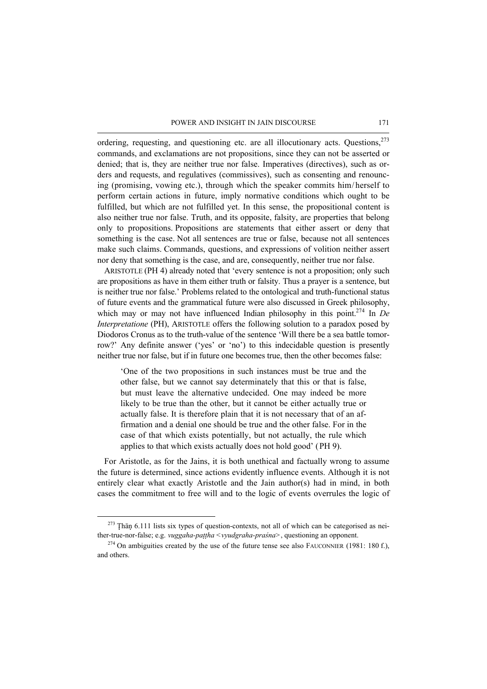ordering, requesting, and questioning etc. are all illocutionary acts. Questions,<sup>273</sup> commands, and exclamations are not propositions, since they can not be asserted or denied; that is, they are neither true nor false. Imperatives (directives), such as orders and requests, and regulatives (commissives), such as consenting and renouncing (promising, vowing etc.), through which the speaker commits him/herself to perform certain actions in future, imply normative conditions which ought to be fulfilled, but which are not fulfilled yet. In this sense, the propositional content is also neither true nor false. Truth, and its opposite, falsity, are properties that belong only to propositions. Propositions are statements that either assert or deny that something is the case. Not all sentences are true or false, because not all sentences make such claims. Commands, questions, and expressions of volition neither assert nor deny that something is the case, and are, consequently, neither true nor false.

ARISTOTLE (PH 4) already noted that 'every sentence is not a proposition; only such are propositions as have in them either truth or falsity. Thus a prayer is a sentence, but is neither true nor false.' Problems related to the ontological and truth-functional status of future events and the grammatical future were also discussed in Greek philosophy, which may or may not have influenced Indian philosophy in this point.<sup>274</sup> In *De Interpretatione* (PH), ARISTOTLE offers the following solution to a paradox posed by Diodoros Cronus as to the truth-value of the sentence 'Will there be a sea battle tomorrow?' Any definite answer ('yes' or 'no') to this indecidable question is presently neither true nor false, but if in future one becomes true, then the other becomes false:

'One of the two propositions in such instances must be true and the other false, but we cannot say determinately that this or that is false, but must leave the alternative undecided. One may indeed be more likely to be true than the other, but it cannot be either actually true or actually false. It is therefore plain that it is not necessary that of an affirmation and a denial one should be true and the other false. For in the case of that which exists potentially, but not actually, the rule which applies to that which exists actually does not hold good' (PH 9).

For Aristotle, as for the Jains, it is both unethical and factually wrong to assume the future is determined, since actions evidently influence events. Although it is not entirely clear what exactly Aristotle and the Jain author(s) had in mind, in both cases the commitment to free will and to the logic of events overrules the logic of

 $273$  Thān 6.111 lists six types of question-contexts, not all of which can be categorised as neither-true-nor-false; e.g. *vuggaha-pattha <vyudgraha-praśna>*, questioning an opponent.

 $274$  On ambiguities created by the use of the future tense see also FAUCONNIER (1981: 180 f.), and others.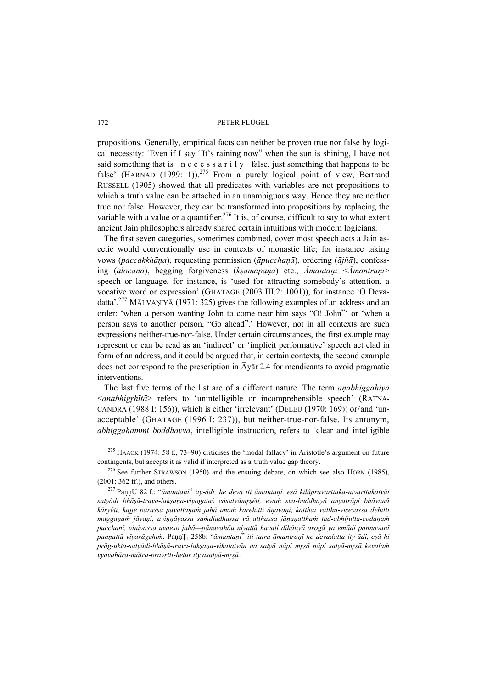propositions. Generally, empirical facts can neither be proven true nor false by logical necessity: 'Even if I say "It's raining now" when the sun is shining, I have not said something that is n e c e s s a r i l y false, just something that happens to be false' (HARNAD (1999: 1)).<sup>275</sup> From a purely logical point of view, Bertrand RUSSELL (1905) showed that all predicates with variables are not propositions to which a truth value can be attached in an unambiguous way. Hence they are neither true nor false. However, they can be transformed into propositions by replacing the variable with a value or a quantifier.<sup>276</sup> It is, of course, difficult to say to what extent ancient Jain philosophers already shared certain intuitions with modern logicians.

The first seven categories, sometimes combined, cover most speech acts a Jain ascetic would conventionally use in contexts of monastic life; for instance taking vows (*paccakkhâòa*), requesting permission (*âpucchaòâ*), ordering (*âjñâ*), confessing (*ālocanā*), begging forgiveness (*kṣamāpaṇā*) etc., *Āmantaṇī* <*Āmantraṇī*> speech or language, for instance, is 'used for attracting somebody's attention, a vocative word or expression' (GHATAGE (2003 III.2: 1001)), for instance 'O Devadatta'.<sup>277</sup> MĀLVAŅIYĀ (1971: 325) gives the following examples of an address and an order: 'when a person wanting John to come near him says "O! John"' or 'when a person says to another person, "Go ahead".' However, not in all contexts are such expressions neither-true-nor-false. Under certain circumstances, the first example may represent or can be read as an 'indirect' or 'implicit performative' speech act clad in form of an address, and it could be argued that, in certain contexts, the second example does not correspond to the prescription in  $\overline{A}$ yar 2.4 for mendicants to avoid pragmatic interventions.

The last five terms of the list are of a different nature. The term *anabhiggahiya* <*anabhigrhītā*> refers to 'unintelligible or incomprehensible speech' (RATNA-CANDRA  $(1988 I: 156)$ , which is either 'irrelevant' (DELEU  $(1970: 169)$ ) or/and 'unacceptable' (GHATAGE (1996 I: 237)), but neither-true-nor-false. Its antonym, *abhiggahammi boddhavvâ*, intelligible instruction, refers to 'clear and intelligible

<sup>&</sup>lt;sup>275</sup> HAACK (1974: 58 f., 73–90) criticises the 'modal fallacy' in Aristotle's argument on future contingents, but accepts it as valid if interpreted as a truth value gap theory.

<sup>276</sup> See further STRAWSON (1950) and the ensuing debate, on which see also HORN (1985), (2001: 362 ff.), and others.

<sup>277</sup> PaòòU 82 f.: "*âmantaòî*" *ity-âdi, he deva iti âmantaòî, ešâ kilâpravarttaka-nivarttakatvât satyâdi bhâšâ-traya-lakšaòa-viyogataœ câsatyâmåšêti, evaô sva-buddhayâ anyatrâpi bhâvanâ* kāryêti, kajje parassa pavattanam jahā imam karehitti ānavanī, katthai vatthu-visesassa dehitti magganam jāyanī, avinnāyassa samdiddhassa vā atthassa jānanattham tad-abhijutta-codanam *pucchaòî, viòîyassa uvaeso jahâ—pâòavahâu òiyattâ havati dîhâuyâ arogâ ya emâdi paòòavaòî paòòattâ vîyarâgehiô*. PaòòÞ1 258b: "*âmantaòi*" *iti tatra âmantraòî he devadatta ity-âdi, ešâ hi prâg-ukta-satyâdi-bhâšâ-traya-lakšaòa-vikalatvân na satyâ nâpi måšâ nâpi satyâ-måšâ kevalaô vyavahāra-mātra-pravrtti-hetur ity asatyā-mrsā*.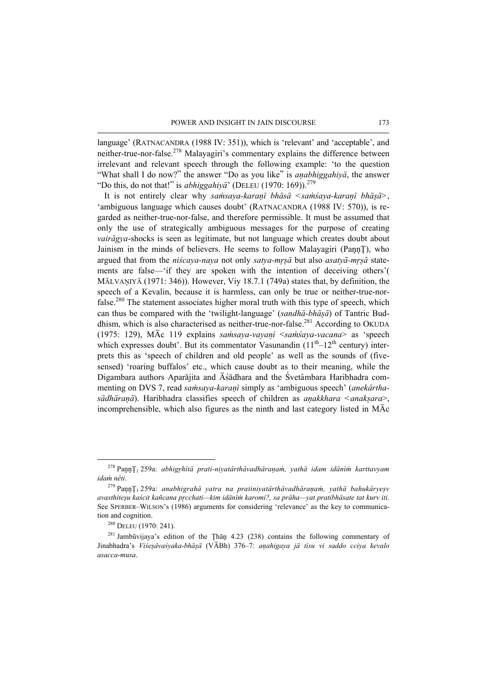language' (RATNACANDRA (1988 IV: 351)), which is 'relevant' and 'acceptable', and neither-true-nor-false.<sup>278</sup> Malayagiri's commentary explains the difference between irrelevant and relevant speech through the following example: 'to the question "What shall I do now?" the answer "Do as you like" is *anabhiggahiya*, the answer "Do this, do not that!" is *abhiggahiya*" (DELEU (1970: 169)).<sup>279</sup>

It is not entirely clear why *samsaya-karanī bhāsā* <samsaya-karanī bhāsā>, 'ambiguous language which causes doubt' (RATNACANDRA (1988 IV: 570)), is regarded as neither-true-nor-false, and therefore permissible. It must be assumed that only the use of strategically ambiguous messages for the purpose of creating *vairâgya*-shocks is seen as legitimate, but not language which creates doubt about Jainism in the minds of believers. He seems to follow Malayagiri (PannT), who argued that from the *niścaya-naya* not only *satya-mrsā* but also *asatyā-mrsā* statements are false—'if they are spoken with the intention of deceiving others'( MĀLVAŅIYĀ (1971: 346)). However, Viy 18.7.1 (749a) states that, by definition, the speech of a Kevalin, because it is harmless, can only be true or neither-true-norfalse.<sup>280</sup> The statement associates higher moral truth with this type of speech, which can thus be compared with the 'twilight-language' (*sandhâ-bhâšâ*) of Tantric Buddhism, which is also characterised as neither-true-nor-false.<sup>281</sup> According to OKUDA (1975: 129), MĀc 119 explains *samsaya-vayanī* <*samsaya-vacana*> as 'speech which expresses doubt'. But its commentator Vasunandin  $(11<sup>th</sup>-12<sup>th</sup>$  century) interprets this as 'speech of children and old people' as well as the sounds of (fivesensed) 'roaring buffalos' etc., which cause doubt as to their meaning, while the Digambara authors Aparājita and  $\overline{A}$ śādhara and the Śvetâmbara Haribhadra commenting on DVS 7, read *samsaya-karanī* simply as 'ambiguous speech' (*anekârtha*sādhāraņā). Haribhadra classifies speech of children as *anakkhara <anaksara*>, incomprehensible, which also figures as the ninth and last category listed in  $M\bar{A}c$ 

<sup>&</sup>lt;sup>278</sup> PannT<sub>1</sub> 259a: *abhigrhītā prati-niyatârthâvadhāranam*, yathā idam idānīm karttavyam  $i$ *dam* nêti.

<sup>&</sup>lt;sup>279</sup> PannT<sub>1</sub> 259a: *anabhigrahā yatra na pratiniyatârthâvadhāranam, yathā bahukâryesv avasthitešu kaœcit kañcana påcchati—kim idânîô karomi?, sa prâha—yat pratibhâsate tat kurv iti*. See SPERBER–WILSON's (1986) arguments for considering 'relevance' as the key to communication and cognition.

<sup>280</sup> DELEU (1970: 241).

 $^{281}$  Jambūvijaya's edition of the Than 4.23 (238) contains the following commentary of Jinabhadra's *Viœešâvaœyaka-bhâšâ* (VÂBh) 376–7: *aòahigaya jâ tîsu vi saddo cciya kevalo asacca-musa*.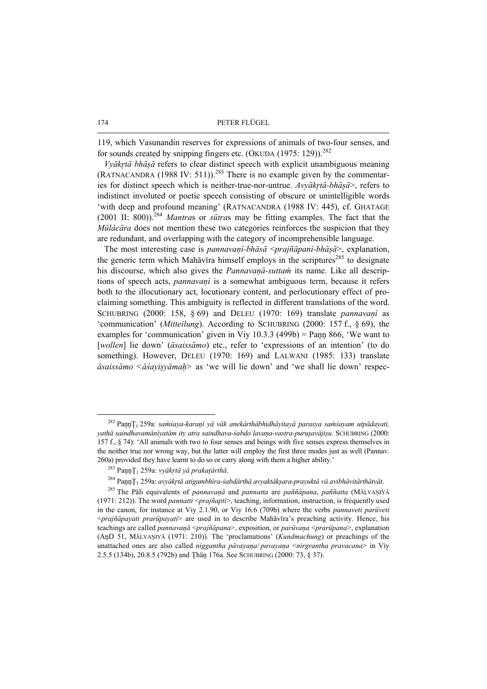| 174 | PETER FLÜGEL |
|-----|--------------|
|     |              |

119, which Vasunandin reserves for expressions of animals of two-four senses, and for sounds created by snipping fingers etc. (OKUDA  $(1975: 129)$ ).<sup>282</sup>

*Vyâkåtâ bhâšâ* refers to clear distinct speech with explicit unambiguous meaning (RATNACANDRA (1988 IV: 511)).<sup>283</sup> There is no example given by the commentaries for distinct speech which is neither-true-nor-untrue. *Avyākrtā-bhāsā*>, refers to indistinct involuted or poetic speech consisting of obscure or unintelligible words 'with deep and profound meaning' (RATNACANDRA (1988 IV: 445), cf. GHATAGE (2001 II: 800)).<sup>284</sup> *Mantra*s or *sûtra*s may be fitting examples. The fact that the *Mûlâcâra* does not mention these two categories reinforces the suspicion that they are redundant, and overlapping with the category of incomprehensible language.

The most interesting case is *pannavanī-bhāsā* <*prajñāpanī-bhāṣā*>, explanation, the generic term which Mahāvīra himself employs in the scriptures<sup>285</sup> to designate his discourse, which also gives the *Pannavanā-suttam* its name. Like all descriptions of speech acts, *pannavani* is a somewhat ambiguous term, because it refers both to the illocutionary act, locutionary content, and perlocutionary effect of proclaiming something. This ambiguity is reflected in different translations of the word. SCHUBRING  $(2000: 158, \S 69)$  and DELEU  $(1970: 169)$  translate *pannavani* as 'communication' (*Mitteilung*). According to SCHUBRING (2000: 157 f., § 69), the examples for 'communication' given in Viy 10.3.3 (499b) = Pann 866, 'We want to [*wollen*] lie down' (*āsaissāmo*) etc., refer to 'expressions of an intention' (to do something). However, DELEU (1970: 169) and LALWANI (1985: 133) translate *âsaissâmo*  $\langle \bar{a} \rangle$ *śayisyāmah* as 'we will lie down' and 'we shall lie down' respec-

<sup>&</sup>lt;sup>282</sup> PaṇṇŢ<sub>1</sub> 259a: *samsaya-karaṇī yā vāk anekârthâbhidhāyitayā parasya samsayam utpādayati*, yathā saindhavamānīyatām ity atra saindhava-śabdo lavaņa-vastra-purusavājisu. SCHUBRING (2000: 157 f., § 74): 'All animals with two to four senses and beings with five senses express themselves in the neither true nor wrong way, but the latter will employ the first three modes just as well (Pannav. 260a) provided they have learnt to do so or carry along with them a higher ability.'

<sup>&</sup>lt;sup>283</sup> PaṇṇȚ<sub>1</sub> 259a: vyākrtā yā prakaṭârthā.

<sup>284</sup> PaòòÞ1 259a: *avyâkåtâ atigambhîra-œabdârthâ avyaktâkšara-prayuktâ vâ avibhâvitârthâtvât*.

<sup>&</sup>lt;sup>285</sup> The Pāli equivalents of *pannavaṇā* and *pannatta* are *paññāpana*, *paññatta* (MĀLVAŅIYĀ (1971: 212)). The word *pannatti* <*prajñapti*>, teaching, information, instruction, is frequently used in the canon, for instance at Viy 2.1.90, or Viy 16.6 (709b) where the verbs *pannaveti parûveti* <*prajñâpayati prarûpayati*> are used in to describe Mahâvîra's preaching activity. Hence, his teachings are called *pannavanā* <*prajñāpana*>, exposition, or *parūvana* <*prarūpana*>, explanation (AnD 51, MĀLVAŅIYĀ (1971: 210)). The 'proclamations' (*Kundmachung*) or preachings of the unattached ones are also called *niggantha pāvayaṇa* / *pavayaṇa* <*nirgrantha pravacana*> in Viy 2.5.5 (134b), 20.8.5 (792b) and Than 176a. See SCHUBRING (2000: 73, § 37).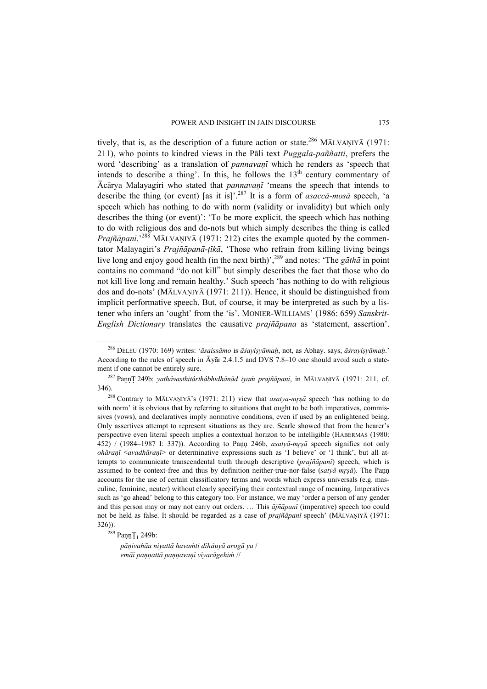tively, that is, as the description of a future action or state.<sup>286</sup> MALVANIYA (1971: 211), who points to kindred views in the Pâli text *Puggala-paññatti*, prefers the word 'describing' as a translation of *pannavani* which he renders as 'speech that intends to describe a thing'. In this, he follows the  $13<sup>th</sup>$  century commentary of Ācārya Malayagiri who stated that *pannavanī* 'means the speech that intends to describe the thing (or event) [as it is]'.287 It is a form of *asaccâ-mosâ* speech, 'a speech which has nothing to do with norm (validity or invalidity) but which only describes the thing (or event)': 'To be more explicit, the speech which has nothing to do with religious dos and do-nots but which simply describes the thing is called *Prajñāpanī*.<sup>288</sup> MĀLVANIYĀ (1971: 212) cites the example quoted by the commentator Malayagiri's *Prajñâpanâ-þîkâ*, 'Those who refrain from killing living beings live long and enjoy good health (in the next birth)',289 and notes: 'The *gâthâ* in point contains no command "do not kill" but simply describes the fact that those who do not kill live long and remain healthy.' Such speech 'has nothing to do with religious dos and do-nots' (M $\overline{A}$ LVANIY $\overline{A}$  (1971: 211)). Hence, it should be distinguished from implicit performative speech. But, of course, it may be interpreted as such by a listener who infers an 'ought' from the 'is'. MONIER-WILLIAMS' (1986: 659) *Sanskrit-English Dictionary* translates the causative *prajñâpana* as 'statement, assertion'.

<sup>&</sup>lt;sup>286</sup> DELEU (1970: 169) writes: '*āsaissāmo* is *āśayisyāmah*, not, as Abhay. says, *āśrayisyāmah*.' According to the rules of speech in Âyâr 2.4.1.5 and DVS 7.8–10 one should avoid such a statement if one cannot be entirely sure.

<sup>&</sup>lt;sup>287</sup> PannȚ 249b: *yathâvasthitârthâbhidhānād iyam prajñāpanī*, in MĀLVAŅIYĀ (1971: 211, cf. 346).

<sup>&</sup>lt;sup>288</sup> Contrary to MĀLVAŅIYĀ's (1971: 211) view that *asatya-mrṣā* speech 'has nothing to do with norm' it is obvious that by referring to situations that ought to be both imperatives, commissives (vows), and declaratives imply normative conditions, even if used by an enlightened being. Only assertives attempt to represent situations as they are. Searle showed that from the hearer's perspective even literal speech implies a contextual horizon to be intelligible (HABERMAS (1980: 452) / (1984–1987 I: 337)). According to Pann 246b, *asatyā-mrsā* speech signifies not only *ohāranī* <*avadhāranī*> or determinative expressions such as 'I believe' or 'I think', but all attempts to communicate transcendental truth through descriptive (*prajñâpanî*) speech, which is assumed to be context-free and thus by definition neither-true-nor-false (*satyā-mrsā*). The Pann accounts for the use of certain classificatory terms and words which express universals (e.g. masculine, feminine, neuter) without clearly specifying their contextual range of meaning. Imperatives such as 'go ahead' belong to this category too. For instance, we may 'order a person of any gender and this person may or may not carry out orders. … This *âjñâpanî* (imperative) speech too could not be held as false. It should be regarded as a case of *prajñāpanī* speech' (MĀLVAŅIYĀ (1971: 326)).

 $^{289}$  PannT<sub>1</sub> 249b:

*pâòivahâu niyattâ havaôti dîhâuyâ arogâ ya* / *emâî paòòattâ paòòavaòî vîyarâgehiô* //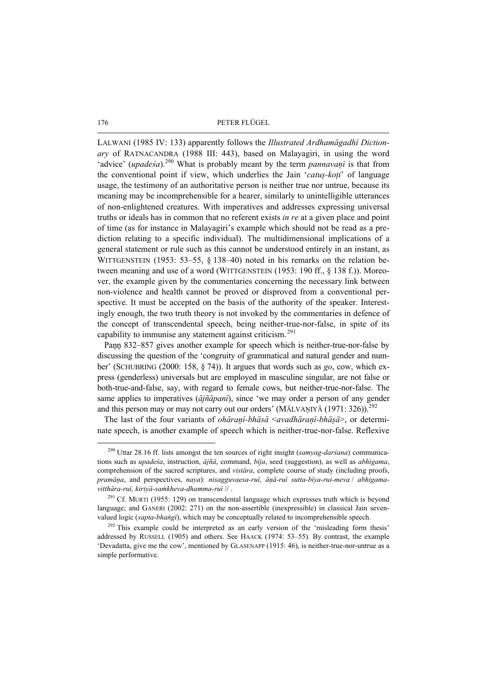176 PETER FLÜGEL

LALWANI (1985 IV: 133) apparently follows the *Illustrated Ardhamâgadhî Dictionary* of RATNACANDRA (1988 III: 443), based on Malayagiri, in using the word 'advice' (*upadesa*).<sup>290</sup> What is probably meant by the term *pannavani* is that from the conventional point if view, which underlies the Jain '*catus-koti*' of language usage, the testimony of an authoritative person is neither true nor untrue, because its meaning may be incomprehensible for a hearer, similarly to unintelligible utterances of non-enlightened creatures. With imperatives and addresses expressing universal truths or ideals has in common that no referent exists *in re* at a given place and point of time (as for instance in Malayagiri's example which should not be read as a prediction relating to a specific individual). The multidimensional implications of a general statement or rule such as this cannot be understood entirely in an instant, as WITTGENSTEIN (1953: 53–55, § 138–40) noted in his remarks on the relation between meaning and use of a word (WITTGENSTEIN (1953: 190 ff., § 138 f.)). Moreover, the example given by the commentaries concerning the necessary link between non-violence and health cannot be proved or disproved from a conventional perspective. It must be accepted on the basis of the authority of the speaker. Interestingly enough, the two truth theory is not invoked by the commentaries in defence of the concept of transcendental speech, being neither-true-nor-false, in spite of its capability to immunise any statement against criticism.<sup>291</sup>

Pann 832–857 gives another example for speech which is neither-true-nor-false by discussing the question of the 'congruity of grammatical and natural gender and number' (SCHUBRING (2000: 158, § 74)). It argues that words such as *go*, cow, which express (genderless) universals but are employed in masculine singular, are not false or both-true-and-false, say, with regard to female cows, but neither-true-nor-false. The same applies to imperatives (*âjñâpanî*), since 'we may order a person of any gender and this person may or may not carry out our orders' (MALVANIYA (1971: 326)).<sup>292</sup>

The last of the four variants of *ohāranī-bhāsā* <*avadhāranī-bhāsā*>, or determinate speech, is another example of speech which is neither-true-nor-false. Reflexive

<sup>&</sup>lt;sup>290</sup> Uttar 28.16 ff. lists amongst the ten sources of right insight (*samyag-darsana*) communications such as *upadeœa*, instruction, *âjñâ*, command, *bîja*, seed (suggestion), as well as *abhigama*, comprehension of the sacred scriptures, and *vistâra*, complete course of study (including proofs, *pramâòa*, and perspectives, *naya*): *nisagguvaesa-ruî, âòâ-ruî sutta-bîya-rui-meva* / *abhigama*vitthāra-ruī, kiriyā-samkheva-dhamma-ruī // .

 $291$  Cf. MURTI (1955: 129) on transcendental language which expresses truth which is beyond language; and GANERI (2002: 271) on the non-assertible (inexpressible) in classical Jain sevenvalued logic (*sapta-bhangī*), which may be conceptually related to incomprehensible speech.

 $292$  This example could be interpreted as an early version of the 'misleading form thesis' addressed by RUSSELL (1905) and others. See HAACK (1974: 53–55). By contrast, the example 'Devadatta, give me the cow', mentioned by GLASENAPP (1915: 46), is neither-true-nor-untrue as a simple performative.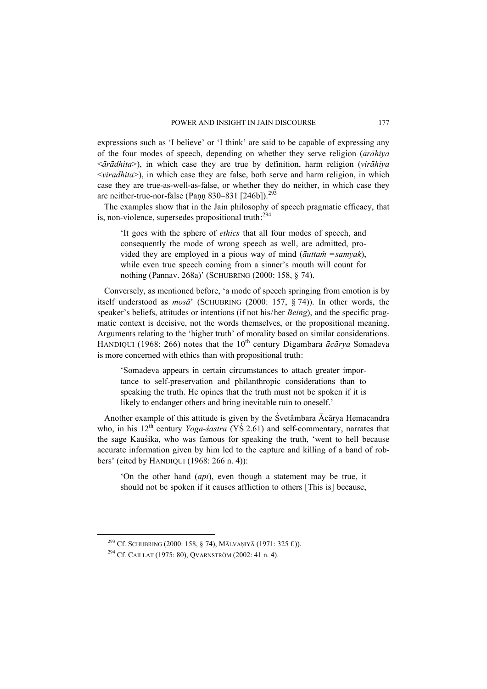expressions such as 'I believe' or 'I think' are said to be capable of expressing any of the four modes of speech, depending on whether they serve religion (*ârâhiya* <*ârâdhita*>), in which case they are true by definition, harm religion (*virâhiya* <*virâdhita*>), in which case they are false, both serve and harm religion, in which case they are true-as-well-as-false, or whether they do neither, in which case they are neither-true-nor-false (Pann  $830-831$  [246b]).<sup>293</sup>

The examples show that in the Jain philosophy of speech pragmatic efficacy, that is, non-violence, supersedes propositional truth:<sup>294</sup>

'It goes with the sphere of *ethics* that all four modes of speech, and consequently the mode of wrong speech as well, are admitted, provided they are employed in a pious way of mind  $(\bar{a}ut \bar{a}m = \bar{s}am \bar{v}ak)$ , while even true speech coming from a sinner's mouth will count for nothing (Pannav. 268a)' (SCHUBRING (2000: 158, § 74).

Conversely, as mentioned before, 'a mode of speech springing from emotion is by itself understood as *mosâ*' (SCHUBRING (2000: 157, § 74)). In other words, the speaker's beliefs, attitudes or intentions (if not his/her *Being*), and the specific pragmatic context is decisive, not the words themselves, or the propositional meaning. Arguments relating to the 'higher truth' of morality based on similar considerations. HANDIQUI (1968: 266) notes that the 10<sup>th</sup> century Digambara  $\bar{a}c\bar{a}rva$  Somadeva is more concerned with ethics than with propositional truth:

'Somadeva appears in certain circumstances to attach greater importance to self-preservation and philanthropic considerations than to speaking the truth. He opines that the truth must not be spoken if it is likely to endanger others and bring inevitable ruin to oneself.'

Another example of this attitude is given by the Svetâmbara  $\overline{A}c\overline{a}r$  Hemacandra who, in his  $12<sup>th</sup>$  century *Yoga-sastra* (YS 2.61) and self-commentary, narrates that the sage Kausika, who was famous for speaking the truth, 'went to hell because accurate information given by him led to the capture and killing of a band of robbers' (cited by HANDIQUI (1968: 266 n. 4)):

'On the other hand (*api*), even though a statement may be true, it should not be spoken if it causes affliction to others [This is] because,

<sup>&</sup>lt;sup>293</sup> Cf. SCHUBRING (2000: 158,  $\S$  74), MALVANIYA (1971: 325 f.)).

<sup>294</sup> Cf. CAILLAT (1975: 80), QVARNSTRÖM (2002: 41 n. 4).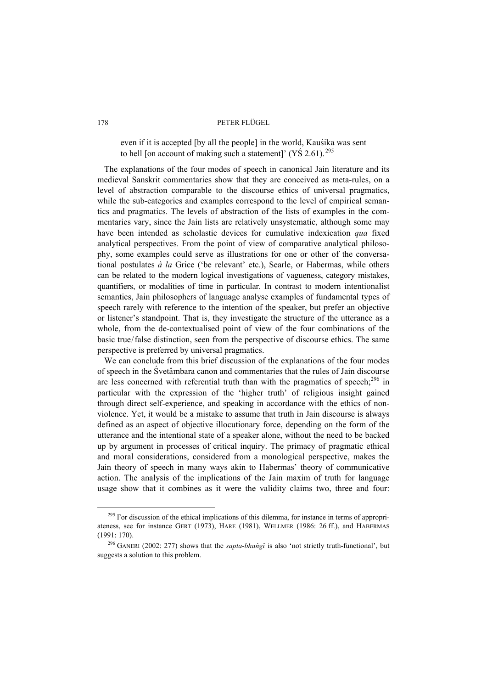even if it is accepted [by all the people] in the world, Kausika was sent to hell [on account of making such a statement]'  $(Y\acute{S} 2.61).^{295}$ 

The explanations of the four modes of speech in canonical Jain literature and its medieval Sanskrit commentaries show that they are conceived as meta-rules, on a level of abstraction comparable to the discourse ethics of universal pragmatics, while the sub-categories and examples correspond to the level of empirical semantics and pragmatics. The levels of abstraction of the lists of examples in the commentaries vary, since the Jain lists are relatively unsystematic, although some may have been intended as scholastic devices for cumulative indexication *qua* fixed analytical perspectives. From the point of view of comparative analytical philosophy, some examples could serve as illustrations for one or other of the conversational postulates *à la* Grice ('be relevant' etc.), Searle, or Habermas, while others can be related to the modern logical investigations of vagueness, category mistakes, quantifiers, or modalities of time in particular. In contrast to modern intentionalist semantics, Jain philosophers of language analyse examples of fundamental types of speech rarely with reference to the intention of the speaker, but prefer an objective or listener's standpoint. That is, they investigate the structure of the utterance as a whole, from the de-contextualised point of view of the four combinations of the basic true / false distinction, seen from the perspective of discourse ethics. The same perspective is preferred by universal pragmatics.

We can conclude from this brief discussion of the explanations of the four modes of speech in the Svetâmbara canon and commentaries that the rules of Jain discourse are less concerned with referential truth than with the pragmatics of speech; $^{296}$  in particular with the expression of the 'higher truth' of religious insight gained through direct self-experience, and speaking in accordance with the ethics of nonviolence. Yet, it would be a mistake to assume that truth in Jain discourse is always defined as an aspect of objective illocutionary force, depending on the form of the utterance and the intentional state of a speaker alone, without the need to be backed up by argument in processes of critical inquiry. The primacy of pragmatic ethical and moral considerations, considered from a monological perspective, makes the Jain theory of speech in many ways akin to Habermas' theory of communicative action. The analysis of the implications of the Jain maxim of truth for language usage show that it combines as it were the validity claims two, three and four:

 $^{295}$  For discussion of the ethical implications of this dilemma, for instance in terms of appropriateness, see for instance GERT (1973), HARE (1981), WELLMER (1986: 26 ff.), and HABERMAS (1991: 170).

<sup>&</sup>lt;sup>296</sup> GANERI (2002: 277) shows that the *sapta-bhangi* is also 'not strictly truth-functional', but suggests a solution to this problem.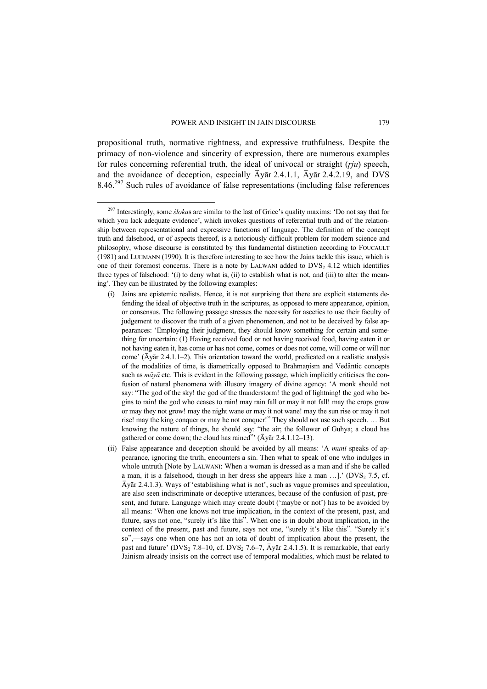propositional truth, normative rightness, and expressive truthfulness. Despite the primacy of non-violence and sincerity of expression, there are numerous examples for rules concerning referential truth, the ideal of univocal or straight (*rju*) speech, and the avoidance of deception, especially Âyâr 2.4.1.1, Âyâr 2.4.2.19, and DVS 8.46.<sup>297</sup> Such rules of avoidance of false representations (including false references

- (i) Jains are epistemic realists. Hence, it is not surprising that there are explicit statements defending the ideal of objective truth in the scriptures, as opposed to mere appearance, opinion, or consensus. The following passage stresses the necessity for ascetics to use their faculty of judgement to discover the truth of a given phenomenon, and not to be deceived by false appearances: 'Employing their judgment, they should know something for certain and something for uncertain: (1) Having received food or not having received food, having eaten it or not having eaten it, has come or has not come, comes or does not come, will come or will nor come' ( $\bar{A}$ yār 2.4.1.1–2). This orientation toward the world, predicated on a realistic analysis of the modalities of time, is diametrically opposed to Brāhmaṇism and Vedântic concepts such as  $m\bar{a}y\bar{a}$  etc. This is evident in the following passage, which implicitly criticises the confusion of natural phenomena with illusory imagery of divine agency: 'A monk should not say: "The god of the sky! the god of the thunderstorm! the god of lightning! the god who begins to rain! the god who ceases to rain! may rain fall or may it not fall! may the crops grow or may they not grow! may the night wane or may it not wane! may the sun rise or may it not rise! may the king conquer or may he not conquer!" They should not use such speech. … But knowing the nature of things, he should say: "the air; the follower of Guhya; a cloud has gathered or come down; the cloud has rained"'  $(\bar{A}$ yār 2.4.1.12–13).
- (ii) False appearance and deception should be avoided by all means: 'A *muni* speaks of appearance, ignoring the truth, encounters a sin. Then what to speak of one who indulges in whole untruth [Note by LALWANI: When a woman is dressed as a man and if she be called a man, it is a falsehood, though in her dress she appears like a man  $\dots$ ].' (DVS<sub>2</sub> 7.5, cf.  $\bar{A}$ yār 2.4.1.3). Ways of 'establishing what is not', such as vague promises and speculation, are also seen indiscriminate or deceptive utterances, because of the confusion of past, present, and future. Language which may create doubt ('maybe or not') has to be avoided by all means: 'When one knows not true implication, in the context of the present, past, and future, says not one, "surely it's like this". When one is in doubt about implication, in the context of the present, past and future, says not one, "surely it's like this". "Surely it's so",—says one when one has not an iota of doubt of implication about the present, the past and future' ( $DVS_2$  7.8–10, cf.  $DVS_2$  7.6–7,  $\bar{A}$ yār 2.4.1.5). It is remarkable, that early Jainism already insists on the correct use of temporal modalities, which must be related to

<sup>&</sup>lt;sup>297</sup> Interestingly, some *śloka*s are similar to the last of Grice's quality maxims: 'Do not say that for which you lack adequate evidence', which invokes questions of referential truth and of the relationship between representational and expressive functions of language. The definition of the concept truth and falsehood, or of aspects thereof, is a notoriously difficult problem for modern science and philosophy, whose discourse is constituted by this fundamental distinction according to FOUCAULT (1981) and LUHMANN (1990). It is therefore interesting to see how the Jains tackle this issue, which is one of their foremost concerns. There is a note by LALWANI added to  $DVS<sub>2</sub> 4.12$  which identifies three types of falsehood: '(i) to deny what is, (ii) to establish what is not, and (iii) to alter the meaning'. They can be illustrated by the following examples: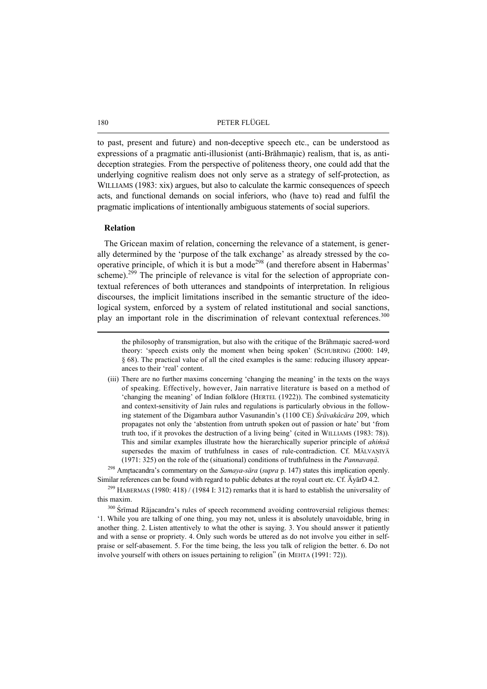to past, present and future) and non-deceptive speech etc., can be understood as expressions of a pragmatic anti-illusionist (anti-Brāhmanic) realism, that is, as antideception strategies. From the perspective of politeness theory, one could add that the underlying cognitive realism does not only serve as a strategy of self-protection, as WILLIAMS (1983: xix) argues, but also to calculate the karmic consequences of speech acts, and functional demands on social inferiors, who (have to) read and fulfil the pragmatic implications of intentionally ambiguous statements of social superiors.

## **Relation**

The Gricean maxim of relation, concerning the relevance of a statement, is generally determined by the 'purpose of the talk exchange' as already stressed by the cooperative principle, of which it is but a mode<sup>298</sup> (and therefore absent in Habermas' scheme).<sup>299</sup> The principle of relevance is vital for the selection of appropriate contextual references of both utterances and standpoints of interpretation. In religious discourses, the implicit limitations inscribed in the semantic structure of the ideological system, enforced by a system of related institutional and social sanctions, play an important role in the discrimination of relevant contextual references.<sup>300</sup>

(iii) There are no further maxims concerning 'changing the meaning' in the texts on the ways of speaking. Effectively, however, Jain narrative literature is based on a method of 'changing the meaning' of Indian folklore (HERTEL (1922)). The combined systematicity and context-sensitivity of Jain rules and regulations is particularly obvious in the following statement of the Digambara author Vasunandin's (1100 CE)  $\acute{S}r\bar{a}vak\hat{a}c\bar{a}ra$  209, which propagates not only the 'abstention from untruth spoken out of passion or hate' but 'from truth too, if it provokes the destruction of a living being' (cited in WILLIAMS (1983: 78)). This and similar examples illustrate how the hierarchically superior principle of *ahimsa* supersedes the maxim of truthfulness in cases of rule-contradiction. Cf. MALVANIYA (1971: 325) on the role of the (situational) conditions of truthfulness in the *Pannavana*.

<sup>298</sup> Am $t$ tacandra's commentary on the *Samaya-sāra* (*supra* p. 147) states this implication openly. Similar references can be found with regard to public debates at the royal court etc. Cf.  $\bar{A}$ yārD 4.2.

<sup>299</sup> HABERMAS (1980: 418) / (1984 I: 312) remarks that it is hard to establish the universality of this maxim.

 $300 \text{ S}$ rīmad Rājacandra's rules of speech recommend avoiding controversial religious themes: '1. While you are talking of one thing, you may not, unless it is absolutely unavoidable, bring in another thing. 2. Listen attentively to what the other is saying. 3. You should answer it patiently and with a sense or propriety. 4. Only such words be uttered as do not involve you either in selfpraise or self-abasement. 5. For the time being, the less you talk of religion the better. 6. Do not involve yourself with others on issues pertaining to religion" (in MEHTA (1991: 72)).

the philosophy of transmigration, but also with the critique of the Brāhmanic sacred-word theory: 'speech exists only the moment when being spoken' (SCHUBRING (2000: 149, § 68). The practical value of all the cited examples is the same: reducing illusory appearances to their 'real' content.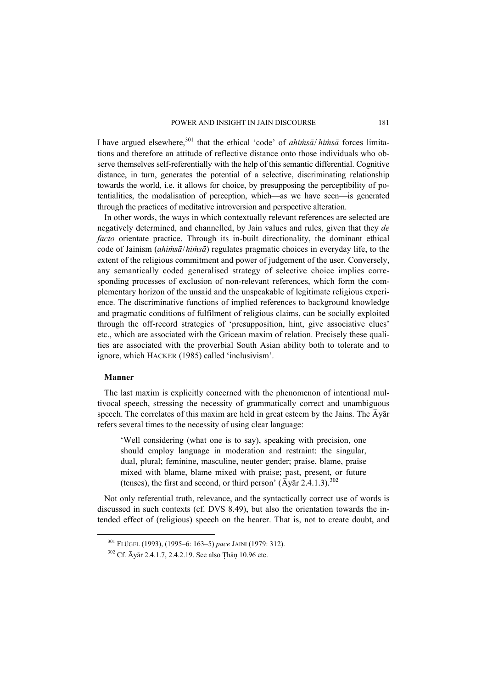I have argued elsewhere.<sup>301</sup> that the ethical 'code' of *ahimsā/ himsā* forces limitations and therefore an attitude of reflective distance onto those individuals who observe themselves self-referentially with the help of this semantic differential. Cognitive distance, in turn, generates the potential of a selective, discriminating relationship towards the world, i.e. it allows for choice, by presupposing the perceptibility of potentialities, the modalisation of perception, which—as we have seen—is generated through the practices of meditative introversion and perspective alteration.

In other words, the ways in which contextually relevant references are selected are negatively determined, and channelled, by Jain values and rules, given that they *de facto* orientate practice. Through its in-built directionality, the dominant ethical code of Jainism (*ahimsā/ himsā*) regulates pragmatic choices in everyday life, to the extent of the religious commitment and power of judgement of the user. Conversely, any semantically coded generalised strategy of selective choice implies corresponding processes of exclusion of non-relevant references, which form the complementary horizon of the unsaid and the unspeakable of legitimate religious experience. The discriminative functions of implied references to background knowledge and pragmatic conditions of fulfilment of religious claims, can be socially exploited through the off-record strategies of 'presupposition, hint, give associative clues' etc., which are associated with the Gricean maxim of relation. Precisely these qualities are associated with the proverbial South Asian ability both to tolerate and to ignore, which HACKER (1985) called 'inclusivism'.

## **Manner**

 $\ddot{ }$ 

The last maxim is explicitly concerned with the phenomenon of intentional multivocal speech, stressing the necessity of grammatically correct and unambiguous speech. The correlates of this maxim are held in great esteem by the Jains. The Âyâr refers several times to the necessity of using clear language:

'Well considering (what one is to say), speaking with precision, one should employ language in moderation and restraint: the singular, dual, plural; feminine, masculine, neuter gender; praise, blame, praise mixed with blame, blame mixed with praise; past, present, or future (tenses), the first and second, or third person'  $(\bar{A}$ yār 2.4.1.3).<sup>302</sup>

Not only referential truth, relevance, and the syntactically correct use of words is discussed in such contexts (cf. DVS 8.49), but also the orientation towards the intended effect of (religious) speech on the hearer. That is, not to create doubt, and

 <sup>301</sup> FLÜGEL (1993), (1995–6: 163–5) *pace* JAINI (1979: 312).

 $302$  Cf.  $\bar{A}$ yār 2.4.1.7, 2.4.2.19. See also Thān 10.96 etc.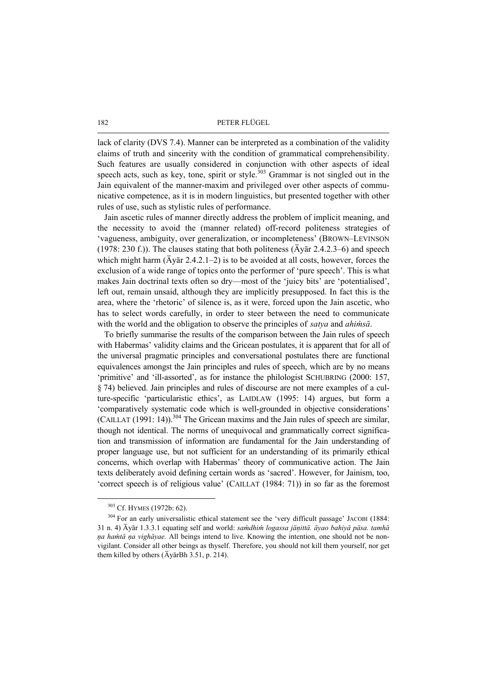lack of clarity (DVS 7.4). Manner can be interpreted as a combination of the validity claims of truth and sincerity with the condition of grammatical comprehensibility. Such features are usually considered in conjunction with other aspects of ideal speech acts, such as key, tone, spirit or style. $303$  Grammar is not singled out in the Jain equivalent of the manner-maxim and privileged over other aspects of communicative competence, as it is in modern linguistics, but presented together with other rules of use, such as stylistic rules of performance.

Jain ascetic rules of manner directly address the problem of implicit meaning, and the necessity to avoid the (manner related) off-record politeness strategies of 'vagueness, ambiguity, over generalization, or incompleteness' (BROWN–LEVINSON (1978: 230 f.)). The clauses stating that both politeness ( $\bar{A}$ yār 2.4.2.3–6) and speech which might harm  $(\bar{A}$ yār 2.4.2.1–2) is to be avoided at all costs, however, forces the exclusion of a wide range of topics onto the performer of 'pure speech'. This is what makes Jain doctrinal texts often so dry—most of the 'juicy bits' are 'potentialised', left out, remain unsaid, although they are implicitly presupposed. In fact this is the area, where the 'rhetoric' of silence is, as it were, forced upon the Jain ascetic, who has to select words carefully, in order to steer between the need to communicate with the world and the obligation to observe the principles of *satya* and *ahimsa*.

To briefly summarise the results of the comparison between the Jain rules of speech with Habermas' validity claims and the Gricean postulates, it is apparent that for all of the universal pragmatic principles and conversational postulates there are functional equivalences amongst the Jain principles and rules of speech, which are by no means 'primitive' and 'ill-assorted', as for instance the philologist SCHUBRING (2000: 157, § 74) believed. Jain principles and rules of discourse are not mere examples of a culture-specific 'particularistic ethics', as LAIDLAW (1995: 14) argues, but form a 'comparatively systematic code which is well-grounded in objective considerations'  $(CAILLAT (1991: 14)).$ <sup>304</sup> The Gricean maxims and the Jain rules of speech are similar, though not identical. The norms of unequivocal and grammatically correct signification and transmission of information are fundamental for the Jain understanding of proper language use, but not sufficient for an understanding of its primarily ethical concerns, which overlap with Habermas' theory of communicative action. The Jain texts deliberately avoid defining certain words as 'sacred'. However, for Jainism, too, 'correct speech is of religious value' (CAILLAT (1984: 71)) in so far as the foremost

 <sup>303</sup> Cf. HYMES (1972b: 62).

<sup>&</sup>lt;sup>304</sup> For an early universalistic ethical statement see the 'very difficult passage' JACOBI (1884: 31 n. 4) Âyār 1.3.3.1 equating self and world: *samdhim logassa jānittā. āyao bahiyā pāsa. tamhā na hamata na vighāyae.* All beings intend to live. Knowing the intention, one should not be nonvigilant. Consider all other beings as thyself. Therefore, you should not kill them yourself, nor get them killed by others ( $\overline{A}$ yārBh 3.51, p. 214).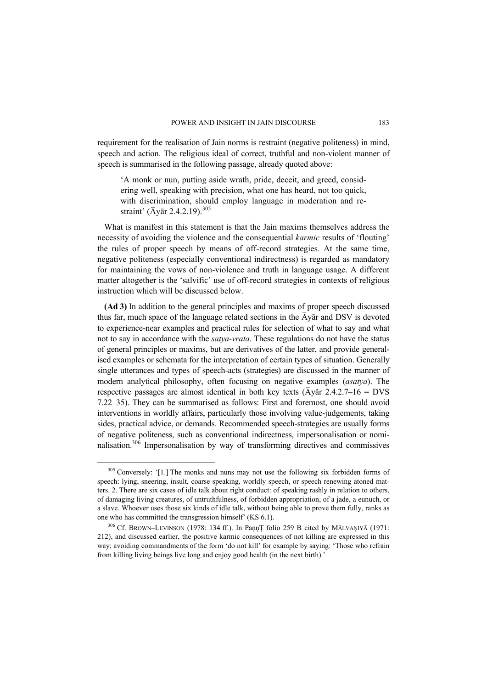requirement for the realisation of Jain norms is restraint (negative politeness) in mind, speech and action. The religious ideal of correct, truthful and non-violent manner of speech is summarised in the following passage, already quoted above:

'A monk or nun, putting aside wrath, pride, deceit, and greed, considering well, speaking with precision, what one has heard, not too quick, with discrimination, should employ language in moderation and restraint' ( $\bar{A}$ yār 2.4.2.19).<sup>305</sup>

What is manifest in this statement is that the Jain maxims themselves address the necessity of avoiding the violence and the consequential *karmic* results of 'flouting' the rules of proper speech by means of off-record strategies. At the same time, negative politeness (especially conventional indirectness) is regarded as mandatory for maintaining the vows of non-violence and truth in language usage. A different matter altogether is the 'salvific' use of off-record strategies in contexts of religious instruction which will be discussed below.

**(Ad 3)** In addition to the general principles and maxims of proper speech discussed thus far, much space of the language related sections in the Âyâr and DSV is devoted to experience-near examples and practical rules for selection of what to say and what not to say in accordance with the *satya-vrata*. These regulations do not have the status of general principles or maxims, but are derivatives of the latter, and provide generalised examples or schemata for the interpretation of certain types of situation. Generally single utterances and types of speech-acts (strategies) are discussed in the manner of modern analytical philosophy, often focusing on negative examples (*asatya*). The respective passages are almost identical in both key texts ( $\bar{A}$ yār 2.4.2.7–16 = DVS 7.22–35). They can be summarised as follows: First and foremost, one should avoid interventions in worldly affairs, particularly those involving value-judgements, taking sides, practical advice, or demands. Recommended speech-strategies are usually forms of negative politeness, such as conventional indirectness, impersonalisation or nominalisation. $30\overline{6}$  Impersonalisation by way of transforming directives and commissives

<sup>&</sup>lt;sup>305</sup> Conversely: '[1.] The monks and nuns may not use the following six forbidden forms of speech: lying, sneering, insult, coarse speaking, worldly speech, or speech renewing atoned matters. 2. There are six cases of idle talk about right conduct: of speaking rashly in relation to others, of damaging living creatures, of untruthfulness, of forbidden appropriation, of a jade, a eunuch, or a slave. Whoever uses those six kinds of idle talk, without being able to prove them fully, ranks as one who has committed the transgression himself' (KS 6.1).

 $306$  Cf. BROWN–LEVINSON (1978: 134 ff.). In PaṇṇȚ folio 259 B cited by MĀLVAŅIYĀ (1971: 212), and discussed earlier, the positive karmic consequences of not killing are expressed in this way; avoiding commandments of the form 'do not kill' for example by saying: 'Those who refrain from killing living beings live long and enjoy good health (in the next birth).'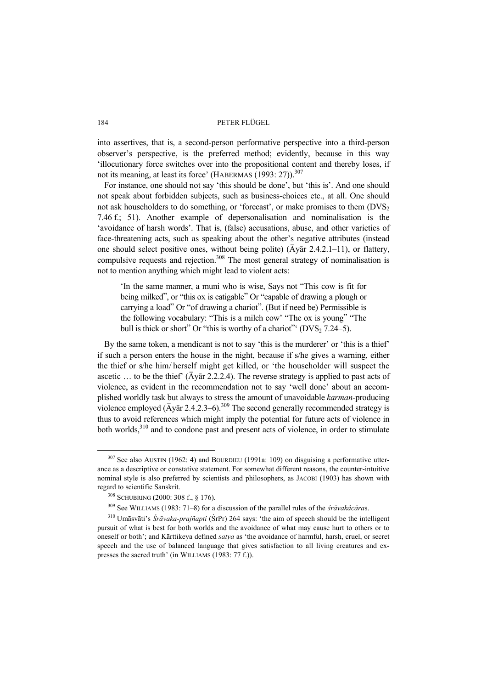into assertives, that is, a second-person performative perspective into a third-person observer's perspective, is the preferred method; evidently, because in this way 'illocutionary force switches over into the propositional content and thereby loses, if not its meaning, at least its force' (HABERMAS (1993: 27)).<sup>307</sup>

For instance, one should not say 'this should be done', but 'this is'. And one should not speak about forbidden subjects, such as business-choices etc., at all. One should not ask householders to do something, or 'forecast', or make promises to them (DVS<sub>2</sub>) 7.46 f.; 51). Another example of depersonalisation and nominalisation is the 'avoidance of harsh words'. That is, (false) accusations, abuse, and other varieties of face-threatening acts, such as speaking about the other's negative attributes (instead one should select positive ones, without being polite) ( $\bar{A}$ yār 2.4.2.1–11), or flattery, compulsive requests and rejection.<sup>308</sup> The most general strategy of nominalisation is not to mention anything which might lead to violent acts:

'In the same manner, a muni who is wise, Says not "This cow is fit for being milked", or "this ox is catigable" Or "capable of drawing a plough or carrying a load" Or "of drawing a chariot". (But if need be) Permissible is the following vocabulary: "This is a milch cow' "The ox is young" "The bull is thick or short" Or "this is worthy of a chariot" (DVS $_2$  7.24–5).

By the same token, a mendicant is not to say 'this is the murderer' or 'this is a thief' if such a person enters the house in the night, because if s/he gives a warning, either the thief or s/he him/ herself might get killed, or 'the householder will suspect the ascetic  $\ldots$  to be the thief' ( $\bar{A}$ yār 2.2.2.4). The reverse strategy is applied to past acts of violence, as evident in the recommendation not to say 'well done' about an accomplished worldly task but always to stress the amount of unavoidable *karman*-producing violence employed ( $\overline{A}$ yār 2.4.2.3–6).<sup>309</sup> The second generally recommended strategy is thus to avoid references which might imply the potential for future acts of violence in both worlds,<sup>310</sup> and to condone past and present acts of violence, in order to stimulate

<sup>&</sup>lt;sup>307</sup> See also AUSTIN (1962: 4) and BOURDIEU (1991a: 109) on disguising a performative utterance as a descriptive or constative statement. For somewhat different reasons, the counter-intuitive nominal style is also preferred by scientists and philosophers, as JACOBI (1903) has shown with regard to scientific Sanskrit.

<sup>308</sup> SCHUBRING (2000: 308 f., § 176).

<sup>&</sup>lt;sup>309</sup> See WILLIAMS (1983: 71–8) for a discussion of the parallel rules of the *śrāvakâcāras*.

<sup>&</sup>lt;sup>310</sup> Umāsvāti's *Śrāvaka-prajñapti* (ŚrPr) 264 says: 'the aim of speech should be the intelligent pursuit of what is best for both worlds and the avoidance of what may cause hurt to others or to oneself or both'; and Kârttikeya defined *satya* as 'the avoidance of harmful, harsh, cruel, or secret speech and the use of balanced language that gives satisfaction to all living creatures and expresses the sacred truth' (in WILLIAMS (1983: 77 f.)).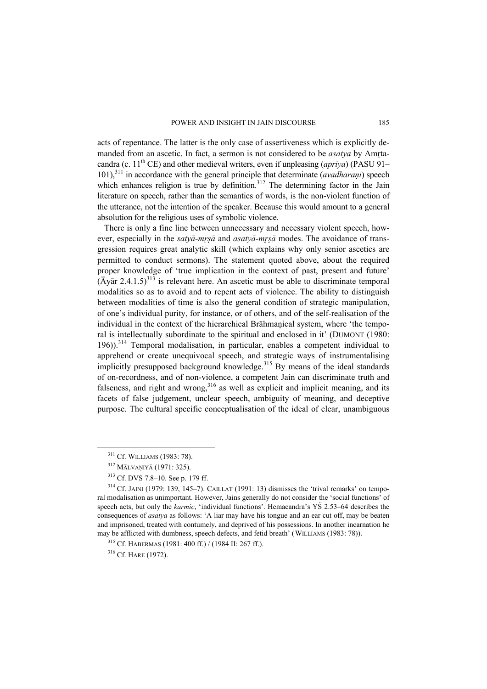acts of repentance. The latter is the only case of assertiveness which is explicitly demanded from an ascetic. In fact, a sermon is not considered to be *asatya* by Amrtacandra (c.  $11<sup>th</sup> CE$ ) and other medieval writers, even if unpleasing (*apriya*) (PASU 91– 101),311 in accordance with the general principle that determinate (*avadhâraòî*) speech which enhances religion is true by definition.<sup>312</sup> The determining factor in the Jain literature on speech, rather than the semantics of words, is the non-violent function of the utterance, not the intention of the speaker. Because this would amount to a general absolution for the religious uses of symbolic violence.

There is only a fine line between unnecessary and necessary violent speech, however, especially in the *satyā-mrsā* and *asatyā-mrsā* modes. The avoidance of transgression requires great analytic skill (which explains why only senior ascetics are permitted to conduct sermons). The statement quoted above, about the required proper knowledge of 'true implication in the context of past, present and future'  $(\bar{A}$ yār 2.4.1.5)<sup>313</sup> is relevant here. An ascetic must be able to discriminate temporal modalities so as to avoid and to repent acts of violence. The ability to distinguish between modalities of time is also the general condition of strategic manipulation, of one's individual purity, for instance, or of others, and of the self-realisation of the individual in the context of the hierarchical Brāhmanical system, where 'the temporal is intellectually subordinate to the spiritual and enclosed in it' (DUMONT (1980: 196)).314 Temporal modalisation, in particular, enables a competent individual to apprehend or create unequivocal speech, and strategic ways of instrumentalising implicitly presupposed background knowledge.<sup>315</sup> By means of the ideal standards of on-recordness, and of non-violence, a competent Jain can discriminate truth and falseness, and right and wrong,<sup>316</sup> as well as explicit and implicit meaning, and its facets of false judgement, unclear speech, ambiguity of meaning, and deceptive purpose. The cultural specific conceptualisation of the ideal of clear, unambiguous

 <sup>311</sup> Cf. WILLIAMS (1983: 78).

<sup>&</sup>lt;sup>312</sup> MĀLVAŅIYĀ (1971: 325).

<sup>313</sup> Cf. DVS 7.8–10. See p. 179 ff.

 $314$  Cf. JAINI (1979: 139, 145–7). CAILLAT (1991: 13) dismisses the 'trival remarks' on temporal modalisation as unimportant. However, Jains generally do not consider the 'social functions' of speech acts, but only the *karmic*, 'individual functions'. Hemacandra's YS 2.53–64 describes the consequences of *asatya* as follows: 'A liar may have his tongue and an ear cut off, may be beaten and imprisoned, treated with contumely, and deprived of his possessions. In another incarnation he may be afflicted with dumbness, speech defects, and fetid breath' (WILLIAMS (1983: 78)).

<sup>315</sup> Cf. HABERMAS (1981: 400 ff.) / (1984 II: 267 ff.).

<sup>316</sup> Cf. HARE (1972).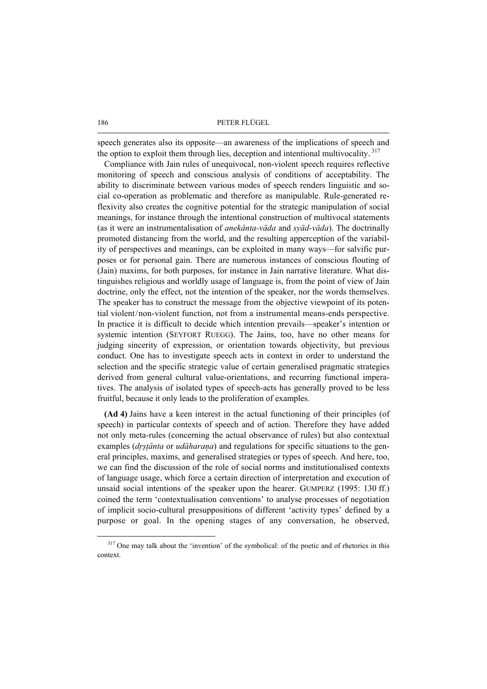speech generates also its opposite—an awareness of the implications of speech and the option to exploit them through lies, deception and intentional multivocality.  $317$ 

Compliance with Jain rules of unequivocal, non-violent speech requires reflective monitoring of speech and conscious analysis of conditions of acceptability. The ability to discriminate between various modes of speech renders linguistic and social co-operation as problematic and therefore as manipulable. Rule-generated reflexivity also creates the cognitive potential for the strategic manipulation of social meanings, for instance through the intentional construction of multivocal statements (as it were an instrumentalisation of *anekânta-vâda* and *syâd-vâda*). The doctrinally promoted distancing from the world, and the resulting apperception of the variability of perspectives and meanings, can be exploited in many ways—for salvific purposes or for personal gain. There are numerous instances of conscious flouting of (Jain) maxims, for both purposes, for instance in Jain narrative literature. What distinguishes religious and worldly usage of language is, from the point of view of Jain doctrine, only the effect, not the intention of the speaker, nor the words themselves. The speaker has to construct the message from the objective viewpoint of its potential violent/non-violent function, not from a instrumental means-ends perspective. In practice it is difficult to decide which intention prevails—speaker's intention or systemic intention (SEYFORT RUEGG). The Jains, too, have no other means for judging sincerity of expression, or orientation towards objectivity, but previous conduct. One has to investigate speech acts in context in order to understand the selection and the specific strategic value of certain generalised pragmatic strategies derived from general cultural value-orientations, and recurring functional imperatives. The analysis of isolated types of speech-acts has generally proved to be less fruitful, because it only leads to the proliferation of examples.

**(Ad 4)** Jains have a keen interest in the actual functioning of their principles (of speech) in particular contexts of speech and of action. Therefore they have added not only meta-rules (concerning the actual observance of rules) but also contextual examples *(drstānta* or *udāharana)* and regulations for specific situations to the general principles, maxims, and generalised strategies or types of speech. And here, too, we can find the discussion of the role of social norms and institutionalised contexts of language usage, which force a certain direction of interpretation and execution of unsaid social intentions of the speaker upon the hearer. GUMPERZ (1995: 130 ff.) coined the term 'contextualisation conventions' to analyse processes of negotiation of implicit socio-cultural presuppositions of different 'activity types' defined by a purpose or goal. In the opening stages of any conversation, he observed,

<sup>&</sup>lt;sup>317</sup> One may talk about the 'invention' of the symbolical: of the poetic and of rhetorics in this context.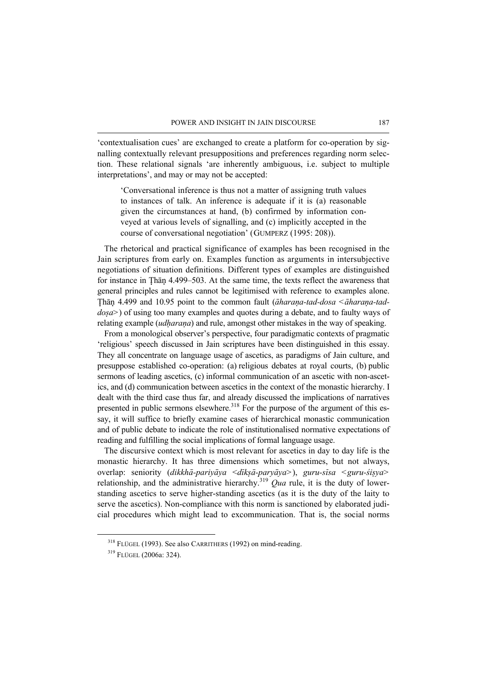'contextualisation cues' are exchanged to create a platform for co-operation by signalling contextually relevant presuppositions and preferences regarding norm selection. These relational signals 'are inherently ambiguous, i.e. subject to multiple interpretations', and may or may not be accepted:

'Conversational inference is thus not a matter of assigning truth values to instances of talk. An inference is adequate if it is (a) reasonable given the circumstances at hand, (b) confirmed by information conveyed at various levels of signalling, and (c) implicitly accepted in the course of conversational negotiation' (GUMPERZ (1995: 208)).

The rhetorical and practical significance of examples has been recognised in the Jain scriptures from early on. Examples function as arguments in intersubjective negotiations of situation definitions. Different types of examples are distinguished for instance in Than 4.499–503. At the same time, the texts reflect the awareness that general principles and rules cannot be legitimised with reference to examples alone. Thān 4.499 and 10.95 point to the common fault (*āharana-tad-dosa <āharana-taddoša>*) of using too many examples and quotes during a debate, and to faulty ways of relating example *(udharana)* and rule, amongst other mistakes in the way of speaking.

From a monological observer's perspective, four paradigmatic contexts of pragmatic 'religious' speech discussed in Jain scriptures have been distinguished in this essay. They all concentrate on language usage of ascetics, as paradigms of Jain culture, and presuppose established co-operation: (a) religious debates at royal courts, (b) public sermons of leading ascetics, (c) informal communication of an ascetic with non-ascetics, and (d) communication between ascetics in the context of the monastic hierarchy. I dealt with the third case thus far, and already discussed the implications of narratives presented in public sermons elsewhere. $318$  For the purpose of the argument of this essay, it will suffice to briefly examine cases of hierarchical monastic communication and of public debate to indicate the role of institutionalised normative expectations of reading and fulfilling the social implications of formal language usage.

The discursive context which is most relevant for ascetics in day to day life is the monastic hierarchy. It has three dimensions which sometimes, but not always, overlap: seniority (dikkhā-pariyāya <dīkṣā-paryāya>), guru-sīsa <guru-siṣya> relationship, and the administrative hierarchy.<sup>319</sup> *Qua* rule, it is the duty of lowerstanding ascetics to serve higher-standing ascetics (as it is the duty of the laity to serve the ascetics). Non-compliance with this norm is sanctioned by elaborated judicial procedures which might lead to excommunication. That is, the social norms

 <sup>318</sup> FLÜGEL (1993). See also CARRITHERS (1992) on mind-reading.

<sup>319</sup> FLÜGEL (2006a: 324).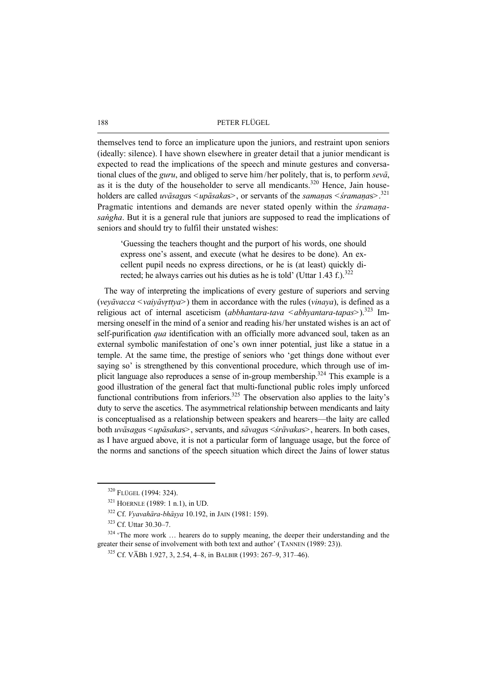themselves tend to force an implicature upon the juniors, and restraint upon seniors (ideally: silence). I have shown elsewhere in greater detail that a junior mendicant is expected to read the implications of the speech and minute gestures and conversational clues of the *guru*, and obliged to serve him / her politely, that is, to perform *sevâ*, as it is the duty of the householder to serve all mendicants.<sup>320</sup> Hence, Jain householders are called *uvāsagas* <*upāsakas*>, or servants of the *samanas* < *stramanas*>.<sup>321</sup> Pragmatic intentions and demands are never stated openly within the *sramanasangha*. But it is a general rule that juniors are supposed to read the implications of seniors and should try to fulfil their unstated wishes:

'Guessing the teachers thought and the purport of his words, one should express one's assent, and execute (what he desires to be done). An excellent pupil needs no express directions, or he is (at least) quickly directed; he always carries out his duties as he is told' (Uttar 1.43 f.).<sup>322</sup>

The way of interpreting the implications of every gesture of superiors and serving (*veyâvacca <vaiyâvåttya>*) them in accordance with the rules (*vinaya*), is defined as a religious act of internal asceticism (*abbhantara-tava <abhyantara-tapas>*).323 Immersing oneself in the mind of a senior and reading his / her unstated wishes is an act of self-purification *qua* identification with an officially more advanced soul, taken as an external symbolic manifestation of one's own inner potential, just like a statue in a temple. At the same time, the prestige of seniors who 'get things done without ever saying so' is strengthened by this conventional procedure, which through use of implicit language also reproduces a sense of in-group membership.<sup>324</sup> This example is a good illustration of the general fact that multi-functional public roles imply unforced functional contributions from inferiors.<sup>325</sup> The observation also applies to the laity's duty to serve the ascetics. The asymmetrical relationship between mendicants and laity is conceptualised as a relationship between speakers and hearers—the laity are called both *uvāsagas* <*upāsakas*>, servants, and *sāvagas* <*srāvakas*>, hearers. In both cases, as I have argued above, it is not a particular form of language usage, but the force of the norms and sanctions of the speech situation which direct the Jains of lower status

 <sup>320</sup> FLÜGEL (1994: 324).

<sup>321</sup> HOERNLE (1989: 1 n.1), in UD.

<sup>322</sup> Cf. *Vyavahâra-bhâšya* 10.192, in JAIN (1981: 159).

<sup>323</sup> Cf. Uttar 30.30–7.

 $324$  'The more work ... hearers do to supply meaning, the deeper their understanding and the greater their sense of involvement with both text and author' (TANNEN (1989: 23)).

<sup>325</sup> Cf. VÂBh 1.927, 3, 2.54, 4–8, in BALBIR (1993: 267–9, 317–46).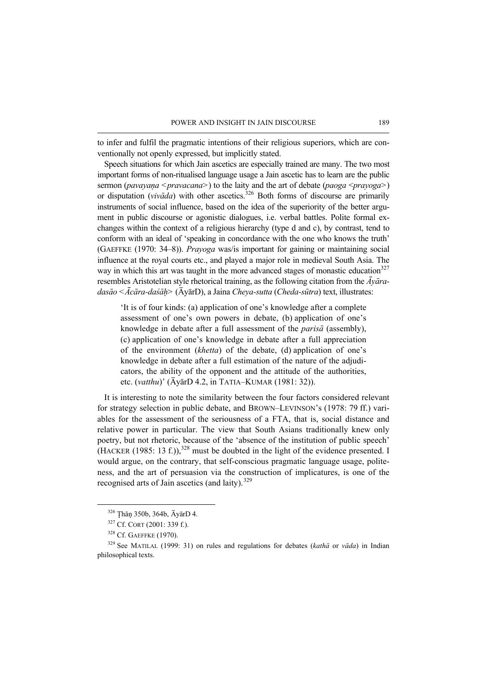to infer and fulfil the pragmatic intentions of their religious superiors, which are conventionally not openly expressed, but implicitly stated.

Speech situations for which Jain ascetics are especially trained are many. The two most important forms of non-ritualised language usage a Jain ascetic has to learn are the public sermon (*pavayaṇa <pravacana>*) to the laity and the art of debate (*paoga <prayoga>*) or disputation (*vivada*) with other ascetics.<sup>326</sup> Both forms of discourse are primarily instruments of social influence, based on the idea of the superiority of the better argument in public discourse or agonistic dialogues, i.e. verbal battles. Polite formal exchanges within the context of a religious hierarchy (type d and c), by contrast, tend to conform with an ideal of 'speaking in concordance with the one who knows the truth' (GAEFFKE (1970: 34–8)). *Prayoga* was/is important for gaining or maintaining social influence at the royal courts etc., and played a major role in medieval South Asia. The way in which this art was taught in the more advanced stages of monastic education<sup>327</sup> resembles Aristotelian style rhetorical training, as the following citation from the *Âyâradasâo <Âcâra-daœâÿ>* (ÂyârD), a Jaina *Cheya-sutta* (*Cheda-sûtra*) text, illustrates:

'It is of four kinds: (a) application of one's knowledge after a complete assessment of one's own powers in debate, (b) application of one's knowledge in debate after a full assessment of the *parisâ* (assembly), (c) application of one's knowledge in debate after a full appreciation of the environment (*khetta*) of the debate, (d) application of one's knowledge in debate after a full estimation of the nature of the adjudicators, the ability of the opponent and the attitude of the authorities, etc. (*vatthu*)' (ÂyârD 4.2, in TATIA–KUMAR (1981: 32)).

It is interesting to note the similarity between the four factors considered relevant for strategy selection in public debate, and BROWN–LEVINSON's (1978: 79 ff.) variables for the assessment of the seriousness of a FTA, that is, social distance and relative power in particular. The view that South Asians traditionally knew only poetry, but not rhetoric, because of the 'absence of the institution of public speech' (HACKER (1985: 13 f.)),<sup>328</sup> must be doubted in the light of the evidence presented. I would argue, on the contrary, that self-conscious pragmatic language usage, politeness, and the art of persuasion via the construction of implicatures, is one of the recognised arts of Jain ascetics (and laity). $329$ 

 <sup>326</sup> Þhâò 350b, 364b, ÂyârD 4.

<sup>327</sup> Cf. CORT (2001: 339 f.).

<sup>328</sup> Cf. GAEFFKE (1970).

<sup>329</sup> See MATILAL (1999: 31) on rules and regulations for debates (*kathâ* or *vâda*) in Indian philosophical texts.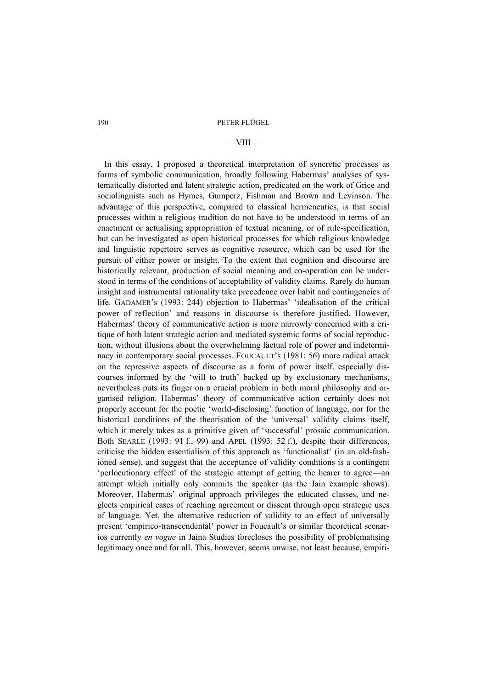190 PETER FLÜGEL

## $-$  VIII $-$

In this essay, I proposed a theoretical interpretation of syncretic processes as forms of symbolic communication, broadly following Habermas' analyses of systematically distorted and latent strategic action, predicated on the work of Grice and sociolinguists such as Hymes, Gumperz, Fishman and Brown and Levinson. The advantage of this perspective, compared to classical hermeneutics, is that social processes within a religious tradition do not have to be understood in terms of an enactment or actualising appropriation of textual meaning, or of rule-specification, but can be investigated as open historical processes for which religious knowledge and linguistic repertoire serves as cognitive resource, which can be used for the pursuit of either power or insight. To the extent that cognition and discourse are historically relevant, production of social meaning and co-operation can be understood in terms of the conditions of acceptability of validity claims. Rarely do human insight and instrumental rationality take precedence over habit and contingencies of life. GADAMER's (1993: 244) objection to Habermas' 'idealisation of the critical power of reflection' and reasons in discourse is therefore justified. However, Habermas' theory of communicative action is more narrowly concerned with a critique of both latent strategic action and mediated systemic forms of social reproduction, without illusions about the overwhelming factual role of power and indeterminacy in contemporary social processes. FOUCAULT's (1981: 56) more radical attack on the repressive aspects of discourse as a form of power itself, especially discourses informed by the 'will to truth' backed up by exclusionary mechanisms, nevertheless puts its finger on a crucial problem in both moral philosophy and organised religion. Habermas' theory of communicative action certainly does not properly account for the poetic 'world-disclosing' function of language, nor for the historical conditions of the theorisation of the 'universal' validity claims itself, which it merely takes as a primitive given of 'successful' prosaic communication. Both SEARLE (1993: 91 f., 99) and APEL (1993: 52 f.), despite their differences, criticise the hidden essentialism of this approach as 'functionalist' (in an old-fashioned sense), and suggest that the acceptance of validity conditions is a contingent 'perlocutionary effect' of the strategic attempt of getting the hearer to agree—an attempt which initially only commits the speaker (as the Jain example shows). Moreover, Habermas' original approach privileges the educated classes, and neglects empirical cases of reaching agreement or dissent through open strategic uses of language. Yet, the alternative reduction of validity to an effect of universally present 'empirico-transcendental' power in Foucault's or similar theoretical scenarios currently *en vogue* in Jaina Studies forecloses the possibility of problematising legitimacy once and for all. This, however, seems unwise, not least because, empiri-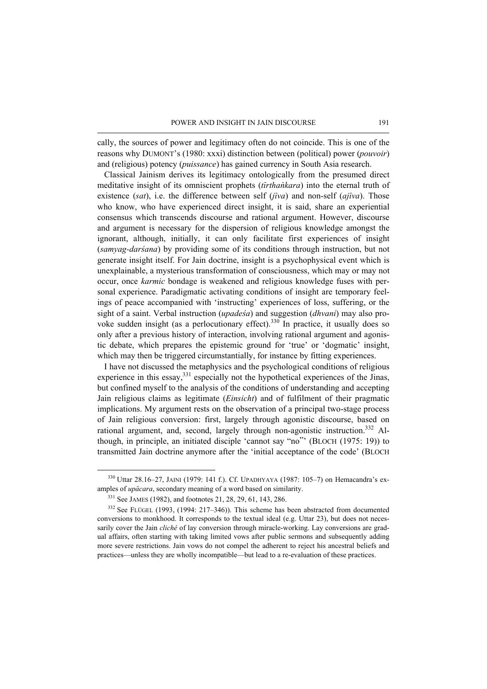cally, the sources of power and legitimacy often do not coincide. This is one of the reasons why DUMONT's (1980: xxxi) distinction between (political) power (*pouvoir*) and (religious) potency (*puissance*) has gained currency in South Asia research.

Classical Jainism derives its legitimacy ontologically from the presumed direct meditative insight of its omniscient prophets (*tîrthaókara*) into the eternal truth of existence (*sat*), i.e. the difference between self (*jîva*) and non-self (*ajîva*). Those who know, who have experienced direct insight, it is said, share an experiential consensus which transcends discourse and rational argument. However, discourse and argument is necessary for the dispersion of religious knowledge amongst the ignorant, although, initially, it can only facilitate first experiences of insight (*samyag-darśana*) by providing some of its conditions through instruction, but not generate insight itself. For Jain doctrine, insight is a psychophysical event which is unexplainable, a mysterious transformation of consciousness, which may or may not occur, once *karmic* bondage is weakened and religious knowledge fuses with personal experience. Paradigmatic activating conditions of insight are temporary feelings of peace accompanied with 'instructing' experiences of loss, suffering, or the sight of a saint. Verbal instruction (*upadeśa*) and suggestion (*dhvani*) may also provoke sudden insight (as a perlocutionary effect).<sup>330</sup> In practice, it usually does so only after a previous history of interaction, involving rational argument and agonistic debate, which prepares the epistemic ground for 'true' or 'dogmatic' insight, which may then be triggered circumstantially, for instance by fitting experiences.

I have not discussed the metaphysics and the psychological conditions of religious experience in this essay, $3^{31}$  especially not the hypothetical experiences of the Jinas, but confined myself to the analysis of the conditions of understanding and accepting Jain religious claims as legitimate (*Einsicht*) and of fulfilment of their pragmatic implications. My argument rests on the observation of a principal two-stage process of Jain religious conversion: first, largely through agonistic discourse, based on rational argument, and, second, largely through non-agonistic instruction.<sup>332</sup> Although, in principle, an initiated disciple 'cannot say "no"' (BLOCH (1975: 19)) to transmitted Jain doctrine anymore after the 'initial acceptance of the code' (BLOCH

 <sup>330</sup> Uttar 28.16–27, JAINI (1979: 141 f.). Cf. UPADHYAYA (1987: 105–7) on Hemacandra's examples of *upâcara*, secondary meaning of a word based on similarity.

<sup>&</sup>lt;sup>331</sup> See JAMES (1982), and footnotes 21, 28, 29, 61, 143, 286.

<sup>332</sup> See FLÜGEL (1993, (1994: 217–346)). This scheme has been abstracted from documented conversions to monkhood. It corresponds to the textual ideal (e.g. Uttar 23), but does not necessarily cover the Jain *cliché* of lay conversion through miracle-working. Lay conversions are gradual affairs, often starting with taking limited vows after public sermons and subsequently adding more severe restrictions. Jain vows do not compel the adherent to reject his ancestral beliefs and practices—unless they are wholly incompatible—but lead to a re-evaluation of these practices.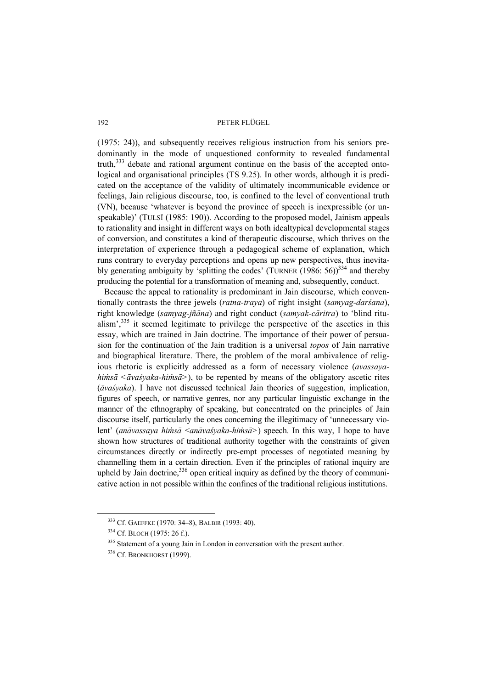192 PETER FLÜGEL

(1975: 24)), and subsequently receives religious instruction from his seniors predominantly in the mode of unquestioned conformity to revealed fundamental truth,<sup>333</sup> debate and rational argument continue on the basis of the accepted ontological and organisational principles (TS 9.25). In other words, although it is predicated on the acceptance of the validity of ultimately incommunicable evidence or feelings, Jain religious discourse, too, is confined to the level of conventional truth (VN), because 'whatever is beyond the province of speech is inexpressible (or unspeakable)' (TULSĪ (1985: 190)). According to the proposed model, Jainism appeals to rationality and insight in different ways on both idealtypical developmental stages of conversion, and constitutes a kind of therapeutic discourse, which thrives on the interpretation of experience through a pedagogical scheme of explanation, which runs contrary to everyday perceptions and opens up new perspectives, thus inevitably generating ambiguity by 'splitting the codes' (TURNER  $(1986: 56)$ )<sup>334</sup> and thereby producing the potential for a transformation of meaning and, subsequently, conduct.

Because the appeal to rationality is predominant in Jain discourse, which conventionally contrasts the three jewels (*ratna-traya*) of right insight (*samyag-darsana*), right knowledge (*samyag-jñâna*) and right conduct (*samyak-câritra*) to 'blind ritualism',335 it seemed legitimate to privilege the perspective of the ascetics in this essay, which are trained in Jain doctrine. The importance of their power of persuasion for the continuation of the Jain tradition is a universal *topos* of Jain narrative and biographical literature. There, the problem of the moral ambivalence of religious rhetoric is explicitly addressed as a form of necessary violence (*âvassaya* $hims\bar{a} < \bar{a}vaska-hims\bar{a}>$ , to be repented by means of the obligatory ascetic rites (*āvaśyaka*). I have not discussed technical Jain theories of suggestion, implication, figures of speech, or narrative genres, nor any particular linguistic exchange in the manner of the ethnography of speaking, but concentrated on the principles of Jain discourse itself, particularly the ones concerning the illegitimacy of 'unnecessary violent' (*anāvassaya himsā <anāvasyaka-himsā>*) speech. In this way, I hope to have shown how structures of traditional authority together with the constraints of given circumstances directly or indirectly pre-empt processes of negotiated meaning by channelling them in a certain direction. Even if the principles of rational inquiry are upheld by Jain doctrine,  $336$  open critical inquiry as defined by the theory of communicative action in not possible within the confines of the traditional religious institutions.

 <sup>333</sup> Cf. GAEFFKE (1970: 34–8), BALBIR (1993: 40).

<sup>334</sup> Cf. BLOCH (1975: 26 f.).

<sup>&</sup>lt;sup>335</sup> Statement of a young Jain in London in conversation with the present author.

<sup>336</sup> Cf. BRONKHORST (1999).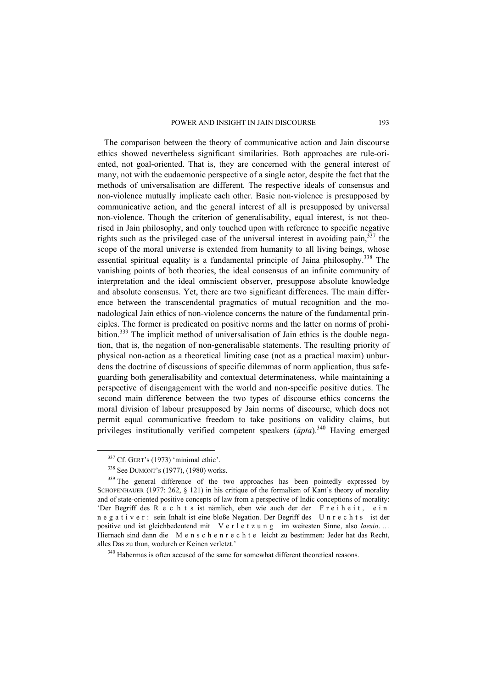The comparison between the theory of communicative action and Jain discourse ethics showed nevertheless significant similarities. Both approaches are rule-oriented, not goal-oriented. That is, they are concerned with the general interest of many, not with the eudaemonic perspective of a single actor, despite the fact that the methods of universalisation are different. The respective ideals of consensus and non-violence mutually implicate each other. Basic non-violence is presupposed by communicative action, and the general interest of all is presupposed by universal non-violence. Though the criterion of generalisability, equal interest, is not theorised in Jain philosophy, and only touched upon with reference to specific negative rights such as the privileged case of the universal interest in avoiding pain, $337$  the scope of the moral universe is extended from humanity to all living beings, whose essential spiritual equality is a fundamental principle of Jaina philosophy.<sup>338</sup> The vanishing points of both theories, the ideal consensus of an infinite community of interpretation and the ideal omniscient observer, presuppose absolute knowledge and absolute consensus. Yet, there are two significant differences. The main difference between the transcendental pragmatics of mutual recognition and the monadological Jain ethics of non-violence concerns the nature of the fundamental principles. The former is predicated on positive norms and the latter on norms of prohibition.<sup>339</sup> The implicit method of universalisation of Jain ethics is the double negation, that is, the negation of non-generalisable statements. The resulting priority of physical non-action as a theoretical limiting case (not as a practical maxim) unburdens the doctrine of discussions of specific dilemmas of norm application, thus safeguarding both generalisability and contextual determinateness, while maintaining a perspective of disengagement with the world and non-specific positive duties. The second main difference between the two types of discourse ethics concerns the moral division of labour presupposed by Jain norms of discourse, which does not permit equal communicative freedom to take positions on validity claims, but privileges institutionally verified competent speakers (*âpta*).340 Having emerged

 $\ddot{ }$ 

<sup>&</sup>lt;sup>337</sup> Cf. GERT's (1973) 'minimal ethic'.

<sup>338</sup> See DUMONT's (1977), (1980) works.

<sup>&</sup>lt;sup>339</sup> The general difference of the two approaches has been pointedly expressed by SCHOPENHAUER (1977: 262, § 121) in his critique of the formalism of Kant's theory of morality and of state-oriented positive concepts of law from a perspective of Indic conceptions of morality: 'Der Begriff des R e c h t s ist nämlich, eben wie auch der der F r e i h e i t, e i n n e g a t i v e r : sein Inhalt ist eine bloße Negation. Der Begriff des U n r e c h t s ist der positive und ist gleichbedeutend mit V e r l e t z u n g im weitesten Sinne, also *laesio*. … Hiernach sind dann die M e n s c h e n r e c h t e leicht zu bestimmen: Jeder hat das Recht, alles Das zu thun, wodurch er Keinen verletzt.'

<sup>340</sup> Habermas is often accused of the same for somewhat different theoretical reasons.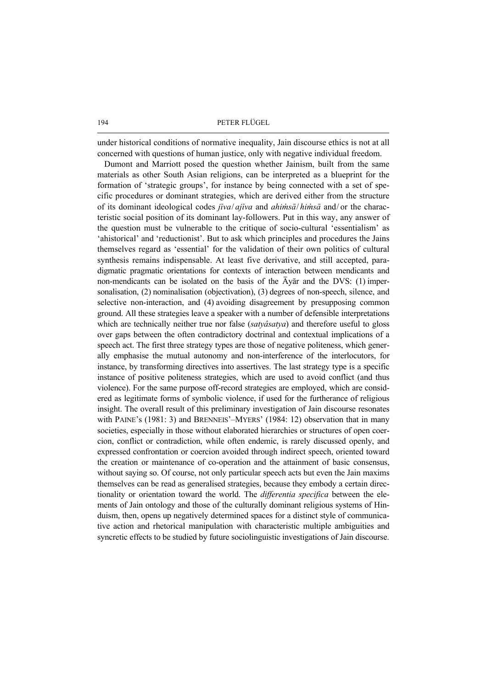under historical conditions of normative inequality, Jain discourse ethics is not at all concerned with questions of human justice, only with negative individual freedom.

Dumont and Marriott posed the question whether Jainism, built from the same materials as other South Asian religions, can be interpreted as a blueprint for the formation of 'strategic groups', for instance by being connected with a set of specific procedures or dominant strategies, which are derived either from the structure of its dominant ideological codes *jîva* / *ajîva* and *ahiôsâ* / *hiôsâ* and / or the characteristic social position of its dominant lay-followers. Put in this way, any answer of the question must be vulnerable to the critique of socio-cultural 'essentialism' as 'ahistorical' and 'reductionist'. But to ask which principles and procedures the Jains themselves regard as 'essential' for the validation of their own politics of cultural synthesis remains indispensable. At least five derivative, and still accepted, paradigmatic pragmatic orientations for contexts of interaction between mendicants and non-mendicants can be isolated on the basis of the  $\bar{A}$ yar and the DVS: (1) impersonalisation, (2) nominalisation (objectivation), (3) degrees of non-speech, silence, and selective non-interaction, and (4) avoiding disagreement by presupposing common ground. All these strategies leave a speaker with a number of defensible interpretations which are technically neither true nor false (*satyâsatya*) and therefore useful to gloss over gaps between the often contradictory doctrinal and contextual implications of a speech act. The first three strategy types are those of negative politeness, which generally emphasise the mutual autonomy and non-interference of the interlocutors, for instance, by transforming directives into assertives. The last strategy type is a specific instance of positive politeness strategies, which are used to avoid conflict (and thus violence). For the same purpose off-record strategies are employed, which are considered as legitimate forms of symbolic violence, if used for the furtherance of religious insight. The overall result of this preliminary investigation of Jain discourse resonates with PAINE's (1981: 3) and BRENNEIS'–MYERS' (1984: 12) observation that in many societies, especially in those without elaborated hierarchies or structures of open coercion, conflict or contradiction, while often endemic, is rarely discussed openly, and expressed confrontation or coercion avoided through indirect speech, oriented toward the creation or maintenance of co-operation and the attainment of basic consensus, without saying so. Of course, not only particular speech acts but even the Jain maxims themselves can be read as generalised strategies, because they embody a certain directionality or orientation toward the world. The *differentia specifica* between the elements of Jain ontology and those of the culturally dominant religious systems of Hinduism, then, opens up negatively determined spaces for a distinct style of communicative action and rhetorical manipulation with characteristic multiple ambiguities and syncretic effects to be studied by future sociolinguistic investigations of Jain discourse.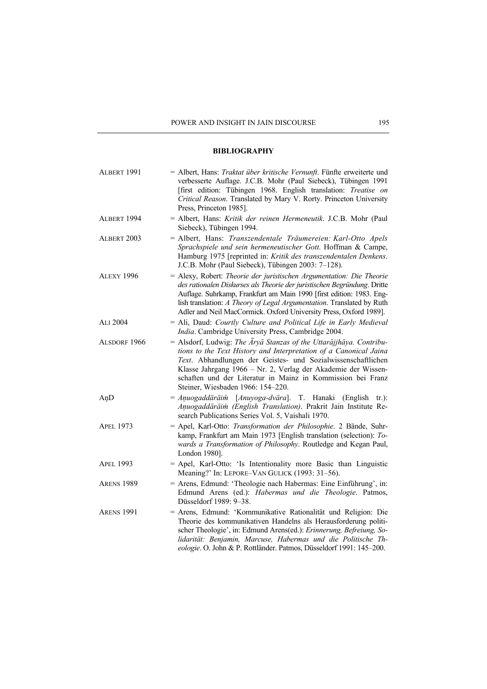$\ddot{ }$ 

#### **BIBLIOGRAPHY**

| ALBERT 1991       | = Albert, Hans: Traktat über kritische Vernunft. Fünfte erweiterte und<br>verbesserte Auflage. J.C.B. Mohr (Paul Siebeck), Tübingen 1991<br>[first edition: Tübingen 1968. English translation: Treatise on<br>Critical Reason. Translated by Mary V. Rorty. Princeton University<br>Press, Princeton 1985].                                                                               |
|-------------------|--------------------------------------------------------------------------------------------------------------------------------------------------------------------------------------------------------------------------------------------------------------------------------------------------------------------------------------------------------------------------------------------|
| ALBERT 1994       | = Albert, Hans: Kritik der reinen Hermeneutik. J.C.B. Mohr (Paul<br>Siebeck), Tübingen 1994.                                                                                                                                                                                                                                                                                               |
| ALBERT 2003       | = Albert, Hans: Transzendentale Träumereien: Karl-Otto Apels<br>Sprachspiele und sein hermeneutischer Gott. Hoffman & Campe,<br>Hamburg 1975 [reprinted in: Kritik des transzendentalen Denkens.<br>J.C.B. Mohr (Paul Siebeck), Tübingen 2003: 7-128).                                                                                                                                     |
| ALEXY 1996        | = Alexy, Robert: Theorie der juristischen Argumentation: Die Theorie<br>des rationalen Diskurses als Theorie der juristischen Begründung. Dritte<br>Auflage. Suhrkamp, Frankfurt am Main 1990 [first edition: 1983. Eng-<br>lish translation: A Theory of Legal Argumentation. Translated by Ruth<br>Adler and Neil MacCormick. Oxford University Press, Oxford 1989].                     |
| ALI 2004          | = Ali, Daud: Courtly Culture and Political Life in Early Medieval<br>India. Cambridge University Press, Cambridge 2004.                                                                                                                                                                                                                                                                    |
| ALSDORF 1966      | = Alsdorf, Ludwig: The $\bar{A}ry\bar{a}$ Stanzas of the Uttarājjhāya. Contribu-<br>tions to the Text History and Interpretation of a Canonical Jaina<br>Text. Abhandlungen der Geistes- und Sozialwissenschaftlichen<br>Klasse Jahrgang 1966 - Nr. 2, Verlag der Akademie der Wissen-<br>schaften und der Literatur in Mainz in Kommission bei Franz<br>Steiner, Wiesbaden 1966: 154-220. |
| AņD               | = Anuogaddārāim [Anuyoga-dvāra].<br>T. Hanaki (English tr.):<br>Anuogaddārāim (English Translation). Prakrit Jain Institute Re-<br>search Publications Series Vol. 5, Vaishali 1970.                                                                                                                                                                                                       |
| <b>APEL 1973</b>  | = Apel, Karl-Otto: Transformation der Philosophie. 2 Bände, Suhr-<br>kamp, Frankfurt am Main 1973 [English translation (selection): To-<br>wards a Transformation of Philosophy. Routledge and Kegan Paul,<br>London 1980].                                                                                                                                                                |
| <b>APEL 1993</b>  | = Apel, Karl-Otto: 'Is Intentionality more Basic than Linguistic<br>Meaning?' In: LEPORE-VAN GULICK (1993: 31–56).                                                                                                                                                                                                                                                                         |
| <b>ARENS 1989</b> | = Arens, Edmund: 'Theologie nach Habermas: Eine Einführung', in:<br>Edmund Arens (ed.): Habermas und die Theologie. Patmos,<br>Düsseldorf 1989: 9–38.                                                                                                                                                                                                                                      |
| <b>ARENS 1991</b> | = Arens, Edmund: 'Kommunikative Rationalität und Religion: Die<br>Theorie des kommunikativen Handelns als Herausforderung politi-<br>scher Theologie', in: Edmund Arens(ed.): Erinnerung, Befreiung, So-<br>lidarität: Benjamin, Marcuse, Habermas und die Politische Th-<br>eologie. O. John & P. Rottländer. Patmos, Düsseldorf 1991: 145-200.                                           |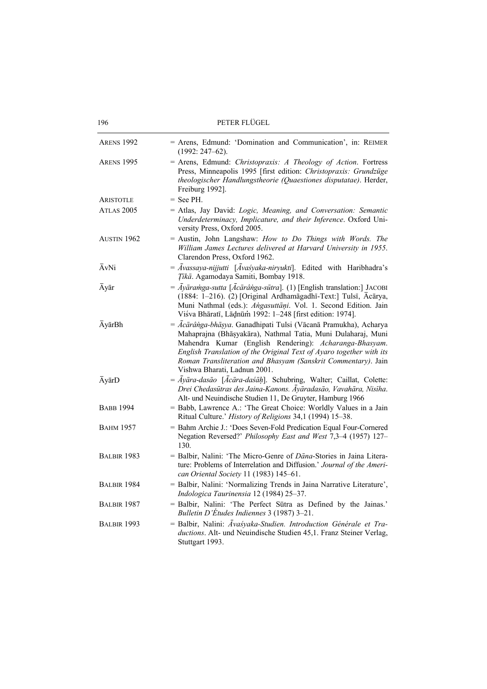| 196                | PETER FLÜGEL                                                                                                                                                                                                                                                                                                                                                        |
|--------------------|---------------------------------------------------------------------------------------------------------------------------------------------------------------------------------------------------------------------------------------------------------------------------------------------------------------------------------------------------------------------|
| <b>ARENS 1992</b>  | = Arens, Edmund: 'Domination and Communication', in: REIMER<br>$(1992: 247-62)$ .                                                                                                                                                                                                                                                                                   |
| <b>ARENS 1995</b>  | = Arens, Edmund: Christopraxis: A Theology of Action. Fortress<br>Press, Minneapolis 1995 [first edition: Christopraxis: Grundzüge<br>theologischer Handlungstheorie (Quaestiones disputatae). Herder,<br>Freiburg 1992].                                                                                                                                           |
| <b>ARISTOTLE</b>   | $=$ See PH.                                                                                                                                                                                                                                                                                                                                                         |
| Atlas 2005         | = Atlas, Jay David: Logic, Meaning, and Conversation: Semantic<br>Underdeterminacy, Implicature, and their Inference. Oxford Uni-<br>versity Press, Oxford 2005.                                                                                                                                                                                                    |
| AUSTIN 1962        | = Austin, John Langshaw: How to Do Things with Words. The<br>William James Lectures delivered at Harvard University in 1955.<br>Clarendon Press, Oxford 1962.                                                                                                                                                                                                       |
| <b>AvNi</b>        | $=$ $\bar{A}v$ assaya-nijjutti [ $\bar{A}v$ asyaka-niryukti]. Edited with Haribhadra's<br>Tīkā. Agamodaya Samiti, Bombay 1918.                                                                                                                                                                                                                                      |
| Āyār               | $= \bar{A}$ yāramga-sutta [ $\bar{A}c\bar{a}r\hat{a}n\bar{g}a\bar{a}r\bar{g}l$ ]. (1) [English translation:] JACOBI<br>(1884: 1-216). (2) [Original Ardhamagadhī-Text:] Tulsī, Ācārya,<br>Muni Nathmal (eds.): Angasuttāņi. Vol. 1. Second Edition. Jain<br>Viśva Bhāratī, Lādnūm 1992: 1-248 [first edition: 1974].                                                |
| <b>AyarBh</b>      | $=$ Ācārânga-bhāṣya. Ganadhipati Tulsi (Vācanā Pramukha), Acharya<br>Mahaprajna (Bhāsyakāra), Nathmal Tatia, Muni Dulaharaj, Muni<br>Mahendra Kumar (English Rendering): Acharanga-Bhasyam.<br>English Translation of the Original Text of Ayaro together with its<br>Roman Transliteration and Bhasyam (Sanskrit Commentary). Jain<br>Vishwa Bharati, Ladnun 2001. |
| <b>AyarD</b>       | $=\bar{A}y\bar{a}ra\text{-}das\bar{a}o$ [ $\bar{A}c\bar{a}ra\text{-}das\bar{a}h$ ]. Schubring, Walter; Caillat, Colette:<br>Drei Chedasūtras des Jaina-Kanons. Āyāradasāo, Vavahāra, Nisīha.<br>Alt- und Neuindische Studien 11, De Gruyter, Hamburg 1966                                                                                                           |
| <b>BABB 1994</b>   | = Babb, Lawrence A.: 'The Great Choice: Worldly Values in a Jain<br>Ritual Culture.' History of Religions 34,1 (1994) 15-38.                                                                                                                                                                                                                                        |
| <b>BAHM 1957</b>   | = Bahm Archie J.: 'Does Seven-Fold Predication Equal Four-Cornered<br>Negation Reversed?' Philosophy East and West 7,3-4 (1957) 127-<br>130.                                                                                                                                                                                                                        |
| BALBIR 1983        | = Balbir, Nalini: 'The Micro-Genre of <i>Dana</i> -Stories in Jaina Litera-<br>ture: Problems of Interrelation and Diffusion.' Journal of the Ameri-<br>can Oriental Society 11 (1983) 145-61.                                                                                                                                                                      |
| BALBIR 1984        | = Balbir, Nalini: 'Normalizing Trends in Jaina Narrative Literature',<br>Indologica Taurinensia 12 (1984) 25–37.                                                                                                                                                                                                                                                    |
| BALBIR 1987        | = Balbir, Nalini: 'The Perfect Sūtra as Defined by the Jainas.'<br>Bulletin D'Études Indiennes 3 (1987) 3-21.                                                                                                                                                                                                                                                       |
| <b>BALBIR 1993</b> | = Balbir, Nalini: Āvasyaka-Studien. Introduction Générale et Tra-<br>ductions. Alt- und Neuindische Studien 45,1. Franz Steiner Verlag,<br>Stuttgart 1993.                                                                                                                                                                                                          |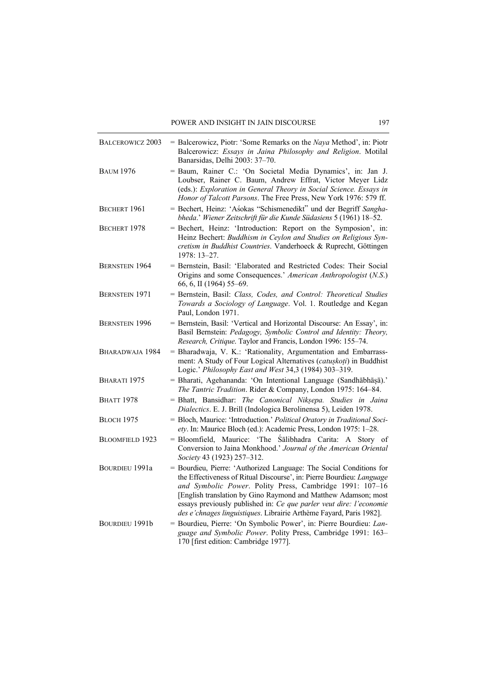| <b>BALCEROWICZ 2003</b> | $=$ Balcerowicz, Piotr: 'Some Remarks on the <i>Naya</i> Method', in: Piotr<br>Balcerowicz: Essays in Jaina Philosophy and Religion. Motilal<br>Banarsidas, Delhi 2003: 37-70.                                                                                                                                                                                                                                           |
|-------------------------|--------------------------------------------------------------------------------------------------------------------------------------------------------------------------------------------------------------------------------------------------------------------------------------------------------------------------------------------------------------------------------------------------------------------------|
| <b>BAUM 1976</b>        | = Baum, Rainer C.: 'On Societal Media Dynamics', in: Jan J.<br>Loubser, Rainer C. Baum, Andrew Effrat, Victor Meyer Lidz<br>(eds.): Exploration in General Theory in Social Science. Essays in<br>Honor of Talcott Parsons. The Free Press, New York 1976: 579 ff.                                                                                                                                                       |
| BECHERT 1961            | = Bechert, Heinz: 'Asokas "Schismenedikt" und der Begriff Sangha-<br>bheda.' Wiener Zeitschrift für die Kunde Südasiens 5 (1961) 18–52.                                                                                                                                                                                                                                                                                  |
| <b>BECHERT 1978</b>     | = Bechert, Heinz: 'Introduction: Report on the Symposion', in:<br>Heinz Bechert: Buddhism in Ceylon and Studies on Religious Syn-<br>cretism in Buddhist Countries. Vanderhoeck & Ruprecht, Göttingen<br>1978: 13-27.                                                                                                                                                                                                    |
| <b>BERNSTEIN 1964</b>   | = Bernstein, Basil: 'Elaborated and Restricted Codes: Their Social<br>Origins and some Consequences.' American Anthropologist (N.S.)<br>66, 6, II (1964) 55-69.                                                                                                                                                                                                                                                          |
| <b>BERNSTEIN 1971</b>   | = Bernstein, Basil: <i>Class, Codes, and Control: Theoretical Studies</i><br>Towards a Sociology of Language. Vol. 1. Routledge and Kegan<br>Paul, London 1971.                                                                                                                                                                                                                                                          |
| <b>BERNSTEIN 1996</b>   | = Bernstein, Basil: 'Vertical and Horizontal Discourse: An Essay', in:<br>Basil Bernstein: Pedagogy, Symbolic Control and Identity: Theory,<br>Research, Critique. Taylor and Francis, London 1996: 155-74.                                                                                                                                                                                                              |
| BHARADWAJA 1984         | = Bharadwaja, V. K.: 'Rationality, Argumentation and Embarrass-<br>ment: A Study of Four Logical Alternatives (catuskoti) in Buddhist<br>Logic.' Philosophy East and West 34,3 (1984) 303-319.                                                                                                                                                                                                                           |
| BHARATI 1975            | = Bharati, Agehananda: 'On Intentional Language (Sandhābhāṣā).'<br>The Tantric Tradition. Rider & Company, London 1975: 164-84.                                                                                                                                                                                                                                                                                          |
| <b>BHATT 1978</b>       | = Bhatt, Bansidhar: The Canonical Niksepa. Studies in Jaina<br>Dialectics. E. J. Brill (Indologica Berolinensa 5), Leiden 1978.                                                                                                                                                                                                                                                                                          |
| <b>BLOCH 1975</b>       | = Bloch, Maurice: 'Introduction.' Political Oratory in Traditional Soci-<br>ety. In: Maurice Bloch (ed.): Academic Press, London 1975: 1-28.                                                                                                                                                                                                                                                                             |
| <b>BLOOMFIELD 1923</b>  | = Bloomfield, Maurice: 'The Salibhadra Carita: A Story of<br>Conversion to Jaina Monkhood.' Journal of the American Oriental<br>Society 43 (1923) 257-312.                                                                                                                                                                                                                                                               |
| BOURDIEU 1991a          | = Bourdieu, Pierre: 'Authorized Language: The Social Conditions for<br>the Effectiveness of Ritual Discourse', in: Pierre Bourdieu: Language<br>and Symbolic Power. Polity Press, Cambridge 1991: 107-16<br>[English translation by Gino Raymond and Matthew Adamson; most<br>essays previously published in: Ce que parler veut dire: l'economie<br>des e'chnages linguistiques. Librairie Arthème Fayard, Paris 1982]. |
| <b>BOURDIEU 1991b</b>   | = Bourdieu, Pierre: 'On Symbolic Power', in: Pierre Bourdieu: Lan-<br>guage and Symbolic Power. Polity Press, Cambridge 1991: 163-<br>170 [first edition: Cambridge 1977].                                                                                                                                                                                                                                               |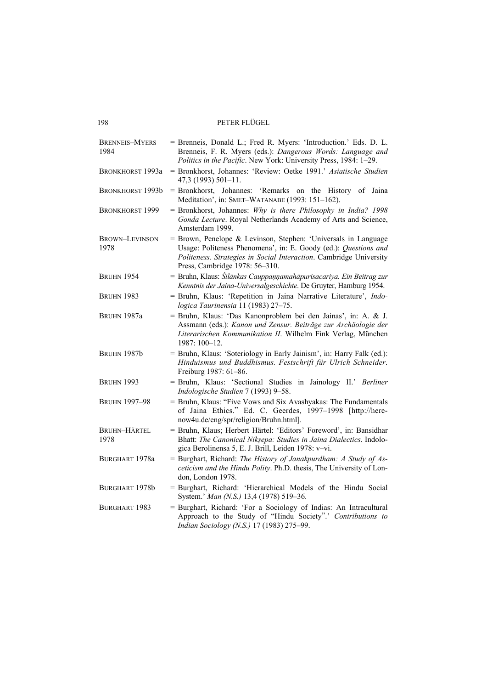| <b>BRENNEIS-MYERS</b><br>1984 | = Brenneis, Donald L.; Fred R. Myers: 'Introduction.' Eds. D. L.<br>Brenneis, F. R. Myers (eds.): Dangerous Words: Language and<br>Politics in the Pacific. New York: University Press, 1984: 1-29.                                       |
|-------------------------------|-------------------------------------------------------------------------------------------------------------------------------------------------------------------------------------------------------------------------------------------|
| <b>BRONKHORST 1993a</b>       | = Bronkhorst, Johannes: 'Review: Oetke 1991.' Asiatische Studien<br>47,3 (1993) 501–11.                                                                                                                                                   |
| <b>BRONKHORST 1993b</b>       | = Bronkhorst, Johannes: 'Remarks on the History of Jaina<br>Meditation', in: SMET-WATANABE (1993: 151-162).                                                                                                                               |
| <b>BRONKHORST 1999</b>        | $=$ Bronkhorst, Johannes: <i>Why is there Philosophy in India?</i> 1998<br>Gonda Lecture. Royal Netherlands Academy of Arts and Science,<br>Amsterdam 1999.                                                                               |
| <b>BROWN-LEVINSON</b><br>1978 | = Brown, Penelope & Levinson, Stephen: 'Universals in Language<br>Usage: Politeness Phenomena', in: E. Goody (ed.): Questions and<br>Politeness. Strategies in Social Interaction. Cambridge University<br>Press, Cambridge 1978: 56-310. |
| <b>BRUHN 1954</b>             | = Bruhn, Klaus: Śīlānkas Cauppaņņamahāpurisacariya. Ein Beitrag zur<br>Kenntnis der Jaina-Universalgeschichte. De Gruyter, Hamburg 1954.                                                                                                  |
| <b>BRUHN 1983</b>             | = Bruhn, Klaus: 'Repetition in Jaina Narrative Literature', Indo-<br>logica Taurinensia 11 (1983) 27-75.                                                                                                                                  |
| BRUHN 1987a                   | = Bruhn, Klaus: 'Das Kanonproblem bei den Jainas', in: A. & J.<br>Assmann (eds.): Kanon und Zensur. Beiträge zur Archäologie der<br>Literarischen Kommunikation II. Wilhelm Fink Verlag, München<br>1987: 100-12.                         |
| BRUHN 1987b                   | = Bruhn, Klaus: 'Soteriology in Early Jainism', in: Harry Falk (ed.):<br>Hinduismus und Buddhismus. Festschrift für Ulrich Schneider.<br>Freiburg 1987: 61–86.                                                                            |
| <b>BRUHN 1993</b>             | = Bruhn, Klaus: 'Sectional Studies in Jainology II.' Berliner<br>Indologische Studien 7 (1993) 9–58.                                                                                                                                      |
| <b>BRUHN 1997-98</b>          | = Bruhn, Klaus: "Five Vows and Six Avashyakas: The Fundamentals<br>of Jaina Ethics." Ed. C. Geerdes, 1997-1998 [http://here-<br>now4u.de/eng/spr/religion/Bruhn.html].                                                                    |
| BRUHN-HÄRTEL<br>1978          | = Bruhn, Klaus; Herbert Härtel: 'Editors' Foreword', in: Bansidhar<br>Bhatt: The Canonical Niksepa: Studies in Jaina Dialectics. Indolo-<br>gica Berolinensa 5, E. J. Brill, Leiden 1978: v-vi.                                           |
| BURGHART 1978a                | = Burghart, Richard: The History of Janakpurdham: A Study of As-<br>ceticism and the Hindu Polity. Ph.D. thesis, The University of Lon-<br>don, London 1978.                                                                              |
| BURGHART 1978b                | = Burghart, Richard: 'Hierarchical Models of the Hindu Social<br>System.' Man (N.S.) 13,4 (1978) 519-36.                                                                                                                                  |
| <b>BURGHART 1983</b>          | = Burghart, Richard: 'For a Sociology of Indias: An Intracultural<br>Approach to the Study of "Hindu Society".' Contributions to<br>Indian Sociology (N.S.) 17 (1983) 275-99.                                                             |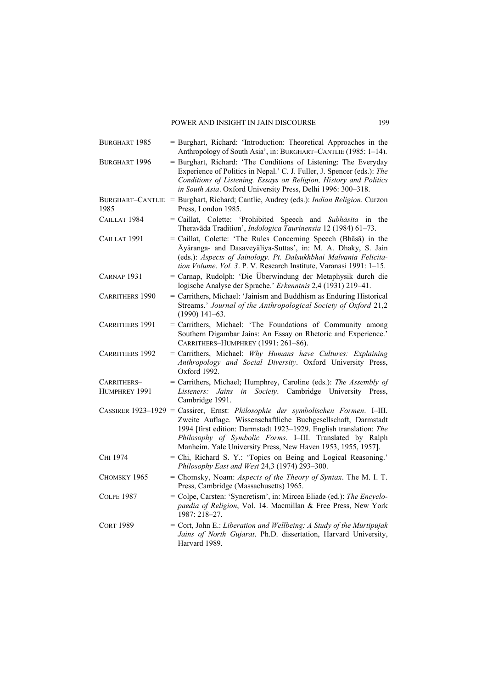| <b>BURGHART 1985</b>         | = Burghart, Richard: 'Introduction: Theoretical Approaches in the<br>Anthropology of South Asia', in: BURGHART-CANTLIE (1985: 1-14).                                                                                                                                                                                                                 |
|------------------------------|------------------------------------------------------------------------------------------------------------------------------------------------------------------------------------------------------------------------------------------------------------------------------------------------------------------------------------------------------|
| <b>BURGHART 1996</b>         | = Burghart, Richard: 'The Conditions of Listening: The Everyday<br>Experience of Politics in Nepal.' C. J. Fuller, J. Spencer (eds.): The<br>Conditions of Listening. Essays on Religion, History and Politics<br>in South Asia. Oxford University Press, Delhi 1996: 300-318.                                                                       |
| 1985                         | BURGHART-CANTLIE = Burghart, Richard; Cantlie, Audrey (eds.): Indian Religion. Curzon<br>Press, London 1985.                                                                                                                                                                                                                                         |
| CAILLAT 1984                 | = Caillat, Colette: 'Prohibited Speech and Subhāsita in the<br>Theravāda Tradition', Indologica Taurinensia 12 (1984) 61-73.                                                                                                                                                                                                                         |
| CAILLAT 1991                 | = Caillat, Colette: 'The Rules Concerning Speech (Bhasa) in the<br>Āyāranga- and Dasaveyāliya-Suttas', in: M. A. Dhaky, S. Jain<br>(eds.): Aspects of Jainology. Pt. Dalsukhbhai Malvania Felicita-<br>tion Volume. Vol. 3. P. V. Research Institute, Varanasi 1991: 1-15.                                                                           |
| CARNAP <sub>1931</sub>       | = Carnap, Rudolph: 'Die Überwindung der Metaphysik durch die<br>logische Analyse der Sprache.' Erkenntnis 2,4 (1931) 219-41.                                                                                                                                                                                                                         |
| <b>CARRITHERS 1990</b>       | = Carrithers, Michael: 'Jainism and Buddhism as Enduring Historical<br>Streams.' Journal of the Anthropological Society of Oxford 21,2<br>$(1990)$ 141-63.                                                                                                                                                                                           |
| <b>CARRITHERS 1991</b>       | = Carrithers, Michael: 'The Foundations of Community among<br>Southern Digambar Jains: An Essay on Rhetoric and Experience.'<br>CARRITHERS-HUMPHREY (1991: 261-86).                                                                                                                                                                                  |
| <b>CARRITHERS 1992</b>       | = Carrithers, Michael: Why Humans have Cultures: Explaining<br>Anthropology and Social Diversity. Oxford University Press,<br>Oxford $1992.$                                                                                                                                                                                                         |
| CARRITHERS-<br>HUMPHREY 1991 | = Carrithers, Michael; Humphrey, Caroline (eds.): The Assembly of<br>Listeners: Jains in Society. Cambridge University Press,<br>Cambridge 1991.                                                                                                                                                                                                     |
|                              | CASSIRER 1923-1929 = Cassirer, Ernst: Philosophie der symbolischen Formen. I-III.<br>Zweite Auflage. Wissenschaftliche Buchgesellschaft, Darmstadt<br>1994 [first edition: Darmstadt 1923-1929. English translation: The<br>Philosophy of Symbolic Forms. I-III. Translated by Ralph<br>Manheim. Yale University Press, New Haven 1953, 1955, 1957]. |
| CHI 1974                     | = Chi, Richard S. Y.: 'Topics on Being and Logical Reasoning.'<br>Philosophy East and West 24,3 (1974) 293-300.                                                                                                                                                                                                                                      |
| CHOMSKY 1965                 | = Chomsky, Noam: Aspects of the Theory of Syntax. The M. I. T.<br>Press, Cambridge (Massachusetts) 1965.                                                                                                                                                                                                                                             |
| <b>COLPE 1987</b>            | = Colpe, Carsten: 'Syncretism', in: Mircea Eliade (ed.): The Encyclo-<br>paedia of Religion, Vol. 14. Macmillan & Free Press, New York<br>1987: 218-27.                                                                                                                                                                                              |
| CORT 1989                    | = Cort, John E.: Liberation and Wellbeing: A Study of the Mūrtipūjak<br>Jains of North Gujarat. Ph.D. dissertation, Harvard University,<br>Harvard 1989.                                                                                                                                                                                             |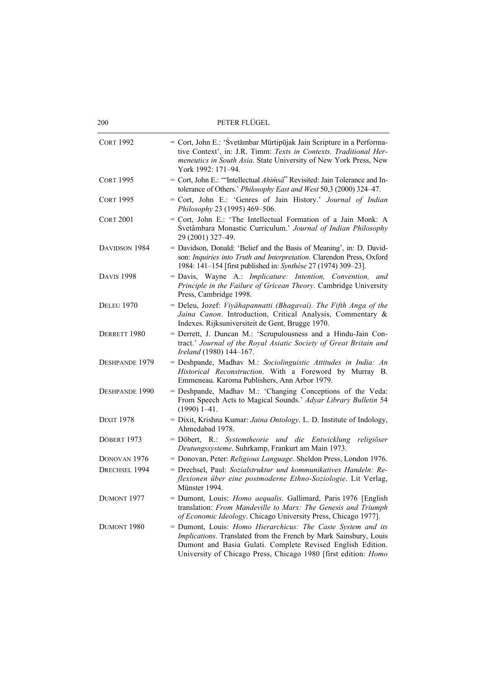| 200                   | PETER FLÜGEL                                                                                                                                                                                                                                                      |
|-----------------------|-------------------------------------------------------------------------------------------------------------------------------------------------------------------------------------------------------------------------------------------------------------------|
| CORT 1992             | = Cort, John E.: 'Svetāmbar Mūrtipūjak Jain Scripture in a Performa-<br>tive Context', in: J.R. Timm: Texts in Contexts. Traditional Her-<br>meneutics in South Asia. State University of New York Press, New<br>York 1992: 171-94.                               |
| <b>CORT 1995</b>      | = Cort, John E.: "'Intellectual Ahimsa" Revisited: Jain Tolerance and In-<br>tolerance of Others.' Philosophy East and West 50,3 (2000) 324-47.                                                                                                                   |
| <b>CORT 1995</b>      | = Cort, John E.: 'Genres of Jain History.' Journal of Indian<br>Philosophy 23 (1995) 469-506.                                                                                                                                                                     |
| CORT 2001             | = Cort, John E.: 'The Intellectual Formation of a Jain Monk: A<br>Svetâmbara Monastic Curriculum.' Journal of Indian Philosophy<br>29 (2001) 327-49.                                                                                                              |
| DAVIDSON 1984         | = Davidson, Donald: 'Belief and the Basis of Meaning', in: D. David-<br>son: Inquiries into Truth and Interpretation. Clarendon Press, Oxford<br>1984: 141-154 [first published in: Synthèse 27 (1974) 309-23].                                                   |
| <b>DAVIS 1998</b>     | = Davis, Wayne A.: <i>Implicature: Intention</i> , <i>Convention</i> ,<br>and<br>Principle in the Failure of Gricean Theory. Cambridge University<br>Press, Cambridge 1998.                                                                                       |
| <b>DELEU 1970</b>     | = Deleu, Jozef: Viyāhapannatti (Bhagavaī). The Fifth Anga of the<br>Jaina Canon. Introduction, Critical Analysis, Commentary &<br>Indexes. Rijksuniversiteit de Gent, Brugge 1970.                                                                                |
| DERRETT 1980          | = Derrett, J. Duncan M.: 'Scrupulousness and a Hindu-Jain Con-<br>tract.' Journal of the Royal Asiatic Society of Great Britain and<br>Ireland (1980) 144-167.                                                                                                    |
| <b>DESHPANDE 1979</b> | = Deshpande, Madhav M.: Sociolinguistic Attitudes in India: An<br>Historical Reconstruction. With a Foreword by Murray B.<br>Emmeneau. Karoma Publishers, Ann Arbor 1979.                                                                                         |
| <b>DESHPANDE 1990</b> | = Deshpande, Madhav M.: 'Changing Conceptions of the Veda:<br>From Speech Acts to Magical Sounds.' Adyar Library Bulletin 54<br>$(1990)$ 1-41.                                                                                                                    |
| <b>DIXIT 1978</b>     | = Dixit, Krishna Kumar: Jaina Ontology. L. D. Institute of Indology,<br>Ahmedabad 1978.                                                                                                                                                                           |
| DÖBERT 1973           | = Döbert, R.: Systemtheorie und die Entwicklung<br>religiöser<br>Deutungssysteme. Suhrkamp, Frankurt am Main 1973.                                                                                                                                                |
| DONOVAN 1976          | = Donovan, Peter: Religious Language. Sheldon Press, London 1976.                                                                                                                                                                                                 |
| <b>DRECHSEL 1994</b>  | = Drechsel, Paul: Sozialstruktur und kommunikatives Handeln: Re-<br>flexionen über eine postmoderne Ethno-Soziologie. Lit Verlag,<br>Münster 1994.                                                                                                                |
| DUMONT 1977           | = Dumont, Louis: <i>Homo aequalis</i> . Gallimard, Paris 1976 [English]<br>translation: From Mandeville to Marx: The Genesis and Triumph<br>of Economic Ideology. Chicago University Press, Chicago 1977].                                                        |
| DUMONT 1980           | = Dumont, Louis: Homo Hierarchicus: The Caste System and its<br>Implications. Translated from the French by Mark Sainsbury, Louis<br>Dumont and Basia Gulati. Complete Revised English Edition.<br>University of Chicago Press, Chicago 1980 [first edition: Homo |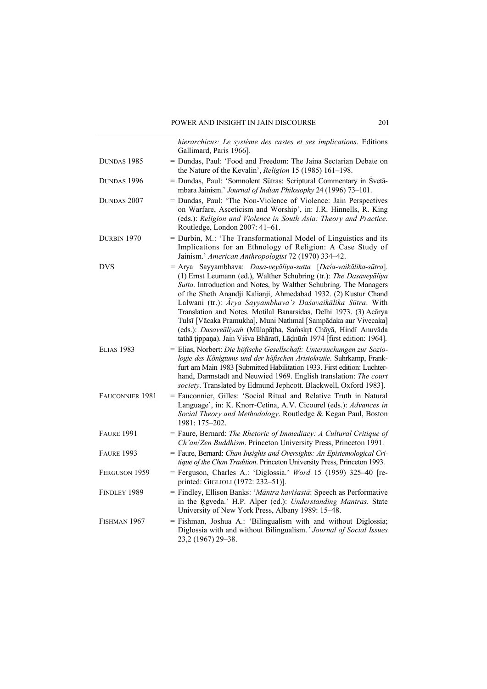|                        | hierarchicus: Le système des castes et ses implications. Editions<br>Gallimard, Paris 1966].                                                                                                                                                                                                                                                                                                                                                                                                                                                                                                                                                   |
|------------------------|------------------------------------------------------------------------------------------------------------------------------------------------------------------------------------------------------------------------------------------------------------------------------------------------------------------------------------------------------------------------------------------------------------------------------------------------------------------------------------------------------------------------------------------------------------------------------------------------------------------------------------------------|
| DUNDAS 1985            | = Dundas, Paul: 'Food and Freedom: The Jaina Sectarian Debate on<br>the Nature of the Kevalin', Religion 15 (1985) 161-198.                                                                                                                                                                                                                                                                                                                                                                                                                                                                                                                    |
| DUNDAS 1996            | = Dundas, Paul: 'Somnolent Sūtras: Scriptural Commentary in Svetā-<br>mbara Jainism.' Journal of Indian Philosophy 24 (1996) 73-101.                                                                                                                                                                                                                                                                                                                                                                                                                                                                                                           |
| DUNDAS <sub>2007</sub> | = Dundas, Paul: 'The Non-Violence of Violence: Jain Perspectives<br>on Warfare, Asceticism and Worship', in: J.R. Hinnells, R. King<br>(eds.): Religion and Violence in South Asia: Theory and Practice.<br>Routledge, London 2007: 41–61.                                                                                                                                                                                                                                                                                                                                                                                                     |
| <b>DURBIN 1970</b>     | = Durbin, M.: 'The Transformational Model of Linguistics and its<br>Implications for an Ethnology of Religion: A Case Study of<br>Jainism.' American Anthropologist 72 (1970) 334-42.                                                                                                                                                                                                                                                                                                                                                                                                                                                          |
| <b>DVS</b>             | = Ārya Sayyambhava: <i>Dasa-veyāliya-sutta</i> [ <i>Dasa-vaikālika-sūtra</i> ].<br>(1) Ernst Leumann (ed.), Walther Schubring (tr.): The Dasaveyāliya<br>Sutta. Introduction and Notes, by Walther Schubring. The Managers<br>of the Sheth Anandji Kalianji, Ahmedabad 1932. (2) Kustur Chand<br>Lalwani (tr.): Ārya Sayyambhava's Dasavaikālika Sūtra. With<br>Translation and Notes. Motilal Banarsidas, Delhi 1973. (3) Acārya<br>Tulsī [Vācaka Pramukha], Muni Nathmal [Sampādaka aur Vivecaka]<br>(eds.): Dasaveāliyam (Mūlapātha, Samskrt Chāyā, Hindī Anuvāda<br>tathā tippaṇa). Jain Viśva Bhāratī, Lāḍnūm 1974 [first edition: 1964]. |
| <b>ELIAS 1983</b>      | = Elias, Norbert: Die höftsche Gesellschaft: Untersuchungen zur Sozio-<br>logie des Königtums und der höfischen Aristokratie. Suhrkamp, Frank-<br>furt am Main 1983 [Submitted Habilitation 1933. First edition: Luchter-<br>hand, Darmstadt and Neuwied 1969. English translation: The court<br>society. Translated by Edmund Jephcott. Blackwell, Oxford 1983].                                                                                                                                                                                                                                                                              |
| <b>FAUCONNIER 1981</b> | = Fauconnier, Gilles: 'Social Ritual and Relative Truth in Natural<br>Language', in: K. Knorr-Cetina, A.V. Cicourel (eds.): Advances in<br>Social Theory and Methodology. Routledge & Kegan Paul, Boston<br>1981: 175-202.                                                                                                                                                                                                                                                                                                                                                                                                                     |
| <b>FAURE 1991</b>      | $=$ Faure, Bernard: The Rhetoric of Immediacy: A Cultural Critique of<br>Ch'an/Zen Buddhism. Princeton University Press, Princeton 1991.                                                                                                                                                                                                                                                                                                                                                                                                                                                                                                       |
| <b>FAURE 1993</b>      | = Faure, Bernard: Chan Insights and Oversights: An Epistemological Cri-<br>tique of the Chan Tradition. Princeton University Press, Princeton 1993.                                                                                                                                                                                                                                                                                                                                                                                                                                                                                            |
| FERGUSON 1959          | = Ferguson, Charles A.: 'Diglossia.' Word 15 (1959) 325-40 [re-<br>printed: GIGLIOLI (1972: 232-51)].                                                                                                                                                                                                                                                                                                                                                                                                                                                                                                                                          |
| FINDLEY 1989           | = Findley, Ellison Banks: 'Māntra kaviśastā: Speech as Performative<br>in the Rgveda.' H.P. Alper (ed.): Understanding Mantras. State<br>University of New York Press, Albany 1989: 15-48.                                                                                                                                                                                                                                                                                                                                                                                                                                                     |
| FISHMAN 1967           | = Fishman, Joshua A.: 'Bilingualism with and without Diglossia;<br>Diglossia with and without Bilingualism.' Journal of Social Issues<br>23,2 (1967) 29-38.                                                                                                                                                                                                                                                                                                                                                                                                                                                                                    |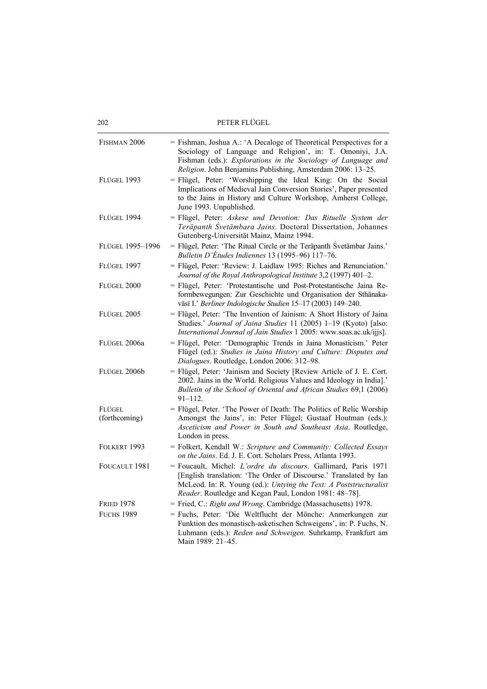| 202 | PETER FLÜGEL |
|-----|--------------|
|     |              |

| FISHMAN 2006            | = Fishman, Joshua A.: 'A Decaloge of Theoretical Perspectives for a<br>Sociology of Language and Religion', in: T. Omoniyi, J.A.<br>Fishman (eds.): Explorations in the Sociology of Language and<br>Religion. John Benjamins Publishing, Amsterdam 2006: 13-25.   |
|-------------------------|--------------------------------------------------------------------------------------------------------------------------------------------------------------------------------------------------------------------------------------------------------------------|
| FLÜGEL 1993             | = Flügel, Peter: 'Worshipping the Ideal King: On the Social<br>Implications of Medieval Jain Conversion Stories', Paper presented<br>to the Jains in History and Culture Workshop, Amherst College,<br>June 1993. Unpublished.                                     |
| FLÜGEL 1994             | = Flügel, Peter: Askese und Devotion: Das Rituelle System der<br>Terāpanth Śvetāmbara Jains. Doctoral Dissertation, Johannes<br>Gutenberg-Universität Mainz, Mainz 1994.                                                                                           |
| FLÜGEL 1995-1996        | = Flügel, Peter: 'The Ritual Circle or the Terapanth Svetambar Jains.'<br>Bulletin D'Études Indiennes 13 (1995–96) 117–76.                                                                                                                                         |
| FLÜGEL 1997             | = Flügel, Peter: 'Review: J. Laidlaw 1995: Riches and Renunciation.'<br>Journal of the Royal Anthropological Institute 3,2 (1997) 401-2.                                                                                                                           |
| <b>FLÜGEL 2000</b>      | = Flügel, Peter: 'Protestantische und Post-Protestantische Jaina Re-<br>formbewegungen: Zur Geschichte und Organisation der Sthänaka-<br>vāsī I.' Berliner Indologische Studien 15-17 (2003) 149-240.                                                              |
| FLÜGEL 2005             | = Flügel, Peter: 'The Invention of Jainism: A Short History of Jaina<br>Studies.' Journal of Jaina Studies 11 (2005) 1-19 (Kyoto) [also:<br>International Journal of Jain Studies 1 2005: www.soas.ac.uk/ijjs].                                                    |
| FLÜGEL 2006a            | = Flügel, Peter: 'Demographic Trends in Jaina Monasticism.' Peter<br>Flügel (ed.): Studies in Jaina History and Culture: Disputes and<br>Dialogues. Routledge, London 2006: 312-98.                                                                                |
| FLÜGEL 2006b            | = Flügel, Peter: 'Jainism and Society [Review Article of J. E. Cort.<br>2002. Jains in the World. Religious Values and Ideology in India].'<br>Bulletin of the School of Oriental and African Studies 69,1 (2006)<br>$91 - 112$ .                                  |
| Flügel<br>(forthcoming) | = Flügel, Peter. 'The Power of Death: The Politics of Relic Worship<br>Amongst the Jains', in: Peter Flügel; Gustaaf Houtman (eds.):<br>Asceticism and Power in South and Southeast Asia. Routledge,<br>London in press.                                           |
| FOLKERT 1993            | = Folkert, Kendall W.: Scripture and Community: Collected Essays<br>on the Jains. Ed. J. E. Cort. Scholars Press, Atlanta 1993.                                                                                                                                    |
| FOUCAULT 1981           | = Foucault, Michel: L'ordre du discours. Gallimard, Paris 1971<br>[English translation: 'The Order of Discourse.' Translated by Ian<br>McLeod. In: R. Young (ed.): Untying the Text: A Poststructuralist<br>Reader. Routledge and Kegan Paul, London 1981: 48-78]. |
| <b>FRIED 1978</b>       | = Fried, C.: Right and Wrong. Cambridge (Massachusetts) 1978.                                                                                                                                                                                                      |
| <b>FUCHS 1989</b>       | = Fuchs, Peter: 'Die Weltflucht der Mönche: Anmerkungen zur<br>Funktion des monastisch-asketischen Schweigens', in: P. Fuchs, N.<br>Luhmann (eds.): Reden und Schweigen. Suhrkamp, Frankfurt am<br>Main 1989: 21-45.                                               |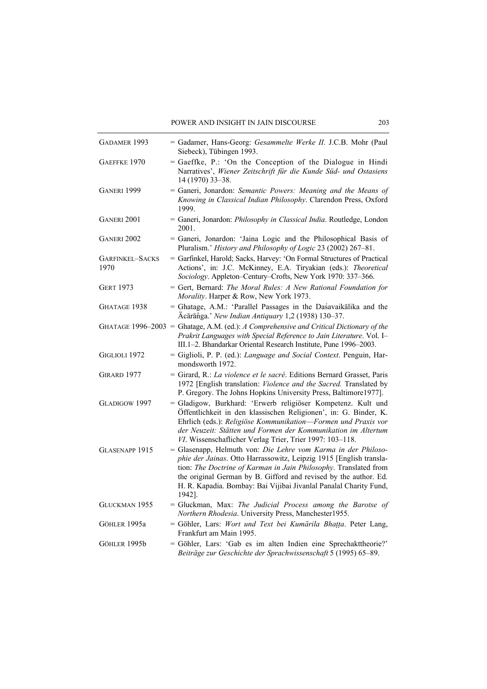| GADAMER 1993            | = Gadamer, Hans-Georg: Gesammelte Werke II. J.C.B. Mohr (Paul<br>Siebeck), Tübingen 1993.                                                                                                                                                                                                                                                                  |
|-------------------------|------------------------------------------------------------------------------------------------------------------------------------------------------------------------------------------------------------------------------------------------------------------------------------------------------------------------------------------------------------|
| GAEFFKE 1970            | $=$ Gaeffke, P.: 'On the Conception of the Dialogue in Hindi<br>Narratives', Wiener Zeitschrift für die Kunde Süd- und Ostasiens<br>14 (1970) 33-38.                                                                                                                                                                                                       |
| GANERI 1999             | = Ganeri, Jonardon: Semantic Powers: Meaning and the Means of<br>Knowing in Classical Indian Philosophy. Clarendon Press, Oxford<br>1999.                                                                                                                                                                                                                  |
| <b>GANERI 2001</b>      | = Ganeri, Jonardon: Philosophy in Classical India. Routledge, London<br>2001.                                                                                                                                                                                                                                                                              |
| GANERI 2002             | = Ganeri, Jonardon: 'Jaina Logic and the Philosophical Basis of<br>Pluralism.' History and Philosophy of Logic 23 (2002) 267-81.                                                                                                                                                                                                                           |
| GARFINKEL-SACKS<br>1970 | = Garfinkel, Harold; Sacks, Harvey: 'On Formal Structures of Practical<br>Actions', in: J.C. McKinney, E.A. Tiryakian (eds.): Theoretical<br>Sociology. Appleton-Century-Crofts, New York 1970: 337-366.                                                                                                                                                   |
| <b>GERT 1973</b>        | = Gert, Bernard: The Moral Rules: A New Rational Foundation for<br>Morality. Harper & Row, New York 1973.                                                                                                                                                                                                                                                  |
| GHATAGE 1938            | = Ghatage, A.M.: 'Parallel Passages in the Dasavaikalika and the<br>Acārānga.' New Indian Antiquary 1,2 (1938) 130–37.                                                                                                                                                                                                                                     |
|                         | GHATAGE 1996–2003 = Ghatage, A.M. (ed.): A Comprehensive and Critical Dictionary of the<br>Prakrit Languages with Special Reference to Jain Literature. Vol. I-<br>III.1-2. Bhandarkar Oriental Research Institute, Pune 1996-2003.                                                                                                                        |
| GIGLIOLI 1972           | = Giglioli, P. P. (ed.): Language and Social Context. Penguin, Har-<br>mondsworth 1972.                                                                                                                                                                                                                                                                    |
| GIRARD 1977             | = Girard, R.: La violence et le sacré. Editions Bernard Grasset, Paris<br>1972 [English translation: Violence and the Sacred. Translated by<br>P. Gregory. The Johns Hopkins University Press, Baltimore1977].                                                                                                                                             |
| <b>GLADIGOW 1997</b>    | = Gladigow, Burkhard: 'Erwerb religiöser Kompetenz. Kult und<br>Öffentlichkeit in den klassischen Religionen', in: G. Binder, K.<br>Ehrlich (eds.): Religiöse Kommunikation-Formen und Praxis vor<br>der Neuzeit: Stätten und Formen der Kommunikation im Altertum<br>VI. Wissenschaflicher Verlag Trier, Trier 1997: 103-118.                             |
| GLASENAPP 1915          | = Glasenapp, Helmuth von: Die Lehre vom Karma in der Philoso-<br>phie der Jainas. Otto Harrassowitz, Leipzig 1915 [English transla-<br>tion: The Doctrine of Karman in Jain Philosophy. Translated from<br>the original German by B. Gifford and revised by the author. Ed.<br>H. R. Kapadia. Bombay: Bai Vijibai Jivanlal Panalal Charity Fund,<br>19421. |
| GLUCKMAN 1955           | = Gluckman, Max: The Judicial Process among the Barotse of<br>Northern Rhodesia. University Press, Manchester1955.                                                                                                                                                                                                                                         |
| GÖHLER 1995a            | = Göhler, Lars: Wort und Text bei Kumārila Bhatta. Peter Lang,<br>Frankfurt am Main 1995.                                                                                                                                                                                                                                                                  |
| Göhler 1995b            | = Göhler, Lars: 'Gab es im alten Indien eine Sprechakttheorie?'<br>Beiträge zur Geschichte der Sprachwissenschaft 5 (1995) 65-89.                                                                                                                                                                                                                          |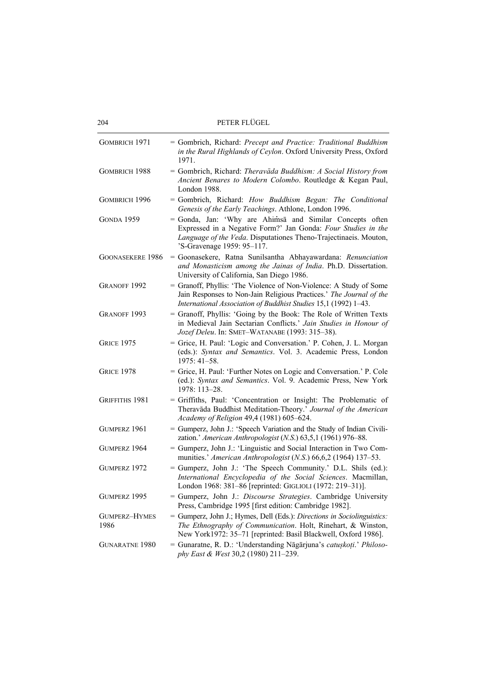204 PETER FLÜGEL

| <b>GOMBRICH 1971</b>         | = Gombrich, Richard: Precept and Practice: Traditional Buddhism<br>in the Rural Highlands of Ceylon. Oxford University Press, Oxford<br>1971.                                                                               |
|------------------------------|-----------------------------------------------------------------------------------------------------------------------------------------------------------------------------------------------------------------------------|
| <b>GOMBRICH 1988</b>         | = Gombrich, Richard: Theravāda Buddhism: A Social History from<br>Ancient Benares to Modern Colombo. Routledge & Kegan Paul,<br>London 1988.                                                                                |
| <b>GOMBRICH 1996</b>         | = Gombrich, Richard: How Buddhism Began: The Conditional<br>Genesis of the Early Teachings. Athlone, London 1996.                                                                                                           |
| <b>GONDA 1959</b>            | = Gonda, Jan: 'Why are Ahimsa and Similar Concepts often<br>Expressed in a Negative Form?' Jan Gonda: Four Studies in the<br>Language of the Veda. Disputationes Theno-Trajectinaeis. Mouton,<br>'S-Gravenage 1959: 95-117. |
| <b>GOONASEKERE 1986</b>      | = Goonasekere, Ratna Sunilsantha Abhayawardana: Renunciation<br>and Monasticism among the Jainas of India. Ph.D. Dissertation.<br>University of California, San Diego 1986.                                                 |
| <b>GRANOFF 1992</b>          | = Granoff, Phyllis: 'The Violence of Non-Violence: A Study of Some<br>Jain Responses to Non-Jain Religious Practices.' The Journal of the<br>International Association of Buddhist Studies 15,1 (1992) 1-43.                |
| <b>GRANOFF 1993</b>          | = Granoff, Phyllis: 'Going by the Book: The Role of Written Texts<br>in Medieval Jain Sectarian Conflicts.' Jain Studies in Honour of<br>Jozef Deleu. In: SMET-WATANABE (1993: 315-38).                                     |
| <b>GRICE 1975</b>            | = Grice, H. Paul: 'Logic and Conversation.' P. Cohen, J. L. Morgan<br>(eds.): Syntax and Semantics. Vol. 3. Academic Press, London<br>$1975:41-58.$                                                                         |
| <b>GRICE 1978</b>            | = Grice, H. Paul: 'Further Notes on Logic and Conversation.' P. Cole<br>(ed.): Syntax and Semantics. Vol. 9. Academic Press, New York<br>1978: 113–28.                                                                      |
| GRIFFITHS 1981               | = Griffiths, Paul: 'Concentration or Insight: The Problematic of<br>Theravada Buddhist Meditation-Theory.' Journal of the American<br>Academy of Religion 49,4 (1981) 605-624.                                              |
| <b>GUMPERZ 1961</b>          | = Gumperz, John J.: 'Speech Variation and the Study of Indian Civili-<br>zation.' American Anthropologist (N.S.) 63,5,1 (1961) 976-88.                                                                                      |
| <b>GUMPERZ 1964</b>          | = Gumperz, John J.: 'Linguistic and Social Interaction in Two Com-<br>munities.' American Anthropologist (N.S.) 66,6,2 (1964) 137–53.                                                                                       |
| <b>GUMPERZ 1972</b>          | = Gumperz, John J.: 'The Speech Community.' D.L. Shils (ed.):<br>International Encyclopedia of the Social Sciences. Macmillan,<br>London 1968: 381-86 [reprinted: GIGLIOLI (1972: 219-31)].                                 |
| <b>GUMPERZ 1995</b>          | = Gumperz, John J.: Discourse Strategies. Cambridge University<br>Press, Cambridge 1995 [first edition: Cambridge 1982].                                                                                                    |
| <b>GUMPERZ-HYMES</b><br>1986 | = Gumperz, John J.; Hymes, Dell (Eds.): Directions in Sociolinguistics:<br>The Ethnography of Communication. Holt, Rinehart, & Winston,<br>New York1972: 35-71 [reprinted: Basil Blackwell, Oxford 1986].                   |
| <b>GUNARATNE 1980</b>        | = Gunaratne, R. D.: 'Understanding Nāgārjuna's catuskoți.' Philoso-<br>phy East & West 30,2 (1980) 211-239.                                                                                                                 |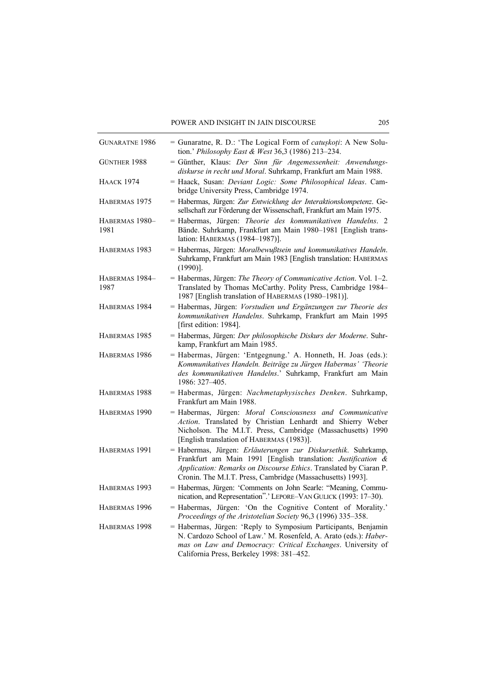| <b>GUNARATNE 1986</b>  | = Gunaratne, R. D.: 'The Logical Form of <i>catuskoti</i> : A New Solu-<br>tion.' Philosophy East & West 36,3 (1986) 213-234.                                                                                                                                    |
|------------------------|------------------------------------------------------------------------------------------------------------------------------------------------------------------------------------------------------------------------------------------------------------------|
| <b>GÜNTHER 1988</b>    | = Günther, Klaus: Der Sinn für Angemessenheit: Anwendungs-<br>diskurse in recht und Moral. Suhrkamp, Frankfurt am Main 1988.                                                                                                                                     |
| <b>HAACK 1974</b>      | = Haack, Susan: Deviant Logic: Some Philosophical Ideas. Cam-<br>bridge University Press, Cambridge 1974.                                                                                                                                                        |
| HABERMAS 1975          | = Habermas, Jürgen: Zur Entwicklung der Interaktionskompetenz. Ge-<br>sellschaft zur Förderung der Wissenschaft, Frankfurt am Main 1975.                                                                                                                         |
| HABERMAS 1980-<br>1981 | = Habermas, Jürgen: Theorie des kommunikativen Handelns. 2<br>Bände. Suhrkamp, Frankfurt am Main 1980-1981 [English trans-<br>lation: HABERMAS (1984–1987)].                                                                                                     |
| HABERMAS 1983          | = Habermas, Jürgen: Moralbewußtsein und kommunikatives Handeln.<br>Suhrkamp, Frankfurt am Main 1983 [English translation: HABERMAS<br>$(1990)$ ].                                                                                                                |
| HABERMAS 1984–<br>1987 | $=$ Habermas, Jürgen: The Theory of Communicative Action. Vol. 1–2.<br>Translated by Thomas McCarthy. Polity Press, Cambridge 1984-<br>1987 [English translation of HABERMAS (1980-1981)].                                                                       |
| HABERMAS 1984          | = Habermas, Jürgen: Vorstudien und Ergänzungen zur Theorie des<br>kommunikativen Handelns. Suhrkamp, Frankfurt am Main 1995<br>[first edition: 1984].                                                                                                            |
| HABERMAS 1985          | = Habermas, Jürgen: Der philosophische Diskurs der Moderne. Suhr-<br>kamp, Frankfurt am Main 1985.                                                                                                                                                               |
| HABERMAS 1986          | = Habermas, Jürgen: 'Entgegnung.' A. Honneth, H. Joas (eds.):<br>Kommunikatives Handeln. Beiträge zu Jürgen Habermas' 'Theorie<br>des kommunikativen Handelns.' Suhrkamp, Frankfurt am Main<br>1986: 327-405.                                                    |
| HABERMAS 1988          | = Habermas, Jürgen: Nachmetaphysisches Denken. Suhrkamp,<br>Frankfurt am Main 1988.                                                                                                                                                                              |
| HABERMAS 1990          | = Habermas, Jürgen: Moral Consciousness and Communicative<br>Action. Translated by Christian Lenhardt and Shierry Weber<br>Nicholson. The M.I.T. Press, Cambridge (Massachusetts) 1990<br>[English translation of HABERMAS (1983)].                              |
| HABERMAS 1991          | = Habermas, Jürgen: Erläuterungen zur Diskursethik. Suhrkamp,<br>Frankfurt am Main 1991 [English translation: Justification &<br>Application: Remarks on Discourse Ethics. Translated by Ciaran P.<br>Cronin. The M.I.T. Press, Cambridge (Massachusetts) 1993]. |
| HABERMAS 1993          | = Habermas, Jürgen: 'Comments on John Searle: "Meaning, Commu-<br>nication, and Representation".' LEPORE-VAN GULICK (1993: 17-30).                                                                                                                               |
| HABERMAS 1996          | = Habermas, Jürgen: 'On the Cognitive Content of Morality.'<br>Proceedings of the Aristotelian Society 96,3 (1996) 335-358.                                                                                                                                      |
| HABERMAS 1998          | = Habermas, Jürgen: 'Reply to Symposium Participants, Benjamin<br>N. Cardozo School of Law.' M. Rosenfeld, A. Arato (eds.): Haber-<br>mas on Law and Democracy: Critical Exchanges. University of<br>California Press, Berkeley 1998: 381-452.                   |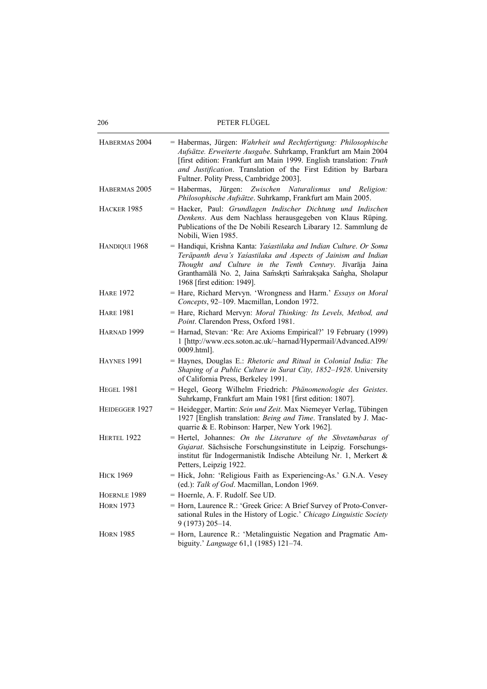| HABERMAS 2004            | = Habermas, Jürgen: Wahrheit und Rechtfertigung: Philosophische<br>Aufsätze. Erweiterte Ausgabe. Suhrkamp, Frankfurt am Main 2004<br>[first edition: Frankfurt am Main 1999. English translation: Truth<br>and Justification. Translation of the First Edition by Barbara<br>Fultner. Polity Press, Cambridge 2003]. |
|--------------------------|----------------------------------------------------------------------------------------------------------------------------------------------------------------------------------------------------------------------------------------------------------------------------------------------------------------------|
| HABERMAS <sub>2005</sub> | Jürgen:<br>Zwischen Naturalismus<br>= Habermas,<br>und<br><i>Religion:</i><br>Philosophische Aufsätze. Suhrkamp, Frankfurt am Main 2005.                                                                                                                                                                             |
| HACKER 1985              | = Hacker, Paul: Grundlagen Indischer Dichtung und Indischen<br>Denkens. Aus dem Nachlass herausgegeben von Klaus Rüping.<br>Publications of the De Nobili Research Libarary 12. Sammlung de<br>Nobili, Wien 1985.                                                                                                    |
| HANDIQUI 1968            | = Handiqui, Krishna Kanta: Yasastilaka and Indian Culture. Or Soma<br>Terāpanth deva's Yaśastilaka and Aspects of Jainism and Indian<br>Thought and Culture in the Tenth Century. Jīvarāja Jaina<br>Granthamālā No. 2, Jaina Samskrti Samraksaka Sangha, Sholapur<br>1968 [first edition: 1949].                     |
| <b>HARE 1972</b>         | = Hare, Richard Mervyn. 'Wrongness and Harm.' Essays on Moral<br>Concepts, 92-109. Macmillan, London 1972.                                                                                                                                                                                                           |
| <b>HARE 1981</b>         | = Hare, Richard Mervyn: Moral Thinking: Its Levels, Method, and<br><i>Point.</i> Clarendon Press, Oxford 1981.                                                                                                                                                                                                       |
| HARNAD 1999              | = Harnad, Stevan: 'Re: Are Axioms Empirical?' 19 February (1999)<br>1 [http://www.ecs.soton.ac.uk/~harnad/Hypermail/Advanced.AI99/<br>0009.html].                                                                                                                                                                    |
| HAYNES 1991              | = Haynes, Douglas E.: Rhetoric and Ritual in Colonial India: The<br>Shaping of a Public Culture in Surat City, 1852-1928. University<br>of California Press, Berkeley 1991.                                                                                                                                          |
| HEGEL 1981               | = Hegel, Georg Wilhelm Friedrich: Phänomenologie des Geistes.<br>Suhrkamp, Frankfurt am Main 1981 [first edition: 1807].                                                                                                                                                                                             |
| HEIDEGGER 1927           | = Heidegger, Martin: Sein und Zeit. Max Niemeyer Verlag, Tübingen<br>1927 [English translation: Being and Time. Translated by J. Mac-<br>quarrie & E. Robinson: Harper, New York 1962].                                                                                                                              |
| HERTEL 1922              | $=$ Hertel, Johannes: On the Literature of the Shvetambaras of<br>Gujarat. Sächsische Forschungsinstitute in Leipzig. Forschungs-<br>institut für Indogermanistik Indische Abteilung Nr. 1, Merkert &<br>Petters, Leipzig 1922.                                                                                      |
| <b>HICK 1969</b>         | = Hick, John: 'Religious Faith as Experiencing-As.' G.N.A. Vesey<br>(ed.): Talk of God. Macmillan, London 1969.                                                                                                                                                                                                      |
| HOERNLE 1989             | = Hoernle, A. F. Rudolf. See UD.                                                                                                                                                                                                                                                                                     |
| <b>HORN 1973</b>         | = Horn, Laurence R.: 'Greek Grice: A Brief Survey of Proto-Conver-<br>sational Rules in the History of Logic.' Chicago Linguistic Society<br>9 (1973) 205-14.                                                                                                                                                        |
| <b>HORN 1985</b>         | = Horn, Laurence R.: 'Metalinguistic Negation and Pragmatic Am-<br>biguity.' Language 61,1 (1985) 121-74.                                                                                                                                                                                                            |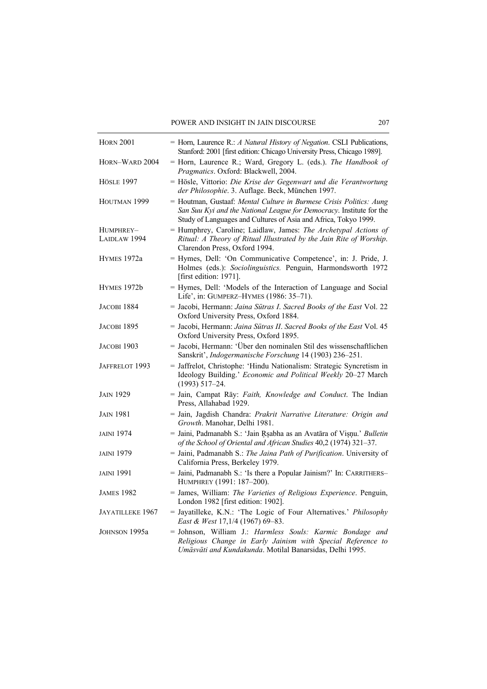$\ddot{ }$ 

| <b>HORN 2001</b>          | = Horn, Laurence R.: A Natural History of Negation. CSLI Publications,<br>Stanford: 2001 [first edition: Chicago University Press, Chicago 1989].                                                              |
|---------------------------|----------------------------------------------------------------------------------------------------------------------------------------------------------------------------------------------------------------|
| HORN-WARD 2004            | = Horn, Laurence R.; Ward, Gregory L. (eds.). The Handbook of<br>Pragmatics. Oxford: Blackwell, 2004.                                                                                                          |
| HÖSLE 1997                | = Hösle, Vittorio: Die Krise der Gegenwart und die Verantwortung<br>der Philosophie. 3. Auflage. Beck, München 1997.                                                                                           |
| HOUTMAN 1999              | = Houtman, Gustaaf: Mental Culture in Burmese Crisis Politics: Aung<br>San Suu Kyi and the National League for Democracy. Institute for the<br>Study of Languages and Cultures of Asia and Africa, Tokyo 1999. |
| HUMPHREY-<br>LAIDLAW 1994 | = Humphrey, Caroline; Laidlaw, James: The Archetypal Actions of<br>Ritual: A Theory of Ritual Illustrated by the Jain Rite of Worship.<br>Clarendon Press, Oxford 1994.                                        |
| HYMES 1972a               | = Hymes, Dell: 'On Communicative Competence', in: J. Pride, J.<br>Holmes (eds.): Sociolinguistics. Penguin, Harmondsworth 1972<br>[first edition: 1971].                                                       |
| HYMES 1972b               | = Hymes, Dell: 'Models of the Interaction of Language and Social<br>Life', in: GUMPERZ-HYMES (1986: 35-71).                                                                                                    |
| JACOBI <sub>1884</sub>    | = Jacobi, Hermann: Jaina Sūtras I. Sacred Books of the East Vol. 22<br>Oxford University Press, Oxford 1884.                                                                                                   |
| JACOBI 1895               | = Jacobi, Hermann: Jaina Sūtras II. Sacred Books of the East Vol. 45<br>Oxford University Press, Oxford 1895.                                                                                                  |
| <b>JACOBI 1903</b>        | = Jacobi, Hermann: 'Über den nominalen Stil des wissenschaftlichen<br>Sanskrit', Indogermanische Forschung 14 (1903) 236-251.                                                                                  |
| JAFFRELOT 1993            | = Jaffrelot, Christophe: 'Hindu Nationalism: Strategic Syncretism in<br>Ideology Building.' Economic and Political Weekly 20-27 March<br>$(1993)$ 517-24.                                                      |
| <b>JAIN 1929</b>          | = Jain, Campat Rāy: Faith, Knowledge and Conduct. The Indian<br>Press, Allahabad 1929.                                                                                                                         |
| <b>JAIN 1981</b>          | = Jain, Jagdish Chandra: Prakrit Narrative Literature: Origin and<br>Growth. Manohar, Delhi 1981.                                                                                                              |
| <b>JAINI 1974</b>         | = Jaini, Padmanabh S.: 'Jain Rsabha as an Avatāra of Visņu.' Bulletin<br>of the School of Oriental and African Studies 40,2 (1974) 321-37.                                                                     |
| <b>JAINI 1979</b>         | = Jaini, Padmanabh S.: The Jaina Path of Purification. University of<br>California Press, Berkeley 1979.                                                                                                       |
| <b>JAINI</b> 1991         | = Jaini, Padmanabh S.: 'Is there a Popular Jainism?' In: CARRITHERS-<br>HUMPHREY (1991: 187-200).                                                                                                              |
| <b>JAMES 1982</b>         | = James, William: The Varieties of Religious Experience. Penguin,<br>London 1982 [first edition: 1902].                                                                                                        |
| <b>JAYATILLEKE 1967</b>   | = Jayatilleke, K.N.: 'The Logic of Four Alternatives.' Philosophy<br>East & West 17,1/4 (1967) 69-83.                                                                                                          |
| JOHNSON 1995a             | = Johnson, William J.: Harmless Souls: Karmic Bondage and<br>Religious Change in Early Jainism with Special Reference to<br>Umāsvāti and Kundakunda. Motilal Banarsidas, Delhi 1995.                           |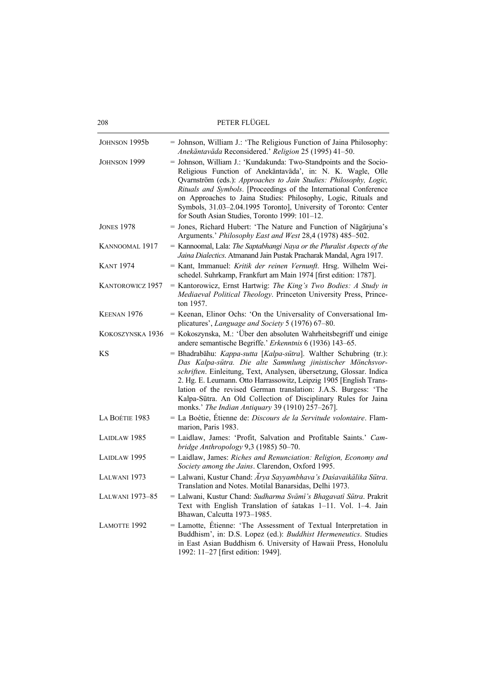| JOHNSON 1995b           | = Johnson, William J.: 'The Religious Function of Jaina Philosophy:<br>Anekāntavāda Reconsidered.' Religion 25 (1995) 41-50.                                                                                                                                                                                                                                                                                                                                         |
|-------------------------|----------------------------------------------------------------------------------------------------------------------------------------------------------------------------------------------------------------------------------------------------------------------------------------------------------------------------------------------------------------------------------------------------------------------------------------------------------------------|
| JOHNSON 1999            | = Johnson, William J.: 'Kundakunda: Two-Standpoints and the Socio-<br>Religious Function of Anekāntavāda', in: N. K. Wagle, Olle<br>Qvarnström (eds.): Approaches to Jain Studies: Philosophy, Logic,<br>Rituals and Symbols. [Proceedings of the International Conference<br>on Approaches to Jaina Studies: Philosophy, Logic, Rituals and<br>Symbols, 31.03-2.04.1995 Toronto], University of Toronto: Center<br>for South Asian Studies, Toronto 1999: 101-12.   |
| <b>JONES 1978</b>       | = Jones, Richard Hubert: 'The Nature and Function of Nāgārjuna's<br>Arguments.' Philosophy East and West 28,4 (1978) 485-502.                                                                                                                                                                                                                                                                                                                                        |
| KANNOOMAL 1917          | = Kannoomal, Lala: The Saptabhangi Naya or the Pluralist Aspects of the<br>Jaina Dialectics. Atmanand Jain Pustak Pracharak Mandal, Agra 1917.                                                                                                                                                                                                                                                                                                                       |
| KANT 1974               | = Kant, Immanuel: Kritik der reinen Vernunft. Hrsg. Wilhelm Wei-<br>schedel. Suhrkamp, Frankfurt am Main 1974 [first edition: 1787].                                                                                                                                                                                                                                                                                                                                 |
| <b>KANTOROWICZ 1957</b> | = Kantorowicz, Ernst Hartwig: The King's Two Bodies: A Study in<br>Mediaeval Political Theology. Princeton University Press, Prince-<br>ton 1957.                                                                                                                                                                                                                                                                                                                    |
| KEENAN 1976             | = Keenan, Elinor Ochs: 'On the Universality of Conversational Im-<br>plicatures', Language and Society 5 (1976) 67–80.                                                                                                                                                                                                                                                                                                                                               |
| KOKOSZYNSKA 1936        | = Kokoszynska, M.: 'Über den absoluten Wahrheitsbegriff und einige<br>andere semantische Begriffe.' Erkenntnis 6 (1936) 143–65.                                                                                                                                                                                                                                                                                                                                      |
| KS                      | = Bhadrabāhu: Kappa-sutta [Kalpa-sūtra]. Walther Schubring (tr.):<br>Das Kalpa-sūtra. Die alte Sammlung jinistischer Mönchsvor-<br>schriften. Einleitung, Text, Analysen, übersetzung, Glossar. Indica<br>2. Hg. E. Leumann. Otto Harrassowitz, Leipzig 1905 [English Trans-<br>lation of the revised German translation: J.A.S. Burgess: 'The<br>Kalpa-Sūtra. An Old Collection of Disciplinary Rules for Jaina<br>monks.' The Indian Antiquary 39 (1910) 257-267]. |
| LA BOÉTIE 1983          | = La Boétie, Étienne de: Discours de la Servitude volontaire. Flam-<br>marion, Paris 1983.                                                                                                                                                                                                                                                                                                                                                                           |
| LAIDLAW 1985            | = Laidlaw, James: 'Profit, Salvation and Profitable Saints.' Cam-<br>bridge Anthropology 9,3 (1985) 50-70.                                                                                                                                                                                                                                                                                                                                                           |
| LAIDLAW 1995            | = Laidlaw, James: Riches and Renunciation: Religion, Economy and<br>Society among the Jains. Clarendon, Oxford 1995.                                                                                                                                                                                                                                                                                                                                                 |
| LALWANI 1973            | = Lalwani, Kustur Chand: Ārya Sayyambhava's Dasavaikālika Sūtra.<br>Translation and Notes. Motilal Banarsidas, Delhi 1973.                                                                                                                                                                                                                                                                                                                                           |
| LALWANI 1973-85         | = Lalwani, Kustur Chand: Sudharma Svāmī's Bhagavatī Sūtra. Prakrit<br>Text with English Translation of satakas 1-11. Vol. 1-4. Jain<br>Bhawan, Calcutta 1973-1985.                                                                                                                                                                                                                                                                                                   |
| LAMOTTE 1992            | = Lamotte, Étienne: 'The Assessment of Textual Interpretation in<br>Buddhism', in: D.S. Lopez (ed.): Buddhist Hermeneutics. Studies<br>in East Asian Buddhism 6. University of Hawaii Press, Honolulu<br>1992: 11-27 [first edition: 1949].                                                                                                                                                                                                                          |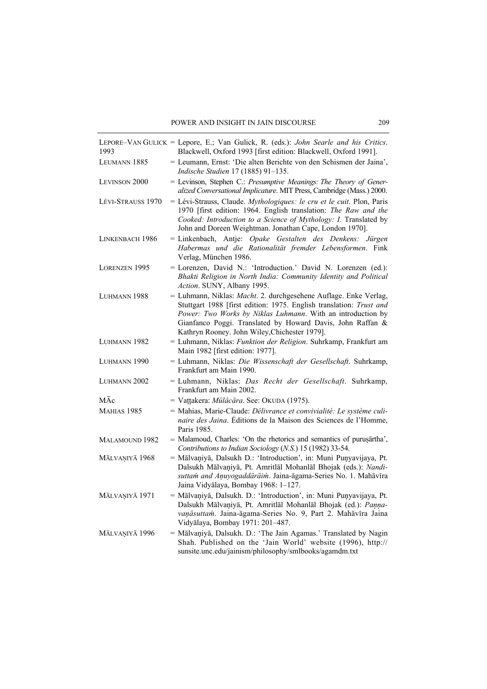| 1993                    | LEPORE-VAN GULICK = Lepore, E.; Van Gulick, R. (eds.): John Searle and his Critics.<br>Blackwell, Oxford 1993 [first edition: Blackwell, Oxford 1991].                                                                                                                                                                |
|-------------------------|-----------------------------------------------------------------------------------------------------------------------------------------------------------------------------------------------------------------------------------------------------------------------------------------------------------------------|
| LEUMANN 1885            | = Leumann, Ernst: 'Die alten Berichte von den Schismen der Jaina',<br>Indische Studien 17 (1885) 91-135.                                                                                                                                                                                                              |
| <b>LEVINSON 2000</b>    | = Levinson, Stephen C.: Presumptive Meanings: The Theory of Gener-<br>alized Conversational Implicature. MIT Press, Cambridge (Mass.) 2000.                                                                                                                                                                           |
| LÉVI-STRAUSS 1970       | = Lévi-Strauss, Claude. Mythologiques: le cru et le cuit. Plon, Paris<br>1970 [first edition: 1964. English translation: The Raw and the<br>Cooked: Introduction to a Science of Mythology: I. Translated by<br>John and Doreen Weightman. Jonathan Cape, London 1970].                                               |
| LINKENBACH 1986         | = Linkenbach, Antje: Opake Gestalten des Denkens: Jürgen<br>Habermas und die Rationalität fremder Lebensformen. Fink<br>Verlag, München 1986.                                                                                                                                                                         |
| <b>LORENZEN 1995</b>    | = Lorenzen, David N.: 'Introduction.' David N. Lorenzen (ed.):<br>Bhakti Religion in North India: Community Identity and Political<br>Action. SUNY, Albany 1995.                                                                                                                                                      |
| LUHMANN 1988            | = Luhmann, Niklas: Macht. 2. durchgesehene Auflage. Enke Verlag,<br>Stuttgart 1988 [first edition: 1975. English translation: Trust and<br>Power: Two Works by Niklas Luhmann. With an introduction by<br>Gianfanco Poggi. Translated by Howard Davis, John Raffan &<br>Kathryn Rooney. John Wiley, Chichester 1979]. |
| LUHMANN 1982            | = Luhmann, Niklas: Funktion der Religion. Suhrkamp, Frankfurt am<br>Main 1982 [first edition: 1977].                                                                                                                                                                                                                  |
| LUHMANN 1990            | = Luhmann, Niklas: Die Wissenschaft der Gesellschaft. Suhrkamp,<br>Frankfurt am Main 1990.                                                                                                                                                                                                                            |
| LUHMANN <sub>2002</sub> | = Luhmann, Niklas: Das Recht der Gesellschaft. Suhrkamp,<br>Frankfurt am Main 2002.                                                                                                                                                                                                                                   |
| $M\overline{A}c$        | = Vațțakera: Mūlâcāra. See: OKUDA (1975).                                                                                                                                                                                                                                                                             |
| MAHIAS 1985             | = Mahias, Marie-Claude: Délivrance et convivialité: Le système culi-<br>naire des Jaina. Éditions de la Maison des Sciences de l'Homme,<br>Paris 1985.                                                                                                                                                                |
| MALAMOUND 1982          | = Malamoud, Charles: 'On the rhetorics and semantics of purus artha',<br>Contributions to Indian Sociology (N.S.) 15 (1982) 33-54.                                                                                                                                                                                    |
| Mālvaņiyā 1968          | = Mālvaniyā, Dalsukh D.: 'Introduction', in: Muni Punyavijaya, Pt.<br>Dalsukh Mālvaņiyā, Pt. Amritlāl Mohanlāl Bhojak (eds.): Nandi-<br>suttam and Anuyogaddārāim. Jaina-āgama-Series No. 1. Mahāvīra<br>Jaina Vidyālaya, Bombay 1968: 1–127.                                                                         |
| Mālvaņiyā 1971          | = Mālvaniyā, Dalsukh. D.: 'Introduction', in: Muni Punyavijaya, Pt.<br>Dalsukh Mālvaņiyā, Pt. Amritlāl Mohanlāl Bhojak (ed.): Paņņa-<br>vaņāsuttam. Jaina-āgama-Series No. 9, Part 2. Mahāvīra Jaina<br>Vidyālaya, Bombay 1971: 201-487.                                                                              |
| Mālvaņiyā 1996          | = Mālvaniyā, Dalsukh. D.: 'The Jain Agamas.' Translated by Nagin<br>Shah. Published on the 'Jain World' website (1996), http://<br>sunsite.unc.edu/jainism/philosophy/smlbooks/agamdm.txt                                                                                                                             |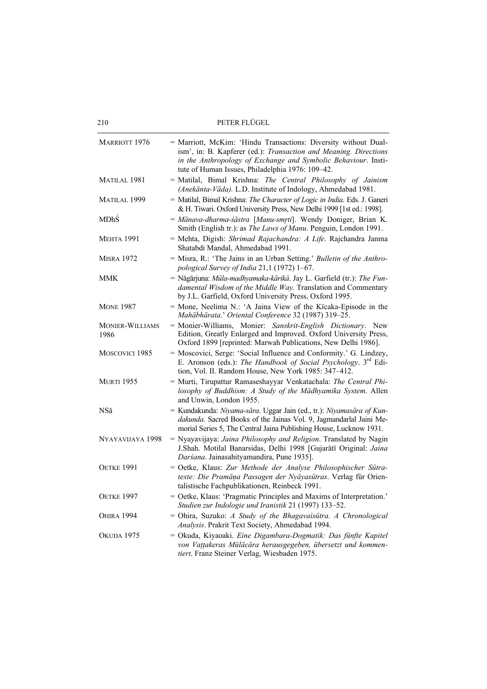| 210 | PETER FLÜGEL |
|-----|--------------|
|     |              |

| <b>MARRIOTT 1976</b>           | = Marriott, McKim: 'Hindu Transactions: Diversity without Dual-<br>ism', in: B. Kapferer (ed.): Transaction and Meaning. Directions<br>in the Anthropology of Exchange and Symbolic Behaviour. Insti-<br>tute of Human Issues, Philadelphia 1976: 109-42. |
|--------------------------------|-----------------------------------------------------------------------------------------------------------------------------------------------------------------------------------------------------------------------------------------------------------|
| MATILAL 1981                   | = Matilal, Bimal Krishna: The Central Philosophy of Jainism<br>(Anekānta-Vāda). L.D. Institute of Indology, Ahmedabad 1981.                                                                                                                               |
| MATILAL 1999                   | = Matilal, Bimal Krishna: The Character of Logic in India. Eds. J. Ganeri<br>& H. Tiwari. Oxford University Press, New Delhi 1999 [1st ed.: 1998].                                                                                                        |
| MDhŚ                           | = Mānava-dharma-śāstra [Manu-smrti]. Wendy Doniger, Brian K.<br>Smith (English tr.): as <i>The Laws of Manu</i> . Penguin, London 1991.                                                                                                                   |
| <b>MEHTA 1991</b>              | = Mehta, Digish: Shrimad Rajachandra: A Life. Rajchandra Janma<br>Shatabdi Mandal, Ahmedabad 1991.                                                                                                                                                        |
| <b>MISRA 1972</b>              | = Misra, R.: 'The Jains in an Urban Setting.' <i>Bulletin of the Anthro</i> -<br>pological Survey of India 21,1 (1972) 1–67.                                                                                                                              |
| MMK                            | = Nāgārjuna: Mūla-madhyamaka-kārikā. Jay L. Garfield (tr.): The Fun-<br>damental Wisdom of the Middle Way. Translation and Commentary<br>by J.L. Garfield, Oxford University Press, Oxford 1995.                                                          |
| <b>MONE 1987</b>               | = Mone, Neelima N.: 'A Jaina View of the Kīcaka-Episode in the<br>Mahābhārata.' Oriental Conference 32 (1987) 319-25.                                                                                                                                     |
| <b>MONIER-WILLIAMS</b><br>1986 | = Monier-Williams, Monier: Sanskrit-English Dictionary. New<br>Edition, Greatly Enlarged and Improved. Oxford University Press,<br>Oxford 1899 [reprinted: Marwah Publications, New Delhi 1986].                                                          |
| MOSCOVICI 1985                 | = Moscovici, Serge: 'Social Influence and Conformity.' G. Lindzey,<br>E. Aronson (eds.): The Handbook of Social Psychology. 3rd Edi-<br>tion, Vol. II. Random House, New York 1985: 347-412.                                                              |
| <b>MURTI 1955</b>              | = Murti, Tirupattur Ramaseshayyar Venkatachala: The Central Phi-<br>losophy of Buddhism: A Study of the Mādhyamika System. Allen<br>and Unwin, London 1955.                                                                                               |
| NSā                            | = Kundakunda: Niyama-sāra. Uggar Jain (ed., tr.): Niyamasāra of Kun-<br><i>dakunda</i> . Sacred Books of the Jainas Vol. 9, Jagmandarlal Jaini Me-<br>morial Series 5, The Central Jaina Publishing House, Lucknow 1931.                                  |
| NYAYAVIJAYA 1998               | = Nyayavijaya: <i>Jaina Philosophy and Religion</i> . Translated by Nagin<br>J.Shah. Motilal Banarsidas, Delhi 1998 [Gujarātī Original: Jaina<br>Darśana. Jainasahityamandira, Pune 1935].                                                                |
| <b>OETKE 1991</b>              | = Oetke, Klaus: Zur Methode der Analyse Philosophischer Sūtra-<br>texte: Die Pramāņa Passagen der Nyāyasūtras. Verlag für Orien-<br>talistische Fachpublikationen, Reinbeck 1991.                                                                         |
| <b>OETKE 1997</b>              | = Oetke, Klaus: 'Pragmatic Principles and Maxims of Interpretation.'<br>Studien zur Indologie und Iranistik 21 (1997) 133–52.                                                                                                                             |
| <b>OHIRA 1994</b>              | $=$ Ohira, Suzuko: A Study of the Bhagavaisūtra. A Chronological<br><i>Analysis</i> . Prakrit Text Society, Ahmedabad 1994.                                                                                                                               |
| <b>OKUDA 1975</b>              | = Okuda, Kiyaoaki. Eine Digambara-Dogmatik: Das fünfte Kapitel<br>von Vattakeras Mūlācāra herausgegeben, übersetzt und kommen-<br>tiert. Franz Steiner Verlag, Wiesbaden 1975.                                                                            |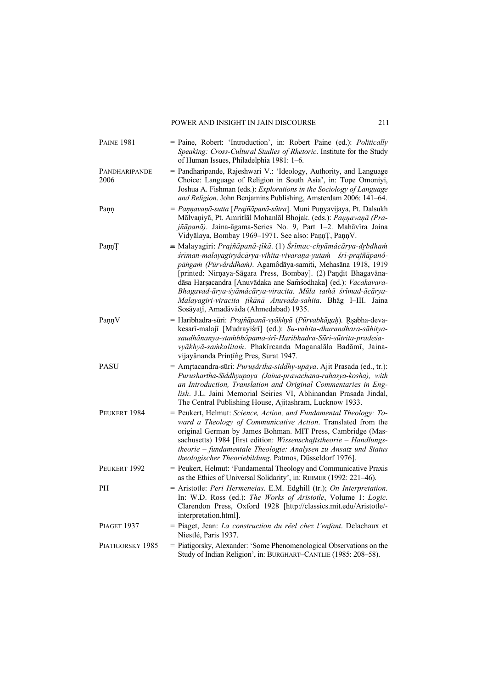| <b>PAINE 1981</b>            | = Paine, Robert: 'Introduction', in: Robert Paine (ed.): Politically<br>Speaking: Cross-Cultural Studies of Rhetoric. Institute for the Study<br>of Human Issues, Philadelphia 1981: 1-6.                                                                                                                                                                                                                                                                                                                  |
|------------------------------|------------------------------------------------------------------------------------------------------------------------------------------------------------------------------------------------------------------------------------------------------------------------------------------------------------------------------------------------------------------------------------------------------------------------------------------------------------------------------------------------------------|
| <b>PANDHARIPANDE</b><br>2006 | = Pandharipande, Rajeshwari V.: 'Ideology, Authority, and Language<br>Choice: Language of Religion in South Asia', in: Tope Omoniyi,<br>Joshua A. Fishman (eds.): <i>Explorations in the Sociology of Language</i><br>and Religion. John Benjamins Publishing, Amsterdam 2006: 141-64.                                                                                                                                                                                                                     |
| Pann                         | = Paņņavaņā-sutta [Prajñāpanā-sūtra]. Muni Puņyavijaya, Pt. Dalsukh<br>Mālvaņiyā, Pt. Amritlāl Mohanlāl Bhojak. (eds.): Paņņavaņā (Pra-<br>jñāpanā). Jaina-āgama-Series No. 9, Part 1-2. Mahāvīra Jaina<br>Vidyālaya, Bombay 1969-1971. See also: PannT, PannV.                                                                                                                                                                                                                                            |
| PannT                        | = Malayagiri: Prajñāpanā-tīkā. (1) Śrīmac-chyāmâcārya-drbdham<br>śrīman-malayagiryâcārya-vihita-vivaraņa-yutam śrī-prajñāpanô-<br>pāngam (Pūrvârddham). Agamôdāya-samiti, Mehasāna 1918, 1919<br>[printed: Nirnaya-Sāgara Press, Bombay]. (2) Pandit Bhagavāna-<br>dāsa Harsacandra [Anuvādaka ane Samsodhaka] (ed.): Vācakavara-<br>Bhagavad-ārya-śyāmâcārya-viracita. Mūla tathā śrīmad-ācārya-<br>Malayagiri-viracita țīkānā Anuvāda-sahita. Bhāg I-III. Jaina<br>Sosāyatī, Amadāvāda (Ahmedabad) 1935. |
| PannV                        | = Haribhadra-sūri: Prajñāpanā-vyākhyā (Pūrvabhāgaḥ). Rsabha-deva-<br>kesarī-malajī [Mudrayiśrī] (ed.): Su-vahita-dhurandhara-sāhitya-<br>saudhānanya-stambhôpama-śrī-Haribhadra-Sūri-sūtrita-pradeśa-<br>vyākhyā-samkalitam. Phakīrcanda Maganalāla Badāmī, Jaina-<br>vijayânanda Prințīng Pres, Surat 1947.                                                                                                                                                                                               |
| <b>PASU</b>                  | = Amrtacandra-sūri: <i>Puruşârtha-siddhy-upāya</i> . Ajit Prasada (ed., tr.):<br>Purushartha-Siddhyupaya (Jaina-pravachana-rahasya-kosha), with<br>an Introduction, Translation and Original Commentaries in Eng-<br>lish. J.L. Jaini Memorial Seiries VI, Abhinandan Prasada Jindal,<br>The Central Publishing House, Ajitashram, Lucknow 1933.                                                                                                                                                           |
| PEUKERT 1984                 | = Peukert, Helmut: Science, Action, and Fundamental Theology: To-<br>ward a Theology of Communicative Action. Translated from the<br>original German by James Bohman. MIT Press, Cambridge (Mas-<br>sachusetts) 1984 [first edition: Wissenschaftstheorie - Handlungs-<br>theorie - fundamentale Theologie: Analysen zu Ansatz und Status<br>theologischer Theoriebildung. Patmos, Düsseldorf 1976].                                                                                                       |
| PEUKERT 1992                 | = Peukert, Helmut: 'Fundamental Theology and Communicative Praxis<br>as the Ethics of Universal Solidarity', in: REIMER (1992: 221–46).                                                                                                                                                                                                                                                                                                                                                                    |
| PH                           | = Aristotle: Peri Hermeneias. E.M. Edghill (tr.); On Interpretation.<br>In: W.D. Ross (ed.): The Works of Aristotle, Volume 1: Logic.<br>Clarendon Press, Oxford 1928 [http://classics.mit.edu/Aristotle/-<br>interpretation.html].                                                                                                                                                                                                                                                                        |
| <b>PIAGET 1937</b>           | = Piaget, Jean: La construction du réel chez l'enfant. Delachaux et<br>Niestlé, Paris 1937.                                                                                                                                                                                                                                                                                                                                                                                                                |
| PIATIGORSKY 1985             | = Piatigorsky, Alexander: 'Some Phenomenological Observations on the<br>Study of Indian Religion', in: BURGHART-CANTLIE (1985: 208-58).                                                                                                                                                                                                                                                                                                                                                                    |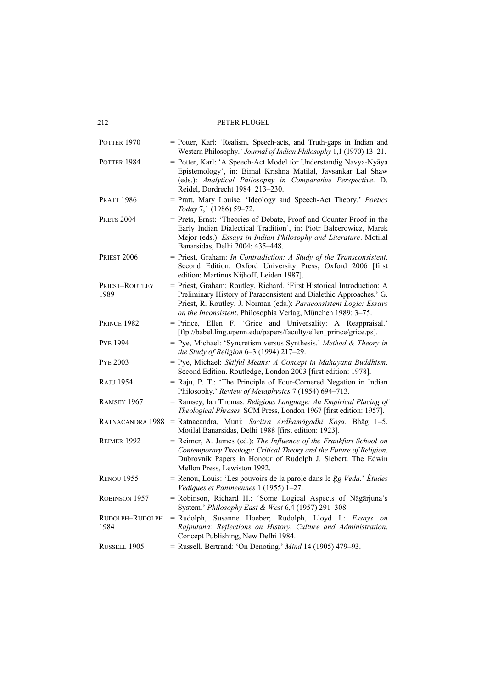| POTTER 1970             | = Potter, Karl: 'Realism, Speech-acts, and Truth-gaps in Indian and<br>Western Philosophy.' Journal of Indian Philosophy 1,1 (1970) 13-21.                                                                                                                                         |
|-------------------------|------------------------------------------------------------------------------------------------------------------------------------------------------------------------------------------------------------------------------------------------------------------------------------|
| POTTER 1984             | = Potter, Karl: 'A Speech-Act Model for Understandig Navya-Nyāya<br>Epistemology', in: Bimal Krishna Matilal, Jaysankar Lal Shaw<br>(eds.): Analytical Philosophy in Comparative Perspective. D.<br>Reidel, Dordrecht 1984: 213-230.                                               |
| <b>PRATT 1986</b>       | = Pratt, Mary Louise. 'Ideology and Speech-Act Theory.' Poetics<br>Today 7,1 (1986) 59-72.                                                                                                                                                                                         |
| <b>PRETS 2004</b>       | = Prets, Ernst: 'Theories of Debate, Proof and Counter-Proof in the<br>Early Indian Dialectical Tradition', in: Piotr Balcerowicz, Marek<br>Mejor (eds.): <i>Essays in Indian Philosophy and Literature</i> . Motilal<br>Banarsidas, Delhi 2004: 435–448.                          |
| PRIEST <sub>2006</sub>  | $=$ Priest, Graham: In Contradiction: A Study of the Transconsistent.<br>Second Edition. Oxford University Press, Oxford 2006 [first<br>edition: Martinus Nijhoff, Leiden 1987].                                                                                                   |
| PRIEST-ROUTLEY<br>1989  | = Priest, Graham; Routley, Richard. 'First Historical Introduction: A<br>Preliminary History of Paraconsistent and Dialethic Approaches.' G.<br>Priest, R. Routley, J. Norman (eds.): Paraconsistent Logic: Essays<br>on the Inconsistent. Philosophia Verlag, München 1989: 3-75. |
| PRINCE 1982             | = Prince, Ellen F. 'Grice and Universality: A Reappraisal.'<br>[ftp://babel.ling.upenn.edu/papers/faculty/ellen prince/grice.ps].                                                                                                                                                  |
| <b>PYE 1994</b>         | = Pye, Michael: 'Syncretism versus Synthesis.' Method & Theory in<br>the Study of Religion $6-3$ (1994) 217–29.                                                                                                                                                                    |
| <b>PYE 2003</b>         | = Pye, Michael: Skilful Means: A Concept in Mahayana Buddhism.<br>Second Edition. Routledge, London 2003 [first edition: 1978].                                                                                                                                                    |
| RAJU 1954               | = Raju, P. T.: 'The Principle of Four-Cornered Negation in Indian<br>Philosophy.' Review of Metaphysics 7 (1954) 694-713.                                                                                                                                                          |
| RAMSEY 1967             | = Ramsey, Ian Thomas: Religious Language: An Empirical Placing of<br>Theological Phrases. SCM Press, London 1967 [first edition: 1957].                                                                                                                                            |
| RATNACANDRA 1988        | = Ratnacandra, Muni: Sacitra Ardhamāgadhī Kosa. Bhāg 1-5.<br>Motilal Banarsidas, Delhi 1988 [first edition: 1923].                                                                                                                                                                 |
| REIMER 1992             | = Reimer, A. James (ed.): The Influence of the Frankfurt School on<br>Contemporary Theology: Critical Theory and the Future of Religion.<br>Dubrovnik Papers in Honour of Rudolph J. Siebert. The Edwin<br>Mellon Press, Lewiston 1992.                                            |
| RENOU 1955              | = Renou, Louis: 'Les pouvoirs de la parole dans le $Rg$ <i>Veda</i> .' Études<br>Védiques et Panineennes 1 (1955) 1–27.                                                                                                                                                            |
| ROBINSON 1957           | = Robinson, Richard H.: 'Some Logical Aspects of Nāgārjuna's<br>System.' Philosophy East & West 6,4 (1957) 291-308.                                                                                                                                                                |
| RUDOLPH-RUDOLPH<br>1984 | = Rudolph, Susanne Hoeber; Rudolph, Lloyd I.: Essays on<br>Rajputana: Reflections on History, Culture and Administration.<br>Concept Publishing, New Delhi 1984.                                                                                                                   |
| RUSSELL 1905            | = Russell, Bertrand: 'On Denoting.' Mind 14 (1905) 479-93.                                                                                                                                                                                                                         |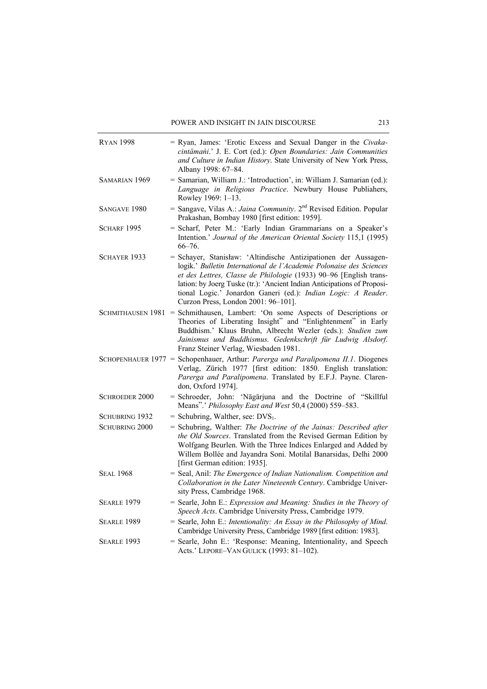| <b>RYAN 1998</b>      | = Ryan, James: 'Erotic Excess and Sexual Danger in the Civaka-<br>cintāmani.' J. E. Cort (ed.): Open Boundaries: Jain Communities<br>and Culture in Indian History. State University of New York Press,<br>Albany 1998: 67-84.                                                                                                                                                                 |
|-----------------------|------------------------------------------------------------------------------------------------------------------------------------------------------------------------------------------------------------------------------------------------------------------------------------------------------------------------------------------------------------------------------------------------|
| SAMARIAN 1969         | = Samarian, William J.: 'Introduction', in: William J. Samarian (ed.):<br>Language in Religious Practice. Newbury House Publiahers,<br>Rowley 1969: 1-13.                                                                                                                                                                                                                                      |
| SANGAVE 1980          | = Sangave, Vilas A.: Jaina Community. $2nd$ Revised Edition. Popular<br>Prakashan, Bombay 1980 [first edition: 1959].                                                                                                                                                                                                                                                                          |
| SCHARF 1995           | = Scharf, Peter M.: 'Early Indian Grammarians on a Speaker's<br>Intention.' Journal of the American Oriental Society 115,1 (1995)<br>$66 - 76.$                                                                                                                                                                                                                                                |
| SCHAYER 1933          | = Schayer, Stanisław: 'Altindische Antizipationen der Aussagen-<br>logik.' Bulletin International de l'Academie Polonaise des Sciences<br>et des Lettres, Classe de Philologie (1933) 90-96 [English trans-<br>lation: by Joerg Tuske (tr.): 'Ancient Indian Anticipations of Proposi-<br>tional Logic.' Jonardon Ganeri (ed.): Indian Logic: A Reader.<br>Curzon Press, London 2001: 96-101]. |
|                       | SCHMITHAUSEN 1981 = Schmithausen, Lambert: 'On some Aspects of Descriptions or<br>Theories of Liberating Insight" and "Enlightenment" in Early<br>Buddhism.' Klaus Bruhn, Albrecht Wezler (eds.): Studien zum<br>Jainismus und Buddhismus. Gedenkschrift für Ludwig Alsdorf.<br>Franz Steiner Verlag, Wiesbaden 1981.                                                                          |
|                       | SCHOPENHAUER 1977 = Schopenhauer, Arthur: Parerga und Paralipomena II.1. Diogenes<br>Verlag, Zürich 1977 [first edition: 1850. English translation:<br>Parerga and Paralipomena. Translated by E.F.J. Payne. Claren-<br>don, Oxford 1974].                                                                                                                                                     |
| <b>SCHROEDER 2000</b> | = Schroeder, John: 'Nāgārjuna and the Doctrine of "Skillful"<br>Means".' Philosophy East and West 50,4 (2000) 559-583.                                                                                                                                                                                                                                                                         |
| <b>SCHUBRING 1932</b> | $=$ Schubring, Walther, see: DVS <sub>1</sub> .                                                                                                                                                                                                                                                                                                                                                |
| <b>SCHUBRING 2000</b> | = Schubring, Walther: The Doctrine of the Jainas: Described after<br>the Old Sources. Translated from the Revised German Edition by<br>Wolfgang Beurlen. With the Three Indices Enlarged and Added by<br>Willem Bollée and Jayandra Soni. Motilal Banarsidas, Delhi 2000<br>[first German edition: 1935].                                                                                      |
| <b>SEAL 1968</b>      | = Seal, Anil: The Emergence of Indian Nationalism. Competition and<br>Collaboration in the Later Nineteenth Century. Cambridge Univer-<br>sity Press, Cambridge 1968.                                                                                                                                                                                                                          |
| <b>SEARLE 1979</b>    | = Searle, John E.: Expression and Meaning: Studies in the Theory of<br>Speech Acts. Cambridge University Press, Cambridge 1979.                                                                                                                                                                                                                                                                |
| <b>SEARLE 1989</b>    | = Searle, John E.: Intentionality: An Essay in the Philosophy of Mind.<br>Cambridge University Press, Cambridge 1989 [first edition: 1983].                                                                                                                                                                                                                                                    |
| <b>SEARLE 1993</b>    | = Searle, John E.: 'Response: Meaning, Intentionality, and Speech<br>Acts.' LEPORE-VAN GULICK (1993: 81-102).                                                                                                                                                                                                                                                                                  |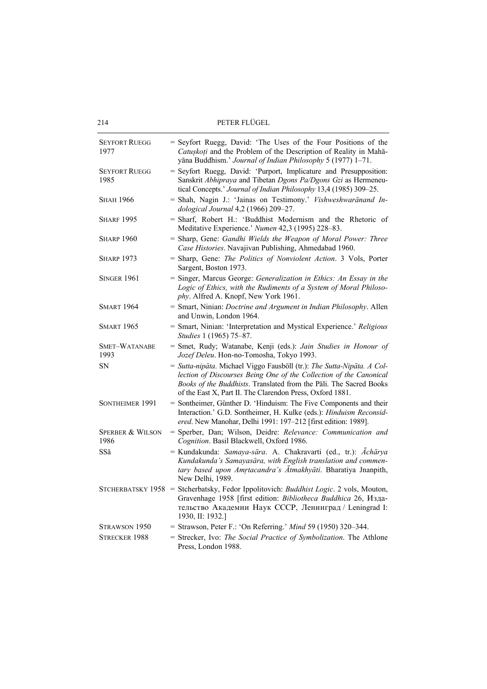| 214 | PETER FLÜGEL |
|-----|--------------|
|     |              |

| <b>SEYFORT RUEGG</b><br>1977        | = Seyfort Ruegg, David: 'The Uses of the Four Positions of the<br>Catuskoți and the Problem of the Description of Reality in Mahā-<br>yāna Buddhism.' Journal of Indian Philosophy 5 (1977) 1-71.                                                                               |
|-------------------------------------|---------------------------------------------------------------------------------------------------------------------------------------------------------------------------------------------------------------------------------------------------------------------------------|
| <b>SEYFORT RUEGG</b><br>1985        | = Seyfort Ruegg, David: 'Purport, Implicature and Presupposition:<br>Sanskrit Abhipraya and Tibetan Dgons Pa/Dgons Gzi as Hermeneu-<br>tical Concepts.' Journal of Indian Philosophy 13,4 (1985) 309-25.                                                                        |
| <b>SHAH 1966</b>                    | = Shah, Nagin J.: 'Jainas on Testimony.' Vishweshwarānand In-<br>dological Journal 4,2 (1966) 209-27.                                                                                                                                                                           |
| <b>SHARF 1995</b>                   | = Sharf, Robert H.: 'Buddhist Modernism and the Rhetoric of<br>Meditative Experience.' Numen 42,3 (1995) 228-83.                                                                                                                                                                |
| <b>SHARP 1960</b>                   | = Sharp, Gene: Gandhi Wields the Weapon of Moral Power: Three<br>Case Histories. Navajivan Publishing, Ahmedabad 1960.                                                                                                                                                          |
| <b>SHARP 1973</b>                   | = Sharp, Gene: The Politics of Nonviolent Action. 3 Vols, Porter<br>Sargent, Boston 1973.                                                                                                                                                                                       |
| <b>SINGER 1961</b>                  | = Singer, Marcus George: <i>Generalization in Ethics: An Essay in the</i><br>Logic of Ethics, with the Rudiments of a System of Moral Philoso-<br>phy. Alfred A. Knopf, New York 1961.                                                                                          |
| <b>SMART 1964</b>                   | = Smart, Ninian: Doctrine and Argument in Indian Philosophy. Allen<br>and Unwin, London 1964.                                                                                                                                                                                   |
| <b>SMART 1965</b>                   | = Smart, Ninian: 'Interpretation and Mystical Experience.' Religious<br>Studies 1 (1965) 75-87.                                                                                                                                                                                 |
| SMET-WATANABE<br>1993               | = Smet, Rudy; Watanabe, Kenji (eds.): Jain Studies in Honour of<br>Jozef Deleu. Hon-no-Tomosha, Tokyo 1993.                                                                                                                                                                     |
| SΝ                                  | = Sutta-nipāta. Michael Viggo Fausböll (tr.): The Sutta-Nipāta. A Col-<br>lection of Discourses Being One of the Collection of the Canonical<br>Books of the Buddhists. Translated from the Pāli. The Sacred Books<br>of the East X, Part II. The Clarendon Press, Oxford 1881. |
| <b>SONTHEIMER 1991</b>              | = Sontheimer, Günther D. 'Hinduism: The Five Components and their<br>Interaction.' G.D. Sontheimer, H. Kulke (eds.): Hinduism Reconsid-<br>ered. New Manohar, Delhi 1991: 197-212 [first edition: 1989].                                                                        |
| <b>SPERBER &amp; WILSON</b><br>1986 | = Sperber, Dan; Wilson, Deidre: Relevance: Communication and<br><i>Cognition.</i> Basil Blackwell, Oxford 1986.                                                                                                                                                                 |
| SSā                                 | = Kundakunda: Samaya-sāra. A. Chakravarti (ed., tr.): Āchārya<br>Kundakunda's Samayasāra, with English translation and commen-<br>tary based upon Amrtacandra's Ātmakhyāti. Bharatiya Jnanpith,<br>New Delhi, 1989.                                                             |
|                                     | STCHERBATSKY 1958 = Stcherbatsky, Fedor Ippolitovich: Buddhist Logic. 2 vols, Mouton,<br>Gravenhage 1958 [first edition: Bibliotheca Buddhica 26, Изда-<br>тельство Академии Наук СССР, Ленинград / Leningrad I:<br>1930, II: 1932.]                                            |
| STRAWSON 1950                       | = Strawson, Peter F.: 'On Referring.' Mind 59 (1950) 320–344.                                                                                                                                                                                                                   |
| <b>STRECKER 1988</b>                | = Strecker, Ivo: The Social Practice of Symbolization. The Athlone<br>Press, London 1988.                                                                                                                                                                                       |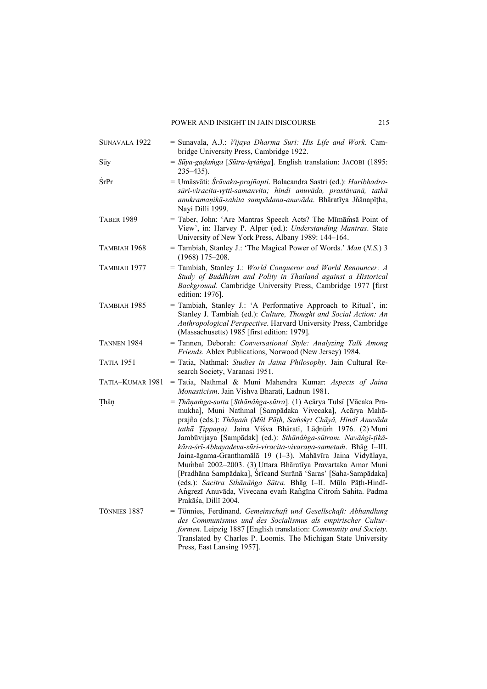| SUNAVALA 1922     | = Sunavala, A.J.: Vijaya Dharma Suri: His Life and Work. Cam-<br>bridge University Press, Cambridge 1922.                                                                                                                                                                                                                                                                                                                                                                                                                                                                                                                                                                                                                                             |
|-------------------|-------------------------------------------------------------------------------------------------------------------------------------------------------------------------------------------------------------------------------------------------------------------------------------------------------------------------------------------------------------------------------------------------------------------------------------------------------------------------------------------------------------------------------------------------------------------------------------------------------------------------------------------------------------------------------------------------------------------------------------------------------|
| Sūy               | = Sūya-gadamga [Sūtra-krtânga]. English translation: JACOBI (1895:<br>235–435).                                                                                                                                                                                                                                                                                                                                                                                                                                                                                                                                                                                                                                                                       |
| <b>SrPr</b>       | = Umāsvāti: Śrāvaka-prajñapti. Balacandra Sastri (ed.): Haribhadra-<br>sūri-viracita-vrtti-samanvita; hindī anuvāda, prastāvanā, tathā<br>anukramaņikā-sahita sampādana-anuvāda. Bhāratīya Jñānapītha,<br>Nayi Dilli 1999.                                                                                                                                                                                                                                                                                                                                                                                                                                                                                                                            |
| <b>TABER 1989</b> | = Taber, John: 'Are Mantras Speech Acts? The Mīmāmsā Point of<br>View', in: Harvey P. Alper (ed.): Understanding Mantras. State<br>University of New York Press, Albany 1989: 144-164.                                                                                                                                                                                                                                                                                                                                                                                                                                                                                                                                                                |
| TAMBIAH 1968      | = Tambiah, Stanley J.: 'The Magical Power of Words.' Man (N.S.) 3<br>$(1968)$ 175-208.                                                                                                                                                                                                                                                                                                                                                                                                                                                                                                                                                                                                                                                                |
| TAMBIAH 1977      | = Tambiah, Stanley J.: World Conqueror and World Renouncer: A<br>Study of Buddhism and Polity in Thailand against a Historical<br>Background. Cambridge University Press, Cambridge 1977 [first<br>edition: 1976].                                                                                                                                                                                                                                                                                                                                                                                                                                                                                                                                    |
| Тамвіан 1985      | = Tambiah, Stanley J.: 'A Performative Approach to Ritual', in:<br>Stanley J. Tambiah (ed.): Culture, Thought and Social Action: An<br>Anthropological Perspective. Harvard University Press, Cambridge<br>(Massachusetts) 1985 [first edition: 1979].                                                                                                                                                                                                                                                                                                                                                                                                                                                                                                |
| TANNEN 1984       | = Tannen, Deborah: Conversational Style: Analyzing Talk Among<br><i>Friends.</i> Ablex Publications, Norwood (New Jersey) 1984.                                                                                                                                                                                                                                                                                                                                                                                                                                                                                                                                                                                                                       |
| <b>TATIA 1951</b> | = Tatia, Nathmal: Studies in Jaina Philosophy. Jain Cultural Re-<br>search Society, Varanasi 1951.                                                                                                                                                                                                                                                                                                                                                                                                                                                                                                                                                                                                                                                    |
| TATIA–KUMAR 1981  | = Tatia, Nathmal & Muni Mahendra Kumar: Aspects of Jaina<br>Monasticism. Jain Vishva Bharati, Ladnun 1981.                                                                                                                                                                                                                                                                                                                                                                                                                                                                                                                                                                                                                                            |
| Ţhāņ              | = Thāņamga-sutta [Sthānânga-sūtra]. (1) Acārya Tulsī [Vācaka Pra-<br>mukha], Muni Nathmal [Sampādaka Vivecaka], Acārya Mahā-<br>prajña (eds.): Thāņam (Mūl Pāṭh, Samskrt Chāyā, Hindī Anuvāda<br>tathā Tippaņa). Jaina Visva Bhāratī, Lādnūm 1976. (2) Muni<br>Jambūvijaya [Sampādak] (ed.): Sthānânga-sūtram. Navāngī-țīkā-<br>kāra-śrī-Abhayadeva-sūri-viracita-vivaraņa-sametam. Bhāg I-III.<br>Jaina-āgama-Granthamālā 19 (1-3). Mahāvīra Jaina Vidyālaya,<br>Mumbaī 2002-2003. (3) Uttara Bhāratīya Pravartaka Amar Muni<br>[Pradhāna Sampādaka], Srīcand Surānā 'Saras' [Saha-Sampādaka]<br>(eds.): Sacitra Sthānânga Sūtra. Bhāg I-II. Mūla Pāṭh-Hindī-<br>Angrezī Anuvāda, Vivecana evam Rangīna Citrom Sahita. Padma<br>Prakāśa, Dillī 2004. |
| TÖNNIES 1887      | = Tönnies, Ferdinand. Gemeinschaft und Gesellschaft: Abhandlung<br>des Communismus und des Socialismus als empirischer Cultur-<br>formen. Leipzig 1887 [English translation: Community and Society.<br>Translated by Charles P. Loomis. The Michigan State University<br>Press, East Lansing 1957].                                                                                                                                                                                                                                                                                                                                                                                                                                                   |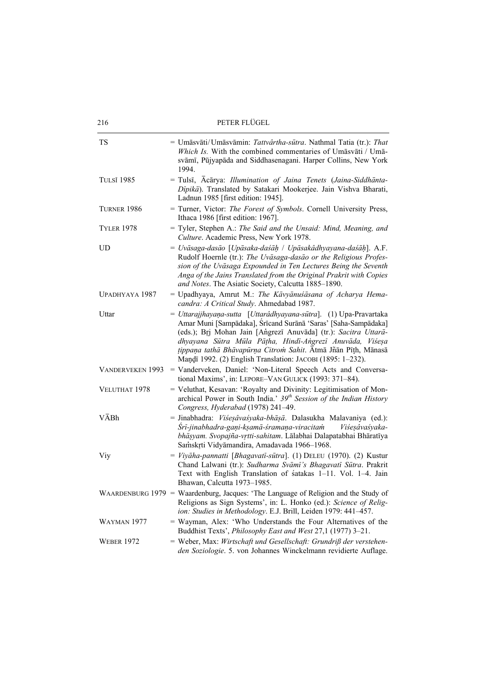| <b>TS</b>               | = Umāsvāti/Umāsvāmin: <i>Tattvârtha-sūtra</i> . Nathmal Tatia (tr.): <i>That</i><br><i>Which Is.</i> With the combined commentaries of Umasvati / Uma-<br>svāmī, Pūjyapāda and Siddhasenagani. Harper Collins, New York<br>1994.                                                                                                                                                                  |
|-------------------------|---------------------------------------------------------------------------------------------------------------------------------------------------------------------------------------------------------------------------------------------------------------------------------------------------------------------------------------------------------------------------------------------------|
| <b>TULSI 1985</b>       | = Tulsī, Ācārya: Illumination of Jaina Tenets (Jaina-Siddhānta-<br>Dīpikā). Translated by Satakari Mookerjee. Jain Vishva Bharati,<br>Ladnun 1985 [first edition: 1945].                                                                                                                                                                                                                          |
| TURNER 1986             | = Turner, Victor: The Forest of Symbols. Cornell University Press,<br>Ithaca 1986 [first edition: 1967].                                                                                                                                                                                                                                                                                          |
| <b>TYLER 1978</b>       | = Tyler, Stephen A.: The Said and the Unsaid: Mind, Meaning, and<br>Culture. Academic Press, New York 1978.                                                                                                                                                                                                                                                                                       |
| UD                      | = Uvāsaga-dasāo [Upāsaka-daśāh / Upāsakâdhyayana-daśāḥ]. A.F.<br>Rudolf Hoernle (tr.): The Uvāsaga-dasāo or the Religious Profes-<br>sion of the Uvāsaga Expounded in Ten Lectures Being the Seventh<br>Anga of the Jains Translated from the Original Prakrit with Copies<br>and Notes. The Asiatic Society, Calcutta 1885–1890.                                                                 |
| UPADHYAYA 1987          | = Upadhyaya, Amrut M.: The Kāvyānuśāsana of Acharya Hema-<br>candra: A Critical Study. Ahmedabad 1987.                                                                                                                                                                                                                                                                                            |
| Uttar                   | = Uttarajjhayaņa-sutta [Uttarâdhyayana-sūtra]. (1) Upa-Pravartaka<br>Amar Muni [Sampādaka], Srīcand Surānā 'Saras' [Saha-Sampādaka]<br>(eds.); Brj Mohan Jain [Angrezī Anuvāda] (tr.): Sacitra Uttarā-<br>dhyayana Sūtra Mūla Pātha, Hindī-Angrezī Anuvāda, Viśesa<br>tippaņa tathā Bhāvapūrņa Citrom Sahit. Ātmā Jñān Pīth, Mānasā<br>Mandī 1992. (2) English Translation: JACOBI (1895: 1-232). |
| <b>VANDERVEKEN 1993</b> | = Vanderveken, Daniel: 'Non-Literal Speech Acts and Conversa-<br>tional Maxims', in: LEPORE-VAN GULICK (1993: 371-84).                                                                                                                                                                                                                                                                            |
| VELUTHAT 1978           | = Veluthat, Kesavan: 'Royalty and Divinity: Legitimisation of Mon-<br>archical Power in South India.' $39th$ Session of the Indian History<br>Congress, Hyderabad (1978) 241-49.                                                                                                                                                                                                                  |
| VĀBh                    | = Jinabhadra: Viśesâvaśyaka-bhāṣā. Dalasukha Malavaniya (ed.):<br>Śrī-jinabhadra-gani-kṣamā-śramaṇa-viracitam<br>Viśesâvaśyaka-<br>bhāsyam. Svopajña-vrtti-sahitam. Lālabhai Dalapatabhai Bhāratīya<br>Samskrti Vidyāmandira, Amadavada 1966-1968.                                                                                                                                                |
| Viy                     | = Viyāha-pannatti [Bhagavatī-sūtra]. (1) DELEU (1970). (2) Kustur<br>Chand Lalwani (tr.): Sudharma Svāmī's Bhagavatī Sūtra. Prakrit<br>Text with English Translation of satakas 1-11. Vol. 1-4. Jain<br>Bhawan, Calcutta 1973-1985.                                                                                                                                                               |
|                         | WAARDENBURG 1979 = Waardenburg, Jacques: 'The Language of Religion and the Study of<br>Religions as Sign Systems', in: L. Honko (ed.): Science of Relig-<br>ion: Studies in Methodology. E.J. Brill, Leiden 1979: 441-457.                                                                                                                                                                        |
| WAYMAN 1977             | = Wayman, Alex: 'Who Understands the Four Alternatives of the<br>Buddhist Texts', Philosophy East and West 27,1 (1977) 3-21.                                                                                                                                                                                                                                                                      |
| <b>WEBER 1972</b>       | = Weber, Max: Wirtschaft und Gesellschaft: Grundriß der verstehen-<br>den Soziologie. 5. von Johannes Winckelmann revidierte Auflage.                                                                                                                                                                                                                                                             |